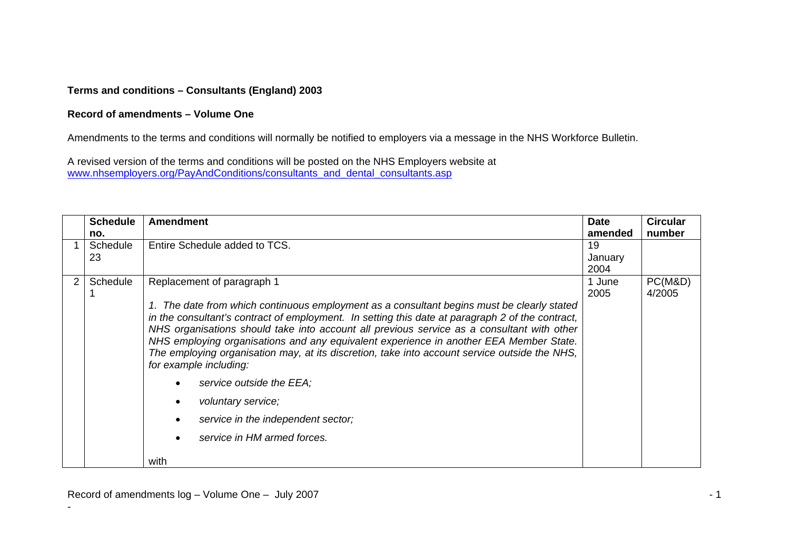## **Terms and conditions – Consultants (England) 2003**

## **Record of amendments – Volume One**

Amendments to the terms and conditions will normally be notified to employers via a message in the NHS Workforce Bulletin.

A revised version of the terms and conditions will be posted on the NHS Employers website at [www.nhsemployers.org/PayAndConditions/consultants\\_and\\_dental\\_consultants.asp](http://www.nhsemployers.org/PayAndConditions/consultants_and_dental_consultants.asp)

|   | <b>Schedule</b><br>no. | <b>Amendment</b>                                                                                                                                                                                                                                                                                                                                                                                                                                                                                                                                | <b>Date</b><br>amended | <b>Circular</b><br>number |
|---|------------------------|-------------------------------------------------------------------------------------------------------------------------------------------------------------------------------------------------------------------------------------------------------------------------------------------------------------------------------------------------------------------------------------------------------------------------------------------------------------------------------------------------------------------------------------------------|------------------------|---------------------------|
|   | Schedule<br>23         | Entire Schedule added to TCS.                                                                                                                                                                                                                                                                                                                                                                                                                                                                                                                   | 19<br>January<br>2004  |                           |
| 2 | Schedule               | Replacement of paragraph 1<br>1. The date from which continuous employment as a consultant begins must be clearly stated<br>in the consultant's contract of employment. In setting this date at paragraph 2 of the contract,<br>NHS organisations should take into account all previous service as a consultant with other<br>NHS employing organisations and any equivalent experience in another EEA Member State.<br>The employing organisation may, at its discretion, take into account service outside the NHS,<br>for example including: | 1 June<br>2005         | PC(M&D)<br>4/2005         |
|   |                        | service outside the EEA;<br>voluntary service;<br>service in the independent sector;<br>service in HM armed forces.<br>with                                                                                                                                                                                                                                                                                                                                                                                                                     |                        |                           |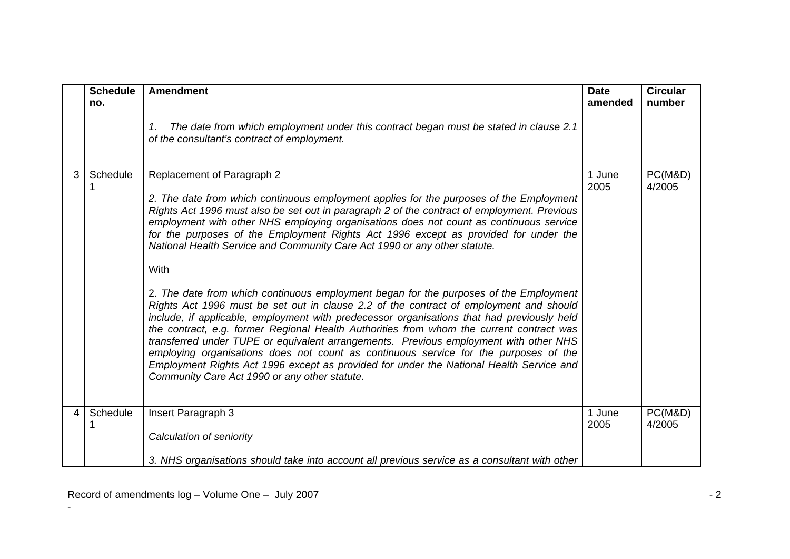|   | <b>Schedule</b><br>no. | <b>Amendment</b>                                                                                                                                                                                                                                                                                                                                                                                                                                                                                                                                                                                                                                                                                                                                                                                                                                                                                                                                                                                                                                                                                                                                                                                     | <b>Date</b><br>amended | <b>Circular</b><br>number |
|---|------------------------|------------------------------------------------------------------------------------------------------------------------------------------------------------------------------------------------------------------------------------------------------------------------------------------------------------------------------------------------------------------------------------------------------------------------------------------------------------------------------------------------------------------------------------------------------------------------------------------------------------------------------------------------------------------------------------------------------------------------------------------------------------------------------------------------------------------------------------------------------------------------------------------------------------------------------------------------------------------------------------------------------------------------------------------------------------------------------------------------------------------------------------------------------------------------------------------------------|------------------------|---------------------------|
|   |                        | The date from which employment under this contract began must be stated in clause 2.1<br>1.<br>of the consultant's contract of employment.                                                                                                                                                                                                                                                                                                                                                                                                                                                                                                                                                                                                                                                                                                                                                                                                                                                                                                                                                                                                                                                           |                        |                           |
| 3 | Schedule               | Replacement of Paragraph 2<br>2. The date from which continuous employment applies for the purposes of the Employment<br>Rights Act 1996 must also be set out in paragraph 2 of the contract of employment. Previous<br>employment with other NHS employing organisations does not count as continuous service<br>for the purposes of the Employment Rights Act 1996 except as provided for under the<br>National Health Service and Community Care Act 1990 or any other statute.<br>With<br>2. The date from which continuous employment began for the purposes of the Employment<br>Rights Act 1996 must be set out in clause 2.2 of the contract of employment and should<br>include, if applicable, employment with predecessor organisations that had previously held<br>the contract, e.g. former Regional Health Authorities from whom the current contract was<br>transferred under TUPE or equivalent arrangements. Previous employment with other NHS<br>employing organisations does not count as continuous service for the purposes of the<br>Employment Rights Act 1996 except as provided for under the National Health Service and<br>Community Care Act 1990 or any other statute. | 1 June<br>2005         | PC(M&D)<br>4/2005         |
| 4 | Schedule               | Insert Paragraph 3<br>Calculation of seniority                                                                                                                                                                                                                                                                                                                                                                                                                                                                                                                                                                                                                                                                                                                                                                                                                                                                                                                                                                                                                                                                                                                                                       | 1 June<br>2005         | PC(M&D)<br>4/2005         |
|   |                        | 3. NHS organisations should take into account all previous service as a consultant with other                                                                                                                                                                                                                                                                                                                                                                                                                                                                                                                                                                                                                                                                                                                                                                                                                                                                                                                                                                                                                                                                                                        |                        |                           |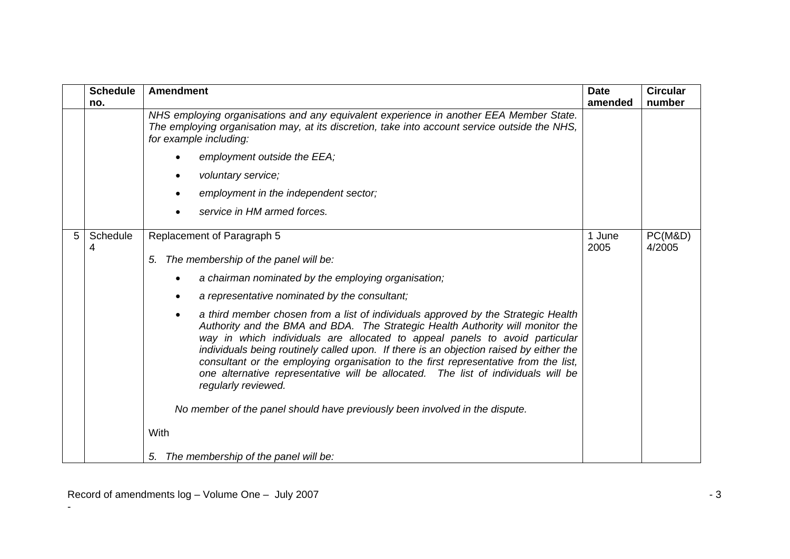|   | <b>Schedule</b> | <b>Amendment</b>                                                                                                                                                                                                                                                                                                                                                                                                                                                                                                                                     | <b>Date</b>    | <b>Circular</b>   |
|---|-----------------|------------------------------------------------------------------------------------------------------------------------------------------------------------------------------------------------------------------------------------------------------------------------------------------------------------------------------------------------------------------------------------------------------------------------------------------------------------------------------------------------------------------------------------------------------|----------------|-------------------|
|   | no.             | NHS employing organisations and any equivalent experience in another EEA Member State.<br>The employing organisation may, at its discretion, take into account service outside the NHS,<br>for example including:                                                                                                                                                                                                                                                                                                                                    | amended        | number            |
|   |                 | employment outside the EEA;                                                                                                                                                                                                                                                                                                                                                                                                                                                                                                                          |                |                   |
|   |                 | voluntary service;<br>$\bullet$                                                                                                                                                                                                                                                                                                                                                                                                                                                                                                                      |                |                   |
|   |                 | employment in the independent sector;                                                                                                                                                                                                                                                                                                                                                                                                                                                                                                                |                |                   |
|   |                 | service in HM armed forces.                                                                                                                                                                                                                                                                                                                                                                                                                                                                                                                          |                |                   |
| 5 | Schedule<br>4   | Replacement of Paragraph 5                                                                                                                                                                                                                                                                                                                                                                                                                                                                                                                           | 1 June<br>2005 | PC(M&D)<br>4/2005 |
|   |                 | The membership of the panel will be:<br>5.                                                                                                                                                                                                                                                                                                                                                                                                                                                                                                           |                |                   |
|   |                 | a chairman nominated by the employing organisation;                                                                                                                                                                                                                                                                                                                                                                                                                                                                                                  |                |                   |
|   |                 | a representative nominated by the consultant;                                                                                                                                                                                                                                                                                                                                                                                                                                                                                                        |                |                   |
|   |                 | a third member chosen from a list of individuals approved by the Strategic Health<br>٠<br>Authority and the BMA and BDA. The Strategic Health Authority will monitor the<br>way in which individuals are allocated to appeal panels to avoid particular<br>individuals being routinely called upon. If there is an objection raised by either the<br>consultant or the employing organisation to the first representative from the list,<br>one alternative representative will be allocated. The list of individuals will be<br>regularly reviewed. |                |                   |
|   |                 | No member of the panel should have previously been involved in the dispute.                                                                                                                                                                                                                                                                                                                                                                                                                                                                          |                |                   |
|   |                 | With                                                                                                                                                                                                                                                                                                                                                                                                                                                                                                                                                 |                |                   |
|   |                 | The membership of the panel will be:<br>5.                                                                                                                                                                                                                                                                                                                                                                                                                                                                                                           |                |                   |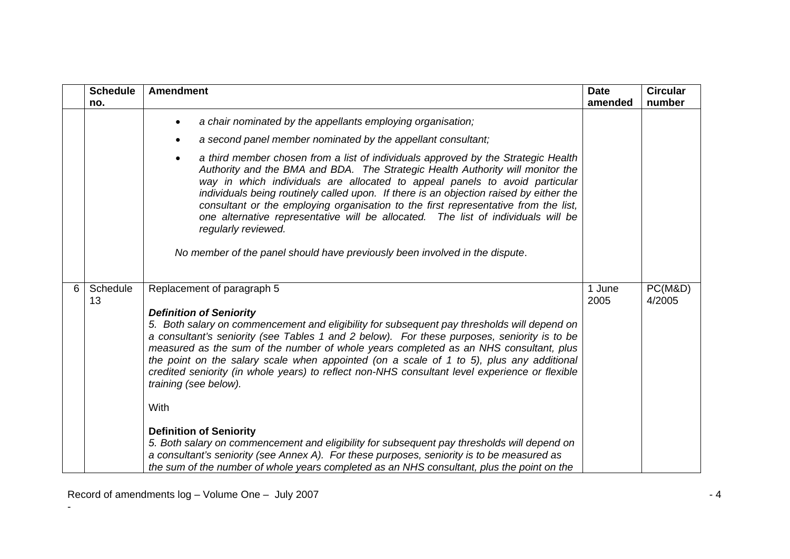|   | <b>Schedule</b> | <b>Amendment</b>                                                                                                                                                                                                                                                                                                                                                                                                                                                                                                                                             | <b>Date</b>    | <b>Circular</b>   |
|---|-----------------|--------------------------------------------------------------------------------------------------------------------------------------------------------------------------------------------------------------------------------------------------------------------------------------------------------------------------------------------------------------------------------------------------------------------------------------------------------------------------------------------------------------------------------------------------------------|----------------|-------------------|
|   | no.             |                                                                                                                                                                                                                                                                                                                                                                                                                                                                                                                                                              | amended        | number            |
|   |                 | a chair nominated by the appellants employing organisation;<br>$\bullet$                                                                                                                                                                                                                                                                                                                                                                                                                                                                                     |                |                   |
|   |                 | a second panel member nominated by the appellant consultant;                                                                                                                                                                                                                                                                                                                                                                                                                                                                                                 |                |                   |
|   |                 | a third member chosen from a list of individuals approved by the Strategic Health<br>$\bullet$<br>Authority and the BMA and BDA. The Strategic Health Authority will monitor the<br>way in which individuals are allocated to appeal panels to avoid particular<br>individuals being routinely called upon. If there is an objection raised by either the<br>consultant or the employing organisation to the first representative from the list,<br>one alternative representative will be allocated. The list of individuals will be<br>regularly reviewed. |                |                   |
|   |                 | No member of the panel should have previously been involved in the dispute.                                                                                                                                                                                                                                                                                                                                                                                                                                                                                  |                |                   |
| 6 | Schedule<br>13  | Replacement of paragraph 5<br><b>Definition of Seniority</b>                                                                                                                                                                                                                                                                                                                                                                                                                                                                                                 | 1 June<br>2005 | PC(M&D)<br>4/2005 |
|   |                 | 5. Both salary on commencement and eligibility for subsequent pay thresholds will depend on<br>a consultant's seniority (see Tables 1 and 2 below). For these purposes, seniority is to be<br>measured as the sum of the number of whole years completed as an NHS consultant, plus<br>the point on the salary scale when appointed (on a scale of 1 to 5), plus any additional<br>credited seniority (in whole years) to reflect non-NHS consultant level experience or flexible<br>training (see below).                                                   |                |                   |
|   |                 | With                                                                                                                                                                                                                                                                                                                                                                                                                                                                                                                                                         |                |                   |
|   |                 | <b>Definition of Seniority</b><br>5. Both salary on commencement and eligibility for subsequent pay thresholds will depend on<br>a consultant's seniority (see Annex A). For these purposes, seniority is to be measured as<br>the sum of the number of whole years completed as an NHS consultant, plus the point on the                                                                                                                                                                                                                                    |                |                   |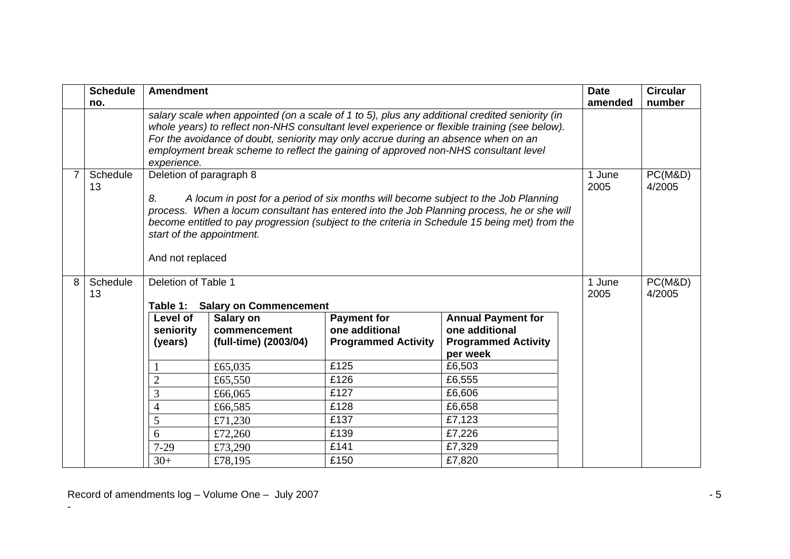|   | <b>Schedule</b> | <b>Amendment</b>                                                               |                                                                                                                                                                                                                                                                                    |                                                                                                                                                                           |                                                                                                                                                                                                 | <b>Date</b>    | <b>Circular</b>   |
|---|-----------------|--------------------------------------------------------------------------------|------------------------------------------------------------------------------------------------------------------------------------------------------------------------------------------------------------------------------------------------------------------------------------|---------------------------------------------------------------------------------------------------------------------------------------------------------------------------|-------------------------------------------------------------------------------------------------------------------------------------------------------------------------------------------------|----------------|-------------------|
|   | no.             |                                                                                |                                                                                                                                                                                                                                                                                    |                                                                                                                                                                           |                                                                                                                                                                                                 | amended        | number            |
|   |                 | experience.                                                                    |                                                                                                                                                                                                                                                                                    | For the avoidance of doubt, seniority may only accrue during an absence when on an<br>employment break scheme to reflect the gaining of approved non-NHS consultant level | salary scale when appointed (on a scale of 1 to 5), plus any additional credited seniority (in<br>whole years) to reflect non-NHS consultant level experience or flexible training (see below). |                |                   |
|   | Schedule<br>13  | Deletion of paragraph 8<br>8.<br>start of the appointment.<br>And not replaced | A locum in post for a period of six months will become subject to the Job Planning<br>process. When a locum consultant has entered into the Job Planning process, he or she will<br>become entitled to pay progression (subject to the criteria in Schedule 15 being met) from the | 1 June<br>2005                                                                                                                                                            | PC(M&D)<br>4/2005                                                                                                                                                                               |                |                   |
| 8 | Schedule<br>13  | Deletion of Table 1<br>Table 1:                                                | <b>Salary on Commencement</b>                                                                                                                                                                                                                                                      |                                                                                                                                                                           |                                                                                                                                                                                                 | 1 June<br>2005 | PC(M&D)<br>4/2005 |
|   |                 | Level of<br>seniority<br>(years)                                               | Salary on<br>commencement<br>(full-time) (2003/04)                                                                                                                                                                                                                                 | <b>Payment for</b><br>one additional<br><b>Programmed Activity</b>                                                                                                        | <b>Annual Payment for</b><br>one additional<br><b>Programmed Activity</b><br>per week                                                                                                           |                |                   |
|   |                 |                                                                                | £65,035                                                                                                                                                                                                                                                                            | £125                                                                                                                                                                      | £6,503                                                                                                                                                                                          |                |                   |
|   |                 | $\overline{2}$                                                                 | £65,550                                                                                                                                                                                                                                                                            | £126                                                                                                                                                                      | £6,555                                                                                                                                                                                          |                |                   |
|   |                 | 3                                                                              | £66,065                                                                                                                                                                                                                                                                            | £127                                                                                                                                                                      | £6,606                                                                                                                                                                                          |                |                   |
|   |                 | $\overline{4}$                                                                 | £66,585                                                                                                                                                                                                                                                                            | £128                                                                                                                                                                      | £6,658                                                                                                                                                                                          |                |                   |
|   |                 | 5                                                                              | £71,230                                                                                                                                                                                                                                                                            | £137                                                                                                                                                                      | £7,123                                                                                                                                                                                          |                |                   |
|   |                 | 6                                                                              | £72,260                                                                                                                                                                                                                                                                            | £139                                                                                                                                                                      | £7,226                                                                                                                                                                                          |                |                   |
|   |                 | $7 - 29$                                                                       | £73,290                                                                                                                                                                                                                                                                            | £141                                                                                                                                                                      | £7,329                                                                                                                                                                                          |                |                   |
|   |                 | $30+$                                                                          | £78,195                                                                                                                                                                                                                                                                            | £150                                                                                                                                                                      | £7,820                                                                                                                                                                                          |                |                   |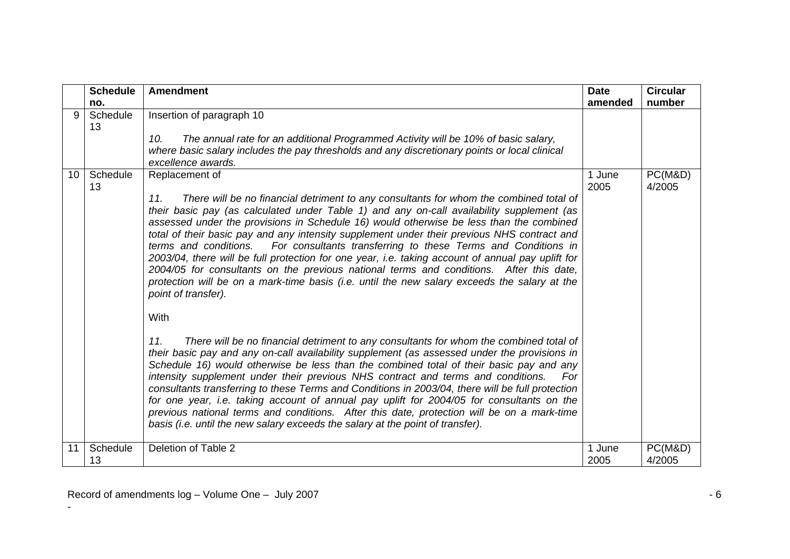|    | <b>Schedule</b> | <b>Amendment</b>                                                                                                                                                                                                                                                                                                                                                                                                                                                                                                                                                                                                                                                                                                                                                                                                                       | <b>Date</b>    | <b>Circular</b>   |
|----|-----------------|----------------------------------------------------------------------------------------------------------------------------------------------------------------------------------------------------------------------------------------------------------------------------------------------------------------------------------------------------------------------------------------------------------------------------------------------------------------------------------------------------------------------------------------------------------------------------------------------------------------------------------------------------------------------------------------------------------------------------------------------------------------------------------------------------------------------------------------|----------------|-------------------|
|    | no.             |                                                                                                                                                                                                                                                                                                                                                                                                                                                                                                                                                                                                                                                                                                                                                                                                                                        | amended        | number            |
| 9  | Schedule<br>13  | Insertion of paragraph 10<br>10.<br>The annual rate for an additional Programmed Activity will be 10% of basic salary,<br>where basic salary includes the pay thresholds and any discretionary points or local clinical                                                                                                                                                                                                                                                                                                                                                                                                                                                                                                                                                                                                                |                |                   |
|    |                 | excellence awards.                                                                                                                                                                                                                                                                                                                                                                                                                                                                                                                                                                                                                                                                                                                                                                                                                     |                |                   |
| 10 | Schedule<br>13  | Replacement of<br>There will be no financial detriment to any consultants for whom the combined total of<br>11.<br>their basic pay (as calculated under Table 1) and any on-call availability supplement (as<br>assessed under the provisions in Schedule 16) would otherwise be less than the combined<br>total of their basic pay and any intensity supplement under their previous NHS contract and<br>For consultants transferring to these Terms and Conditions in<br>terms and conditions.<br>2003/04, there will be full protection for one year, i.e. taking account of annual pay uplift for<br>2004/05 for consultants on the previous national terms and conditions. After this date,<br>protection will be on a mark-time basis (i.e. until the new salary exceeds the salary at the<br>point of transfer).<br><b>With</b> | 1 June<br>2005 | PC(M&D)<br>4/2005 |
|    |                 | There will be no financial detriment to any consultants for whom the combined total of<br>11.<br>their basic pay and any on-call availability supplement (as assessed under the provisions in<br>Schedule 16) would otherwise be less than the combined total of their basic pay and any<br>intensity supplement under their previous NHS contract and terms and conditions.<br>For<br>consultants transferring to these Terms and Conditions in 2003/04, there will be full protection<br>for one year, i.e. taking account of annual pay uplift for 2004/05 for consultants on the<br>previous national terms and conditions. After this date, protection will be on a mark-time<br>basis (i.e. until the new salary exceeds the salary at the point of transfer).                                                                   |                |                   |
| 11 | Schedule<br>13  | Deletion of Table 2                                                                                                                                                                                                                                                                                                                                                                                                                                                                                                                                                                                                                                                                                                                                                                                                                    | 1 June<br>2005 | PC(M&D)<br>4/2005 |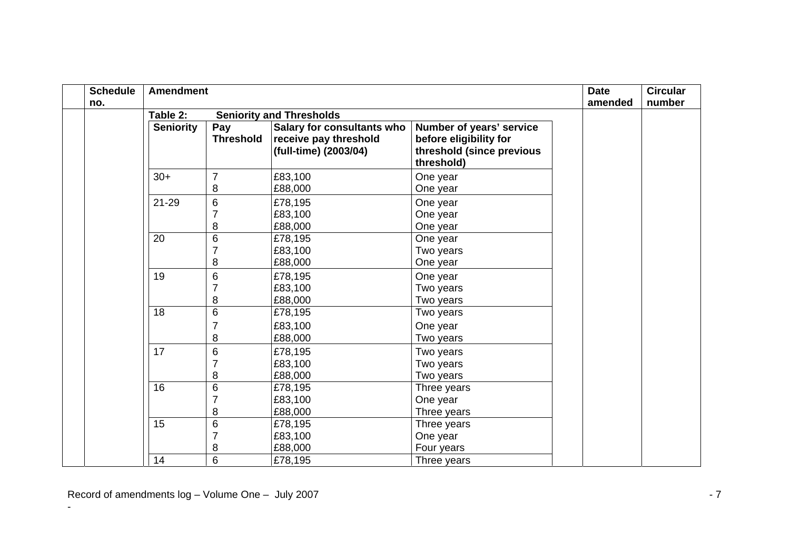| <b>Schedule</b><br>no. | <b>Amendment</b> |                         |                                                                              |                                                                                               | <b>Date</b><br>amended | <b>Circular</b><br>number |
|------------------------|------------------|-------------------------|------------------------------------------------------------------------------|-----------------------------------------------------------------------------------------------|------------------------|---------------------------|
|                        | Table 2:         |                         | <b>Seniority and Thresholds</b>                                              |                                                                                               |                        |                           |
|                        | <b>Seniority</b> | Pay<br><b>Threshold</b> | Salary for consultants who<br>receive pay threshold<br>(full-time) (2003/04) | Number of years' service<br>before eligibility for<br>threshold (since previous<br>threshold) |                        |                           |
|                        | $30+$            | $\overline{7}$<br>8     | £83,100<br>£88,000                                                           | One year<br>One year                                                                          |                        |                           |
|                        | 21-29            | 6<br>8                  | £78,195<br>£83,100<br>£88,000                                                | One year<br>One year<br>One year                                                              |                        |                           |
|                        | 20               | 6<br>8                  | £78,195<br>£83,100<br>£88,000                                                | One year<br>Two years<br>One year                                                             |                        |                           |
|                        | 19               | 6<br>8                  | £78,195<br>£83,100<br>£88,000                                                | One year<br>Two years<br>Two years                                                            |                        |                           |
|                        | 18               | 6<br>8                  | £78,195<br>£83,100<br>£88,000                                                | Two years<br>One year<br>Two years                                                            |                        |                           |
|                        | 17               | 6<br>8                  | £78,195<br>£83,100<br>£88,000                                                | Two years<br>Two years<br>Two years                                                           |                        |                           |
|                        | 16               | 6<br>7<br>8             | £78,195<br>£83,100<br>£88,000                                                | Three years<br>One year<br>Three years                                                        |                        |                           |
|                        | 15               | 6<br>7<br>8             | £78,195<br>£83,100<br>£88,000                                                | Three years<br>One year<br>Four years                                                         |                        |                           |
|                        | 14               | 6                       | £78,195                                                                      | Three years                                                                                   |                        |                           |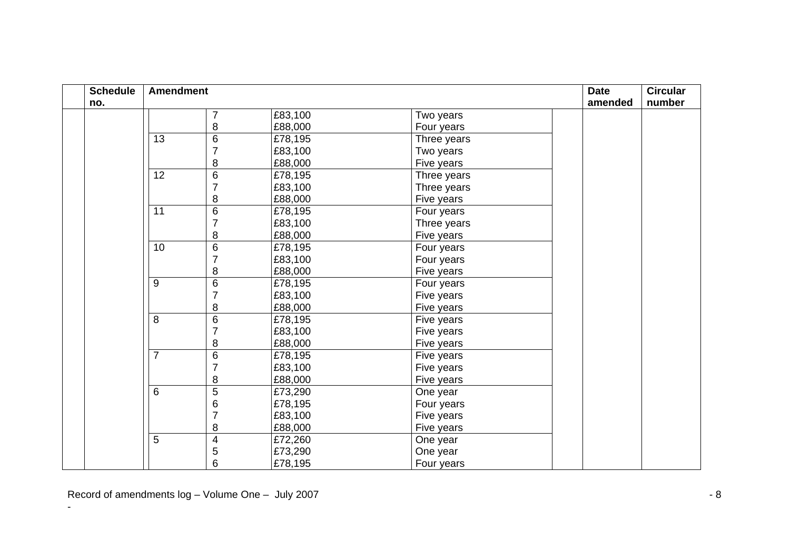| <b>Schedule</b> | <b>Amendment</b> |                         |         |             | <b>Date</b> | <b>Circular</b> |
|-----------------|------------------|-------------------------|---------|-------------|-------------|-----------------|
| no.             |                  |                         |         |             | amended     | number          |
|                 |                  | 7                       | £83,100 | Two years   |             |                 |
|                 |                  | 8                       | £88,000 | Four years  |             |                 |
|                 | 13               | $\,6$                   | £78,195 | Three years |             |                 |
|                 |                  | $\overline{7}$          | £83,100 | Two years   |             |                 |
|                 |                  | 8                       | £88,000 | Five years  |             |                 |
|                 | $\overline{12}$  | $\,6$                   | £78,195 | Three years |             |                 |
|                 |                  | $\overline{7}$          | £83,100 | Three years |             |                 |
|                 |                  | 8                       | £88,000 | Five years  |             |                 |
|                 | 11               | $\,6$                   | £78,195 | Four years  |             |                 |
|                 |                  |                         | £83,100 | Three years |             |                 |
|                 |                  | 8                       | £88,000 | Five years  |             |                 |
|                 | 10               | $\overline{6}$          | £78,195 | Four years  |             |                 |
|                 |                  |                         | £83,100 | Four years  |             |                 |
|                 |                  | 8                       | £88,000 | Five years  |             |                 |
|                 | $\boldsymbol{9}$ | $\,6$                   | £78,195 | Four years  |             |                 |
|                 |                  | $\overline{7}$          | £83,100 | Five years  |             |                 |
|                 |                  | 8                       | £88,000 | Five years  |             |                 |
|                 | 8                | $\,6$                   | £78,195 | Five years  |             |                 |
|                 |                  | $\overline{7}$          | £83,100 | Five years  |             |                 |
|                 |                  | 8                       | £88,000 | Five years  |             |                 |
|                 | $\overline{7}$   | $6\phantom{1}$          | £78,195 | Five years  |             |                 |
|                 |                  | $\overline{7}$          | £83,100 | Five years  |             |                 |
|                 |                  | 8                       | £88,000 | Five years  |             |                 |
|                 | 6                | $\overline{5}$          | £73,290 | One year    |             |                 |
|                 |                  | 6                       | £78,195 | Four years  |             |                 |
|                 |                  | 7                       | £83,100 | Five years  |             |                 |
|                 |                  | 8                       | £88,000 | Five years  |             |                 |
|                 | 5                | $\overline{\mathbf{4}}$ | £72,260 | One year    |             |                 |
|                 |                  | 5                       | £73,290 | One year    |             |                 |
|                 |                  | 6                       | £78,195 | Four years  |             |                 |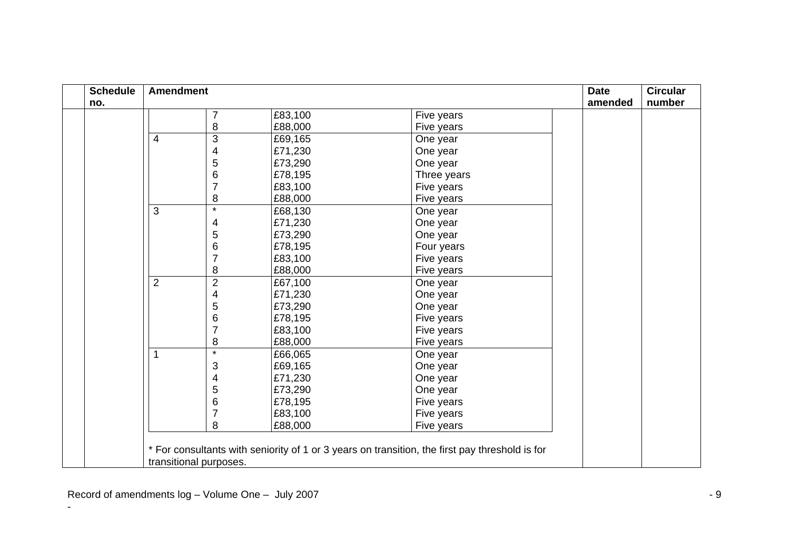| <b>Schedule</b> | <b>Amendment</b> |                          |         |                                                                                                | <b>Date</b> | <b>Circular</b> |
|-----------------|------------------|--------------------------|---------|------------------------------------------------------------------------------------------------|-------------|-----------------|
| no.             |                  |                          |         |                                                                                                | amended     | number          |
|                 |                  | 7                        | £83,100 | Five years                                                                                     |             |                 |
|                 |                  | 8                        | £88,000 | Five years                                                                                     |             |                 |
|                 | 4                | 3                        | £69,165 | One year                                                                                       |             |                 |
|                 |                  | $\overline{\mathcal{A}}$ | £71,230 | One year                                                                                       |             |                 |
|                 |                  | 5                        | £73,290 | One year                                                                                       |             |                 |
|                 |                  | 6                        | £78,195 | Three years                                                                                    |             |                 |
|                 |                  | $\overline{7}$           | £83,100 | Five years                                                                                     |             |                 |
|                 |                  | 8                        | £88,000 | Five years                                                                                     |             |                 |
|                 | 3                | $\star$                  | £68,130 | One year                                                                                       |             |                 |
|                 |                  | 4                        | £71,230 | One year                                                                                       |             |                 |
|                 |                  | 5                        | £73,290 | One year                                                                                       |             |                 |
|                 |                  | $\,6$                    | £78,195 | Four years                                                                                     |             |                 |
|                 |                  | 7                        | £83,100 | Five years                                                                                     |             |                 |
|                 |                  | 8                        | £88,000 | Five years                                                                                     |             |                 |
|                 | $\overline{2}$   | $\overline{\mathbf{c}}$  | £67,100 | One year                                                                                       |             |                 |
|                 |                  | 4                        | £71,230 | One year                                                                                       |             |                 |
|                 |                  | 5                        | £73,290 | One year                                                                                       |             |                 |
|                 |                  | $\,6$                    | £78,195 | Five years                                                                                     |             |                 |
|                 |                  | $\overline{7}$           | £83,100 | Five years                                                                                     |             |                 |
|                 |                  | 8                        | £88,000 | Five years                                                                                     |             |                 |
|                 | 1                | $\star$                  | £66,065 | One year                                                                                       |             |                 |
|                 |                  | 3                        | £69,165 | One year                                                                                       |             |                 |
|                 |                  | 4                        | £71,230 | One year                                                                                       |             |                 |
|                 |                  | 5                        | £73,290 | One year                                                                                       |             |                 |
|                 |                  | $\,6$                    | £78,195 | Five years                                                                                     |             |                 |
|                 |                  | 7                        | £83,100 | Five years                                                                                     |             |                 |
|                 |                  | 8                        | £88,000 | Five years                                                                                     |             |                 |
|                 |                  |                          |         |                                                                                                |             |                 |
|                 |                  |                          |         | * For consultants with seniority of 1 or 3 years on transition, the first pay threshold is for |             |                 |
|                 |                  | transitional purposes.   |         |                                                                                                |             |                 |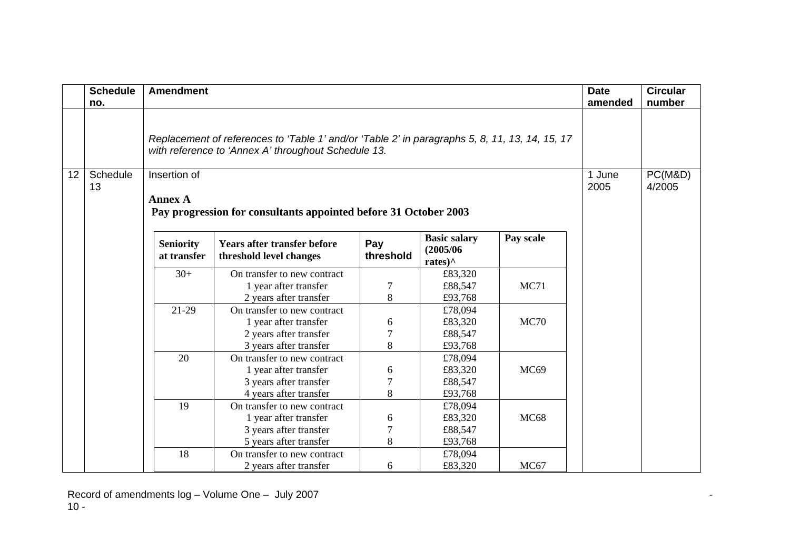|    | <b>Schedule</b><br>no. | <b>Amendment</b>                |                                                                                                                                                       |                  |                                                        |             | <b>Date</b><br>amended | <b>Circular</b><br>number |
|----|------------------------|---------------------------------|-------------------------------------------------------------------------------------------------------------------------------------------------------|------------------|--------------------------------------------------------|-------------|------------------------|---------------------------|
|    |                        |                                 | Replacement of references to 'Table 1' and/or 'Table 2' in paragraphs 5, 8, 11, 13, 14, 15, 17<br>with reference to 'Annex A' throughout Schedule 13. |                  |                                                        |             |                        |                           |
| 12 | Schedule<br>13         | Insertion of<br><b>Annex A</b>  | Pay progression for consultants appointed before 31 October 2003                                                                                      |                  |                                                        |             | 1 June<br>2005         | PC(M&D)<br>4/2005         |
|    |                        | <b>Seniority</b><br>at transfer | <b>Years after transfer before</b><br>threshold level changes                                                                                         | Pay<br>threshold | <b>Basic salary</b><br>(2005/06)<br>rates $)^{\wedge}$ | Pay scale   |                        |                           |
|    |                        | $30+$                           | On transfer to new contract                                                                                                                           |                  | £83,320                                                |             |                        |                           |
|    |                        |                                 | 1 year after transfer                                                                                                                                 | $\tau$           | £88,547                                                | MC71        |                        |                           |
|    |                        |                                 | 2 years after transfer                                                                                                                                | 8                | £93,768                                                |             |                        |                           |
|    |                        | $21-29$                         | On transfer to new contract                                                                                                                           |                  | £78,094                                                |             |                        |                           |
|    |                        |                                 | 1 year after transfer                                                                                                                                 | 6                | £83,320                                                | <b>MC70</b> |                        |                           |
|    |                        |                                 | 2 years after transfer                                                                                                                                |                  | £88,547                                                |             |                        |                           |
|    |                        |                                 | 3 years after transfer                                                                                                                                | 8                | £93,768                                                |             |                        |                           |
|    |                        | 20                              | On transfer to new contract                                                                                                                           |                  | £78,094                                                |             |                        |                           |
|    |                        |                                 | 1 year after transfer                                                                                                                                 | 6                | £83,320                                                | MC69        |                        |                           |
|    |                        |                                 | 3 years after transfer                                                                                                                                |                  | £88,547                                                |             |                        |                           |
|    |                        |                                 | 4 years after transfer                                                                                                                                | 8                | £93,768                                                |             |                        |                           |
|    |                        | 19                              | On transfer to new contract                                                                                                                           |                  | £78,094                                                |             |                        |                           |
|    |                        |                                 | 1 year after transfer                                                                                                                                 | 6                | £83,320                                                | <b>MC68</b> |                        |                           |
|    |                        |                                 | 3 years after transfer                                                                                                                                | $\overline{7}$   | £88,547                                                |             |                        |                           |
|    |                        |                                 | 5 years after transfer                                                                                                                                | 8                | £93,768                                                |             |                        |                           |
|    |                        | 18                              | On transfer to new contract                                                                                                                           |                  | £78,094                                                |             |                        |                           |
|    |                        |                                 | 2 years after transfer                                                                                                                                | 6                | £83,320                                                | MC67        |                        |                           |

Record of amendments log – Volume One – July 2007 - 10 -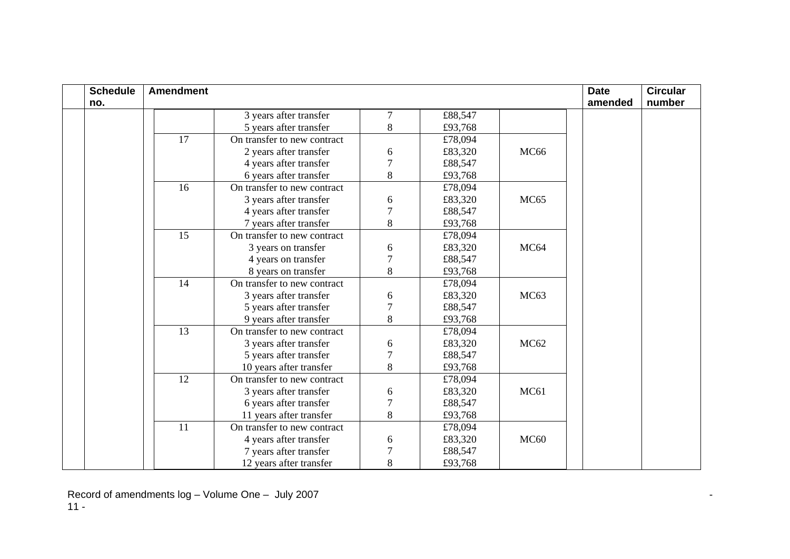| <b>Schedule</b><br>no. | <b>Amendment</b> |                             |                |         |                  | <b>Date</b><br>amended | <b>Circular</b><br>number |
|------------------------|------------------|-----------------------------|----------------|---------|------------------|------------------------|---------------------------|
|                        |                  | 3 years after transfer      | 7              | £88,547 |                  |                        |                           |
|                        |                  | 5 years after transfer      | 8              | £93,768 |                  |                        |                           |
|                        | 17               | On transfer to new contract |                | £78,094 |                  |                        |                           |
|                        |                  | 2 years after transfer      | 6              | £83,320 | <b>MC66</b>      |                        |                           |
|                        |                  | 4 years after transfer      |                | £88,547 |                  |                        |                           |
|                        |                  | 6 years after transfer      | 8              | £93,768 |                  |                        |                           |
|                        | 16               | On transfer to new contract |                | £78,094 |                  |                        |                           |
|                        |                  | 3 years after transfer      | 6              | £83,320 | MC <sub>65</sub> |                        |                           |
|                        |                  | 4 years after transfer      |                | £88,547 |                  |                        |                           |
|                        |                  | 7 years after transfer      | 8              | £93,768 |                  |                        |                           |
|                        | 15               | On transfer to new contract |                | £78,094 |                  |                        |                           |
|                        |                  | 3 years on transfer         | 6              | £83,320 | MC <sub>64</sub> |                        |                           |
|                        |                  | 4 years on transfer         | $\overline{7}$ | £88,547 |                  |                        |                           |
|                        |                  | 8 years on transfer         | 8              | £93,768 |                  |                        |                           |
|                        | 14               | On transfer to new contract |                | £78,094 |                  |                        |                           |
|                        |                  | 3 years after transfer      | 6              | £83,320 | MC63             |                        |                           |
|                        |                  | 5 years after transfer      |                | £88,547 |                  |                        |                           |
|                        |                  | 9 years after transfer      | 8              | £93,768 |                  |                        |                           |
|                        | 13               | On transfer to new contract |                | £78,094 |                  |                        |                           |
|                        |                  | 3 years after transfer      | 6              | £83,320 | MC62             |                        |                           |
|                        |                  | 5 years after transfer      |                | £88,547 |                  |                        |                           |
|                        |                  | 10 years after transfer     | 8              | £93,768 |                  |                        |                           |
|                        | 12               | On transfer to new contract |                | £78,094 |                  |                        |                           |
|                        |                  | 3 years after transfer      | 6              | £83,320 | <b>MC61</b>      |                        |                           |
|                        |                  | 6 years after transfer      | 7              | £88,547 |                  |                        |                           |
|                        |                  | 11 years after transfer     | 8              | £93,768 |                  |                        |                           |
|                        | 11               | On transfer to new contract |                | £78,094 |                  |                        |                           |
|                        |                  | 4 years after transfer      | 6              | £83,320 | <b>MC60</b>      |                        |                           |
|                        |                  | 7 years after transfer      | 7              | £88,547 |                  |                        |                           |
|                        |                  | 12 years after transfer     | 8              | £93,768 |                  |                        |                           |

Record of amendments log – Volume One – July 2007 - 11 -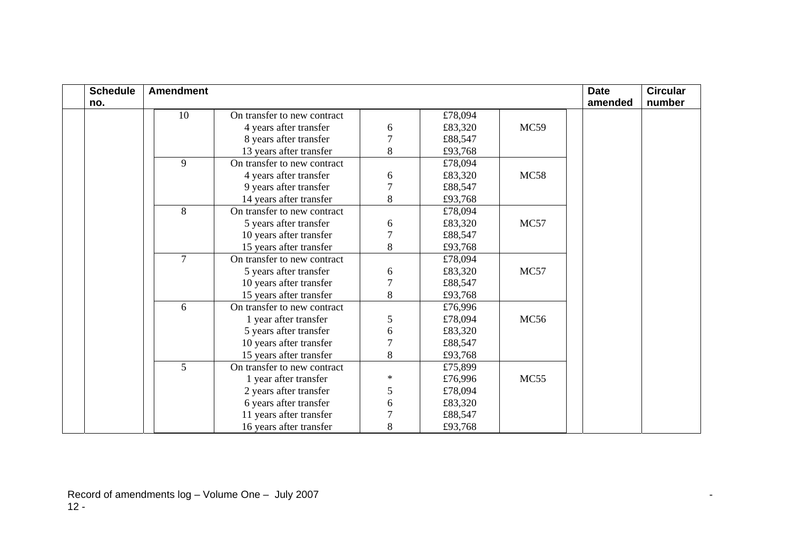| <b>Schedule</b><br>no. | <b>Amendment</b> |                             |                |         |             | <b>Date</b><br>amended | <b>Circular</b><br>number |
|------------------------|------------------|-----------------------------|----------------|---------|-------------|------------------------|---------------------------|
|                        | 10               | On transfer to new contract |                | £78,094 |             |                        |                           |
|                        |                  | 4 years after transfer      | 6              | £83,320 | MC59        |                        |                           |
|                        |                  | 8 years after transfer      |                | £88,547 |             |                        |                           |
|                        |                  | 13 years after transfer     | 8              | £93,768 |             |                        |                           |
|                        | 9                | On transfer to new contract |                | £78,094 |             |                        |                           |
|                        |                  | 4 years after transfer      | 6              | £83,320 | <b>MC58</b> |                        |                           |
|                        |                  | 9 years after transfer      | $\overline{7}$ | £88,547 |             |                        |                           |
|                        |                  | 14 years after transfer     | 8              | £93,768 |             |                        |                           |
|                        | 8                | On transfer to new contract |                | £78,094 |             |                        |                           |
|                        |                  | 5 years after transfer      | 6              | £83,320 | MC57        |                        |                           |
|                        |                  | 10 years after transfer     | 7              | £88,547 |             |                        |                           |
|                        |                  | 15 years after transfer     | 8              | £93,768 |             |                        |                           |
|                        | $\overline{7}$   | On transfer to new contract |                | £78,094 |             |                        |                           |
|                        |                  | 5 years after transfer      | 6              | £83,320 | MC57        |                        |                           |
|                        |                  | 10 years after transfer     |                | £88,547 |             |                        |                           |
|                        |                  | 15 years after transfer     | 8              | £93,768 |             |                        |                           |
|                        | 6                | On transfer to new contract |                | £76,996 |             |                        |                           |
|                        |                  | 1 year after transfer       | 5              | £78,094 | <b>MC56</b> |                        |                           |
|                        |                  | 5 years after transfer      | 6              | £83,320 |             |                        |                           |
|                        |                  | 10 years after transfer     | $\overline{7}$ | £88,547 |             |                        |                           |
|                        |                  | 15 years after transfer     | 8              | £93,768 |             |                        |                           |
|                        | 5 <sup>5</sup>   | On transfer to new contract |                | £75,899 |             |                        |                           |
|                        |                  | 1 year after transfer       | $\ast$         | £76,996 | MC55        |                        |                           |
|                        |                  | 2 years after transfer      | 5              | £78,094 |             |                        |                           |
|                        |                  | 6 years after transfer      | 6              | £83,320 |             |                        |                           |
|                        |                  | 11 years after transfer     |                | £88,547 |             |                        |                           |
|                        |                  | 16 years after transfer     | 8              | £93,768 |             |                        |                           |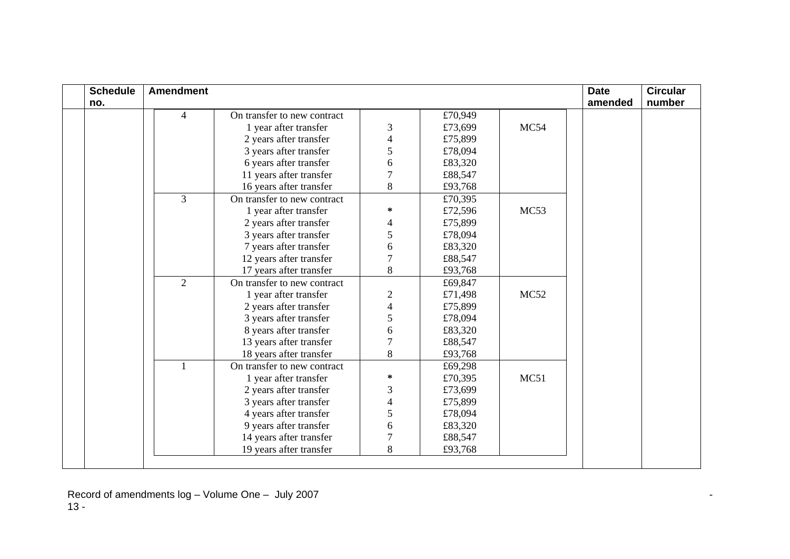| <b>Schedule</b> | <b>Amendment</b> |                             |                |         |      | <b>Date</b> | <b>Circular</b> |
|-----------------|------------------|-----------------------------|----------------|---------|------|-------------|-----------------|
| no.             |                  |                             |                |         |      | amended     | number          |
|                 | 4                | On transfer to new contract |                | £70,949 |      |             |                 |
|                 |                  | 1 year after transfer       | 3              | £73,699 | MC54 |             |                 |
|                 |                  | 2 years after transfer      | 4              | £75,899 |      |             |                 |
|                 |                  | 3 years after transfer      | 5              | £78,094 |      |             |                 |
|                 |                  | 6 years after transfer      | 6              | £83,320 |      |             |                 |
|                 |                  | 11 years after transfer     | $\overline{7}$ | £88,547 |      |             |                 |
|                 |                  | 16 years after transfer     | $8\,$          | £93,768 |      |             |                 |
|                 | $\overline{3}$   | On transfer to new contract |                | £70,395 |      |             |                 |
|                 |                  | 1 year after transfer       | $\ast$         | £72,596 | MC53 |             |                 |
|                 |                  | 2 years after transfer      |                | £75,899 |      |             |                 |
|                 |                  | 3 years after transfer      | 5              | £78,094 |      |             |                 |
|                 |                  | 7 years after transfer      | 6              | £83,320 |      |             |                 |
|                 |                  | 12 years after transfer     | $\overline{7}$ | £88,547 |      |             |                 |
|                 |                  | 17 years after transfer     | 8              | £93,768 |      |             |                 |
|                 | $\overline{2}$   | On transfer to new contract |                | £69,847 |      |             |                 |
|                 |                  | 1 year after transfer       | $\overline{c}$ | £71,498 | MC52 |             |                 |
|                 |                  | 2 years after transfer      | 4              | £75,899 |      |             |                 |
|                 |                  | 3 years after transfer      | 5              | £78,094 |      |             |                 |
|                 |                  | 8 years after transfer      | 6              | £83,320 |      |             |                 |
|                 |                  | 13 years after transfer     | $\overline{7}$ | £88,547 |      |             |                 |
|                 |                  | 18 years after transfer     | 8              | £93,768 |      |             |                 |
|                 |                  | On transfer to new contract |                | £69,298 |      |             |                 |
|                 |                  | 1 year after transfer       | $\ast$         | £70,395 | MC51 |             |                 |
|                 |                  | 2 years after transfer      | 3              | £73,699 |      |             |                 |
|                 |                  | 3 years after transfer      | 4              | £75,899 |      |             |                 |
|                 |                  | 4 years after transfer      | 5              | £78,094 |      |             |                 |
|                 |                  | 9 years after transfer      | 6              | £83,320 |      |             |                 |
|                 |                  | 14 years after transfer     | $\overline{7}$ | £88,547 |      |             |                 |
|                 |                  | 19 years after transfer     | 8              | £93,768 |      |             |                 |
|                 |                  |                             |                |         |      |             |                 |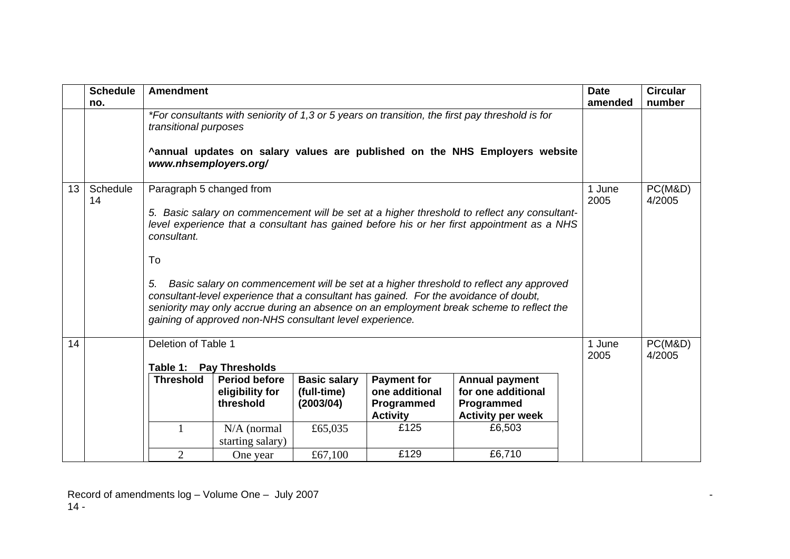|    | <b>Schedule</b> | <b>Amendment</b>                                    |                                                                                                                      |                                                            |                                                                               |                                                                                                                                                                                                                                                                                                                                                                                                                                                                           | <b>Date</b>    | <b>Circular</b>   |
|----|-----------------|-----------------------------------------------------|----------------------------------------------------------------------------------------------------------------------|------------------------------------------------------------|-------------------------------------------------------------------------------|---------------------------------------------------------------------------------------------------------------------------------------------------------------------------------------------------------------------------------------------------------------------------------------------------------------------------------------------------------------------------------------------------------------------------------------------------------------------------|----------------|-------------------|
|    | no.             | transitional purposes<br>www.nhsemployers.org/      |                                                                                                                      |                                                            |                                                                               | *For consultants with seniority of 1,3 or 5 years on transition, the first pay threshold is for<br>Aannual updates on salary values are published on the NHS Employers website                                                                                                                                                                                                                                                                                            | amended        | number            |
| 13 | Schedule<br>14  | Paragraph 5 changed from<br>consultant.<br>To<br>5. | gaining of approved non-NHS consultant level experience.                                                             |                                                            |                                                                               | 5. Basic salary on commencement will be set at a higher threshold to reflect any consultant-<br>level experience that a consultant has gained before his or her first appointment as a NHS<br>Basic salary on commencement will be set at a higher threshold to reflect any approved<br>consultant-level experience that a consultant has gained. For the avoidance of doubt,<br>seniority may only accrue during an absence on an employment break scheme to reflect the | 1 June<br>2005 | PC(M&D)<br>4/2005 |
| 14 |                 | Deletion of Table 1<br><b>Threshold</b>             | Table 1: Pay Thresholds<br><b>Period before</b><br>eligibility for<br>threshold<br>$N/A$ (normal<br>starting salary) | <b>Basic salary</b><br>(full-time)<br>(2003/04)<br>£65,035 | <b>Payment for</b><br>one additional<br>Programmed<br><b>Activity</b><br>£125 | <b>Annual payment</b><br>for one additional<br>Programmed<br><b>Activity per week</b><br>£6,503                                                                                                                                                                                                                                                                                                                                                                           | 1 June<br>2005 | PC(M&D)<br>4/2005 |
|    |                 | $\overline{2}$                                      | One year                                                                                                             | £67,100                                                    | £129                                                                          | £6,710                                                                                                                                                                                                                                                                                                                                                                                                                                                                    |                |                   |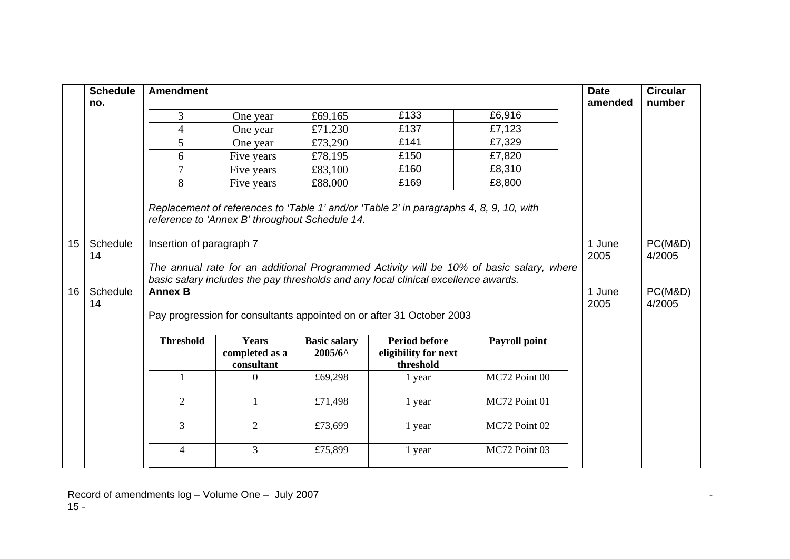|    | <b>Schedule</b> | <b>Amendment</b>         |                                                |                                |                                                                                          |                      | <b>Date</b>    | <b>Circular</b>   |
|----|-----------------|--------------------------|------------------------------------------------|--------------------------------|------------------------------------------------------------------------------------------|----------------------|----------------|-------------------|
|    | no.             |                          |                                                |                                |                                                                                          |                      | amended        | number            |
|    |                 | 3                        | One year                                       | £69,165                        | £133                                                                                     | £6,916               |                |                   |
|    |                 | $\overline{4}$           | One year                                       | £71,230                        | £137                                                                                     | £7,123               |                |                   |
|    |                 | 5                        | One year                                       | £73,290                        | £141                                                                                     | £7,329               |                |                   |
|    |                 | 6                        | Five years                                     | £78,195                        | £150                                                                                     | £7,820               |                |                   |
|    |                 | $\overline{7}$           | Five years                                     | £83,100                        | £160                                                                                     | £8,310               |                |                   |
|    |                 | 8                        | Five years                                     | £88,000                        | £169                                                                                     | £8,800               |                |                   |
|    |                 |                          | reference to 'Annex B' throughout Schedule 14. |                                | Replacement of references to 'Table 1' and/or 'Table 2' in paragraphs 4, 8, 9, 10, with  |                      |                |                   |
| 15 | Schedule<br>14  | Insertion of paragraph 7 |                                                |                                |                                                                                          |                      | 1 June<br>2005 | PC(M&D)<br>4/2005 |
|    |                 |                          |                                                |                                | The annual rate for an additional Programmed Activity will be 10% of basic salary, where |                      |                |                   |
|    |                 |                          |                                                |                                | basic salary includes the pay thresholds and any local clinical excellence awards.       |                      |                |                   |
| 16 | Schedule<br>14  | <b>Annex B</b>           |                                                |                                | Pay progression for consultants appointed on or after 31 October 2003                    |                      | 1 June<br>2005 | PC(M&D)<br>4/2005 |
|    |                 | <b>Threshold</b>         | <b>Years</b><br>completed as a<br>consultant   | <b>Basic salary</b><br>2005/6^ | <b>Period before</b><br>eligibility for next<br>threshold                                | <b>Payroll point</b> |                |                   |
|    |                 |                          | $\Omega$                                       | £69,298                        | 1 year                                                                                   | MC72 Point 00        |                |                   |
|    |                 | $\overline{2}$           | $\mathbf{1}$                                   | £71,498                        | 1 year                                                                                   | MC72 Point 01        |                |                   |
|    |                 | 3                        | 2                                              | £73,699                        | 1 year                                                                                   | MC72 Point 02        |                |                   |
|    |                 | 4                        | $\overline{3}$                                 | £75,899                        | 1 year                                                                                   | MC72 Point 03        |                |                   |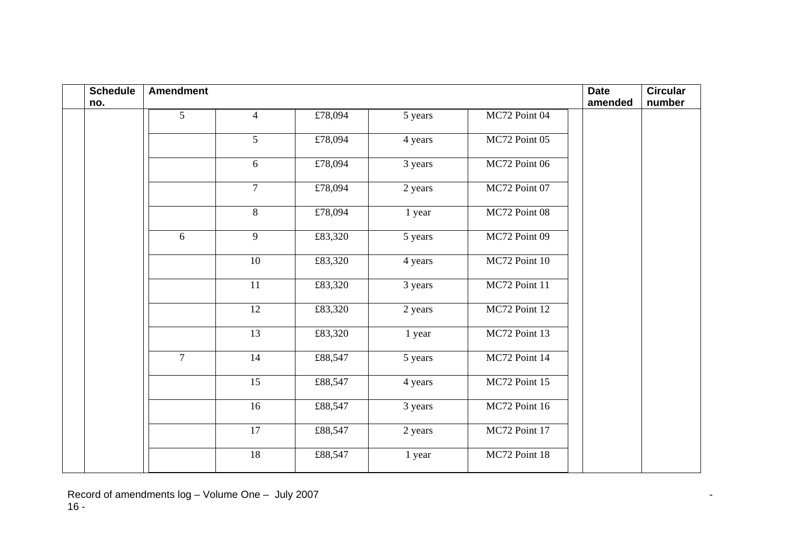| <b>Schedule</b> | <b>Amendment</b> |                  |         |         |               | <b>Date</b> | <b>Circular</b> |
|-----------------|------------------|------------------|---------|---------|---------------|-------------|-----------------|
| no.             |                  |                  |         |         |               | amended     | number          |
|                 | $5\overline{)}$  | $\overline{4}$   | £78,094 | 5 years | MC72 Point 04 |             |                 |
|                 |                  | 5                | £78,094 | 4 years | MC72 Point 05 |             |                 |
|                 |                  | 6                | £78,094 | 3 years | MC72 Point 06 |             |                 |
|                 |                  | $\boldsymbol{7}$ | £78,094 | 2 years | MC72 Point 07 |             |                 |
|                 |                  | $\,8\,$          | £78,094 | 1 year  | MC72 Point 08 |             |                 |
|                 | 6                | 9                | £83,320 | 5 years | MC72 Point 09 |             |                 |
|                 |                  | 10               | £83,320 | 4 years | MC72 Point 10 |             |                 |
|                 |                  | 11               | £83,320 | 3 years | MC72 Point 11 |             |                 |
|                 |                  | 12               | £83,320 | 2 years | MC72 Point 12 |             |                 |
|                 |                  | 13               | £83,320 | 1 year  | MC72 Point 13 |             |                 |
|                 | $\tau$           | 14               | £88,547 | 5 years | MC72 Point 14 |             |                 |
|                 |                  | $\overline{15}$  | £88,547 | 4 years | MC72 Point 15 |             |                 |
|                 |                  | 16               | £88,547 | 3 years | MC72 Point 16 |             |                 |
|                 |                  | $\overline{17}$  | £88,547 | 2 years | MC72 Point 17 |             |                 |
|                 |                  | 18               | £88,547 | 1 year  | MC72 Point 18 |             |                 |

Record of amendments log – Volume One – July 2007 - 16 -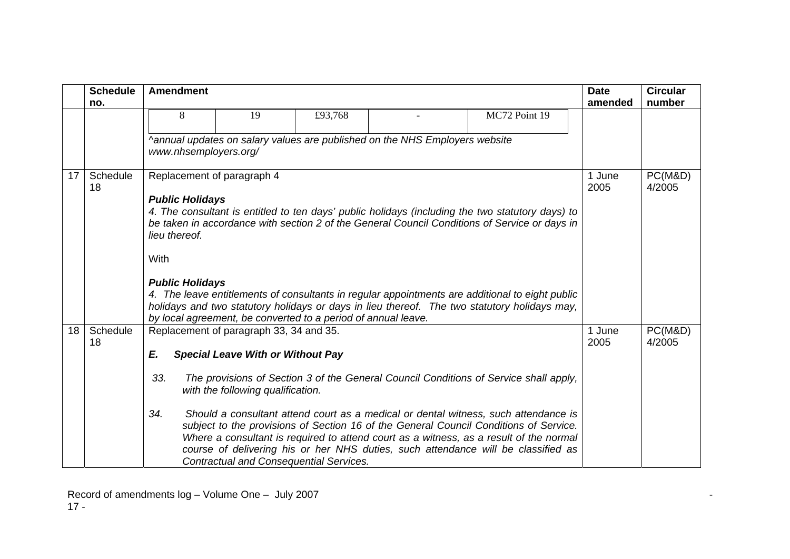|    | <b>Schedule</b><br>no. | <b>Amendment</b>                                |                                                                                     |                                                                             |                                                                                                                                                                                                                                                                                                                                                             | <b>Date</b><br>amended | <b>Circular</b><br>number |
|----|------------------------|-------------------------------------------------|-------------------------------------------------------------------------------------|-----------------------------------------------------------------------------|-------------------------------------------------------------------------------------------------------------------------------------------------------------------------------------------------------------------------------------------------------------------------------------------------------------------------------------------------------------|------------------------|---------------------------|
|    |                        | 8                                               | 19                                                                                  | £93,768                                                                     | MC72 Point 19                                                                                                                                                                                                                                                                                                                                               |                        |                           |
|    |                        | www.nhsemployers.org/                           |                                                                                     | ^annual updates on salary values are published on the NHS Employers website |                                                                                                                                                                                                                                                                                                                                                             |                        |                           |
| 17 | Schedule<br>18         | <b>Public Holidays</b><br>lieu thereof.<br>With | Replacement of paragraph 4                                                          |                                                                             | 4. The consultant is entitled to ten days' public holidays (including the two statutory days) to<br>be taken in accordance with section 2 of the General Council Conditions of Service or days in                                                                                                                                                           | 1 June<br>2005         | PC(M&D)<br>4/2005         |
|    |                        | <b>Public Holidays</b>                          |                                                                                     | by local agreement, be converted to a period of annual leave.               | 4. The leave entitlements of consultants in regular appointments are additional to eight public<br>holidays and two statutory holidays or days in lieu thereof. The two statutory holidays may,                                                                                                                                                             |                        |                           |
| 18 | Schedule<br>18         | E.                                              | Replacement of paragraph 33, 34 and 35.<br><b>Special Leave With or Without Pay</b> |                                                                             |                                                                                                                                                                                                                                                                                                                                                             | 1 June<br>2005         | PC(M&D)<br>4/2005         |
|    |                        | 33.                                             | with the following qualification.                                                   |                                                                             | The provisions of Section 3 of the General Council Conditions of Service shall apply,                                                                                                                                                                                                                                                                       |                        |                           |
|    |                        | 34.                                             |                                                                                     | <b>Contractual and Consequential Services.</b>                              | Should a consultant attend court as a medical or dental witness, such attendance is<br>subject to the provisions of Section 16 of the General Council Conditions of Service.<br>Where a consultant is required to attend court as a witness, as a result of the normal<br>course of delivering his or her NHS duties, such attendance will be classified as |                        |                           |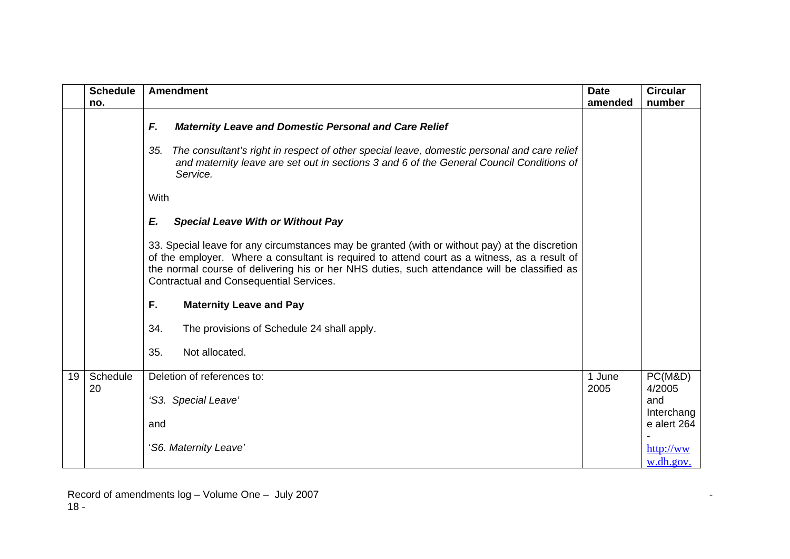|    | <b>Schedule</b> | <b>Amendment</b>                                                                                                                                                                                                                                                                                                                                                                                                                                                                                                                                                                                                                                                                                                                                                                                                     | <b>Date</b>    | <b>Circular</b>                                                                 |
|----|-----------------|----------------------------------------------------------------------------------------------------------------------------------------------------------------------------------------------------------------------------------------------------------------------------------------------------------------------------------------------------------------------------------------------------------------------------------------------------------------------------------------------------------------------------------------------------------------------------------------------------------------------------------------------------------------------------------------------------------------------------------------------------------------------------------------------------------------------|----------------|---------------------------------------------------------------------------------|
|    | no.             | F.<br><b>Maternity Leave and Domestic Personal and Care Relief</b><br>The consultant's right in respect of other special leave, domestic personal and care relief<br>35.<br>and maternity leave are set out in sections 3 and 6 of the General Council Conditions of<br>Service.<br>With<br>E.<br><b>Special Leave With or Without Pay</b><br>33. Special leave for any circumstances may be granted (with or without pay) at the discretion<br>of the employer. Where a consultant is required to attend court as a witness, as a result of<br>the normal course of delivering his or her NHS duties, such attendance will be classified as<br><b>Contractual and Consequential Services.</b><br>F.<br><b>Maternity Leave and Pay</b><br>34.<br>The provisions of Schedule 24 shall apply.<br>Not allocated.<br>35. | amended        | number                                                                          |
| 19 | Schedule<br>20  | Deletion of references to:<br>'S3. Special Leave'<br>and<br>'S6. Maternity Leave'                                                                                                                                                                                                                                                                                                                                                                                                                                                                                                                                                                                                                                                                                                                                    | 1 June<br>2005 | PC(M&D)<br>4/2005<br>and<br>Interchang<br>e alert 264<br>http://ww<br>w.dh.gov. |

Record of amendments log – Volume One – July 2007 - 18 -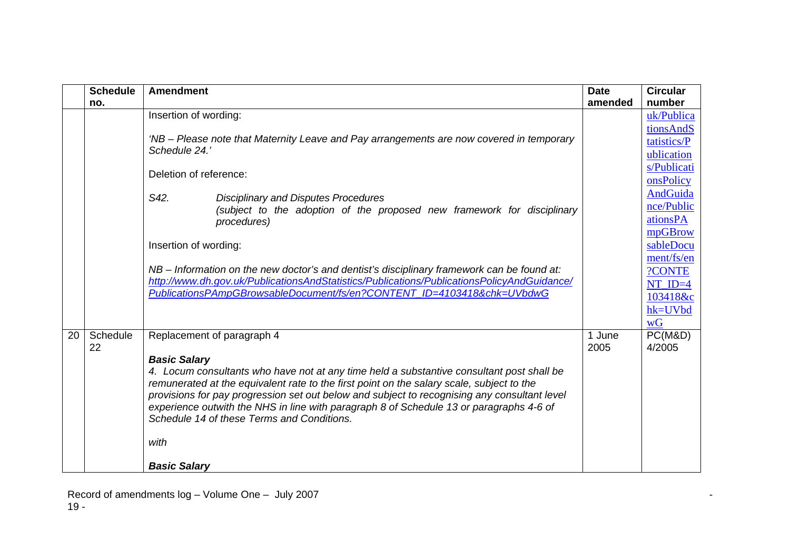|    | <b>Schedule</b> | <b>Amendment</b>                                                                                                                                                                                                                                                                                                                                                                                                                                               | <b>Date</b>    | <b>Circular</b>                                         |
|----|-----------------|----------------------------------------------------------------------------------------------------------------------------------------------------------------------------------------------------------------------------------------------------------------------------------------------------------------------------------------------------------------------------------------------------------------------------------------------------------------|----------------|---------------------------------------------------------|
|    | no.             |                                                                                                                                                                                                                                                                                                                                                                                                                                                                | amended        | number                                                  |
|    |                 | Insertion of wording:                                                                                                                                                                                                                                                                                                                                                                                                                                          |                | uk/Publica                                              |
|    |                 | 'NB – Please note that Maternity Leave and Pay arrangements are now covered in temporary<br>Schedule 24.'                                                                                                                                                                                                                                                                                                                                                      |                | tionsAndS<br>tatistics/P<br>ublication                  |
|    |                 | Deletion of reference:                                                                                                                                                                                                                                                                                                                                                                                                                                         |                | s/Publicati<br>onsPolicy<br>AndGuida                    |
|    |                 | S42.<br><b>Disciplinary and Disputes Procedures</b><br>(subject to the adoption of the proposed new framework for disciplinary<br>procedures)                                                                                                                                                                                                                                                                                                                  |                | nce/Public<br>ationsPA<br>mpGBrow                       |
|    |                 | Insertion of wording:                                                                                                                                                                                                                                                                                                                                                                                                                                          |                | sableDocu<br>ment/fs/en                                 |
|    |                 | NB – Information on the new doctor's and dentist's disciplinary framework can be found at:<br>http://www.dh.gov.uk/PublicationsAndStatistics/Publications/PublicationsPolicyAndGuidance/<br>PublicationsPAmpGBrowsableDocument/fs/en?CONTENT_ID=4103418&chk=UVbdwG                                                                                                                                                                                             |                | ?CONTE<br>$NT$ <sub><math>ID=4</math></sub><br>103418&c |
|    |                 |                                                                                                                                                                                                                                                                                                                                                                                                                                                                |                | hk=UVbd<br>wG                                           |
| 20 | Schedule<br>22  | Replacement of paragraph 4                                                                                                                                                                                                                                                                                                                                                                                                                                     | 1 June<br>2005 | PC(M&D)<br>4/2005                                       |
|    |                 | <b>Basic Salary</b><br>4. Locum consultants who have not at any time held a substantive consultant post shall be<br>remunerated at the equivalent rate to the first point on the salary scale, subject to the<br>provisions for pay progression set out below and subject to recognising any consultant level<br>experience outwith the NHS in line with paragraph 8 of Schedule 13 or paragraphs 4-6 of<br>Schedule 14 of these Terms and Conditions.<br>with |                |                                                         |
|    |                 | <b>Basic Salary</b>                                                                                                                                                                                                                                                                                                                                                                                                                                            |                |                                                         |

[Record of amendments log – Volume One – July 2007 -](http://www.dh.gov.uk/PublicationsAndStatistics/Publications/PublicationsPolicyAndGuidance/PublicationsPAmpGBrowsableDocument/fs/en?CONTENT_ID=4103418&chk=UVbdwG)  [19 -](http://www.dh.gov.uk/PublicationsAndStatistics/Publications/PublicationsPolicyAndGuidance/PublicationsPAmpGBrowsableDocument/fs/en?CONTENT_ID=4103418&chk=UVbdwG)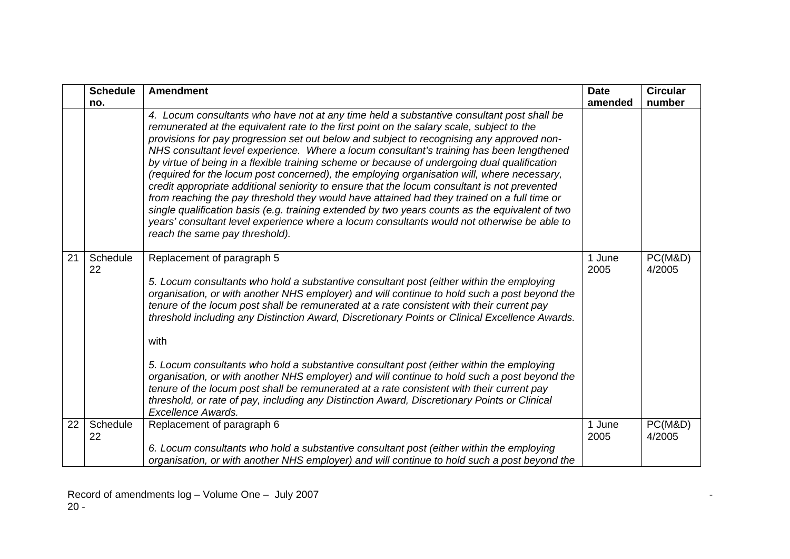|    | <b>Schedule</b> | <b>Amendment</b>                                                                                                                                                                                                                                                                                                                                                                                                                                                                                                                                                                                                                                                                                                                                                                                                                                                                                                                                                                                                 | <b>Date</b>    | <b>Circular</b>   |
|----|-----------------|------------------------------------------------------------------------------------------------------------------------------------------------------------------------------------------------------------------------------------------------------------------------------------------------------------------------------------------------------------------------------------------------------------------------------------------------------------------------------------------------------------------------------------------------------------------------------------------------------------------------------------------------------------------------------------------------------------------------------------------------------------------------------------------------------------------------------------------------------------------------------------------------------------------------------------------------------------------------------------------------------------------|----------------|-------------------|
|    | no.             |                                                                                                                                                                                                                                                                                                                                                                                                                                                                                                                                                                                                                                                                                                                                                                                                                                                                                                                                                                                                                  | amended        | number            |
|    |                 | 4. Locum consultants who have not at any time held a substantive consultant post shall be<br>remunerated at the equivalent rate to the first point on the salary scale, subject to the<br>provisions for pay progression set out below and subject to recognising any approved non-<br>NHS consultant level experience. Where a locum consultant's training has been lengthened<br>by virtue of being in a flexible training scheme or because of undergoing dual qualification<br>(required for the locum post concerned), the employing organisation will, where necessary,<br>credit appropriate additional seniority to ensure that the locum consultant is not prevented<br>from reaching the pay threshold they would have attained had they trained on a full time or<br>single qualification basis (e.g. training extended by two years counts as the equivalent of two<br>years' consultant level experience where a locum consultants would not otherwise be able to<br>reach the same pay threshold). |                |                   |
| 21 | Schedule<br>22  | Replacement of paragraph 5<br>5. Locum consultants who hold a substantive consultant post (either within the employing<br>organisation, or with another NHS employer) and will continue to hold such a post beyond the<br>tenure of the locum post shall be remunerated at a rate consistent with their current pay<br>threshold including any Distinction Award, Discretionary Points or Clinical Excellence Awards.<br>with<br>5. Locum consultants who hold a substantive consultant post (either within the employing<br>organisation, or with another NHS employer) and will continue to hold such a post beyond the<br>tenure of the locum post shall be remunerated at a rate consistent with their current pay<br>threshold, or rate of pay, including any Distinction Award, Discretionary Points or Clinical<br><b>Excellence Awards.</b>                                                                                                                                                              | 1 June<br>2005 | PC(M&D)<br>4/2005 |
| 22 | Schedule<br>22  | Replacement of paragraph 6<br>6. Locum consultants who hold a substantive consultant post (either within the employing                                                                                                                                                                                                                                                                                                                                                                                                                                                                                                                                                                                                                                                                                                                                                                                                                                                                                           | 1 June<br>2005 | PC(M&D)<br>4/2005 |
|    |                 | organisation, or with another NHS employer) and will continue to hold such a post beyond the                                                                                                                                                                                                                                                                                                                                                                                                                                                                                                                                                                                                                                                                                                                                                                                                                                                                                                                     |                |                   |

Record of amendments log – Volume One – July 2007 - 20 -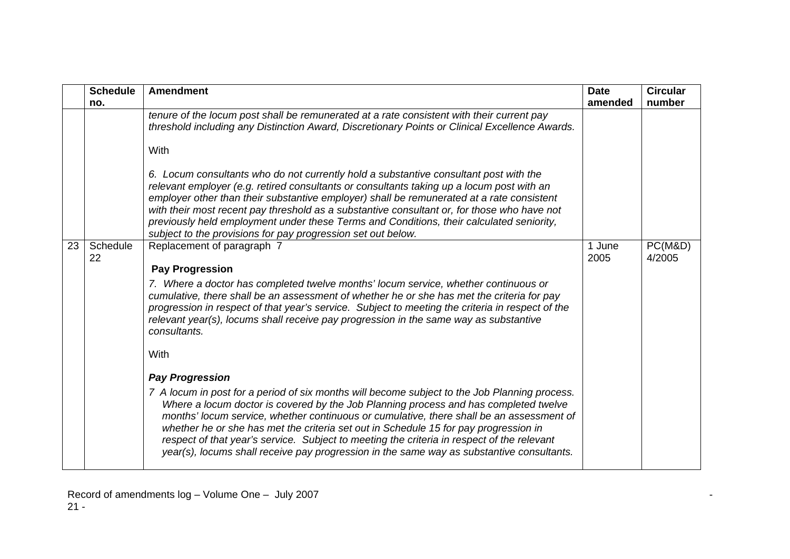|    | <b>Schedule</b> | <b>Amendment</b>                                                                                                                                                                                                                                                                                                                                                                                                                                                                                                                                                     | <b>Date</b>    | <b>Circular</b>   |
|----|-----------------|----------------------------------------------------------------------------------------------------------------------------------------------------------------------------------------------------------------------------------------------------------------------------------------------------------------------------------------------------------------------------------------------------------------------------------------------------------------------------------------------------------------------------------------------------------------------|----------------|-------------------|
|    | no.             |                                                                                                                                                                                                                                                                                                                                                                                                                                                                                                                                                                      | amended        | number            |
|    |                 | tenure of the locum post shall be remunerated at a rate consistent with their current pay<br>threshold including any Distinction Award, Discretionary Points or Clinical Excellence Awards.                                                                                                                                                                                                                                                                                                                                                                          |                |                   |
|    |                 | With                                                                                                                                                                                                                                                                                                                                                                                                                                                                                                                                                                 |                |                   |
|    |                 | 6. Locum consultants who do not currently hold a substantive consultant post with the<br>relevant employer (e.g. retired consultants or consultants taking up a locum post with an<br>employer other than their substantive employer) shall be remunerated at a rate consistent<br>with their most recent pay threshold as a substantive consultant or, for those who have not<br>previously held employment under these Terms and Conditions, their calculated seniority,<br>subject to the provisions for pay progression set out below.                           |                |                   |
| 23 | Schedule<br>22  | Replacement of paragraph 7<br><b>Pay Progression</b>                                                                                                                                                                                                                                                                                                                                                                                                                                                                                                                 | 1 June<br>2005 | PC(M&D)<br>4/2005 |
|    |                 | 7. Where a doctor has completed twelve months' locum service, whether continuous or<br>cumulative, there shall be an assessment of whether he or she has met the criteria for pay<br>progression in respect of that year's service. Subject to meeting the criteria in respect of the<br>relevant year(s), locums shall receive pay progression in the same way as substantive<br>consultants.                                                                                                                                                                       |                |                   |
|    |                 | With                                                                                                                                                                                                                                                                                                                                                                                                                                                                                                                                                                 |                |                   |
|    |                 | <b>Pay Progression</b>                                                                                                                                                                                                                                                                                                                                                                                                                                                                                                                                               |                |                   |
|    |                 | 7 A locum in post for a period of six months will become subject to the Job Planning process.<br>Where a locum doctor is covered by the Job Planning process and has completed twelve<br>months' locum service, whether continuous or cumulative, there shall be an assessment of<br>whether he or she has met the criteria set out in Schedule 15 for pay progression in<br>respect of that year's service. Subject to meeting the criteria in respect of the relevant<br>year(s), locums shall receive pay progression in the same way as substantive consultants. |                |                   |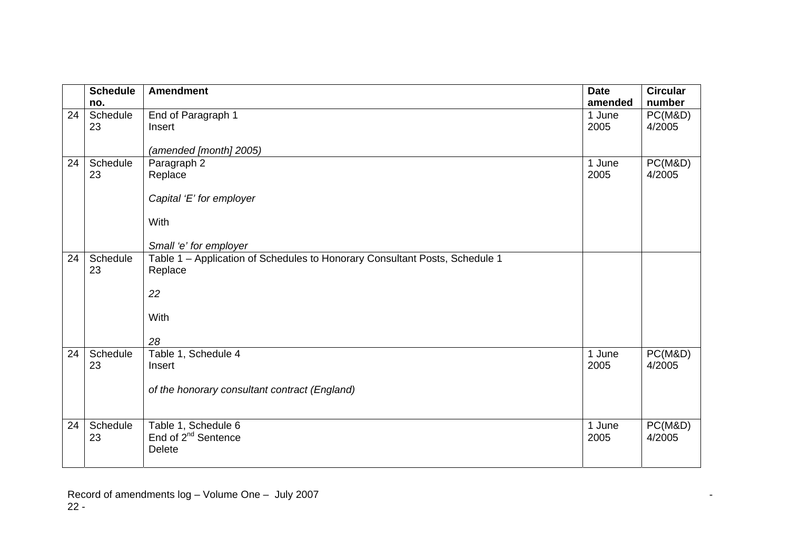|    | <b>Schedule</b> | <b>Amendment</b>                                                                       | <b>Date</b> | <b>Circular</b> |
|----|-----------------|----------------------------------------------------------------------------------------|-------------|-----------------|
|    | no.             |                                                                                        | amended     | number          |
| 24 | Schedule        | End of Paragraph 1                                                                     | 1 June      | PC(M&D)         |
|    | 23              | Insert                                                                                 | 2005        | 4/2005          |
|    |                 |                                                                                        |             |                 |
|    |                 | (amended [month] 2005)                                                                 |             |                 |
| 24 | Schedule        | Paragraph 2                                                                            | 1 June      | PC(M&D)         |
|    | 23              | Replace                                                                                | 2005        | 4/2005          |
|    |                 |                                                                                        |             |                 |
|    |                 | Capital 'E' for employer                                                               |             |                 |
|    |                 |                                                                                        |             |                 |
|    |                 | With                                                                                   |             |                 |
|    |                 |                                                                                        |             |                 |
| 24 | Schedule        | Small 'e' for employer                                                                 |             |                 |
|    | 23              | Table 1 - Application of Schedules to Honorary Consultant Posts, Schedule 1<br>Replace |             |                 |
|    |                 |                                                                                        |             |                 |
|    |                 | 22                                                                                     |             |                 |
|    |                 |                                                                                        |             |                 |
|    |                 | With                                                                                   |             |                 |
|    |                 |                                                                                        |             |                 |
|    |                 | 28                                                                                     |             |                 |
| 24 | Schedule        | Table 1, Schedule 4                                                                    | 1 June      | PC(M&D)         |
|    | 23              | Insert                                                                                 | 2005        | 4/2005          |
|    |                 |                                                                                        |             |                 |
|    |                 | of the honorary consultant contract (England)                                          |             |                 |
|    |                 |                                                                                        |             |                 |
|    |                 |                                                                                        |             |                 |
| 24 | Schedule        | Table 1, Schedule 6                                                                    | 1 June      | PC(M&D)         |
|    | 23              | End of 2 <sup>nd</sup> Sentence                                                        | 2005        | 4/2005          |
|    |                 | <b>Delete</b>                                                                          |             |                 |
|    |                 |                                                                                        |             |                 |

Record of amendments log – Volume One – July 2007 - 22 -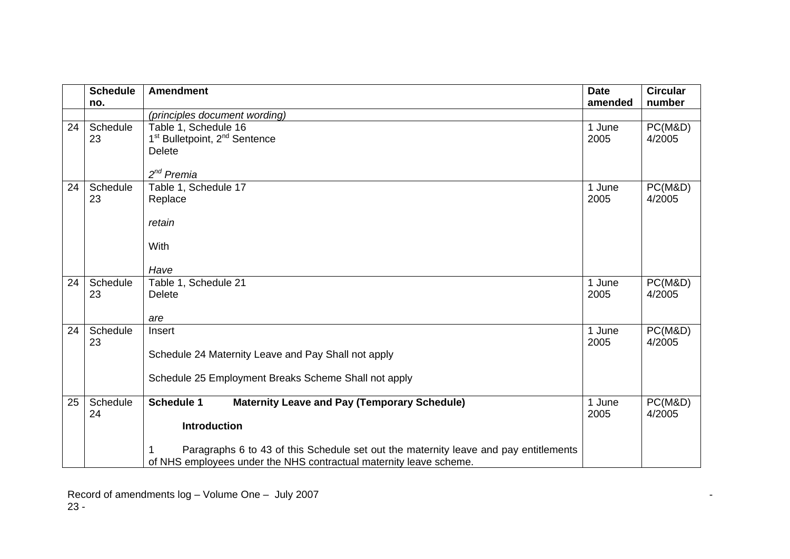|    | <b>Schedule</b> | <b>Amendment</b>                                                                                                                                           | <b>Date</b>    | <b>Circular</b>   |
|----|-----------------|------------------------------------------------------------------------------------------------------------------------------------------------------------|----------------|-------------------|
|    | no.             |                                                                                                                                                            | amended        | number            |
|    |                 | (principles document wording)                                                                                                                              |                |                   |
| 24 | Schedule        | Table 1, Schedule 16                                                                                                                                       | 1 June         | PC(M&D)           |
|    | 23              | 1 <sup>st</sup> Bulletpoint, 2 <sup>nd</sup> Sentence                                                                                                      | 2005           | 4/2005            |
|    |                 | <b>Delete</b>                                                                                                                                              |                |                   |
|    |                 |                                                                                                                                                            |                |                   |
|    |                 | $2^{nd}$ Premia                                                                                                                                            |                |                   |
| 24 | Schedule        | Table 1, Schedule 17                                                                                                                                       | 1 June         | PC(M&D)           |
|    | 23              | Replace                                                                                                                                                    | 2005           | 4/2005            |
|    |                 |                                                                                                                                                            |                |                   |
|    |                 | retain                                                                                                                                                     |                |                   |
|    |                 |                                                                                                                                                            |                |                   |
|    |                 | <b>With</b>                                                                                                                                                |                |                   |
|    |                 |                                                                                                                                                            |                |                   |
|    |                 | Have                                                                                                                                                       |                |                   |
| 24 | Schedule        | Table 1, Schedule 21                                                                                                                                       | 1 June         | PC(M&D)           |
|    | 23              | <b>Delete</b>                                                                                                                                              | 2005           | 4/2005            |
|    |                 |                                                                                                                                                            |                |                   |
|    |                 | are                                                                                                                                                        |                |                   |
| 24 | Schedule        | Insert                                                                                                                                                     | 1 June         | PC(M&D)           |
|    | 23              |                                                                                                                                                            | 2005           | 4/2005            |
|    |                 | Schedule 24 Maternity Leave and Pay Shall not apply                                                                                                        |                |                   |
|    |                 |                                                                                                                                                            |                |                   |
|    |                 | Schedule 25 Employment Breaks Scheme Shall not apply                                                                                                       |                |                   |
|    |                 |                                                                                                                                                            |                |                   |
| 25 | Schedule<br>24  | <b>Schedule 1</b><br><b>Maternity Leave and Pay (Temporary Schedule)</b>                                                                                   | 1 June<br>2005 | PC(M&D)<br>4/2005 |
|    |                 |                                                                                                                                                            |                |                   |
|    |                 | <b>Introduction</b>                                                                                                                                        |                |                   |
|    |                 |                                                                                                                                                            |                |                   |
|    |                 | Paragraphs 6 to 43 of this Schedule set out the maternity leave and pay entitlements<br>of NHS employees under the NHS contractual maternity leave scheme. |                |                   |
|    |                 |                                                                                                                                                            |                |                   |

Record of amendments log – Volume One – July 2007 - 23 -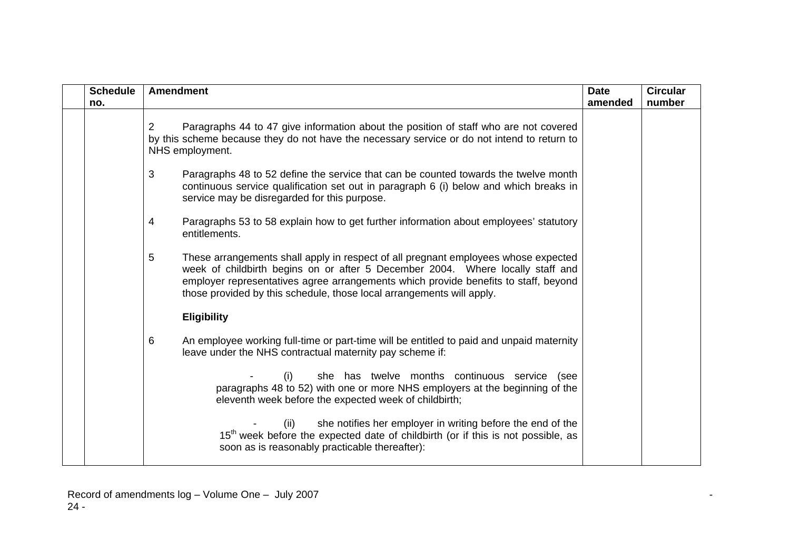| <b>Schedule</b><br>no. | <b>Amendment</b>                                                                                                                                                                                                                                                                                                                          | <b>Date</b><br>amended | <b>Circular</b><br>number |
|------------------------|-------------------------------------------------------------------------------------------------------------------------------------------------------------------------------------------------------------------------------------------------------------------------------------------------------------------------------------------|------------------------|---------------------------|
|                        | 2<br>Paragraphs 44 to 47 give information about the position of staff who are not covered<br>by this scheme because they do not have the necessary service or do not intend to return to<br>NHS employment.                                                                                                                               |                        |                           |
|                        | 3<br>Paragraphs 48 to 52 define the service that can be counted towards the twelve month<br>continuous service qualification set out in paragraph 6 (i) below and which breaks in<br>service may be disregarded for this purpose.                                                                                                         |                        |                           |
|                        | Paragraphs 53 to 58 explain how to get further information about employees' statutory<br>4<br>entitlements.                                                                                                                                                                                                                               |                        |                           |
|                        | 5<br>These arrangements shall apply in respect of all pregnant employees whose expected<br>week of childbirth begins on or after 5 December 2004. Where locally staff and<br>employer representatives agree arrangements which provide benefits to staff, beyond<br>those provided by this schedule, those local arrangements will apply. |                        |                           |
|                        | <b>Eligibility</b>                                                                                                                                                                                                                                                                                                                        |                        |                           |
|                        | An employee working full-time or part-time will be entitled to paid and unpaid maternity<br>6<br>leave under the NHS contractual maternity pay scheme if:                                                                                                                                                                                 |                        |                           |
|                        | she has twelve months continuous service (see<br>(i)<br>paragraphs 48 to 52) with one or more NHS employers at the beginning of the<br>eleventh week before the expected week of childbirth;                                                                                                                                              |                        |                           |
|                        | she notifies her employer in writing before the end of the<br>(ii)<br>15 <sup>th</sup> week before the expected date of childbirth (or if this is not possible, as<br>soon as is reasonably practicable thereafter):                                                                                                                      |                        |                           |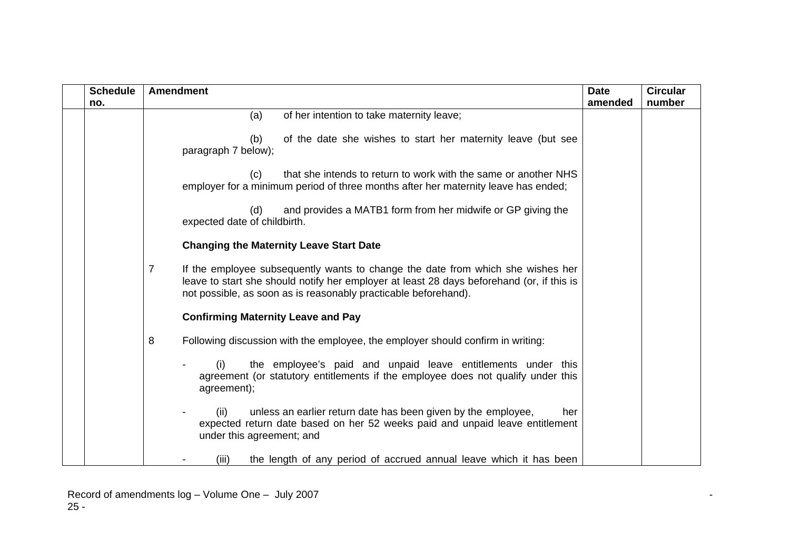| <b>Schedule</b> | <b>Amendment</b>                                                                                                                                                                                                                                     | <b>Date</b> | <b>Circular</b> |
|-----------------|------------------------------------------------------------------------------------------------------------------------------------------------------------------------------------------------------------------------------------------------------|-------------|-----------------|
| no.             |                                                                                                                                                                                                                                                      | amended     | number          |
|                 | of her intention to take maternity leave;<br>(a)                                                                                                                                                                                                     |             |                 |
|                 | of the date she wishes to start her maternity leave (but see<br>(b)<br>paragraph 7 below);                                                                                                                                                           |             |                 |
|                 | that she intends to return to work with the same or another NHS<br>(c)<br>employer for a minimum period of three months after her maternity leave has ended;                                                                                         |             |                 |
|                 | and provides a MATB1 form from her midwife or GP giving the<br>(d)<br>expected date of childbirth.                                                                                                                                                   |             |                 |
|                 | <b>Changing the Maternity Leave Start Date</b>                                                                                                                                                                                                       |             |                 |
|                 | 7<br>If the employee subsequently wants to change the date from which she wishes her<br>leave to start she should notify her employer at least 28 days beforehand (or, if this is<br>not possible, as soon as is reasonably practicable beforehand). |             |                 |
|                 | <b>Confirming Maternity Leave and Pay</b>                                                                                                                                                                                                            |             |                 |
|                 | 8<br>Following discussion with the employee, the employer should confirm in writing:                                                                                                                                                                 |             |                 |
|                 | the employee's paid and unpaid leave entitlements under this<br>(i)<br>agreement (or statutory entitlements if the employee does not qualify under this<br>agreement);                                                                               |             |                 |
|                 | (ii)<br>unless an earlier return date has been given by the employee,<br>her<br>expected return date based on her 52 weeks paid and unpaid leave entitlement<br>under this agreement; and                                                            |             |                 |
|                 | the length of any period of accrued annual leave which it has been<br>(iii)                                                                                                                                                                          |             |                 |

Record of amendments log – Volume One – July 2007 - 25 -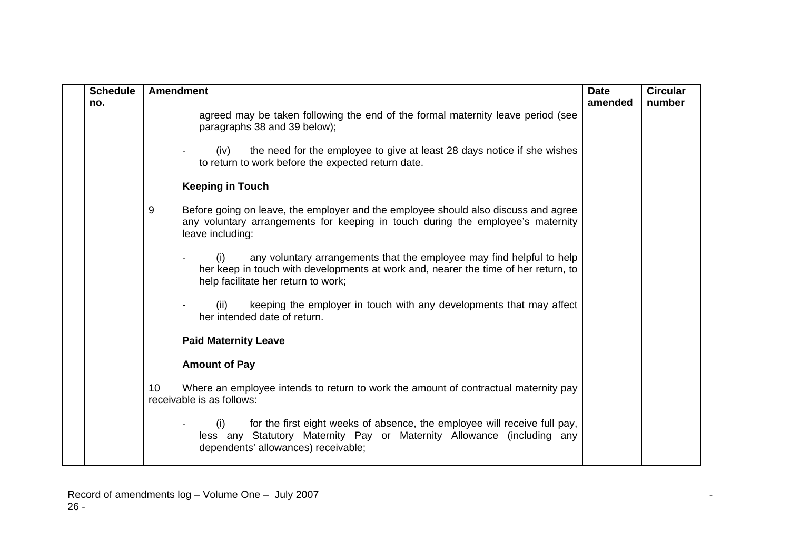| <b>Schedule</b><br>no. | <b>Amendment</b>                                                                                                                                                                                          | <b>Date</b><br>amended | <b>Circular</b><br>number |
|------------------------|-----------------------------------------------------------------------------------------------------------------------------------------------------------------------------------------------------------|------------------------|---------------------------|
|                        | agreed may be taken following the end of the formal maternity leave period (see<br>paragraphs 38 and 39 below);                                                                                           |                        |                           |
|                        | the need for the employee to give at least 28 days notice if she wishes<br>(iv)<br>to return to work before the expected return date.                                                                     |                        |                           |
|                        | <b>Keeping in Touch</b>                                                                                                                                                                                   |                        |                           |
|                        | 9<br>Before going on leave, the employer and the employee should also discuss and agree<br>any voluntary arrangements for keeping in touch during the employee's maternity<br>leave including:            |                        |                           |
|                        | any voluntary arrangements that the employee may find helpful to help<br>(i)<br>her keep in touch with developments at work and, nearer the time of her return, to<br>help facilitate her return to work; |                        |                           |
|                        | keeping the employer in touch with any developments that may affect<br>(ii)<br>her intended date of return.                                                                                               |                        |                           |
|                        | <b>Paid Maternity Leave</b>                                                                                                                                                                               |                        |                           |
|                        | <b>Amount of Pay</b>                                                                                                                                                                                      |                        |                           |
|                        | 10<br>Where an employee intends to return to work the amount of contractual maternity pay<br>receivable is as follows:                                                                                    |                        |                           |
|                        | for the first eight weeks of absence, the employee will receive full pay,<br>(i)<br>less any Statutory Maternity Pay or Maternity Allowance (including any<br>dependents' allowances) receivable;         |                        |                           |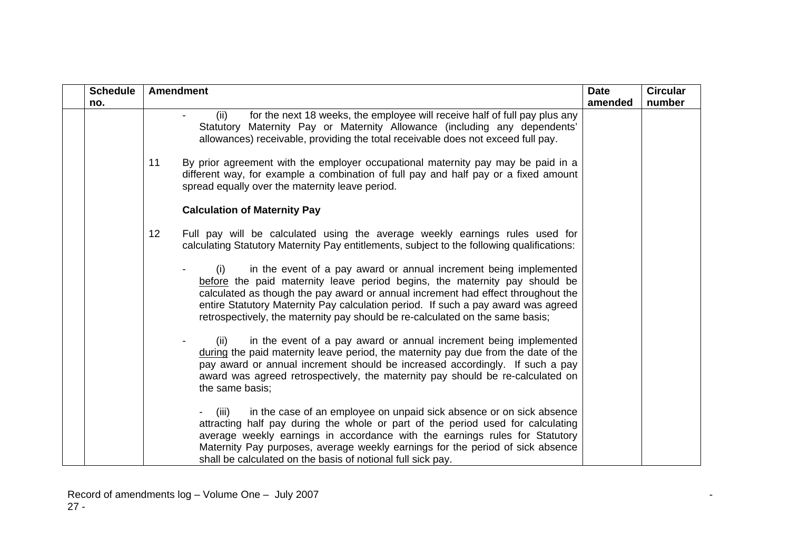| <b>Schedule</b><br>no. | <b>Amendment</b>                                                                                                                                                                                                                                                                                                                                                                                                 | <b>Date</b><br>amended | <b>Circular</b><br>number |
|------------------------|------------------------------------------------------------------------------------------------------------------------------------------------------------------------------------------------------------------------------------------------------------------------------------------------------------------------------------------------------------------------------------------------------------------|------------------------|---------------------------|
|                        | for the next 18 weeks, the employee will receive half of full pay plus any<br>(ii)<br>Statutory Maternity Pay or Maternity Allowance (including any dependents'<br>allowances) receivable, providing the total receivable does not exceed full pay.                                                                                                                                                              |                        |                           |
|                        | By prior agreement with the employer occupational maternity pay may be paid in a<br>11<br>different way, for example a combination of full pay and half pay or a fixed amount<br>spread equally over the maternity leave period.                                                                                                                                                                                 |                        |                           |
|                        | <b>Calculation of Maternity Pay</b>                                                                                                                                                                                                                                                                                                                                                                              |                        |                           |
|                        | 12<br>Full pay will be calculated using the average weekly earnings rules used for<br>calculating Statutory Maternity Pay entitlements, subject to the following qualifications:                                                                                                                                                                                                                                 |                        |                           |
|                        | in the event of a pay award or annual increment being implemented<br>(i)<br>before the paid maternity leave period begins, the maternity pay should be<br>calculated as though the pay award or annual increment had effect throughout the<br>entire Statutory Maternity Pay calculation period. If such a pay award was agreed<br>retrospectively, the maternity pay should be re-calculated on the same basis; |                        |                           |
|                        | in the event of a pay award or annual increment being implemented<br>(ii)<br>during the paid maternity leave period, the maternity pay due from the date of the<br>pay award or annual increment should be increased accordingly. If such a pay<br>award was agreed retrospectively, the maternity pay should be re-calculated on<br>the same basis;                                                             |                        |                           |
|                        | in the case of an employee on unpaid sick absence or on sick absence<br>(iii)<br>attracting half pay during the whole or part of the period used for calculating<br>average weekly earnings in accordance with the earnings rules for Statutory<br>Maternity Pay purposes, average weekly earnings for the period of sick absence<br>shall be calculated on the basis of notional full sick pay.                 |                        |                           |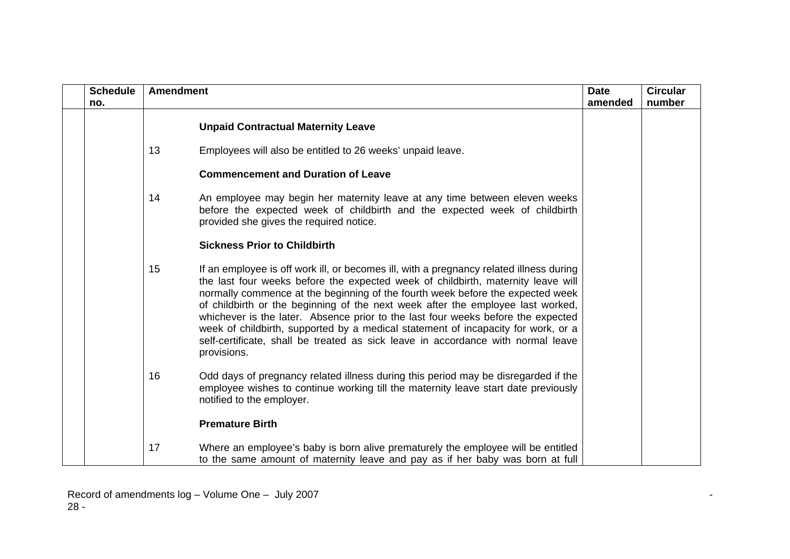| <b>Schedule</b> | <b>Amendment</b><br><b>Date</b>                                                                                                                                                                                                                                                                                                                                                                                                                                                                                                                                                                                                    |         | <b>Circular</b> |
|-----------------|------------------------------------------------------------------------------------------------------------------------------------------------------------------------------------------------------------------------------------------------------------------------------------------------------------------------------------------------------------------------------------------------------------------------------------------------------------------------------------------------------------------------------------------------------------------------------------------------------------------------------------|---------|-----------------|
| no.             |                                                                                                                                                                                                                                                                                                                                                                                                                                                                                                                                                                                                                                    | amended | number          |
|                 | <b>Unpaid Contractual Maternity Leave</b>                                                                                                                                                                                                                                                                                                                                                                                                                                                                                                                                                                                          |         |                 |
|                 | 13<br>Employees will also be entitled to 26 weeks' unpaid leave.                                                                                                                                                                                                                                                                                                                                                                                                                                                                                                                                                                   |         |                 |
|                 | <b>Commencement and Duration of Leave</b>                                                                                                                                                                                                                                                                                                                                                                                                                                                                                                                                                                                          |         |                 |
|                 | 14<br>An employee may begin her maternity leave at any time between eleven weeks<br>before the expected week of childbirth and the expected week of childbirth<br>provided she gives the required notice.                                                                                                                                                                                                                                                                                                                                                                                                                          |         |                 |
|                 | <b>Sickness Prior to Childbirth</b>                                                                                                                                                                                                                                                                                                                                                                                                                                                                                                                                                                                                |         |                 |
|                 | 15<br>If an employee is off work ill, or becomes ill, with a pregnancy related illness during<br>the last four weeks before the expected week of childbirth, maternity leave will<br>normally commence at the beginning of the fourth week before the expected week<br>of childbirth or the beginning of the next week after the employee last worked,<br>whichever is the later. Absence prior to the last four weeks before the expected<br>week of childbirth, supported by a medical statement of incapacity for work, or a<br>self-certificate, shall be treated as sick leave in accordance with normal leave<br>provisions. |         |                 |
|                 | 16<br>Odd days of pregnancy related illness during this period may be disregarded if the<br>employee wishes to continue working till the maternity leave start date previously<br>notified to the employer.                                                                                                                                                                                                                                                                                                                                                                                                                        |         |                 |
|                 | <b>Premature Birth</b>                                                                                                                                                                                                                                                                                                                                                                                                                                                                                                                                                                                                             |         |                 |
|                 | 17<br>Where an employee's baby is born alive prematurely the employee will be entitled<br>to the same amount of maternity leave and pay as if her baby was born at full                                                                                                                                                                                                                                                                                                                                                                                                                                                            |         |                 |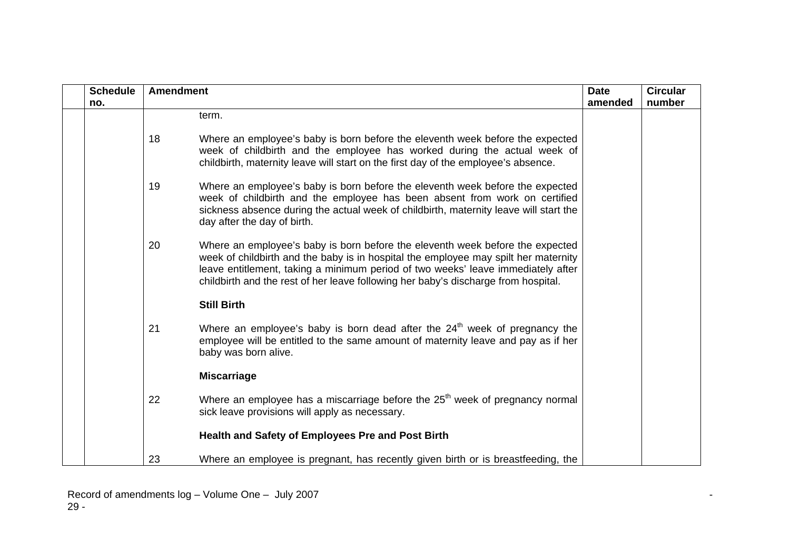| <b>Schedule</b> | <b>Amendment</b> |                                                                                                                                                                                                                                                                                                                                                | <b>Date</b> | <b>Circular</b> |
|-----------------|------------------|------------------------------------------------------------------------------------------------------------------------------------------------------------------------------------------------------------------------------------------------------------------------------------------------------------------------------------------------|-------------|-----------------|
| no.             |                  |                                                                                                                                                                                                                                                                                                                                                | amended     | number          |
|                 |                  | term.                                                                                                                                                                                                                                                                                                                                          |             |                 |
|                 | 18               | Where an employee's baby is born before the eleventh week before the expected<br>week of childbirth and the employee has worked during the actual week of<br>childbirth, maternity leave will start on the first day of the employee's absence.                                                                                                |             |                 |
|                 | 19               | Where an employee's baby is born before the eleventh week before the expected<br>week of childbirth and the employee has been absent from work on certified<br>sickness absence during the actual week of childbirth, maternity leave will start the<br>day after the day of birth.                                                            |             |                 |
|                 | 20               | Where an employee's baby is born before the eleventh week before the expected<br>week of childbirth and the baby is in hospital the employee may spilt her maternity<br>leave entitlement, taking a minimum period of two weeks' leave immediately after<br>childbirth and the rest of her leave following her baby's discharge from hospital. |             |                 |
|                 |                  | <b>Still Birth</b>                                                                                                                                                                                                                                                                                                                             |             |                 |
|                 | 21               | Where an employee's baby is born dead after the $24th$ week of pregnancy the<br>employee will be entitled to the same amount of maternity leave and pay as if her<br>baby was born alive.                                                                                                                                                      |             |                 |
|                 |                  | <b>Miscarriage</b>                                                                                                                                                                                                                                                                                                                             |             |                 |
|                 | 22               | Where an employee has a miscarriage before the 25 <sup>th</sup> week of pregnancy normal<br>sick leave provisions will apply as necessary.                                                                                                                                                                                                     |             |                 |
|                 |                  | Health and Safety of Employees Pre and Post Birth                                                                                                                                                                                                                                                                                              |             |                 |
|                 | 23               | Where an employee is pregnant, has recently given birth or is breastfeeding, the                                                                                                                                                                                                                                                               |             |                 |

Record of amendments log – Volume One – July 2007 - 29 -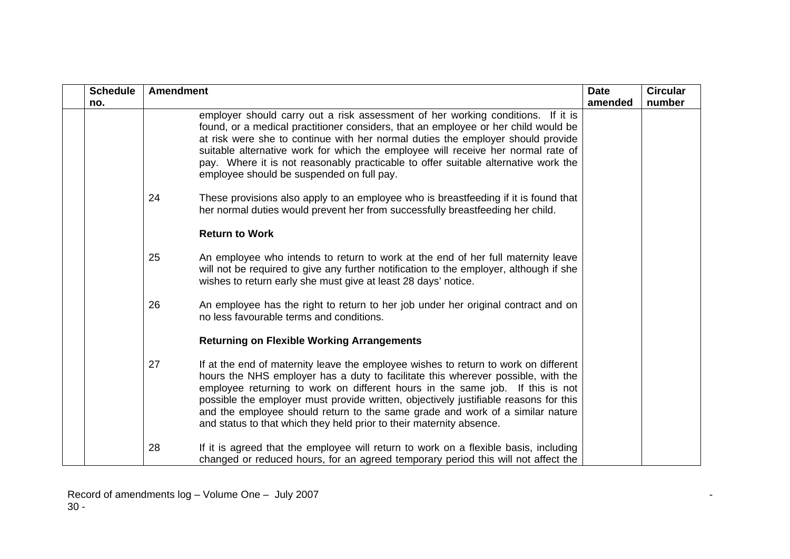| <b>Schedule</b> | <b>Amendment</b>                                                                                                                                                                                                                                                                                                                                                                                                                                                                                                | <b>Date</b> | <b>Circular</b> |
|-----------------|-----------------------------------------------------------------------------------------------------------------------------------------------------------------------------------------------------------------------------------------------------------------------------------------------------------------------------------------------------------------------------------------------------------------------------------------------------------------------------------------------------------------|-------------|-----------------|
| no.             |                                                                                                                                                                                                                                                                                                                                                                                                                                                                                                                 | amended     | number          |
|                 | employer should carry out a risk assessment of her working conditions. If it is<br>found, or a medical practitioner considers, that an employee or her child would be<br>at risk were she to continue with her normal duties the employer should provide<br>suitable alternative work for which the employee will receive her normal rate of<br>pay. Where it is not reasonably practicable to offer suitable alternative work the<br>employee should be suspended on full pay.                                 |             |                 |
|                 | 24<br>These provisions also apply to an employee who is breastfeeding if it is found that<br>her normal duties would prevent her from successfully breastfeeding her child.                                                                                                                                                                                                                                                                                                                                     |             |                 |
|                 | <b>Return to Work</b>                                                                                                                                                                                                                                                                                                                                                                                                                                                                                           |             |                 |
|                 | 25<br>An employee who intends to return to work at the end of her full maternity leave<br>will not be required to give any further notification to the employer, although if she<br>wishes to return early she must give at least 28 days' notice.                                                                                                                                                                                                                                                              |             |                 |
|                 | 26<br>An employee has the right to return to her job under her original contract and on<br>no less favourable terms and conditions.                                                                                                                                                                                                                                                                                                                                                                             |             |                 |
|                 | <b>Returning on Flexible Working Arrangements</b>                                                                                                                                                                                                                                                                                                                                                                                                                                                               |             |                 |
|                 | 27<br>If at the end of maternity leave the employee wishes to return to work on different<br>hours the NHS employer has a duty to facilitate this wherever possible, with the<br>employee returning to work on different hours in the same job. If this is not<br>possible the employer must provide written, objectively justifiable reasons for this<br>and the employee should return to the same grade and work of a similar nature<br>and status to that which they held prior to their maternity absence. |             |                 |
|                 | 28<br>If it is agreed that the employee will return to work on a flexible basis, including<br>changed or reduced hours, for an agreed temporary period this will not affect the                                                                                                                                                                                                                                                                                                                                 |             |                 |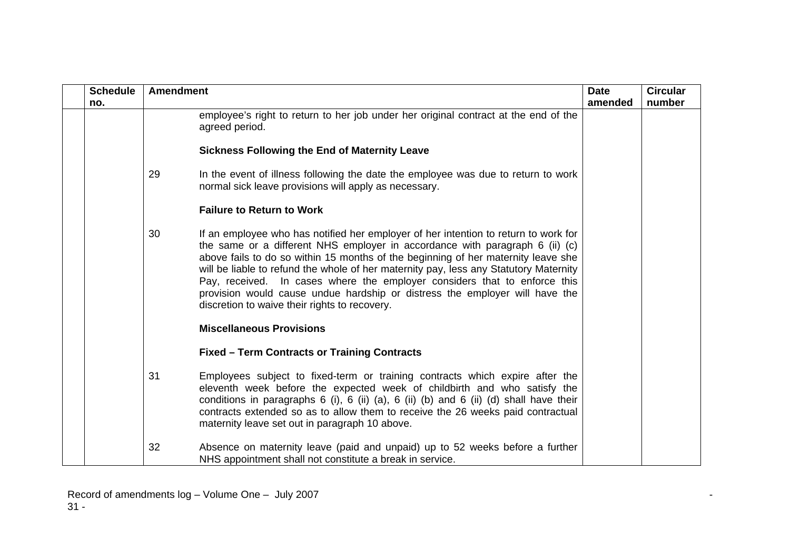| <b>Schedule</b> | <b>Amendment</b> |                                                                                                                                                                                                                                                                                                                                                                                                                                                                                                                                                                | <b>Date</b> | <b>Circular</b> |
|-----------------|------------------|----------------------------------------------------------------------------------------------------------------------------------------------------------------------------------------------------------------------------------------------------------------------------------------------------------------------------------------------------------------------------------------------------------------------------------------------------------------------------------------------------------------------------------------------------------------|-------------|-----------------|
| no.             |                  |                                                                                                                                                                                                                                                                                                                                                                                                                                                                                                                                                                | amended     | number          |
|                 | agreed period.   | employee's right to return to her job under her original contract at the end of the                                                                                                                                                                                                                                                                                                                                                                                                                                                                            |             |                 |
|                 |                  | <b>Sickness Following the End of Maternity Leave</b>                                                                                                                                                                                                                                                                                                                                                                                                                                                                                                           |             |                 |
|                 | 29               | In the event of illness following the date the employee was due to return to work<br>normal sick leave provisions will apply as necessary.                                                                                                                                                                                                                                                                                                                                                                                                                     |             |                 |
|                 |                  | <b>Failure to Return to Work</b>                                                                                                                                                                                                                                                                                                                                                                                                                                                                                                                               |             |                 |
|                 | 30               | If an employee who has notified her employer of her intention to return to work for<br>the same or a different NHS employer in accordance with paragraph 6 (ii) (c)<br>above fails to do so within 15 months of the beginning of her maternity leave she<br>will be liable to refund the whole of her maternity pay, less any Statutory Maternity<br>Pay, received. In cases where the employer considers that to enforce this<br>provision would cause undue hardship or distress the employer will have the<br>discretion to waive their rights to recovery. |             |                 |
|                 |                  | <b>Miscellaneous Provisions</b>                                                                                                                                                                                                                                                                                                                                                                                                                                                                                                                                |             |                 |
|                 |                  | <b>Fixed - Term Contracts or Training Contracts</b>                                                                                                                                                                                                                                                                                                                                                                                                                                                                                                            |             |                 |
|                 | 31               | Employees subject to fixed-term or training contracts which expire after the<br>eleventh week before the expected week of childbirth and who satisfy the<br>conditions in paragraphs $6$ (i), $6$ (ii) (a), $6$ (ii) (b) and $6$ (ii) (d) shall have their<br>contracts extended so as to allow them to receive the 26 weeks paid contractual<br>maternity leave set out in paragraph 10 above.                                                                                                                                                                |             |                 |
|                 | 32               | Absence on maternity leave (paid and unpaid) up to 52 weeks before a further<br>NHS appointment shall not constitute a break in service.                                                                                                                                                                                                                                                                                                                                                                                                                       |             |                 |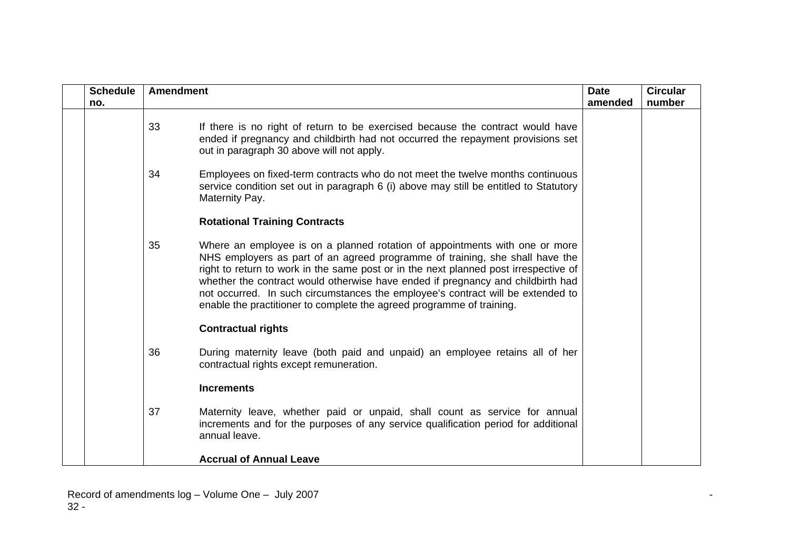| <b>Schedule</b><br>no. | <b>Amendment</b> |                                                                                                                                                                                                                                                                                                                                                                                                                                                                                                    | <b>Date</b><br>amended | <b>Circular</b><br>number |
|------------------------|------------------|----------------------------------------------------------------------------------------------------------------------------------------------------------------------------------------------------------------------------------------------------------------------------------------------------------------------------------------------------------------------------------------------------------------------------------------------------------------------------------------------------|------------------------|---------------------------|
|                        | 33               | If there is no right of return to be exercised because the contract would have<br>ended if pregnancy and childbirth had not occurred the repayment provisions set<br>out in paragraph 30 above will not apply.                                                                                                                                                                                                                                                                                     |                        |                           |
|                        | 34               | Employees on fixed-term contracts who do not meet the twelve months continuous<br>service condition set out in paragraph 6 (i) above may still be entitled to Statutory<br>Maternity Pay.                                                                                                                                                                                                                                                                                                          |                        |                           |
|                        |                  | <b>Rotational Training Contracts</b>                                                                                                                                                                                                                                                                                                                                                                                                                                                               |                        |                           |
|                        | 35               | Where an employee is on a planned rotation of appointments with one or more<br>NHS employers as part of an agreed programme of training, she shall have the<br>right to return to work in the same post or in the next planned post irrespective of<br>whether the contract would otherwise have ended if pregnancy and childbirth had<br>not occurred. In such circumstances the employee's contract will be extended to<br>enable the practitioner to complete the agreed programme of training. |                        |                           |
|                        |                  | <b>Contractual rights</b>                                                                                                                                                                                                                                                                                                                                                                                                                                                                          |                        |                           |
|                        | 36               | During maternity leave (both paid and unpaid) an employee retains all of her<br>contractual rights except remuneration.                                                                                                                                                                                                                                                                                                                                                                            |                        |                           |
|                        |                  | <b>Increments</b>                                                                                                                                                                                                                                                                                                                                                                                                                                                                                  |                        |                           |
|                        | 37               | Maternity leave, whether paid or unpaid, shall count as service for annual<br>increments and for the purposes of any service qualification period for additional<br>annual leave.                                                                                                                                                                                                                                                                                                                  |                        |                           |
|                        |                  | <b>Accrual of Annual Leave</b>                                                                                                                                                                                                                                                                                                                                                                                                                                                                     |                        |                           |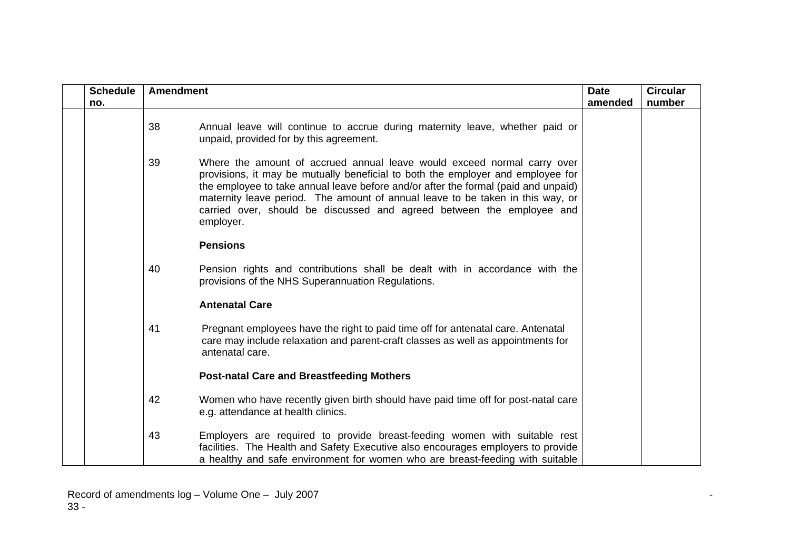| <b>Schedule</b> |    | <b>Amendment</b><br><b>Date</b>                                                                                                                                                                                                                                                                                                                                                                                          |         | <b>Circular</b> |
|-----------------|----|--------------------------------------------------------------------------------------------------------------------------------------------------------------------------------------------------------------------------------------------------------------------------------------------------------------------------------------------------------------------------------------------------------------------------|---------|-----------------|
| no.             |    |                                                                                                                                                                                                                                                                                                                                                                                                                          | amended | number          |
|                 | 38 | Annual leave will continue to accrue during maternity leave, whether paid or<br>unpaid, provided for by this agreement.                                                                                                                                                                                                                                                                                                  |         |                 |
|                 | 39 | Where the amount of accrued annual leave would exceed normal carry over<br>provisions, it may be mutually beneficial to both the employer and employee for<br>the employee to take annual leave before and/or after the formal (paid and unpaid)<br>maternity leave period. The amount of annual leave to be taken in this way, or<br>carried over, should be discussed and agreed between the employee and<br>employer. |         |                 |
|                 |    | <b>Pensions</b>                                                                                                                                                                                                                                                                                                                                                                                                          |         |                 |
|                 | 40 | Pension rights and contributions shall be dealt with in accordance with the<br>provisions of the NHS Superannuation Regulations.                                                                                                                                                                                                                                                                                         |         |                 |
|                 |    | <b>Antenatal Care</b>                                                                                                                                                                                                                                                                                                                                                                                                    |         |                 |
|                 | 41 | Pregnant employees have the right to paid time off for antenatal care. Antenatal<br>care may include relaxation and parent-craft classes as well as appointments for<br>antenatal care.                                                                                                                                                                                                                                  |         |                 |
|                 |    | <b>Post-natal Care and Breastfeeding Mothers</b>                                                                                                                                                                                                                                                                                                                                                                         |         |                 |
|                 | 42 | Women who have recently given birth should have paid time off for post-natal care<br>e.g. attendance at health clinics.                                                                                                                                                                                                                                                                                                  |         |                 |
|                 | 43 | Employers are required to provide breast-feeding women with suitable rest<br>facilities. The Health and Safety Executive also encourages employers to provide<br>a healthy and safe environment for women who are breast-feeding with suitable                                                                                                                                                                           |         |                 |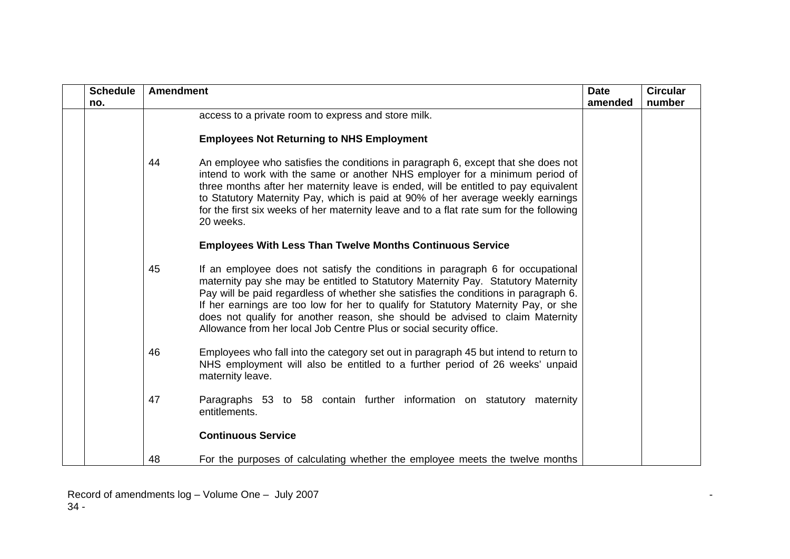| <b>Schedule</b> | <b>Amendment</b> |                                                                                                                                                                                                                                                                                                                                                                                                                                                                                                          | <b>Date</b> | <b>Circular</b> |
|-----------------|------------------|----------------------------------------------------------------------------------------------------------------------------------------------------------------------------------------------------------------------------------------------------------------------------------------------------------------------------------------------------------------------------------------------------------------------------------------------------------------------------------------------------------|-------------|-----------------|
| no.             |                  |                                                                                                                                                                                                                                                                                                                                                                                                                                                                                                          | amended     | number          |
|                 |                  | access to a private room to express and store milk.                                                                                                                                                                                                                                                                                                                                                                                                                                                      |             |                 |
|                 |                  | <b>Employees Not Returning to NHS Employment</b>                                                                                                                                                                                                                                                                                                                                                                                                                                                         |             |                 |
|                 | 44               | An employee who satisfies the conditions in paragraph 6, except that she does not<br>intend to work with the same or another NHS employer for a minimum period of<br>three months after her maternity leave is ended, will be entitled to pay equivalent<br>to Statutory Maternity Pay, which is paid at 90% of her average weekly earnings<br>for the first six weeks of her maternity leave and to a flat rate sum for the following<br>20 weeks.                                                      |             |                 |
|                 |                  | <b>Employees With Less Than Twelve Months Continuous Service</b>                                                                                                                                                                                                                                                                                                                                                                                                                                         |             |                 |
|                 | 45               | If an employee does not satisfy the conditions in paragraph 6 for occupational<br>maternity pay she may be entitled to Statutory Maternity Pay. Statutory Maternity<br>Pay will be paid regardless of whether she satisfies the conditions in paragraph 6.<br>If her earnings are too low for her to qualify for Statutory Maternity Pay, or she<br>does not qualify for another reason, she should be advised to claim Maternity<br>Allowance from her local Job Centre Plus or social security office. |             |                 |
|                 | 46               | Employees who fall into the category set out in paragraph 45 but intend to return to<br>NHS employment will also be entitled to a further period of 26 weeks' unpaid<br>maternity leave.                                                                                                                                                                                                                                                                                                                 |             |                 |
|                 | 47               | Paragraphs 53 to 58 contain further information on statutory maternity<br>entitlements.                                                                                                                                                                                                                                                                                                                                                                                                                  |             |                 |
|                 |                  | <b>Continuous Service</b>                                                                                                                                                                                                                                                                                                                                                                                                                                                                                |             |                 |
|                 | 48               | For the purposes of calculating whether the employee meets the twelve months                                                                                                                                                                                                                                                                                                                                                                                                                             |             |                 |

Record of amendments log – Volume One – July 2007 - 34 -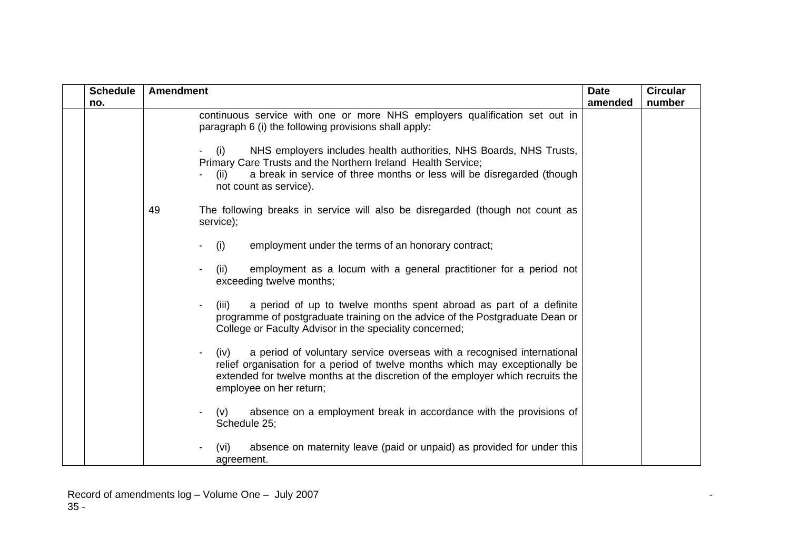| <b>Schedule</b> | <b>Amendment</b>                                                                                                                                                                                                                                                             | <b>Date</b> | <b>Circular</b> |
|-----------------|------------------------------------------------------------------------------------------------------------------------------------------------------------------------------------------------------------------------------------------------------------------------------|-------------|-----------------|
| no.             |                                                                                                                                                                                                                                                                              | amended     | number          |
|                 | continuous service with one or more NHS employers qualification set out in<br>paragraph 6 (i) the following provisions shall apply:                                                                                                                                          |             |                 |
|                 | NHS employers includes health authorities, NHS Boards, NHS Trusts,<br>(i)<br>Primary Care Trusts and the Northern Ireland Health Service;<br>a break in service of three months or less will be disregarded (though<br>(ii)<br>not count as service).                        |             |                 |
|                 | 49<br>The following breaks in service will also be disregarded (though not count as<br>service);                                                                                                                                                                             |             |                 |
|                 | employment under the terms of an honorary contract;<br>(i)                                                                                                                                                                                                                   |             |                 |
|                 | employment as a locum with a general practitioner for a period not<br>(ii)<br>exceeding twelve months;                                                                                                                                                                       |             |                 |
|                 | a period of up to twelve months spent abroad as part of a definite<br>(iii)<br>programme of postgraduate training on the advice of the Postgraduate Dean or<br>College or Faculty Advisor in the speciality concerned;                                                       |             |                 |
|                 | a period of voluntary service overseas with a recognised international<br>(iv)<br>relief organisation for a period of twelve months which may exceptionally be<br>extended for twelve months at the discretion of the employer which recruits the<br>employee on her return; |             |                 |
|                 | absence on a employment break in accordance with the provisions of<br>(V)<br>Schedule 25:                                                                                                                                                                                    |             |                 |
|                 | absence on maternity leave (paid or unpaid) as provided for under this<br>(vi)<br>agreement.                                                                                                                                                                                 |             |                 |

Record of amendments log – Volume One – July 2007 - 35 -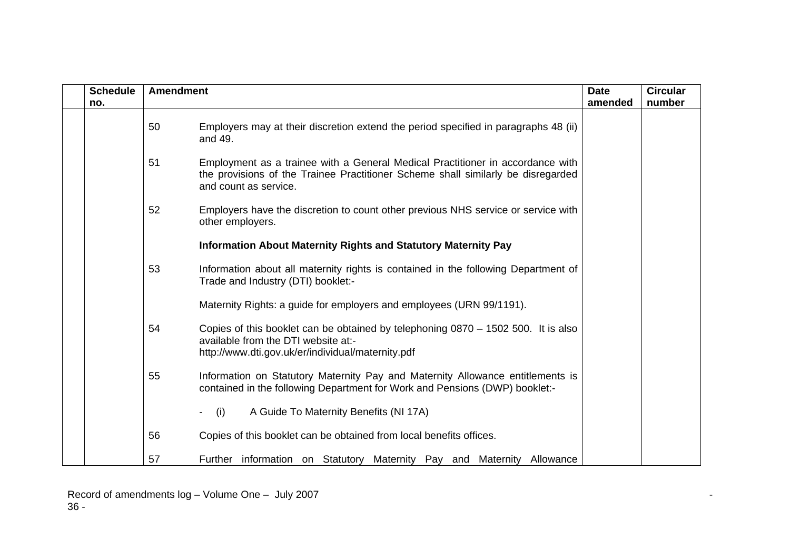| <b>Schedule</b> |    | <b>Amendment</b><br><b>Date</b>                                                                                                                                                             |         | <b>Circular</b> |
|-----------------|----|---------------------------------------------------------------------------------------------------------------------------------------------------------------------------------------------|---------|-----------------|
| no.             |    |                                                                                                                                                                                             | amended | number          |
|                 | 50 | Employers may at their discretion extend the period specified in paragraphs 48 (ii)<br>and 49.                                                                                              |         |                 |
|                 | 51 | Employment as a trainee with a General Medical Practitioner in accordance with<br>the provisions of the Trainee Practitioner Scheme shall similarly be disregarded<br>and count as service. |         |                 |
|                 | 52 | Employers have the discretion to count other previous NHS service or service with<br>other employers.                                                                                       |         |                 |
|                 |    | <b>Information About Maternity Rights and Statutory Maternity Pay</b>                                                                                                                       |         |                 |
|                 | 53 | Information about all maternity rights is contained in the following Department of<br>Trade and Industry (DTI) booklet:-                                                                    |         |                 |
|                 |    | Maternity Rights: a guide for employers and employees (URN 99/1191).                                                                                                                        |         |                 |
|                 | 54 | Copies of this booklet can be obtained by telephoning 0870 - 1502 500. It is also<br>available from the DTI website at:-<br>http://www.dti.gov.uk/er/individual/maternity.pdf               |         |                 |
|                 | 55 | Information on Statutory Maternity Pay and Maternity Allowance entitlements is<br>contained in the following Department for Work and Pensions (DWP) booklet:-                               |         |                 |
|                 |    | A Guide To Maternity Benefits (NI 17A)<br>(i)                                                                                                                                               |         |                 |
|                 | 56 | Copies of this booklet can be obtained from local benefits offices.                                                                                                                         |         |                 |
|                 | 57 | Further information on Statutory Maternity Pay and Maternity Allowance                                                                                                                      |         |                 |

Record of amendments log – Volume One – July 2007 - 36 -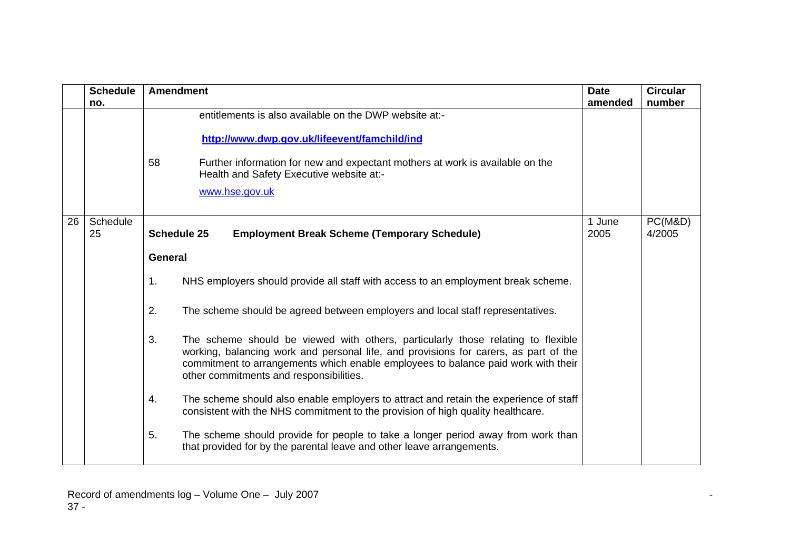|    | <b>Schedule</b> | <b>Amendment</b>                                                                                                                                                                                                                                                                                               | <b>Date</b>    | <b>Circular</b>   |
|----|-----------------|----------------------------------------------------------------------------------------------------------------------------------------------------------------------------------------------------------------------------------------------------------------------------------------------------------------|----------------|-------------------|
|    | no.             |                                                                                                                                                                                                                                                                                                                | amended        | number            |
|    |                 | entitlements is also available on the DWP website at:-<br>http://www.dwp.gov.uk/lifeevent/famchild/ind<br>58<br>Further information for new and expectant mothers at work is available on the<br>Health and Safety Executive website at:-<br>www.hse.gov.uk                                                    |                |                   |
| 26 | Schedule<br>25  | <b>Schedule 25</b><br><b>Employment Break Scheme (Temporary Schedule)</b>                                                                                                                                                                                                                                      | 1 June<br>2005 | PC(M&D)<br>4/2005 |
|    |                 | <b>General</b>                                                                                                                                                                                                                                                                                                 |                |                   |
|    |                 | 1.<br>NHS employers should provide all staff with access to an employment break scheme.                                                                                                                                                                                                                        |                |                   |
|    |                 | 2.<br>The scheme should be agreed between employers and local staff representatives.                                                                                                                                                                                                                           |                |                   |
|    |                 | The scheme should be viewed with others, particularly those relating to flexible<br>3.<br>working, balancing work and personal life, and provisions for carers, as part of the<br>commitment to arrangements which enable employees to balance paid work with their<br>other commitments and responsibilities. |                |                   |
|    |                 | The scheme should also enable employers to attract and retain the experience of staff<br>4.<br>consistent with the NHS commitment to the provision of high quality healthcare.                                                                                                                                 |                |                   |
|    |                 | 5.<br>The scheme should provide for people to take a longer period away from work than<br>that provided for by the parental leave and other leave arrangements.                                                                                                                                                |                |                   |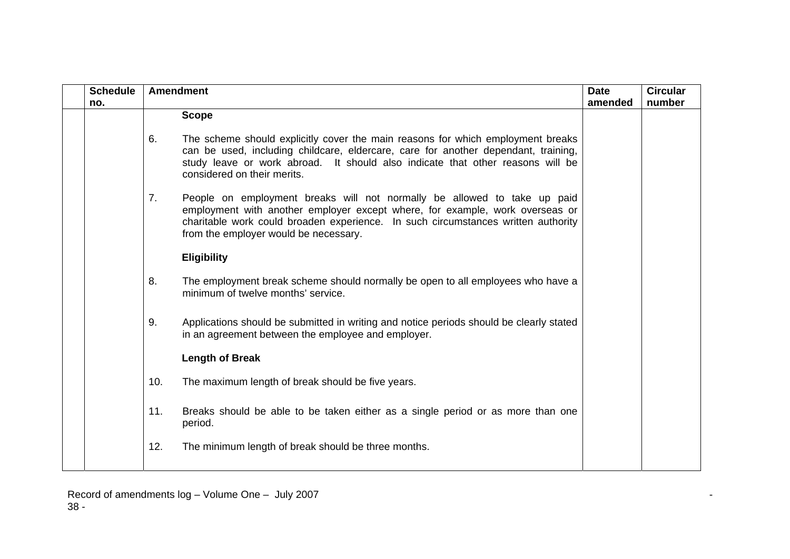| <b>Schedule</b> | <b>Amendment</b>                                                                                                                                                                                                                                                                             | <b>Date</b> | <b>Circular</b> |
|-----------------|----------------------------------------------------------------------------------------------------------------------------------------------------------------------------------------------------------------------------------------------------------------------------------------------|-------------|-----------------|
| no.             | <b>Scope</b>                                                                                                                                                                                                                                                                                 | amended     | number          |
|                 | The scheme should explicitly cover the main reasons for which employment breaks<br>6.<br>can be used, including childcare, eldercare, care for another dependant, training,<br>study leave or work abroad. It should also indicate that other reasons will be<br>considered on their merits. |             |                 |
|                 | 7.<br>People on employment breaks will not normally be allowed to take up paid<br>employment with another employer except where, for example, work overseas or<br>charitable work could broaden experience. In such circumstances written authority<br>from the employer would be necessary. |             |                 |
|                 | <b>Eligibility</b>                                                                                                                                                                                                                                                                           |             |                 |
|                 | 8.<br>The employment break scheme should normally be open to all employees who have a<br>minimum of twelve months' service.                                                                                                                                                                  |             |                 |
|                 | 9.<br>Applications should be submitted in writing and notice periods should be clearly stated<br>in an agreement between the employee and employer.                                                                                                                                          |             |                 |
|                 | <b>Length of Break</b>                                                                                                                                                                                                                                                                       |             |                 |
|                 | The maximum length of break should be five years.<br>10.                                                                                                                                                                                                                                     |             |                 |
|                 | Breaks should be able to be taken either as a single period or as more than one<br>11.<br>period.                                                                                                                                                                                            |             |                 |
|                 | 12.<br>The minimum length of break should be three months.                                                                                                                                                                                                                                   |             |                 |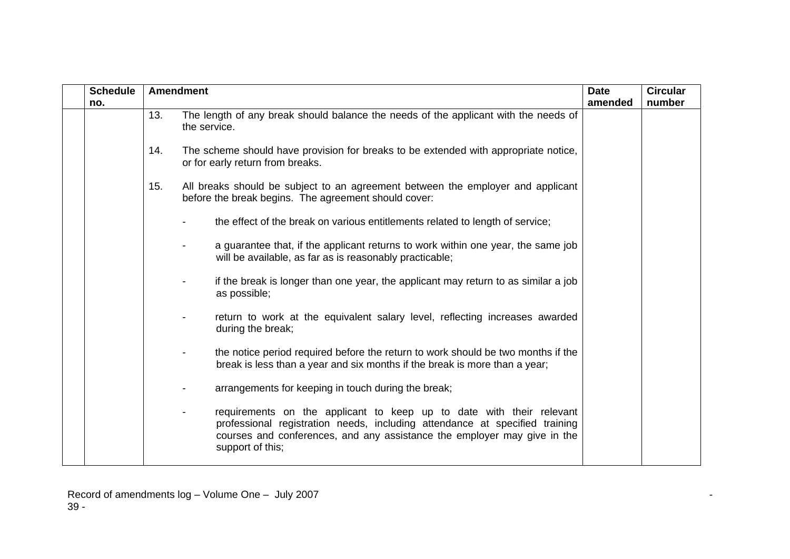| <b>Schedule</b><br>no. |     | <b>Amendment</b>                                                                                                                                                                                                                                    | <b>Date</b><br>amended | <b>Circular</b><br>number |
|------------------------|-----|-----------------------------------------------------------------------------------------------------------------------------------------------------------------------------------------------------------------------------------------------------|------------------------|---------------------------|
|                        | 13. | The length of any break should balance the needs of the applicant with the needs of<br>the service.                                                                                                                                                 |                        |                           |
|                        | 14. | The scheme should have provision for breaks to be extended with appropriate notice,<br>or for early return from breaks.                                                                                                                             |                        |                           |
|                        | 15. | All breaks should be subject to an agreement between the employer and applicant<br>before the break begins. The agreement should cover:                                                                                                             |                        |                           |
|                        |     | the effect of the break on various entitlements related to length of service;                                                                                                                                                                       |                        |                           |
|                        |     | a guarantee that, if the applicant returns to work within one year, the same job<br>will be available, as far as is reasonably practicable;                                                                                                         |                        |                           |
|                        |     | if the break is longer than one year, the applicant may return to as similar a job<br>as possible;                                                                                                                                                  |                        |                           |
|                        |     | return to work at the equivalent salary level, reflecting increases awarded<br>during the break;                                                                                                                                                    |                        |                           |
|                        |     | the notice period required before the return to work should be two months if the<br>break is less than a year and six months if the break is more than a year;                                                                                      |                        |                           |
|                        |     | arrangements for keeping in touch during the break;                                                                                                                                                                                                 |                        |                           |
|                        |     | requirements on the applicant to keep up to date with their relevant<br>professional registration needs, including attendance at specified training<br>courses and conferences, and any assistance the employer may give in the<br>support of this; |                        |                           |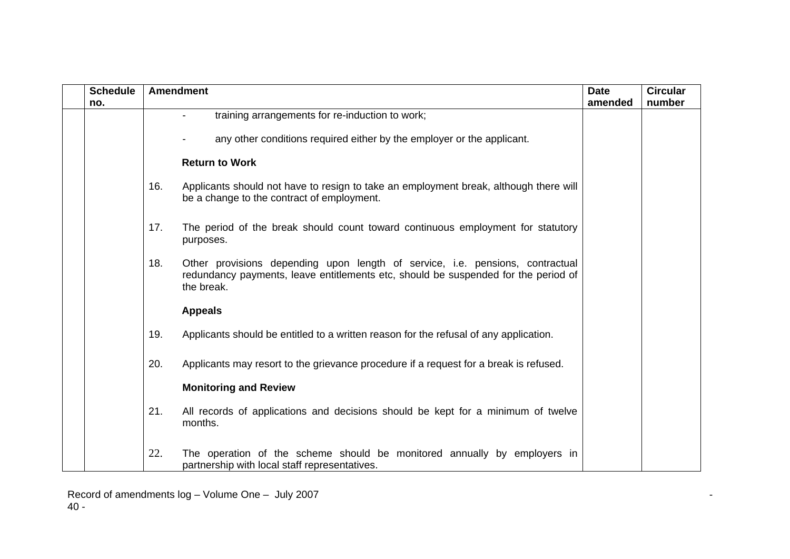| <b>Schedule</b> |     | <b>Amendment</b>                                                                                                                                                                  | <b>Date</b> | <b>Circular</b> |
|-----------------|-----|-----------------------------------------------------------------------------------------------------------------------------------------------------------------------------------|-------------|-----------------|
| no.             |     |                                                                                                                                                                                   | amended     | number          |
|                 |     | training arrangements for re-induction to work;                                                                                                                                   |             |                 |
|                 |     | any other conditions required either by the employer or the applicant.                                                                                                            |             |                 |
|                 |     | <b>Return to Work</b>                                                                                                                                                             |             |                 |
|                 | 16. | Applicants should not have to resign to take an employment break, although there will<br>be a change to the contract of employment.                                               |             |                 |
|                 | 17. | The period of the break should count toward continuous employment for statutory<br>purposes.                                                                                      |             |                 |
|                 | 18. | Other provisions depending upon length of service, i.e. pensions, contractual<br>redundancy payments, leave entitlements etc, should be suspended for the period of<br>the break. |             |                 |
|                 |     | <b>Appeals</b>                                                                                                                                                                    |             |                 |
|                 | 19. | Applicants should be entitled to a written reason for the refusal of any application.                                                                                             |             |                 |
|                 | 20. | Applicants may resort to the grievance procedure if a request for a break is refused.                                                                                             |             |                 |
|                 |     | <b>Monitoring and Review</b>                                                                                                                                                      |             |                 |
|                 | 21. | All records of applications and decisions should be kept for a minimum of twelve<br>months.                                                                                       |             |                 |
|                 | 22. | The operation of the scheme should be monitored annually by employers in<br>partnership with local staff representatives.                                                         |             |                 |

Record of amendments log – Volume One – July 2007 - 40 -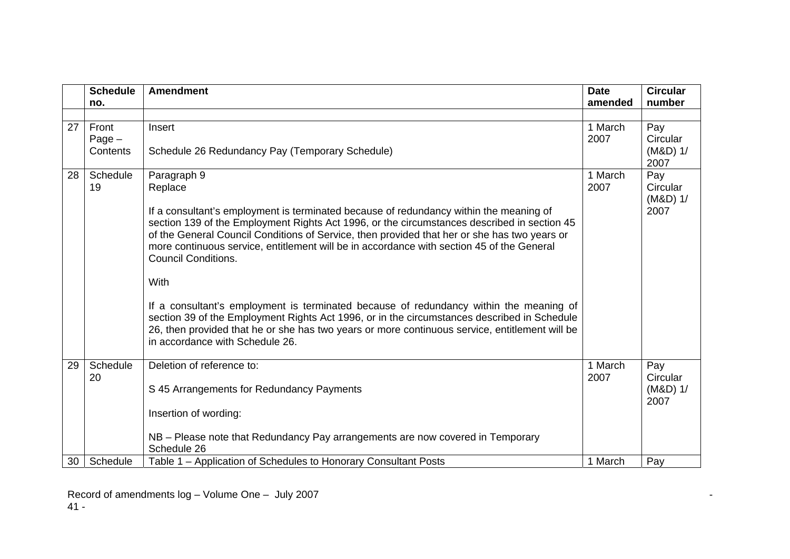|    | <b>Schedule</b>               | <b>Amendment</b>                                                                                                                                                                                                                                                                                                                                                                                                                                                                                                                                                                                                                                                                                                                                                                 | <b>Date</b>     | <b>Circular</b>                       |
|----|-------------------------------|----------------------------------------------------------------------------------------------------------------------------------------------------------------------------------------------------------------------------------------------------------------------------------------------------------------------------------------------------------------------------------------------------------------------------------------------------------------------------------------------------------------------------------------------------------------------------------------------------------------------------------------------------------------------------------------------------------------------------------------------------------------------------------|-----------------|---------------------------------------|
|    | no.                           |                                                                                                                                                                                                                                                                                                                                                                                                                                                                                                                                                                                                                                                                                                                                                                                  | amended         | number                                |
| 27 | Front<br>$Page -$<br>Contents | Insert<br>Schedule 26 Redundancy Pay (Temporary Schedule)                                                                                                                                                                                                                                                                                                                                                                                                                                                                                                                                                                                                                                                                                                                        | 1 March<br>2007 | Pay<br>Circular<br>$(M&D)$ 1/<br>2007 |
| 28 | Schedule<br>19                | Paragraph 9<br>Replace<br>If a consultant's employment is terminated because of redundancy within the meaning of<br>section 139 of the Employment Rights Act 1996, or the circumstances described in section 45<br>of the General Council Conditions of Service, then provided that her or she has two years or<br>more continuous service, entitlement will be in accordance with section 45 of the General<br><b>Council Conditions.</b><br>With<br>If a consultant's employment is terminated because of redundancy within the meaning of<br>section 39 of the Employment Rights Act 1996, or in the circumstances described in Schedule<br>26, then provided that he or she has two years or more continuous service, entitlement will be<br>in accordance with Schedule 26. | 1 March<br>2007 | Pay<br>Circular<br>(M&D) 1/<br>2007   |
| 29 | Schedule<br>20                | Deletion of reference to:<br>S 45 Arrangements for Redundancy Payments<br>Insertion of wording:<br>NB – Please note that Redundancy Pay arrangements are now covered in Temporary<br>Schedule 26                                                                                                                                                                                                                                                                                                                                                                                                                                                                                                                                                                                 | 1 March<br>2007 | Pay<br>Circular<br>(M&D) 1/<br>2007   |
| 30 | Schedule                      | Table 1 - Application of Schedules to Honorary Consultant Posts                                                                                                                                                                                                                                                                                                                                                                                                                                                                                                                                                                                                                                                                                                                  | 1 March         | Pay                                   |

Record of amendments log – Volume One – July 2007 - 41 -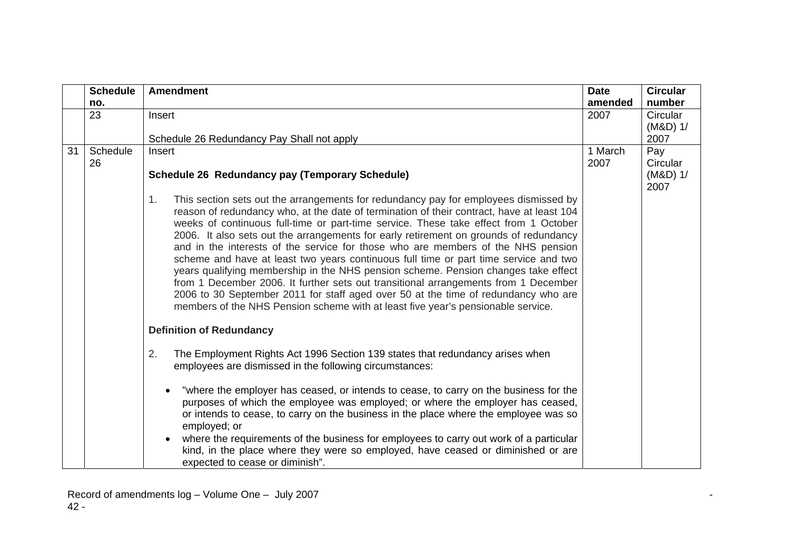|    | <b>Schedule</b> | <b>Amendment</b>                                                                                                                                                                                                                                                                                                                                                                                                                                                                                                                                                                                                                                                                                                                                                                                                                                                                                                                                                                                                                                                                                                                                                                                                                                                                                                                                                                                                                                                                                                                                                                                                                                                                                   | <b>Date</b>     | <b>Circular</b>                     |
|----|-----------------|----------------------------------------------------------------------------------------------------------------------------------------------------------------------------------------------------------------------------------------------------------------------------------------------------------------------------------------------------------------------------------------------------------------------------------------------------------------------------------------------------------------------------------------------------------------------------------------------------------------------------------------------------------------------------------------------------------------------------------------------------------------------------------------------------------------------------------------------------------------------------------------------------------------------------------------------------------------------------------------------------------------------------------------------------------------------------------------------------------------------------------------------------------------------------------------------------------------------------------------------------------------------------------------------------------------------------------------------------------------------------------------------------------------------------------------------------------------------------------------------------------------------------------------------------------------------------------------------------------------------------------------------------------------------------------------------------|-----------------|-------------------------------------|
|    | no.             |                                                                                                                                                                                                                                                                                                                                                                                                                                                                                                                                                                                                                                                                                                                                                                                                                                                                                                                                                                                                                                                                                                                                                                                                                                                                                                                                                                                                                                                                                                                                                                                                                                                                                                    | amended         | number                              |
|    | 23              | Insert<br>Schedule 26 Redundancy Pay Shall not apply                                                                                                                                                                                                                                                                                                                                                                                                                                                                                                                                                                                                                                                                                                                                                                                                                                                                                                                                                                                                                                                                                                                                                                                                                                                                                                                                                                                                                                                                                                                                                                                                                                               | 2007            | Circular<br>(M&D) 1/<br>2007        |
| 31 | Schedule<br>26  | Insert<br><b>Schedule 26 Redundancy pay (Temporary Schedule)</b><br>This section sets out the arrangements for redundancy pay for employees dismissed by<br>1.<br>reason of redundancy who, at the date of termination of their contract, have at least 104<br>weeks of continuous full-time or part-time service. These take effect from 1 October<br>2006. It also sets out the arrangements for early retirement on grounds of redundancy<br>and in the interests of the service for those who are members of the NHS pension<br>scheme and have at least two years continuous full time or part time service and two<br>years qualifying membership in the NHS pension scheme. Pension changes take effect<br>from 1 December 2006. It further sets out transitional arrangements from 1 December<br>2006 to 30 September 2011 for staff aged over 50 at the time of redundancy who are<br>members of the NHS Pension scheme with at least five year's pensionable service.<br><b>Definition of Redundancy</b><br>The Employment Rights Act 1996 Section 139 states that redundancy arises when<br>2.<br>employees are dismissed in the following circumstances:<br>"where the employer has ceased, or intends to cease, to carry on the business for the<br>$\bullet$<br>purposes of which the employee was employed; or where the employer has ceased,<br>or intends to cease, to carry on the business in the place where the employee was so<br>employed; or<br>where the requirements of the business for employees to carry out work of a particular<br>$\bullet$<br>kind, in the place where they were so employed, have ceased or diminished or are<br>expected to cease or diminish". | 1 March<br>2007 | Pay<br>Circular<br>(M&D) 1/<br>2007 |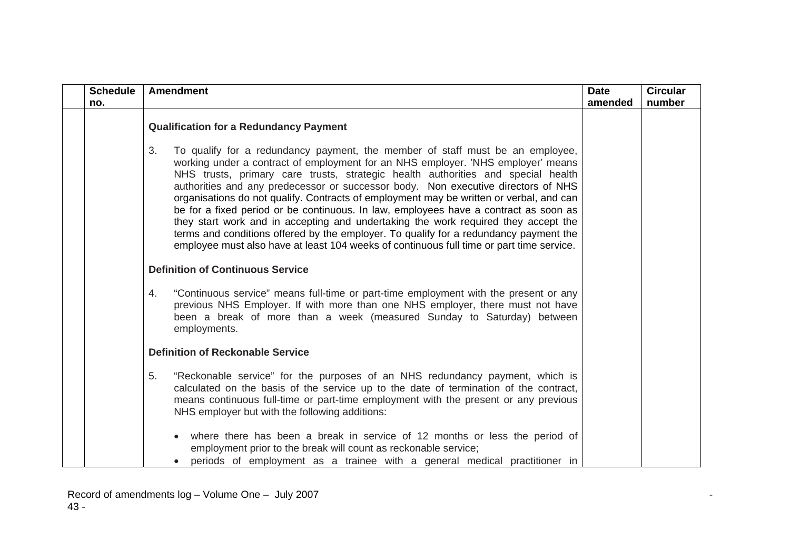| <b>Schedule</b><br>no. | <b>Amendment</b>                                                                                                                                                                                                                                                                                                                                                                                                                                                                                                                                                                                                                                                                                                                                                                                               | <b>Date</b><br>amended | <b>Circular</b><br>number |
|------------------------|----------------------------------------------------------------------------------------------------------------------------------------------------------------------------------------------------------------------------------------------------------------------------------------------------------------------------------------------------------------------------------------------------------------------------------------------------------------------------------------------------------------------------------------------------------------------------------------------------------------------------------------------------------------------------------------------------------------------------------------------------------------------------------------------------------------|------------------------|---------------------------|
|                        | <b>Qualification for a Redundancy Payment</b>                                                                                                                                                                                                                                                                                                                                                                                                                                                                                                                                                                                                                                                                                                                                                                  |                        |                           |
|                        | 3.<br>To qualify for a redundancy payment, the member of staff must be an employee,<br>working under a contract of employment for an NHS employer. 'NHS employer' means<br>NHS trusts, primary care trusts, strategic health authorities and special health<br>authorities and any predecessor or successor body. Non executive directors of NHS<br>organisations do not qualify. Contracts of employment may be written or verbal, and can<br>be for a fixed period or be continuous. In law, employees have a contract as soon as<br>they start work and in accepting and undertaking the work required they accept the<br>terms and conditions offered by the employer. To qualify for a redundancy payment the<br>employee must also have at least 104 weeks of continuous full time or part time service. |                        |                           |
|                        | <b>Definition of Continuous Service</b>                                                                                                                                                                                                                                                                                                                                                                                                                                                                                                                                                                                                                                                                                                                                                                        |                        |                           |
|                        | 4.<br>"Continuous service" means full-time or part-time employment with the present or any<br>previous NHS Employer. If with more than one NHS employer, there must not have<br>been a break of more than a week (measured Sunday to Saturday) between<br>employments.                                                                                                                                                                                                                                                                                                                                                                                                                                                                                                                                         |                        |                           |
|                        | <b>Definition of Reckonable Service</b>                                                                                                                                                                                                                                                                                                                                                                                                                                                                                                                                                                                                                                                                                                                                                                        |                        |                           |
|                        | 5.<br>"Reckonable service" for the purposes of an NHS redundancy payment, which is<br>calculated on the basis of the service up to the date of termination of the contract,<br>means continuous full-time or part-time employment with the present or any previous<br>NHS employer but with the following additions:                                                                                                                                                                                                                                                                                                                                                                                                                                                                                           |                        |                           |
|                        | where there has been a break in service of 12 months or less the period of<br>$\bullet$<br>employment prior to the break will count as reckonable service;<br>periods of employment as a trainee with a general medical practitioner in                                                                                                                                                                                                                                                                                                                                                                                                                                                                                                                                                                        |                        |                           |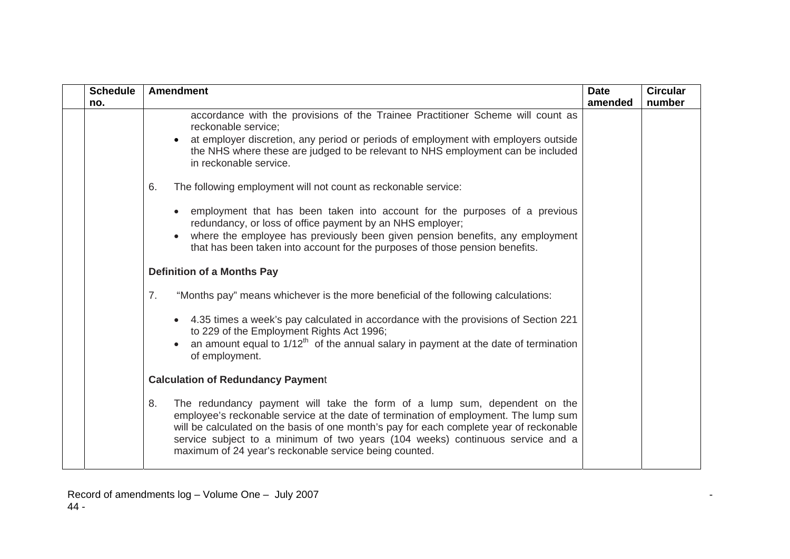| <b>Schedule</b> | <b>Amendment</b>                                                                                                                                                                                                                                                                                                                                                                                               | <b>Date</b> | <b>Circular</b> |
|-----------------|----------------------------------------------------------------------------------------------------------------------------------------------------------------------------------------------------------------------------------------------------------------------------------------------------------------------------------------------------------------------------------------------------------------|-------------|-----------------|
| no.             | accordance with the provisions of the Trainee Practitioner Scheme will count as<br>reckonable service;<br>at employer discretion, any period or periods of employment with employers outside<br>the NHS where these are judged to be relevant to NHS employment can be included<br>in reckonable service.                                                                                                      | amended     | number          |
|                 | The following employment will not count as reckonable service:<br>6.<br>• employment that has been taken into account for the purposes of a previous<br>redundancy, or loss of office payment by an NHS employer;<br>where the employee has previously been given pension benefits, any employment<br>$\bullet$<br>that has been taken into account for the purposes of those pension benefits.                |             |                 |
|                 | <b>Definition of a Months Pay</b>                                                                                                                                                                                                                                                                                                                                                                              |             |                 |
|                 | 7.<br>"Months pay" means whichever is the more beneficial of the following calculations:                                                                                                                                                                                                                                                                                                                       |             |                 |
|                 | • 4.35 times a week's pay calculated in accordance with the provisions of Section 221<br>to 229 of the Employment Rights Act 1996;<br>an amount equal to $1/12th$ of the annual salary in payment at the date of termination<br>of employment.                                                                                                                                                                 |             |                 |
|                 | <b>Calculation of Redundancy Payment</b>                                                                                                                                                                                                                                                                                                                                                                       |             |                 |
|                 | The redundancy payment will take the form of a lump sum, dependent on the<br>8.<br>employee's reckonable service at the date of termination of employment. The lump sum<br>will be calculated on the basis of one month's pay for each complete year of reckonable<br>service subject to a minimum of two years (104 weeks) continuous service and a<br>maximum of 24 year's reckonable service being counted. |             |                 |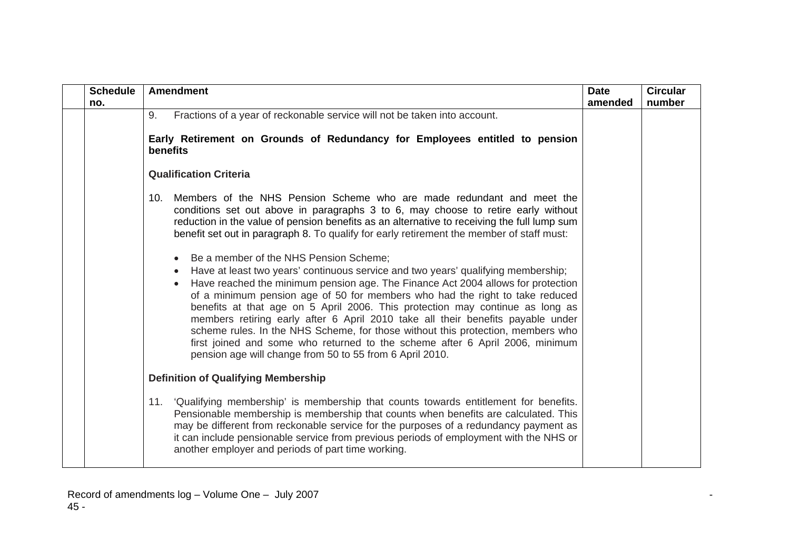| <b>Schedule</b> | <b>Amendment</b>                                                                                                                                                                                                                                                                                                                                                                                                                                                                                                                                                                                                                                                      | <b>Date</b> | <b>Circular</b> |
|-----------------|-----------------------------------------------------------------------------------------------------------------------------------------------------------------------------------------------------------------------------------------------------------------------------------------------------------------------------------------------------------------------------------------------------------------------------------------------------------------------------------------------------------------------------------------------------------------------------------------------------------------------------------------------------------------------|-------------|-----------------|
| no.             |                                                                                                                                                                                                                                                                                                                                                                                                                                                                                                                                                                                                                                                                       | amended     | number          |
|                 | 9.<br>Fractions of a year of reckonable service will not be taken into account.                                                                                                                                                                                                                                                                                                                                                                                                                                                                                                                                                                                       |             |                 |
|                 | Early Retirement on Grounds of Redundancy for Employees entitled to pension<br><b>benefits</b>                                                                                                                                                                                                                                                                                                                                                                                                                                                                                                                                                                        |             |                 |
|                 | <b>Qualification Criteria</b>                                                                                                                                                                                                                                                                                                                                                                                                                                                                                                                                                                                                                                         |             |                 |
|                 | Members of the NHS Pension Scheme who are made redundant and meet the<br>10.<br>conditions set out above in paragraphs 3 to 6, may choose to retire early without<br>reduction in the value of pension benefits as an alternative to receiving the full lump sum<br>benefit set out in paragraph 8. To qualify for early retirement the member of staff must:<br>Be a member of the NHS Pension Scheme;<br>$\bullet$                                                                                                                                                                                                                                                  |             |                 |
|                 | Have at least two years' continuous service and two years' qualifying membership;<br>$\bullet$<br>Have reached the minimum pension age. The Finance Act 2004 allows for protection<br>of a minimum pension age of 50 for members who had the right to take reduced<br>benefits at that age on 5 April 2006. This protection may continue as long as<br>members retiring early after 6 April 2010 take all their benefits payable under<br>scheme rules. In the NHS Scheme, for those without this protection, members who<br>first joined and some who returned to the scheme after 6 April 2006, minimum<br>pension age will change from 50 to 55 from 6 April 2010. |             |                 |
|                 | <b>Definition of Qualifying Membership</b>                                                                                                                                                                                                                                                                                                                                                                                                                                                                                                                                                                                                                            |             |                 |
|                 | 11. 'Qualifying membership' is membership that counts towards entitlement for benefits.<br>Pensionable membership is membership that counts when benefits are calculated. This<br>may be different from reckonable service for the purposes of a redundancy payment as<br>it can include pensionable service from previous periods of employment with the NHS or<br>another employer and periods of part time working.                                                                                                                                                                                                                                                |             |                 |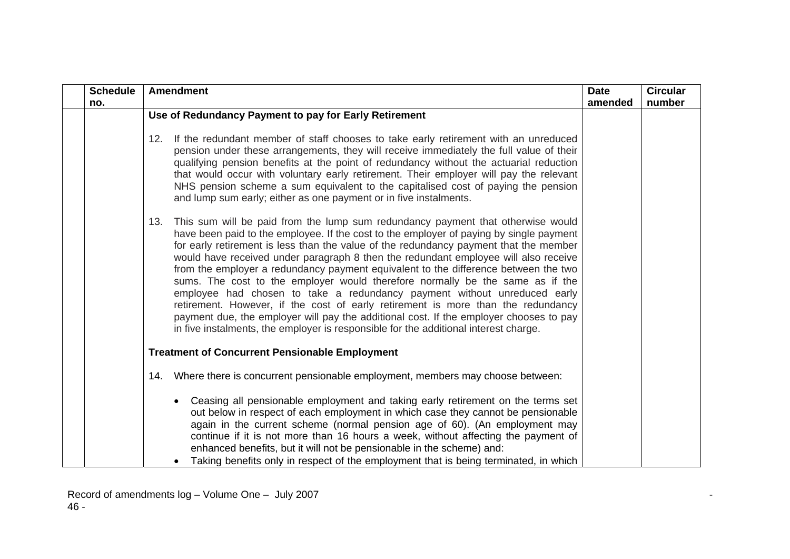| <b>Schedule</b> | <b>Amendment</b>                                                                                                                                                                                                                                                                                                                                                                                                                                                                                                                                                                                                                                                                                                                                                                                                                                                                            | <b>Date</b> | <b>Circular</b> |
|-----------------|---------------------------------------------------------------------------------------------------------------------------------------------------------------------------------------------------------------------------------------------------------------------------------------------------------------------------------------------------------------------------------------------------------------------------------------------------------------------------------------------------------------------------------------------------------------------------------------------------------------------------------------------------------------------------------------------------------------------------------------------------------------------------------------------------------------------------------------------------------------------------------------------|-------------|-----------------|
| no.             |                                                                                                                                                                                                                                                                                                                                                                                                                                                                                                                                                                                                                                                                                                                                                                                                                                                                                             | amended     | number          |
|                 | Use of Redundancy Payment to pay for Early Retirement                                                                                                                                                                                                                                                                                                                                                                                                                                                                                                                                                                                                                                                                                                                                                                                                                                       |             |                 |
|                 | If the redundant member of staff chooses to take early retirement with an unreduced<br>12.<br>pension under these arrangements, they will receive immediately the full value of their<br>qualifying pension benefits at the point of redundancy without the actuarial reduction<br>that would occur with voluntary early retirement. Their employer will pay the relevant<br>NHS pension scheme a sum equivalent to the capitalised cost of paying the pension<br>and lump sum early; either as one payment or in five instalments.                                                                                                                                                                                                                                                                                                                                                         |             |                 |
|                 | This sum will be paid from the lump sum redundancy payment that otherwise would<br>13.<br>have been paid to the employee. If the cost to the employer of paying by single payment<br>for early retirement is less than the value of the redundancy payment that the member<br>would have received under paragraph 8 then the redundant employee will also receive<br>from the employer a redundancy payment equivalent to the difference between the two<br>sums. The cost to the employer would therefore normally be the same as if the<br>employee had chosen to take a redundancy payment without unreduced early<br>retirement. However, if the cost of early retirement is more than the redundancy<br>payment due, the employer will pay the additional cost. If the employer chooses to pay<br>in five instalments, the employer is responsible for the additional interest charge. |             |                 |
|                 | <b>Treatment of Concurrent Pensionable Employment</b>                                                                                                                                                                                                                                                                                                                                                                                                                                                                                                                                                                                                                                                                                                                                                                                                                                       |             |                 |
|                 | 14. Where there is concurrent pensionable employment, members may choose between:                                                                                                                                                                                                                                                                                                                                                                                                                                                                                                                                                                                                                                                                                                                                                                                                           |             |                 |
|                 | • Ceasing all pensionable employment and taking early retirement on the terms set<br>out below in respect of each employment in which case they cannot be pensionable<br>again in the current scheme (normal pension age of 60). (An employment may<br>continue if it is not more than 16 hours a week, without affecting the payment of<br>enhanced benefits, but it will not be pensionable in the scheme) and:<br>Taking benefits only in respect of the employment that is being terminated, in which                                                                                                                                                                                                                                                                                                                                                                                   |             |                 |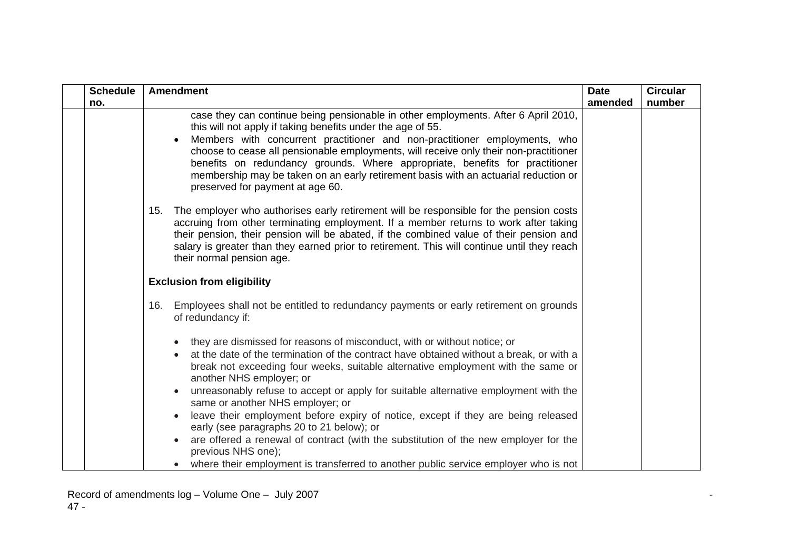| <b>Schedule</b> | <b>Amendment</b>                                                                                                                                                                                                                                                                                                                                                                                             | <b>Date</b> | <b>Circular</b> |
|-----------------|--------------------------------------------------------------------------------------------------------------------------------------------------------------------------------------------------------------------------------------------------------------------------------------------------------------------------------------------------------------------------------------------------------------|-------------|-----------------|
| no.             |                                                                                                                                                                                                                                                                                                                                                                                                              | amended     | number          |
|                 | case they can continue being pensionable in other employments. After 6 April 2010,<br>this will not apply if taking benefits under the age of 55.                                                                                                                                                                                                                                                            |             |                 |
|                 | Members with concurrent practitioner and non-practitioner employments, who<br>choose to cease all pensionable employments, will receive only their non-practitioner<br>benefits on redundancy grounds. Where appropriate, benefits for practitioner<br>membership may be taken on an early retirement basis with an actuarial reduction or<br>preserved for payment at age 60.                               |             |                 |
|                 | The employer who authorises early retirement will be responsible for the pension costs<br>15.<br>accruing from other terminating employment. If a member returns to work after taking<br>their pension, their pension will be abated, if the combined value of their pension and<br>salary is greater than they earned prior to retirement. This will continue until they reach<br>their normal pension age. |             |                 |
|                 | <b>Exclusion from eligibility</b>                                                                                                                                                                                                                                                                                                                                                                            |             |                 |
|                 | Employees shall not be entitled to redundancy payments or early retirement on grounds<br>16.<br>of redundancy if:                                                                                                                                                                                                                                                                                            |             |                 |
|                 | they are dismissed for reasons of misconduct, with or without notice; or                                                                                                                                                                                                                                                                                                                                     |             |                 |
|                 | at the date of the termination of the contract have obtained without a break, or with a<br>$\bullet$                                                                                                                                                                                                                                                                                                         |             |                 |
|                 | break not exceeding four weeks, suitable alternative employment with the same or<br>another NHS employer; or                                                                                                                                                                                                                                                                                                 |             |                 |
|                 | unreasonably refuse to accept or apply for suitable alternative employment with the<br>same or another NHS employer; or                                                                                                                                                                                                                                                                                      |             |                 |
|                 | leave their employment before expiry of notice, except if they are being released<br>early (see paragraphs 20 to 21 below); or                                                                                                                                                                                                                                                                               |             |                 |
|                 | are offered a renewal of contract (with the substitution of the new employer for the<br>previous NHS one);                                                                                                                                                                                                                                                                                                   |             |                 |
|                 | • where their employment is transferred to another public service employer who is not                                                                                                                                                                                                                                                                                                                        |             |                 |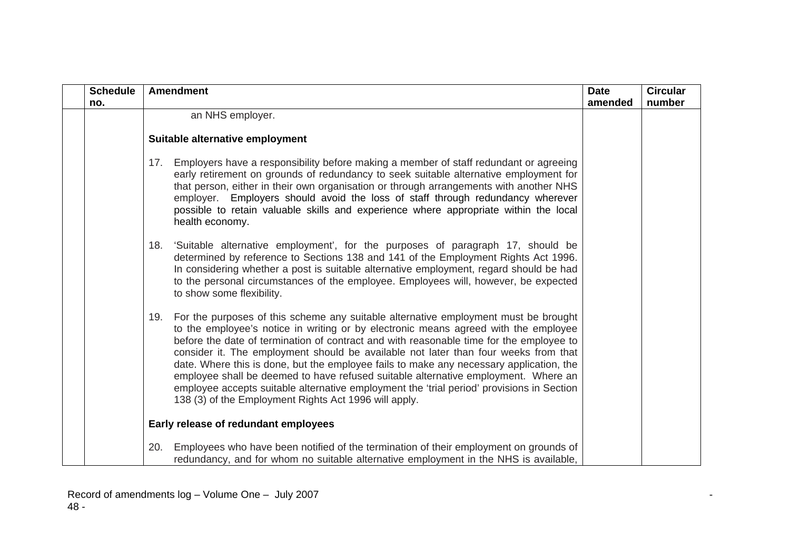| <b>Schedule</b> | <b>Amendment</b>                                                                                                                                                                                                                                                                                                                                                                                                                                                                                                                                                                                                                                                                                           | <b>Date</b> | <b>Circular</b> |
|-----------------|------------------------------------------------------------------------------------------------------------------------------------------------------------------------------------------------------------------------------------------------------------------------------------------------------------------------------------------------------------------------------------------------------------------------------------------------------------------------------------------------------------------------------------------------------------------------------------------------------------------------------------------------------------------------------------------------------------|-------------|-----------------|
| no.             |                                                                                                                                                                                                                                                                                                                                                                                                                                                                                                                                                                                                                                                                                                            | amended     | number          |
|                 | an NHS employer.                                                                                                                                                                                                                                                                                                                                                                                                                                                                                                                                                                                                                                                                                           |             |                 |
|                 | Suitable alternative employment                                                                                                                                                                                                                                                                                                                                                                                                                                                                                                                                                                                                                                                                            |             |                 |
|                 | Employers have a responsibility before making a member of staff redundant or agreeing<br>17.<br>early retirement on grounds of redundancy to seek suitable alternative employment for<br>that person, either in their own organisation or through arrangements with another NHS<br>employer. Employers should avoid the loss of staff through redundancy wherever<br>possible to retain valuable skills and experience where appropriate within the local<br>health economy.                                                                                                                                                                                                                               |             |                 |
|                 | 'Suitable alternative employment', for the purposes of paragraph 17, should be<br>18.<br>determined by reference to Sections 138 and 141 of the Employment Rights Act 1996.<br>In considering whether a post is suitable alternative employment, regard should be had<br>to the personal circumstances of the employee. Employees will, however, be expected<br>to show some flexibility.                                                                                                                                                                                                                                                                                                                  |             |                 |
|                 | For the purposes of this scheme any suitable alternative employment must be brought<br>19.<br>to the employee's notice in writing or by electronic means agreed with the employee<br>before the date of termination of contract and with reasonable time for the employee to<br>consider it. The employment should be available not later than four weeks from that<br>date. Where this is done, but the employee fails to make any necessary application, the<br>employee shall be deemed to have refused suitable alternative employment. Where an<br>employee accepts suitable alternative employment the 'trial period' provisions in Section<br>138 (3) of the Employment Rights Act 1996 will apply. |             |                 |
|                 | Early release of redundant employees                                                                                                                                                                                                                                                                                                                                                                                                                                                                                                                                                                                                                                                                       |             |                 |
|                 | Employees who have been notified of the termination of their employment on grounds of<br>20.<br>redundancy, and for whom no suitable alternative employment in the NHS is available,                                                                                                                                                                                                                                                                                                                                                                                                                                                                                                                       |             |                 |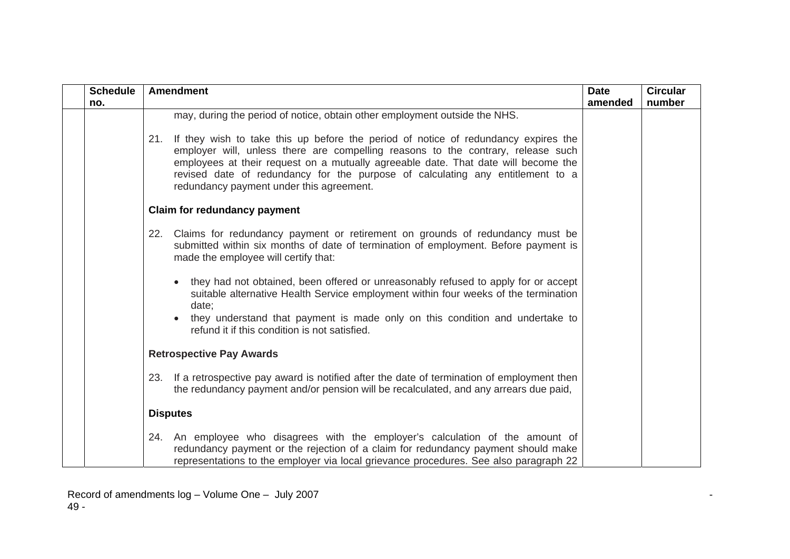| <b>Schedule</b> | <b>Amendment</b>                                                                                                                                                                                                                                                                                                                                                                                  | <b>Date</b> | <b>Circular</b> |
|-----------------|---------------------------------------------------------------------------------------------------------------------------------------------------------------------------------------------------------------------------------------------------------------------------------------------------------------------------------------------------------------------------------------------------|-------------|-----------------|
| no.             |                                                                                                                                                                                                                                                                                                                                                                                                   | amended     | number          |
|                 | may, during the period of notice, obtain other employment outside the NHS.                                                                                                                                                                                                                                                                                                                        |             |                 |
|                 | If they wish to take this up before the period of notice of redundancy expires the<br>21.<br>employer will, unless there are compelling reasons to the contrary, release such<br>employees at their request on a mutually agreeable date. That date will become the<br>revised date of redundancy for the purpose of calculating any entitlement to a<br>redundancy payment under this agreement. |             |                 |
|                 | <b>Claim for redundancy payment</b>                                                                                                                                                                                                                                                                                                                                                               |             |                 |
|                 | 22. Claims for redundancy payment or retirement on grounds of redundancy must be<br>submitted within six months of date of termination of employment. Before payment is<br>made the employee will certify that:                                                                                                                                                                                   |             |                 |
|                 | • they had not obtained, been offered or unreasonably refused to apply for or accept<br>suitable alternative Health Service employment within four weeks of the termination<br>date;                                                                                                                                                                                                              |             |                 |
|                 | they understand that payment is made only on this condition and undertake to<br>$\bullet$<br>refund it if this condition is not satisfied.                                                                                                                                                                                                                                                        |             |                 |
|                 | <b>Retrospective Pay Awards</b>                                                                                                                                                                                                                                                                                                                                                                   |             |                 |
|                 | 23. If a retrospective pay award is notified after the date of termination of employment then<br>the redundancy payment and/or pension will be recalculated, and any arrears due paid,                                                                                                                                                                                                            |             |                 |
|                 | <b>Disputes</b>                                                                                                                                                                                                                                                                                                                                                                                   |             |                 |
|                 | 24. An employee who disagrees with the employer's calculation of the amount of<br>redundancy payment or the rejection of a claim for redundancy payment should make<br>representations to the employer via local grievance procedures. See also paragraph 22                                                                                                                                      |             |                 |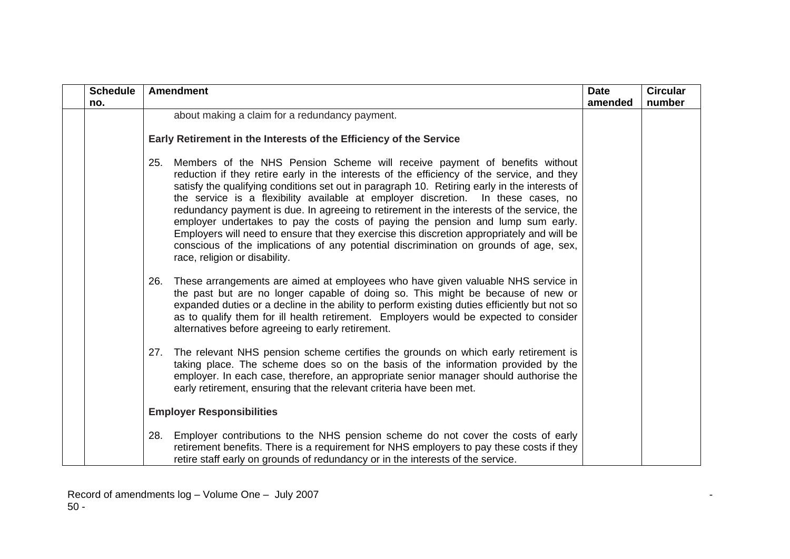| <b>Schedule</b> | <b>Amendment</b>                                                                                                                                                                                                                                                                                                                                                                                                                                                                                                                                                                                                                                                                                                                                                             | <b>Date</b> | <b>Circular</b> |
|-----------------|------------------------------------------------------------------------------------------------------------------------------------------------------------------------------------------------------------------------------------------------------------------------------------------------------------------------------------------------------------------------------------------------------------------------------------------------------------------------------------------------------------------------------------------------------------------------------------------------------------------------------------------------------------------------------------------------------------------------------------------------------------------------------|-------------|-----------------|
| no.             |                                                                                                                                                                                                                                                                                                                                                                                                                                                                                                                                                                                                                                                                                                                                                                              | amended     | number          |
|                 | about making a claim for a redundancy payment.                                                                                                                                                                                                                                                                                                                                                                                                                                                                                                                                                                                                                                                                                                                               |             |                 |
|                 | Early Retirement in the Interests of the Efficiency of the Service                                                                                                                                                                                                                                                                                                                                                                                                                                                                                                                                                                                                                                                                                                           |             |                 |
|                 | Members of the NHS Pension Scheme will receive payment of benefits without<br>25.<br>reduction if they retire early in the interests of the efficiency of the service, and they<br>satisfy the qualifying conditions set out in paragraph 10. Retiring early in the interests of<br>the service is a flexibility available at employer discretion. In these cases, no<br>redundancy payment is due. In agreeing to retirement in the interests of the service, the<br>employer undertakes to pay the costs of paying the pension and lump sum early.<br>Employers will need to ensure that they exercise this discretion appropriately and will be<br>conscious of the implications of any potential discrimination on grounds of age, sex,<br>race, religion or disability. |             |                 |
|                 | These arrangements are aimed at employees who have given valuable NHS service in<br>26.<br>the past but are no longer capable of doing so. This might be because of new or<br>expanded duties or a decline in the ability to perform existing duties efficiently but not so<br>as to qualify them for ill health retirement. Employers would be expected to consider<br>alternatives before agreeing to early retirement.                                                                                                                                                                                                                                                                                                                                                    |             |                 |
|                 | The relevant NHS pension scheme certifies the grounds on which early retirement is<br>27.<br>taking place. The scheme does so on the basis of the information provided by the<br>employer. In each case, therefore, an appropriate senior manager should authorise the<br>early retirement, ensuring that the relevant criteria have been met.                                                                                                                                                                                                                                                                                                                                                                                                                               |             |                 |
|                 | <b>Employer Responsibilities</b>                                                                                                                                                                                                                                                                                                                                                                                                                                                                                                                                                                                                                                                                                                                                             |             |                 |
|                 | Employer contributions to the NHS pension scheme do not cover the costs of early<br>28.<br>retirement benefits. There is a requirement for NHS employers to pay these costs if they<br>retire staff early on grounds of redundancy or in the interests of the service.                                                                                                                                                                                                                                                                                                                                                                                                                                                                                                       |             |                 |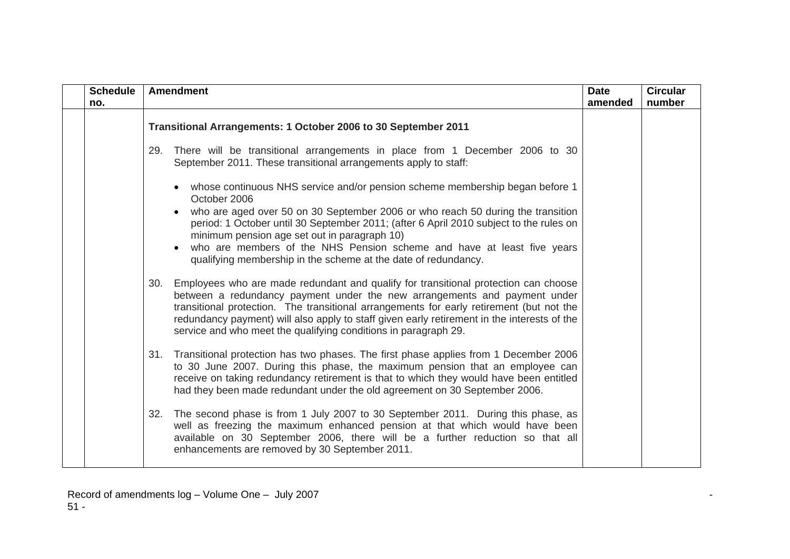| <b>Schedule</b><br>no. | <b>Amendment</b>                                                                                                                                                                                                                                                                                                                                                                                                                      | <b>Date</b><br>amended | <b>Circular</b><br>number |
|------------------------|---------------------------------------------------------------------------------------------------------------------------------------------------------------------------------------------------------------------------------------------------------------------------------------------------------------------------------------------------------------------------------------------------------------------------------------|------------------------|---------------------------|
|                        | Transitional Arrangements: 1 October 2006 to 30 September 2011                                                                                                                                                                                                                                                                                                                                                                        |                        |                           |
|                        | There will be transitional arrangements in place from 1 December 2006 to 30<br>29.<br>September 2011. These transitional arrangements apply to staff:                                                                                                                                                                                                                                                                                 |                        |                           |
|                        | • whose continuous NHS service and/or pension scheme membership began before 1<br>October 2006<br>who are aged over 50 on 30 September 2006 or who reach 50 during the transition<br>period: 1 October until 30 September 2011; (after 6 April 2010 subject to the rules on<br>minimum pension age set out in paragraph 10)<br>who are members of the NHS Pension scheme and have at least five years                                 |                        |                           |
|                        | qualifying membership in the scheme at the date of redundancy.                                                                                                                                                                                                                                                                                                                                                                        |                        |                           |
|                        | Employees who are made redundant and qualify for transitional protection can choose<br>30.<br>between a redundancy payment under the new arrangements and payment under<br>transitional protection. The transitional arrangements for early retirement (but not the<br>redundancy payment) will also apply to staff given early retirement in the interests of the<br>service and who meet the qualifying conditions in paragraph 29. |                        |                           |
|                        | Transitional protection has two phases. The first phase applies from 1 December 2006<br>31.<br>to 30 June 2007. During this phase, the maximum pension that an employee can<br>receive on taking redundancy retirement is that to which they would have been entitled<br>had they been made redundant under the old agreement on 30 September 2006.                                                                                   |                        |                           |
|                        | The second phase is from 1 July 2007 to 30 September 2011. During this phase, as<br>32.<br>well as freezing the maximum enhanced pension at that which would have been<br>available on 30 September 2006, there will be a further reduction so that all<br>enhancements are removed by 30 September 2011.                                                                                                                             |                        |                           |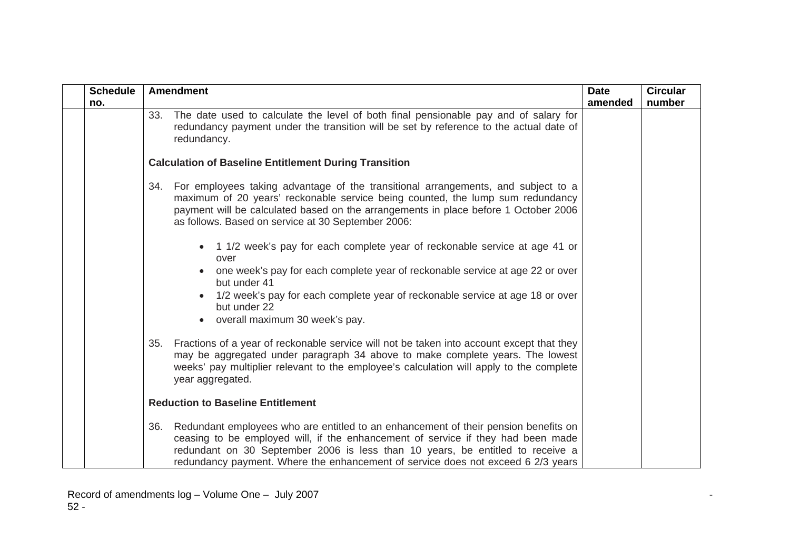| <b>Schedule</b> | <b>Amendment</b>                                                                                                                                                                                                                                                                                                                                     | <b>Date</b> | <b>Circular</b> |
|-----------------|------------------------------------------------------------------------------------------------------------------------------------------------------------------------------------------------------------------------------------------------------------------------------------------------------------------------------------------------------|-------------|-----------------|
| no.             |                                                                                                                                                                                                                                                                                                                                                      | amended     | number          |
|                 | The date used to calculate the level of both final pensionable pay and of salary for<br>33.<br>redundancy payment under the transition will be set by reference to the actual date of<br>redundancy.                                                                                                                                                 |             |                 |
|                 | <b>Calculation of Baseline Entitlement During Transition</b>                                                                                                                                                                                                                                                                                         |             |                 |
|                 | 34. For employees taking advantage of the transitional arrangements, and subject to a<br>maximum of 20 years' reckonable service being counted, the lump sum redundancy<br>payment will be calculated based on the arrangements in place before 1 October 2006<br>as follows. Based on service at 30 September 2006:                                 |             |                 |
|                 | 1 1/2 week's pay for each complete year of reckonable service at age 41 or<br>$\bullet$<br>over                                                                                                                                                                                                                                                      |             |                 |
|                 | one week's pay for each complete year of reckonable service at age 22 or over<br>but under 41                                                                                                                                                                                                                                                        |             |                 |
|                 | 1/2 week's pay for each complete year of reckonable service at age 18 or over<br>but under 22<br>overall maximum 30 week's pay.                                                                                                                                                                                                                      |             |                 |
|                 | Fractions of a year of reckonable service will not be taken into account except that they<br>35.<br>may be aggregated under paragraph 34 above to make complete years. The lowest<br>weeks' pay multiplier relevant to the employee's calculation will apply to the complete<br>year aggregated.                                                     |             |                 |
|                 | <b>Reduction to Baseline Entitlement</b>                                                                                                                                                                                                                                                                                                             |             |                 |
|                 | Redundant employees who are entitled to an enhancement of their pension benefits on<br>36.<br>ceasing to be employed will, if the enhancement of service if they had been made<br>redundant on 30 September 2006 is less than 10 years, be entitled to receive a<br>redundancy payment. Where the enhancement of service does not exceed 6 2/3 years |             |                 |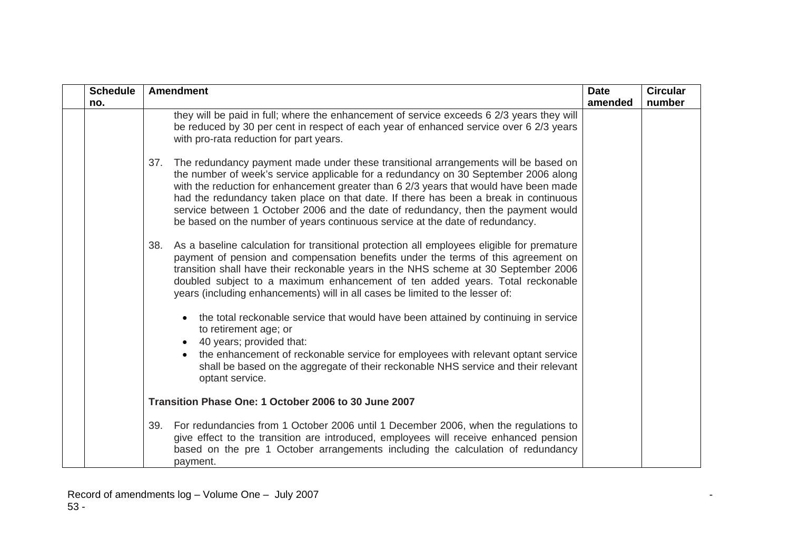| <b>Schedule</b><br>no. | <b>Amendment</b>                                                                                                                                                                                                                                                                                                                                                                                                                                                                                                                        | <b>Date</b><br>amended | <b>Circular</b><br>number |
|------------------------|-----------------------------------------------------------------------------------------------------------------------------------------------------------------------------------------------------------------------------------------------------------------------------------------------------------------------------------------------------------------------------------------------------------------------------------------------------------------------------------------------------------------------------------------|------------------------|---------------------------|
|                        | they will be paid in full; where the enhancement of service exceeds 6 2/3 years they will<br>be reduced by 30 per cent in respect of each year of enhanced service over 6 2/3 years<br>with pro-rata reduction for part years.                                                                                                                                                                                                                                                                                                          |                        |                           |
|                        | The redundancy payment made under these transitional arrangements will be based on<br>37.<br>the number of week's service applicable for a redundancy on 30 September 2006 along<br>with the reduction for enhancement greater than 6 2/3 years that would have been made<br>had the redundancy taken place on that date. If there has been a break in continuous<br>service between 1 October 2006 and the date of redundancy, then the payment would<br>be based on the number of years continuous service at the date of redundancy. |                        |                           |
|                        | As a baseline calculation for transitional protection all employees eligible for premature<br>38.<br>payment of pension and compensation benefits under the terms of this agreement on<br>transition shall have their reckonable years in the NHS scheme at 30 September 2006<br>doubled subject to a maximum enhancement of ten added years. Total reckonable<br>years (including enhancements) will in all cases be limited to the lesser of:                                                                                         |                        |                           |
|                        | the total reckonable service that would have been attained by continuing in service<br>to retirement age; or<br>40 years; provided that:<br>the enhancement of reckonable service for employees with relevant optant service<br>shall be based on the aggregate of their reckonable NHS service and their relevant<br>optant service.                                                                                                                                                                                                   |                        |                           |
|                        | Transition Phase One: 1 October 2006 to 30 June 2007                                                                                                                                                                                                                                                                                                                                                                                                                                                                                    |                        |                           |
|                        | 39. For redundancies from 1 October 2006 until 1 December 2006, when the regulations to<br>give effect to the transition are introduced, employees will receive enhanced pension<br>based on the pre 1 October arrangements including the calculation of redundancy<br>payment.                                                                                                                                                                                                                                                         |                        |                           |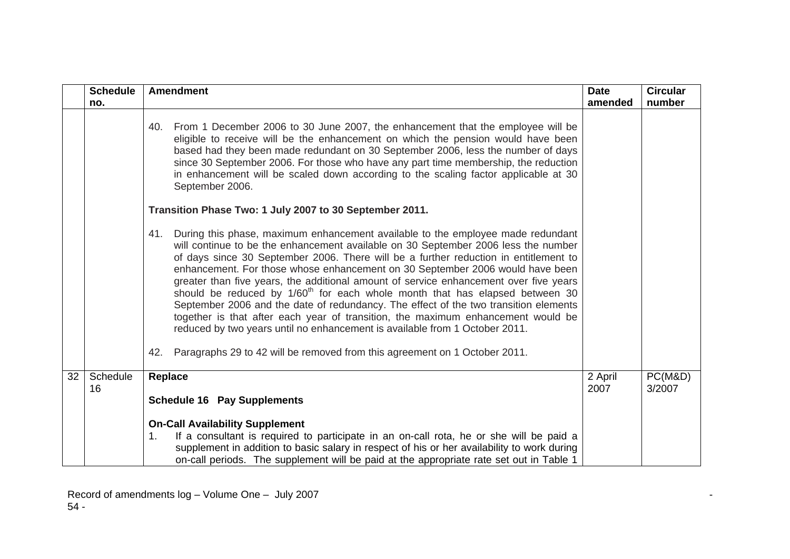|    | <b>Schedule</b><br>no. | <b>Amendment</b>                                                                                                                                                                                                                                                                                                                                                                                                                                                                                                                                                                                                                                                                                                                                                                                                                                                                           | <b>Date</b><br>amended | <b>Circular</b><br>number |
|----|------------------------|--------------------------------------------------------------------------------------------------------------------------------------------------------------------------------------------------------------------------------------------------------------------------------------------------------------------------------------------------------------------------------------------------------------------------------------------------------------------------------------------------------------------------------------------------------------------------------------------------------------------------------------------------------------------------------------------------------------------------------------------------------------------------------------------------------------------------------------------------------------------------------------------|------------------------|---------------------------|
|    |                        | From 1 December 2006 to 30 June 2007, the enhancement that the employee will be<br>40.<br>eligible to receive will be the enhancement on which the pension would have been<br>based had they been made redundant on 30 September 2006, less the number of days<br>since 30 September 2006. For those who have any part time membership, the reduction<br>in enhancement will be scaled down according to the scaling factor applicable at 30<br>September 2006.                                                                                                                                                                                                                                                                                                                                                                                                                            |                        |                           |
|    |                        | Transition Phase Two: 1 July 2007 to 30 September 2011.                                                                                                                                                                                                                                                                                                                                                                                                                                                                                                                                                                                                                                                                                                                                                                                                                                    |                        |                           |
|    |                        | During this phase, maximum enhancement available to the employee made redundant<br>41.<br>will continue to be the enhancement available on 30 September 2006 less the number<br>of days since 30 September 2006. There will be a further reduction in entitlement to<br>enhancement. For those whose enhancement on 30 September 2006 would have been<br>greater than five years, the additional amount of service enhancement over five years<br>should be reduced by 1/60 <sup>th</sup> for each whole month that has elapsed between 30<br>September 2006 and the date of redundancy. The effect of the two transition elements<br>together is that after each year of transition, the maximum enhancement would be<br>reduced by two years until no enhancement is available from 1 October 2011.<br>Paragraphs 29 to 42 will be removed from this agreement on 1 October 2011.<br>42. |                        |                           |
| 32 | Schedule<br>16         | Replace                                                                                                                                                                                                                                                                                                                                                                                                                                                                                                                                                                                                                                                                                                                                                                                                                                                                                    | 2 April<br>2007        | PC(M&D)<br>3/2007         |
|    |                        | <b>Schedule 16 Pay Supplements</b>                                                                                                                                                                                                                                                                                                                                                                                                                                                                                                                                                                                                                                                                                                                                                                                                                                                         |                        |                           |
|    |                        | <b>On-Call Availability Supplement</b><br>If a consultant is required to participate in an on-call rota, he or she will be paid a<br>1 <sub>1</sub><br>supplement in addition to basic salary in respect of his or her availability to work during<br>on-call periods. The supplement will be paid at the appropriate rate set out in Table 1                                                                                                                                                                                                                                                                                                                                                                                                                                                                                                                                              |                        |                           |

Record of amendments log – Volume One – July 2007 - 54 -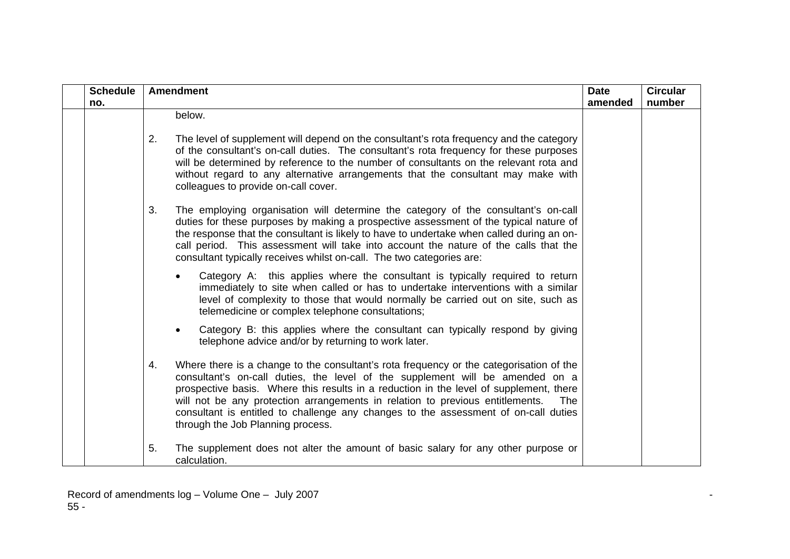| <b>Schedule</b> | <b>Amendment</b>                                                                                                                                                                                                                                                                                                                                                                                                                                                                                    | <b>Date</b> | <b>Circular</b> |
|-----------------|-----------------------------------------------------------------------------------------------------------------------------------------------------------------------------------------------------------------------------------------------------------------------------------------------------------------------------------------------------------------------------------------------------------------------------------------------------------------------------------------------------|-------------|-----------------|
| no.             |                                                                                                                                                                                                                                                                                                                                                                                                                                                                                                     | amended     | number          |
|                 | below.                                                                                                                                                                                                                                                                                                                                                                                                                                                                                              |             |                 |
|                 | The level of supplement will depend on the consultant's rota frequency and the category<br>2.<br>of the consultant's on-call duties. The consultant's rota frequency for these purposes<br>will be determined by reference to the number of consultants on the relevant rota and<br>without regard to any alternative arrangements that the consultant may make with<br>colleagues to provide on-call cover.                                                                                        |             |                 |
|                 | 3.<br>The employing organisation will determine the category of the consultant's on-call<br>duties for these purposes by making a prospective assessment of the typical nature of<br>the response that the consultant is likely to have to undertake when called during an on-<br>call period. This assessment will take into account the nature of the calls that the<br>consultant typically receives whilst on-call. The two categories are:                                                     |             |                 |
|                 | Category A: this applies where the consultant is typically required to return<br>$\bullet$<br>immediately to site when called or has to undertake interventions with a similar<br>level of complexity to those that would normally be carried out on site, such as<br>telemedicine or complex telephone consultations;                                                                                                                                                                              |             |                 |
|                 | Category B: this applies where the consultant can typically respond by giving<br>$\bullet$<br>telephone advice and/or by returning to work later.                                                                                                                                                                                                                                                                                                                                                   |             |                 |
|                 | Where there is a change to the consultant's rota frequency or the categorisation of the<br>4.<br>consultant's on-call duties, the level of the supplement will be amended on a<br>prospective basis. Where this results in a reduction in the level of supplement, there<br>will not be any protection arrangements in relation to previous entitlements.<br><b>The</b><br>consultant is entitled to challenge any changes to the assessment of on-call duties<br>through the Job Planning process. |             |                 |
|                 | 5.<br>The supplement does not alter the amount of basic salary for any other purpose or<br>calculation.                                                                                                                                                                                                                                                                                                                                                                                             |             |                 |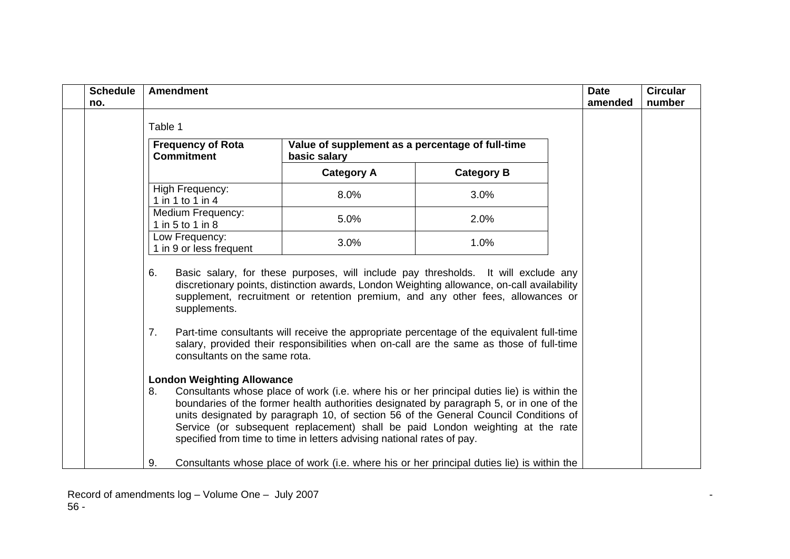<span id="page-55-0"></span>

| <b>Schedule</b><br>no. | <b>Amendment</b>                                          |                                                                        |                                                                                                                                                                                                                                                                                                                                                                                                                                                             | <b>Date</b><br>amended | <b>Circular</b><br>number |
|------------------------|-----------------------------------------------------------|------------------------------------------------------------------------|-------------------------------------------------------------------------------------------------------------------------------------------------------------------------------------------------------------------------------------------------------------------------------------------------------------------------------------------------------------------------------------------------------------------------------------------------------------|------------------------|---------------------------|
|                        | Table 1                                                   |                                                                        |                                                                                                                                                                                                                                                                                                                                                                                                                                                             |                        |                           |
|                        | <b>Frequency of Rota</b><br><b>Commitment</b>             | Value of supplement as a percentage of full-time<br>basic salary       |                                                                                                                                                                                                                                                                                                                                                                                                                                                             |                        |                           |
|                        |                                                           | <b>Category A</b>                                                      | <b>Category B</b>                                                                                                                                                                                                                                                                                                                                                                                                                                           |                        |                           |
|                        | High Frequency:<br>1 in 1 to 1 in 4                       | 8.0%                                                                   | 3.0%                                                                                                                                                                                                                                                                                                                                                                                                                                                        |                        |                           |
|                        | Medium Frequency:<br>1 in 5 to 1 in 8                     | 5.0%                                                                   | 2.0%                                                                                                                                                                                                                                                                                                                                                                                                                                                        |                        |                           |
|                        | Low Frequency:<br>1 in 9 or less frequent                 | 3.0%                                                                   | 1.0%                                                                                                                                                                                                                                                                                                                                                                                                                                                        |                        |                           |
|                        | 6.<br>supplements.<br>7.<br>consultants on the same rota. |                                                                        | Basic salary, for these purposes, will include pay thresholds. It will exclude any<br>discretionary points, distinction awards, London Weighting allowance, on-call availability<br>supplement, recruitment or retention premium, and any other fees, allowances or<br>Part-time consultants will receive the appropriate percentage of the equivalent full-time<br>salary, provided their responsibilities when on-call are the same as those of full-time |                        |                           |
|                        | <b>London Weighting Allowance</b><br>8.                   | specified from time to time in letters advising national rates of pay. | Consultants whose place of work (i.e. where his or her principal duties lie) is within the<br>boundaries of the former health authorities designated by paragraph 5, or in one of the<br>units designated by paragraph 10, of section 56 of the General Council Conditions of<br>Service (or subsequent replacement) shall be paid London weighting at the rate                                                                                             |                        |                           |
|                        | 9.                                                        |                                                                        | Consultants whose place of work (i.e. where his or her principal duties lie) is within the                                                                                                                                                                                                                                                                                                                                                                  |                        |                           |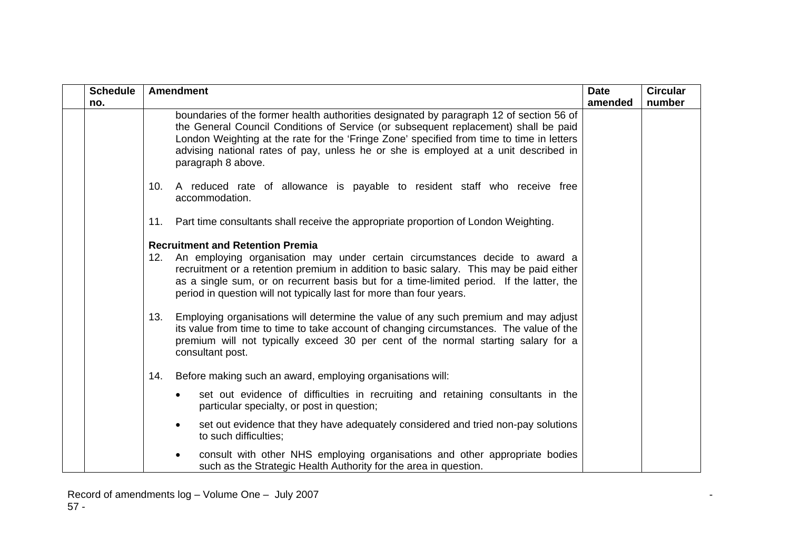| <b>Schedule</b> | <b>Amendment</b>                                                                                                                                                                                                                                                                                                                                                                         | <b>Date</b> | <b>Circular</b> |
|-----------------|------------------------------------------------------------------------------------------------------------------------------------------------------------------------------------------------------------------------------------------------------------------------------------------------------------------------------------------------------------------------------------------|-------------|-----------------|
| no.             |                                                                                                                                                                                                                                                                                                                                                                                          | amended     | number          |
|                 | boundaries of the former health authorities designated by paragraph 12 of section 56 of<br>the General Council Conditions of Service (or subsequent replacement) shall be paid<br>London Weighting at the rate for the 'Fringe Zone' specified from time to time in letters<br>advising national rates of pay, unless he or she is employed at a unit described in<br>paragraph 8 above. |             |                 |
|                 | A reduced rate of allowance is payable to resident staff who receive free<br>10.<br>accommodation.                                                                                                                                                                                                                                                                                       |             |                 |
|                 | Part time consultants shall receive the appropriate proportion of London Weighting.<br>11.                                                                                                                                                                                                                                                                                               |             |                 |
|                 | <b>Recruitment and Retention Premia</b>                                                                                                                                                                                                                                                                                                                                                  |             |                 |
|                 | An employing organisation may under certain circumstances decide to award a<br>12.<br>recruitment or a retention premium in addition to basic salary. This may be paid either<br>as a single sum, or on recurrent basis but for a time-limited period. If the latter, the<br>period in question will not typically last for more than four years.                                        |             |                 |
|                 | Employing organisations will determine the value of any such premium and may adjust<br>13.<br>its value from time to time to take account of changing circumstances. The value of the<br>premium will not typically exceed 30 per cent of the normal starting salary for a<br>consultant post.                                                                                           |             |                 |
|                 | Before making such an award, employing organisations will:<br>14.                                                                                                                                                                                                                                                                                                                        |             |                 |
|                 | set out evidence of difficulties in recruiting and retaining consultants in the<br>$\bullet$<br>particular specialty, or post in question;                                                                                                                                                                                                                                               |             |                 |
|                 | set out evidence that they have adequately considered and tried non-pay solutions<br>$\bullet$<br>to such difficulties;                                                                                                                                                                                                                                                                  |             |                 |
|                 | consult with other NHS employing organisations and other appropriate bodies<br>such as the Strategic Health Authority for the area in question.                                                                                                                                                                                                                                          |             |                 |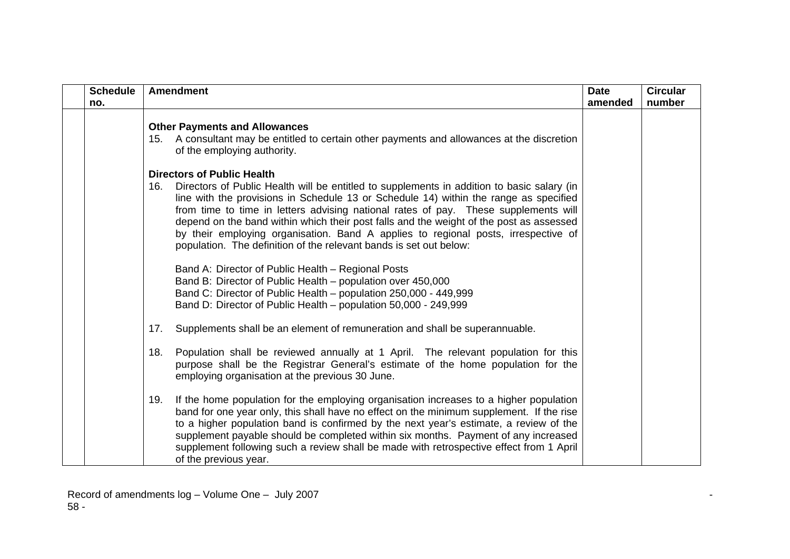| <b>Schedule</b><br>no. | <b>Amendment</b>                                                                                                                                                                                                                                                                                                                                                                                                                                                                                                                                                              | <b>Date</b><br>amended | <b>Circular</b><br>number |
|------------------------|-------------------------------------------------------------------------------------------------------------------------------------------------------------------------------------------------------------------------------------------------------------------------------------------------------------------------------------------------------------------------------------------------------------------------------------------------------------------------------------------------------------------------------------------------------------------------------|------------------------|---------------------------|
|                        | <b>Other Payments and Allowances</b><br>15. A consultant may be entitled to certain other payments and allowances at the discretion<br>of the employing authority.                                                                                                                                                                                                                                                                                                                                                                                                            |                        |                           |
|                        | <b>Directors of Public Health</b><br>Directors of Public Health will be entitled to supplements in addition to basic salary (in<br>16.<br>line with the provisions in Schedule 13 or Schedule 14) within the range as specified<br>from time to time in letters advising national rates of pay. These supplements will<br>depend on the band within which their post falls and the weight of the post as assessed<br>by their employing organisation. Band A applies to regional posts, irrespective of<br>population. The definition of the relevant bands is set out below: |                        |                           |
|                        | Band A: Director of Public Health - Regional Posts<br>Band B: Director of Public Health – population over 450,000<br>Band C: Director of Public Health - population 250,000 - 449,999<br>Band D: Director of Public Health - population 50,000 - 249,999                                                                                                                                                                                                                                                                                                                      |                        |                           |
|                        | Supplements shall be an element of remuneration and shall be superannuable.<br>17.                                                                                                                                                                                                                                                                                                                                                                                                                                                                                            |                        |                           |
|                        | Population shall be reviewed annually at 1 April. The relevant population for this<br>18.<br>purpose shall be the Registrar General's estimate of the home population for the<br>employing organisation at the previous 30 June.                                                                                                                                                                                                                                                                                                                                              |                        |                           |
|                        | If the home population for the employing organisation increases to a higher population<br>19.<br>band for one year only, this shall have no effect on the minimum supplement. If the rise<br>to a higher population band is confirmed by the next year's estimate, a review of the<br>supplement payable should be completed within six months. Payment of any increased<br>supplement following such a review shall be made with retrospective effect from 1 April<br>of the previous year.                                                                                  |                        |                           |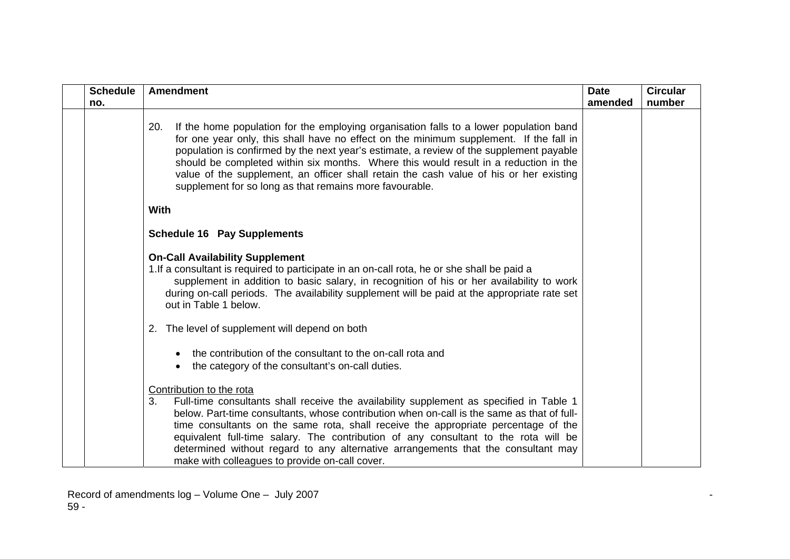| <b>Schedule</b> | <b>Amendment</b>                                                                                                                                                                                                                                                                                                                                                                                                                                                                                                                            | <b>Date</b> | <b>Circular</b> |
|-----------------|---------------------------------------------------------------------------------------------------------------------------------------------------------------------------------------------------------------------------------------------------------------------------------------------------------------------------------------------------------------------------------------------------------------------------------------------------------------------------------------------------------------------------------------------|-------------|-----------------|
| no.             |                                                                                                                                                                                                                                                                                                                                                                                                                                                                                                                                             | amended     | number          |
|                 | If the home population for the employing organisation falls to a lower population band<br>20.<br>for one year only, this shall have no effect on the minimum supplement. If the fall in<br>population is confirmed by the next year's estimate, a review of the supplement payable<br>should be completed within six months. Where this would result in a reduction in the<br>value of the supplement, an officer shall retain the cash value of his or her existing<br>supplement for so long as that remains more favourable.             |             |                 |
|                 | <b>With</b>                                                                                                                                                                                                                                                                                                                                                                                                                                                                                                                                 |             |                 |
|                 | <b>Schedule 16 Pay Supplements</b>                                                                                                                                                                                                                                                                                                                                                                                                                                                                                                          |             |                 |
|                 | <b>On-Call Availability Supplement</b><br>1. If a consultant is required to participate in an on-call rota, he or she shall be paid a<br>supplement in addition to basic salary, in recognition of his or her availability to work<br>during on-call periods. The availability supplement will be paid at the appropriate rate set<br>out in Table 1 below.                                                                                                                                                                                 |             |                 |
|                 | 2. The level of supplement will depend on both                                                                                                                                                                                                                                                                                                                                                                                                                                                                                              |             |                 |
|                 | the contribution of the consultant to the on-call rota and<br>$\bullet$<br>the category of the consultant's on-call duties.                                                                                                                                                                                                                                                                                                                                                                                                                 |             |                 |
|                 | Contribution to the rota<br>3.<br>Full-time consultants shall receive the availability supplement as specified in Table 1<br>below. Part-time consultants, whose contribution when on-call is the same as that of full-<br>time consultants on the same rota, shall receive the appropriate percentage of the<br>equivalent full-time salary. The contribution of any consultant to the rota will be<br>determined without regard to any alternative arrangements that the consultant may<br>make with colleagues to provide on-call cover. |             |                 |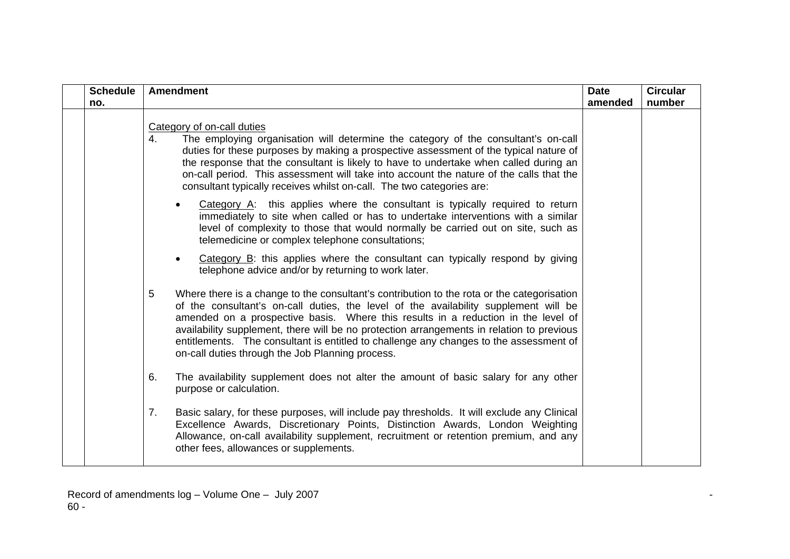| <b>Schedule</b> | <b>Amendment</b>                                                                                                                                                                                                                                                                                                                                                                                                                                                                                                        | <b>Date</b> | <b>Circular</b> |
|-----------------|-------------------------------------------------------------------------------------------------------------------------------------------------------------------------------------------------------------------------------------------------------------------------------------------------------------------------------------------------------------------------------------------------------------------------------------------------------------------------------------------------------------------------|-------------|-----------------|
| no.             |                                                                                                                                                                                                                                                                                                                                                                                                                                                                                                                         | amended     | number          |
|                 | Category of on-call duties<br>4.<br>The employing organisation will determine the category of the consultant's on-call<br>duties for these purposes by making a prospective assessment of the typical nature of<br>the response that the consultant is likely to have to undertake when called during an<br>on-call period. This assessment will take into account the nature of the calls that the<br>consultant typically receives whilst on-call. The two categories are:                                            |             |                 |
|                 | Category $A$ : this applies where the consultant is typically required to return<br>$\bullet$<br>immediately to site when called or has to undertake interventions with a similar<br>level of complexity to those that would normally be carried out on site, such as<br>telemedicine or complex telephone consultations;                                                                                                                                                                                               |             |                 |
|                 | Category $B$ : this applies where the consultant can typically respond by giving<br>$\bullet$<br>telephone advice and/or by returning to work later.                                                                                                                                                                                                                                                                                                                                                                    |             |                 |
|                 | 5<br>Where there is a change to the consultant's contribution to the rota or the categorisation<br>of the consultant's on-call duties, the level of the availability supplement will be<br>amended on a prospective basis. Where this results in a reduction in the level of<br>availability supplement, there will be no protection arrangements in relation to previous<br>entitlements. The consultant is entitled to challenge any changes to the assessment of<br>on-call duties through the Job Planning process. |             |                 |
|                 | 6.<br>The availability supplement does not alter the amount of basic salary for any other<br>purpose or calculation.                                                                                                                                                                                                                                                                                                                                                                                                    |             |                 |
|                 | 7.<br>Basic salary, for these purposes, will include pay thresholds. It will exclude any Clinical<br>Excellence Awards, Discretionary Points, Distinction Awards, London Weighting<br>Allowance, on-call availability supplement, recruitment or retention premium, and any<br>other fees, allowances or supplements.                                                                                                                                                                                                   |             |                 |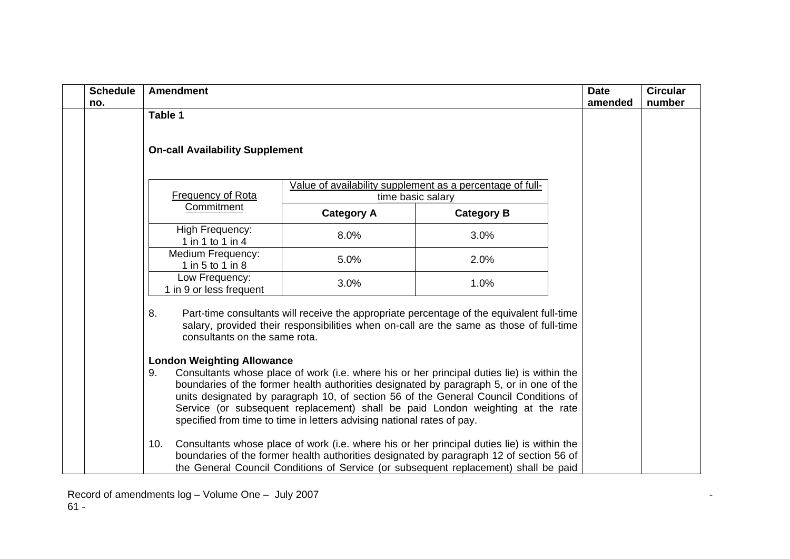| <b>Schedule</b><br>no. | <b>Amendment</b>                                                                                                                                                                                                                                                                                                                                                                                                                                |                   |                                                                                                                                                                                                                                                                              |  | <b>Date</b><br>amended | <b>Circular</b><br>number |
|------------------------|-------------------------------------------------------------------------------------------------------------------------------------------------------------------------------------------------------------------------------------------------------------------------------------------------------------------------------------------------------------------------------------------------------------------------------------------------|-------------------|------------------------------------------------------------------------------------------------------------------------------------------------------------------------------------------------------------------------------------------------------------------------------|--|------------------------|---------------------------|
|                        | Table 1                                                                                                                                                                                                                                                                                                                                                                                                                                         |                   |                                                                                                                                                                                                                                                                              |  |                        |                           |
|                        | <b>On-call Availability Supplement</b>                                                                                                                                                                                                                                                                                                                                                                                                          |                   |                                                                                                                                                                                                                                                                              |  |                        |                           |
|                        |                                                                                                                                                                                                                                                                                                                                                                                                                                                 |                   | Value of availability supplement as a percentage of full-                                                                                                                                                                                                                    |  |                        |                           |
|                        | <b>Frequency of Rota</b>                                                                                                                                                                                                                                                                                                                                                                                                                        |                   | time basic salary                                                                                                                                                                                                                                                            |  |                        |                           |
|                        | Commitment                                                                                                                                                                                                                                                                                                                                                                                                                                      | <b>Category A</b> | <b>Category B</b>                                                                                                                                                                                                                                                            |  |                        |                           |
|                        | High Frequency:<br>1 in 1 to 1 in 4                                                                                                                                                                                                                                                                                                                                                                                                             | 8.0%              | 3.0%                                                                                                                                                                                                                                                                         |  |                        |                           |
|                        | Medium Frequency:<br>1 in 5 to 1 in 8                                                                                                                                                                                                                                                                                                                                                                                                           | 5.0%              | 2.0%                                                                                                                                                                                                                                                                         |  |                        |                           |
|                        | Low Frequency:<br>1 in 9 or less frequent                                                                                                                                                                                                                                                                                                                                                                                                       | 3.0%              | 1.0%                                                                                                                                                                                                                                                                         |  |                        |                           |
|                        | 8.<br>consultants on the same rota.                                                                                                                                                                                                                                                                                                                                                                                                             |                   | Part-time consultants will receive the appropriate percentage of the equivalent full-time<br>salary, provided their responsibilities when on-call are the same as those of full-time                                                                                         |  |                        |                           |
|                        | <b>London Weighting Allowance</b>                                                                                                                                                                                                                                                                                                                                                                                                               |                   |                                                                                                                                                                                                                                                                              |  |                        |                           |
|                        | Consultants whose place of work (i.e. where his or her principal duties lie) is within the<br>9.<br>boundaries of the former health authorities designated by paragraph 5, or in one of the<br>units designated by paragraph 10, of section 56 of the General Council Conditions of<br>Service (or subsequent replacement) shall be paid London weighting at the rate<br>specified from time to time in letters advising national rates of pay. |                   |                                                                                                                                                                                                                                                                              |  |                        |                           |
|                        | 10.                                                                                                                                                                                                                                                                                                                                                                                                                                             |                   | Consultants whose place of work (i.e. where his or her principal duties lie) is within the<br>boundaries of the former health authorities designated by paragraph 12 of section 56 of<br>the General Council Conditions of Service (or subsequent replacement) shall be paid |  |                        |                           |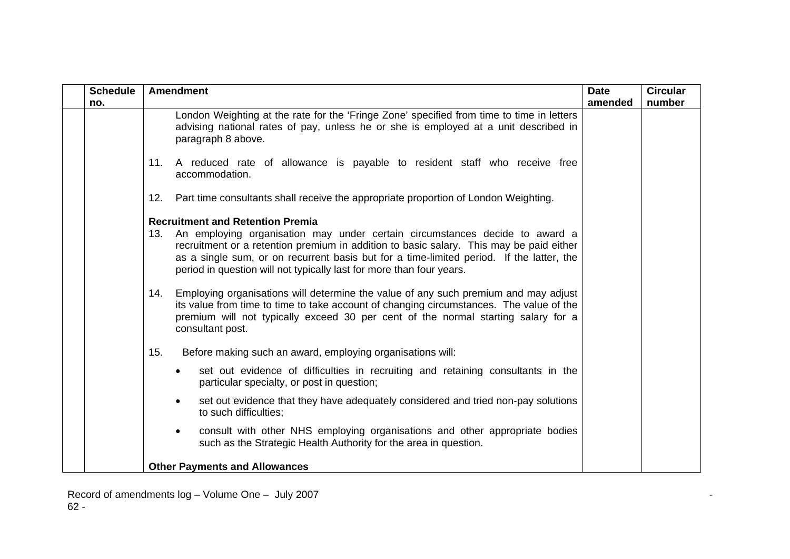| <b>Schedule</b> | <b>Amendment</b>                                                                                                                                                                                                                                                                                                                                                                          | <b>Date</b> | <b>Circular</b> |
|-----------------|-------------------------------------------------------------------------------------------------------------------------------------------------------------------------------------------------------------------------------------------------------------------------------------------------------------------------------------------------------------------------------------------|-------------|-----------------|
| no.             |                                                                                                                                                                                                                                                                                                                                                                                           | amended     | number          |
|                 | London Weighting at the rate for the 'Fringe Zone' specified from time to time in letters<br>advising national rates of pay, unless he or she is employed at a unit described in<br>paragraph 8 above.                                                                                                                                                                                    |             |                 |
|                 | A reduced rate of allowance is payable to resident staff who receive free<br>11.<br>accommodation.                                                                                                                                                                                                                                                                                        |             |                 |
|                 | Part time consultants shall receive the appropriate proportion of London Weighting.<br>12.                                                                                                                                                                                                                                                                                                |             |                 |
|                 | <b>Recruitment and Retention Premia</b><br>13. An employing organisation may under certain circumstances decide to award a<br>recruitment or a retention premium in addition to basic salary. This may be paid either<br>as a single sum, or on recurrent basis but for a time-limited period. If the latter, the<br>period in question will not typically last for more than four years. |             |                 |
|                 | Employing organisations will determine the value of any such premium and may adjust<br>14.<br>its value from time to time to take account of changing circumstances. The value of the<br>premium will not typically exceed 30 per cent of the normal starting salary for a<br>consultant post.                                                                                            |             |                 |
|                 | 15.<br>Before making such an award, employing organisations will:                                                                                                                                                                                                                                                                                                                         |             |                 |
|                 | set out evidence of difficulties in recruiting and retaining consultants in the<br>$\bullet$<br>particular specialty, or post in question;                                                                                                                                                                                                                                                |             |                 |
|                 | set out evidence that they have adequately considered and tried non-pay solutions<br>$\bullet$<br>to such difficulties;                                                                                                                                                                                                                                                                   |             |                 |
|                 | consult with other NHS employing organisations and other appropriate bodies<br>$\bullet$<br>such as the Strategic Health Authority for the area in question.                                                                                                                                                                                                                              |             |                 |
|                 | <b>Other Payments and Allowances</b>                                                                                                                                                                                                                                                                                                                                                      |             |                 |

Record of amendments log – Volume One – July 2007 - 62 -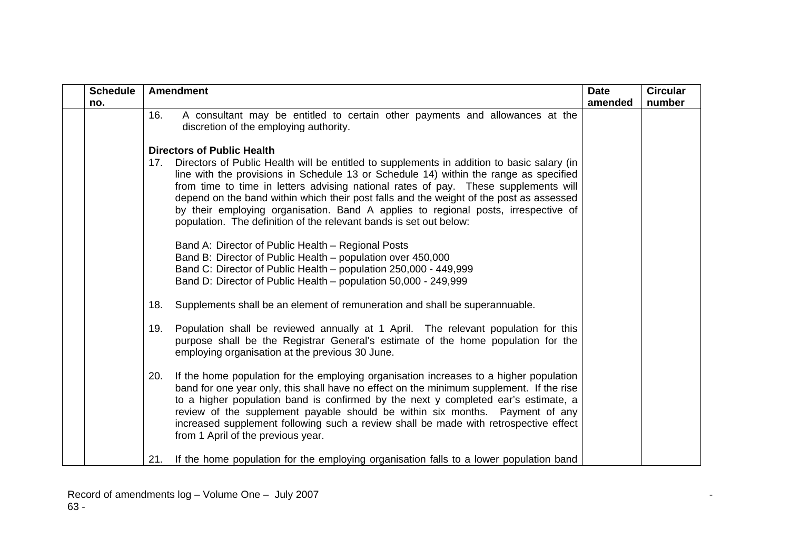| <b>Schedule</b> | <b>Amendment</b>                                                                                                                                                                                                                                                                                                                                                                                                                                                                                                                         | <b>Date</b> | <b>Circular</b> |
|-----------------|------------------------------------------------------------------------------------------------------------------------------------------------------------------------------------------------------------------------------------------------------------------------------------------------------------------------------------------------------------------------------------------------------------------------------------------------------------------------------------------------------------------------------------------|-------------|-----------------|
| no.             |                                                                                                                                                                                                                                                                                                                                                                                                                                                                                                                                          | amended     | number          |
|                 | 16.<br>A consultant may be entitled to certain other payments and allowances at the<br>discretion of the employing authority.                                                                                                                                                                                                                                                                                                                                                                                                            |             |                 |
|                 | <b>Directors of Public Health</b>                                                                                                                                                                                                                                                                                                                                                                                                                                                                                                        |             |                 |
|                 | Directors of Public Health will be entitled to supplements in addition to basic salary (in<br>17.<br>line with the provisions in Schedule 13 or Schedule 14) within the range as specified<br>from time to time in letters advising national rates of pay. These supplements will<br>depend on the band within which their post falls and the weight of the post as assessed<br>by their employing organisation. Band A applies to regional posts, irrespective of<br>population. The definition of the relevant bands is set out below: |             |                 |
|                 | Band A: Director of Public Health - Regional Posts<br>Band B: Director of Public Health – population over 450,000<br>Band C: Director of Public Health - population 250,000 - 449,999                                                                                                                                                                                                                                                                                                                                                    |             |                 |
|                 | Band D: Director of Public Health – population 50,000 - 249,999                                                                                                                                                                                                                                                                                                                                                                                                                                                                          |             |                 |
|                 | Supplements shall be an element of remuneration and shall be superannuable.<br>18.                                                                                                                                                                                                                                                                                                                                                                                                                                                       |             |                 |
|                 | Population shall be reviewed annually at 1 April. The relevant population for this<br>19.<br>purpose shall be the Registrar General's estimate of the home population for the<br>employing organisation at the previous 30 June.                                                                                                                                                                                                                                                                                                         |             |                 |
|                 | If the home population for the employing organisation increases to a higher population<br>20.<br>band for one year only, this shall have no effect on the minimum supplement. If the rise<br>to a higher population band is confirmed by the next y completed ear's estimate, a<br>review of the supplement payable should be within six months. Payment of any<br>increased supplement following such a review shall be made with retrospective effect<br>from 1 April of the previous year.                                            |             |                 |
|                 | If the home population for the employing organisation falls to a lower population band<br>21.                                                                                                                                                                                                                                                                                                                                                                                                                                            |             |                 |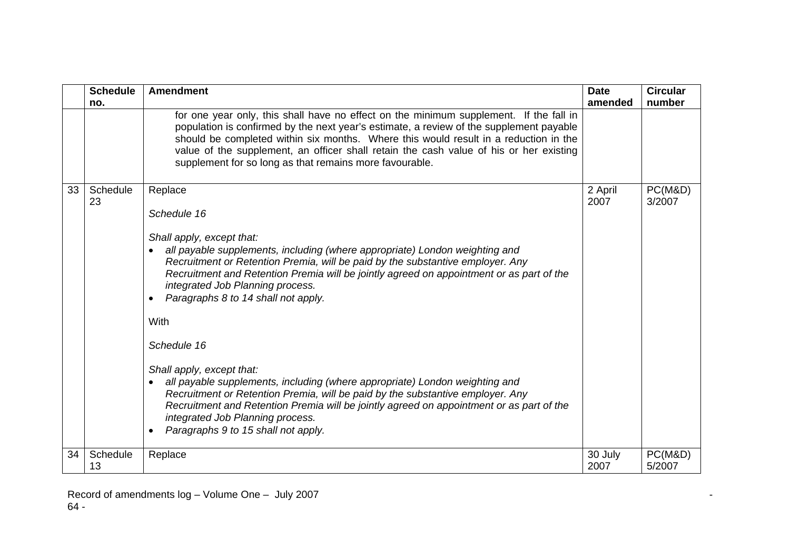|    | <b>Schedule</b> | <b>Amendment</b>                                                                                                                                                                                                                                                                                                                                                                                                                | <b>Date</b>     | <b>Circular</b>   |
|----|-----------------|---------------------------------------------------------------------------------------------------------------------------------------------------------------------------------------------------------------------------------------------------------------------------------------------------------------------------------------------------------------------------------------------------------------------------------|-----------------|-------------------|
|    | no.             |                                                                                                                                                                                                                                                                                                                                                                                                                                 | amended         | number            |
|    |                 | for one year only, this shall have no effect on the minimum supplement. If the fall in<br>population is confirmed by the next year's estimate, a review of the supplement payable<br>should be completed within six months. Where this would result in a reduction in the<br>value of the supplement, an officer shall retain the cash value of his or her existing<br>supplement for so long as that remains more favourable.  |                 |                   |
| 33 | Schedule<br>23  | Replace<br>Schedule 16<br>Shall apply, except that:<br>all payable supplements, including (where appropriate) London weighting and<br>Recruitment or Retention Premia, will be paid by the substantive employer. Any<br>Recruitment and Retention Premia will be jointly agreed on appointment or as part of the<br>integrated Job Planning process.<br>Paragraphs 8 to 14 shall not apply.<br>$\bullet$<br>With<br>Schedule 16 | 2 April<br>2007 | PC(M&D)<br>3/2007 |
|    |                 | Shall apply, except that:<br>all payable supplements, including (where appropriate) London weighting and<br>$\bullet$<br>Recruitment or Retention Premia, will be paid by the substantive employer. Any<br>Recruitment and Retention Premia will be jointly agreed on appointment or as part of the<br>integrated Job Planning process.<br>Paragraphs 9 to 15 shall not apply.<br>$\bullet$                                     |                 |                   |
| 34 | Schedule<br>13  | Replace                                                                                                                                                                                                                                                                                                                                                                                                                         | 30 July<br>2007 | PC(M&D)<br>5/2007 |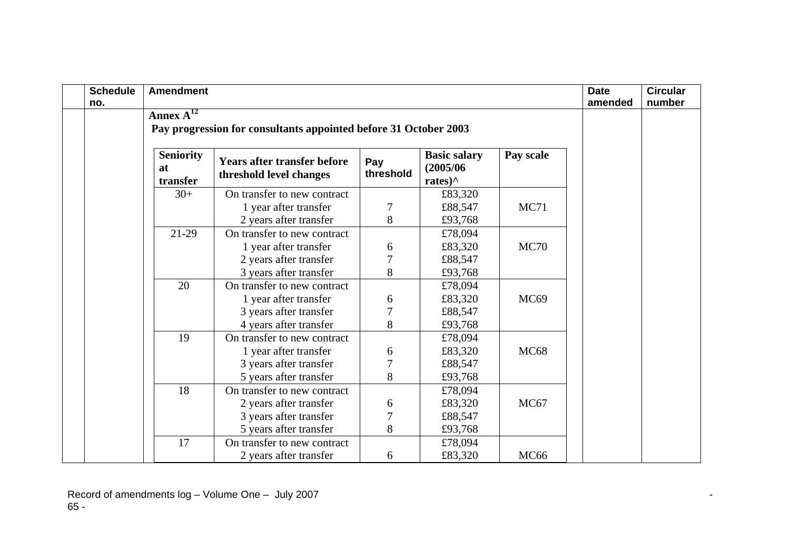| <b>Schedule</b><br>no. | <b>Amendment</b>                   |                                                                                |                     |                                                     |                  | <b>Date</b><br>amended | <b>Circular</b><br>number |
|------------------------|------------------------------------|--------------------------------------------------------------------------------|---------------------|-----------------------------------------------------|------------------|------------------------|---------------------------|
|                        | Annex $\overline{A^{12}}$          |                                                                                |                     |                                                     |                  |                        |                           |
|                        |                                    | Pay progression for consultants appointed before 31 October 2003               |                     |                                                     |                  |                        |                           |
|                        | <b>Seniority</b><br>at<br>transfer | <b>Years after transfer before</b><br>threshold level changes                  | Pay<br>threshold    | <b>Basic salary</b><br>(2005/06)<br>rates) $\wedge$ | Pay scale        |                        |                           |
|                        | $30+$                              | On transfer to new contract<br>1 year after transfer<br>2 years after transfer | 7<br>8              | £83,320<br>£88,547<br>£93,768                       | MC71             |                        |                           |
|                        | 21-29                              | On transfer to new contract<br>1 year after transfer                           | 6                   | £78,094<br>£83,320                                  | <b>MC70</b>      |                        |                           |
|                        |                                    | 2 years after transfer<br>3 years after transfer                               | 8                   | £88,547<br>£93,768                                  |                  |                        |                           |
|                        | 20                                 | On transfer to new contract<br>1 year after transfer<br>3 years after transfer | 6                   | £78,094<br>£83,320<br>£88,547                       | MC <sub>69</sub> |                        |                           |
|                        |                                    | 4 years after transfer                                                         | 8                   | £93,768                                             |                  |                        |                           |
|                        | 19                                 | On transfer to new contract<br>1 year after transfer                           | 6                   | £78,094<br>£83,320                                  | <b>MC68</b>      |                        |                           |
|                        |                                    | 3 years after transfer<br>5 years after transfer                               | 7<br>8              | £88,547<br>£93,768                                  |                  |                        |                           |
|                        | 18                                 | On transfer to new contract<br>2 years after transfer                          | 6                   | £78,094<br>£83,320                                  | MC67             |                        |                           |
|                        |                                    | 3 years after transfer<br>5 years after transfer                               | $\overline{7}$<br>8 | £88,547<br>£93,768                                  |                  |                        |                           |
|                        | 17                                 | On transfer to new contract<br>2 years after transfer                          | 6                   | £78,094<br>£83,320                                  | <b>MC66</b>      |                        |                           |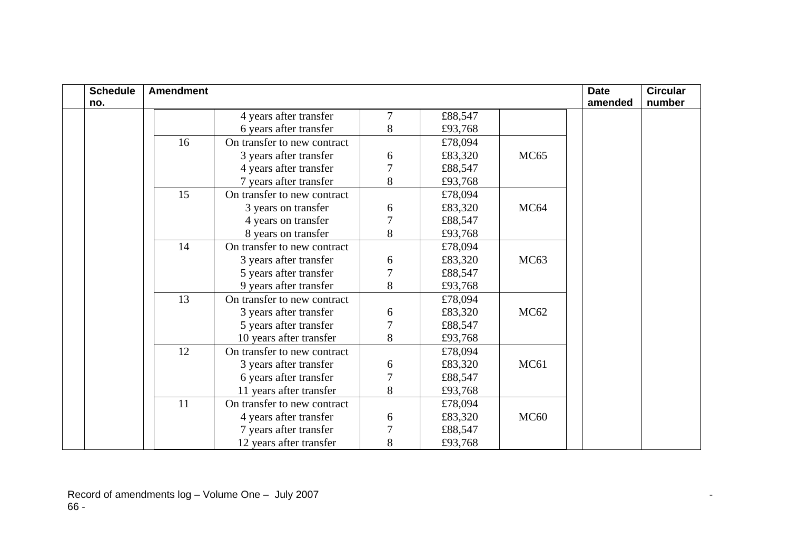| <b>Schedule</b><br>no. | <b>Amendment</b> |                             |        |         |                  | <b>Date</b><br>amended | <b>Circular</b><br>number |
|------------------------|------------------|-----------------------------|--------|---------|------------------|------------------------|---------------------------|
|                        |                  | 4 years after transfer      | $\tau$ | £88,547 |                  |                        |                           |
|                        |                  | 6 years after transfer      | 8      | £93,768 |                  |                        |                           |
|                        | 16               | On transfer to new contract |        | £78,094 |                  |                        |                           |
|                        |                  | 3 years after transfer      | 6      | £83,320 | MC <sub>65</sub> |                        |                           |
|                        |                  | 4 years after transfer      | 7      | £88,547 |                  |                        |                           |
|                        |                  | 7 years after transfer      | 8      | £93,768 |                  |                        |                           |
|                        | 15               | On transfer to new contract |        | £78,094 |                  |                        |                           |
|                        |                  | 3 years on transfer         | 6      | £83,320 | MC64             |                        |                           |
|                        |                  | 4 years on transfer         | 7      | £88,547 |                  |                        |                           |
|                        |                  | 8 years on transfer         | 8      | £93,768 |                  |                        |                           |
|                        | 14               | On transfer to new contract |        | £78,094 |                  |                        |                           |
|                        |                  | 3 years after transfer      | 6      | £83,320 | MC63             |                        |                           |
|                        |                  | 5 years after transfer      |        | £88,547 |                  |                        |                           |
|                        |                  | 9 years after transfer      | 8      | £93,768 |                  |                        |                           |
|                        | 13               | On transfer to new contract |        | £78,094 |                  |                        |                           |
|                        |                  | 3 years after transfer      | 6      | £83,320 | MC62             |                        |                           |
|                        |                  | 5 years after transfer      |        | £88,547 |                  |                        |                           |
|                        |                  | 10 years after transfer     | 8      | £93,768 |                  |                        |                           |
|                        | 12               | On transfer to new contract |        | £78,094 |                  |                        |                           |
|                        |                  | 3 years after transfer      | 6      | £83,320 | MC61             |                        |                           |
|                        |                  | 6 years after transfer      |        | £88,547 |                  |                        |                           |
|                        |                  | 11 years after transfer     | 8      | £93,768 |                  |                        |                           |
|                        | 11               | On transfer to new contract |        | £78,094 |                  |                        |                           |
|                        |                  | 4 years after transfer      | 6      | £83,320 | <b>MC60</b>      |                        |                           |
|                        |                  | 7 years after transfer      |        | £88,547 |                  |                        |                           |
|                        |                  | 12 years after transfer     | 8      | £93,768 |                  |                        |                           |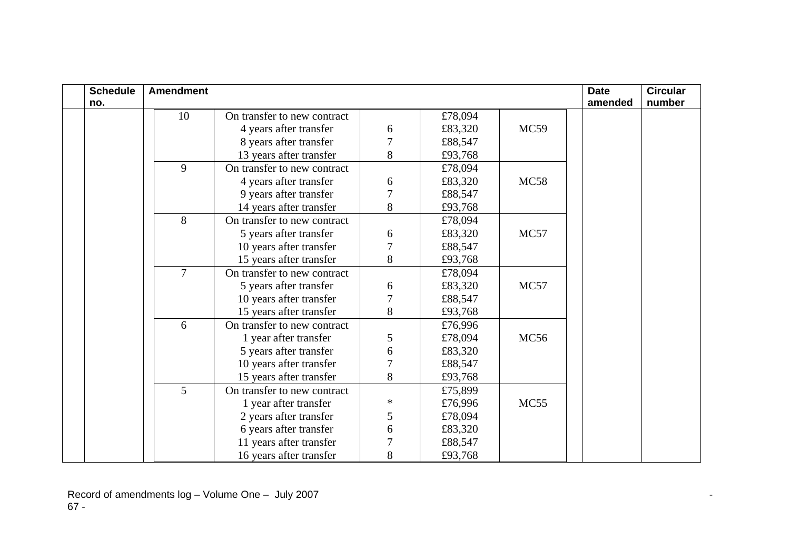| <b>Schedule</b><br>no. | <b>Amendment</b> |                             |                |         |             | <b>Date</b><br>amended | <b>Circular</b><br>number |
|------------------------|------------------|-----------------------------|----------------|---------|-------------|------------------------|---------------------------|
|                        | 10               | On transfer to new contract |                | £78,094 |             |                        |                           |
|                        |                  | 4 years after transfer      | 6              | £83,320 | <b>MC59</b> |                        |                           |
|                        |                  | 8 years after transfer      | 7              | £88,547 |             |                        |                           |
|                        |                  | 13 years after transfer     | 8              | £93,768 |             |                        |                           |
|                        | 9                | On transfer to new contract |                | £78,094 |             |                        |                           |
|                        |                  | 4 years after transfer      | 6              | £83,320 | <b>MC58</b> |                        |                           |
|                        |                  | 9 years after transfer      | 7              | £88,547 |             |                        |                           |
|                        |                  | 14 years after transfer     | 8              | £93,768 |             |                        |                           |
|                        | 8                | On transfer to new contract |                | £78,094 |             |                        |                           |
|                        |                  | 5 years after transfer      | 6              | £83,320 | MC57        |                        |                           |
|                        |                  | 10 years after transfer     | 7              | £88,547 |             |                        |                           |
|                        |                  | 15 years after transfer     | 8              | £93,768 |             |                        |                           |
|                        | $\overline{7}$   | On transfer to new contract |                | £78,094 |             |                        |                           |
|                        |                  |                             |                |         | MC57        |                        |                           |
|                        |                  | 5 years after transfer      | 6              | £83,320 |             |                        |                           |
|                        |                  | 10 years after transfer     | 7              | £88,547 |             |                        |                           |
|                        |                  | 15 years after transfer     | 8              | £93,768 |             |                        |                           |
|                        | 6                | On transfer to new contract |                | £76,996 |             |                        |                           |
|                        |                  | 1 year after transfer       | 5              | £78,094 | MC56        |                        |                           |
|                        |                  | 5 years after transfer      | 6              | £83,320 |             |                        |                           |
|                        |                  | 10 years after transfer     | $\overline{7}$ | £88,547 |             |                        |                           |
|                        |                  | 15 years after transfer     | 8              | £93,768 |             |                        |                           |
|                        | 5                | On transfer to new contract |                | £75,899 |             |                        |                           |
|                        |                  | 1 year after transfer       | $\ast$         | £76,996 | MC55        |                        |                           |
|                        |                  | 2 years after transfer      | 5              | £78,094 |             |                        |                           |
|                        |                  | 6 years after transfer      | 6              | £83,320 |             |                        |                           |
|                        |                  | 11 years after transfer     | 7              | £88,547 |             |                        |                           |
|                        |                  | 16 years after transfer     | 8              | £93,768 |             |                        |                           |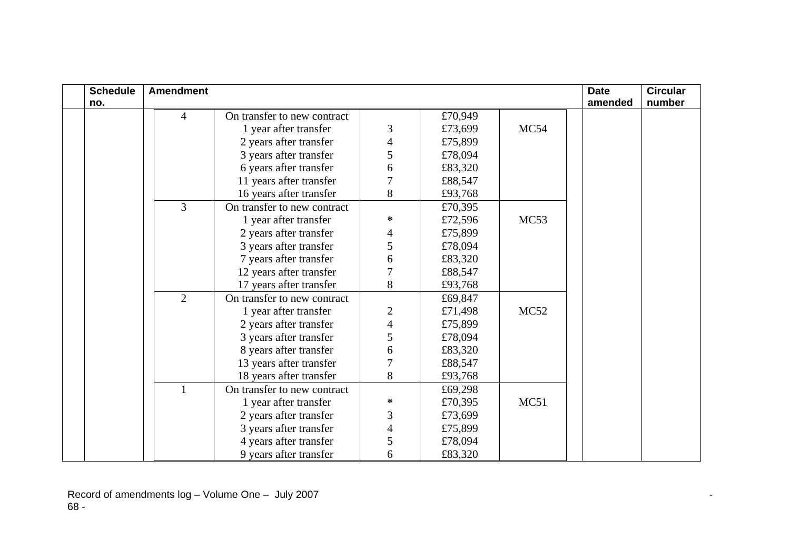| <b>Schedule</b> | <b>Amendment</b> |                             |                |         |                  | <b>Date</b> | <b>Circular</b> |
|-----------------|------------------|-----------------------------|----------------|---------|------------------|-------------|-----------------|
| no.             |                  |                             |                |         |                  | amended     | number          |
|                 | 4                | On transfer to new contract |                | £70,949 |                  |             |                 |
|                 |                  | 1 year after transfer       | 3              | £73,699 | MC54             |             |                 |
|                 |                  | 2 years after transfer      | 4              | £75,899 |                  |             |                 |
|                 |                  | 3 years after transfer      | 5              | £78,094 |                  |             |                 |
|                 |                  | 6 years after transfer      | 6              | £83,320 |                  |             |                 |
|                 |                  | 11 years after transfer     | 7              | £88,547 |                  |             |                 |
|                 |                  | 16 years after transfer     | 8              | £93,768 |                  |             |                 |
|                 | $\overline{3}$   | On transfer to new contract |                | £70,395 |                  |             |                 |
|                 |                  | 1 year after transfer       | $\ast$         | £72,596 | MC <sub>53</sub> |             |                 |
|                 |                  | 2 years after transfer      | 4              | £75,899 |                  |             |                 |
|                 |                  | 3 years after transfer      | 5              | £78,094 |                  |             |                 |
|                 |                  | 7 years after transfer      | 6              | £83,320 |                  |             |                 |
|                 |                  | 12 years after transfer     | 7              | £88,547 |                  |             |                 |
|                 |                  | 17 years after transfer     | 8              | £93,768 |                  |             |                 |
|                 | $\overline{2}$   | On transfer to new contract |                | £69,847 |                  |             |                 |
|                 |                  | 1 year after transfer       | 2              | £71,498 | MC52             |             |                 |
|                 |                  | 2 years after transfer      | 4              | £75,899 |                  |             |                 |
|                 |                  | 3 years after transfer      | 5              | £78,094 |                  |             |                 |
|                 |                  | 8 years after transfer      | 6              | £83,320 |                  |             |                 |
|                 |                  | 13 years after transfer     | 7              | £88,547 |                  |             |                 |
|                 |                  | 18 years after transfer     | 8              | £93,768 |                  |             |                 |
|                 | $\mathbf{1}$     | On transfer to new contract |                | £69,298 |                  |             |                 |
|                 |                  | 1 year after transfer       | ∗              | £70,395 | MC51             |             |                 |
|                 |                  | 2 years after transfer      | 3              | £73,699 |                  |             |                 |
|                 |                  | 3 years after transfer      | $\overline{4}$ | £75,899 |                  |             |                 |
|                 |                  | 4 years after transfer      | 5              | £78,094 |                  |             |                 |
|                 |                  | 9 years after transfer      | 6              | £83,320 |                  |             |                 |

Record of amendments log – Volume One – July 2007 - 68 -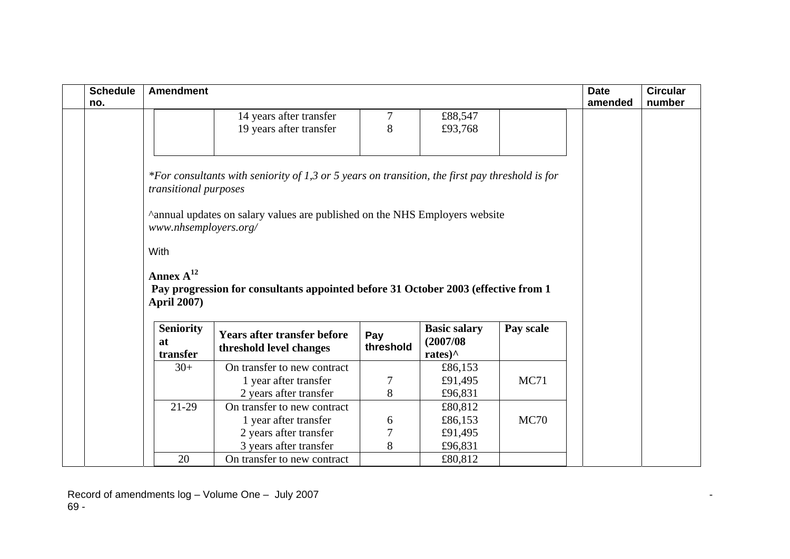| <b>Schedule</b><br>no. | <b>Amendment</b>                     |                                                                                                 |                  |                                                     |             | <b>Date</b><br>amended | <b>Circular</b><br>number |
|------------------------|--------------------------------------|-------------------------------------------------------------------------------------------------|------------------|-----------------------------------------------------|-------------|------------------------|---------------------------|
|                        |                                      | 14 years after transfer                                                                         | 7                | £88,547                                             |             |                        |                           |
|                        |                                      | 19 years after transfer                                                                         | 8                | £93,768                                             |             |                        |                           |
|                        |                                      |                                                                                                 |                  |                                                     |             |                        |                           |
|                        |                                      |                                                                                                 |                  |                                                     |             |                        |                           |
|                        | transitional purposes                | *For consultants with seniority of 1,3 or 5 years on transition, the first pay threshold is for |                  |                                                     |             |                        |                           |
|                        | www.nhsemployers.org/                | Annual updates on salary values are published on the NHS Employers website                      |                  |                                                     |             |                        |                           |
|                        | With                                 |                                                                                                 |                  |                                                     |             |                        |                           |
|                        |                                      |                                                                                                 |                  |                                                     |             |                        |                           |
|                        | Annex $A^{12}$<br><b>April 2007)</b> | Pay progression for consultants appointed before 31 October 2003 (effective from 1              |                  |                                                     |             |                        |                           |
|                        | <b>Seniority</b><br>at<br>transfer   | <b>Years after transfer before</b><br>threshold level changes                                   | Pay<br>threshold | <b>Basic salary</b><br>(2007/08)<br>rates) $\wedge$ | Pay scale   |                        |                           |
|                        | $30+$                                | On transfer to new contract                                                                     |                  | £86,153                                             |             |                        |                           |
|                        |                                      | 1 year after transfer                                                                           | 7                | £91,495                                             | MC71        |                        |                           |
|                        |                                      | 2 years after transfer                                                                          | 8                | £96,831                                             |             |                        |                           |
|                        | 21-29                                | On transfer to new contract                                                                     |                  | £80,812                                             |             |                        |                           |
|                        |                                      | 1 year after transfer                                                                           | 6                | £86,153                                             | <b>MC70</b> |                        |                           |
|                        |                                      | 2 years after transfer                                                                          | 7                | £91,495                                             |             |                        |                           |
|                        |                                      | 3 years after transfer                                                                          | 8                | £96,831                                             |             |                        |                           |

Record of amendments log – Volume One – July 2007 - 69 -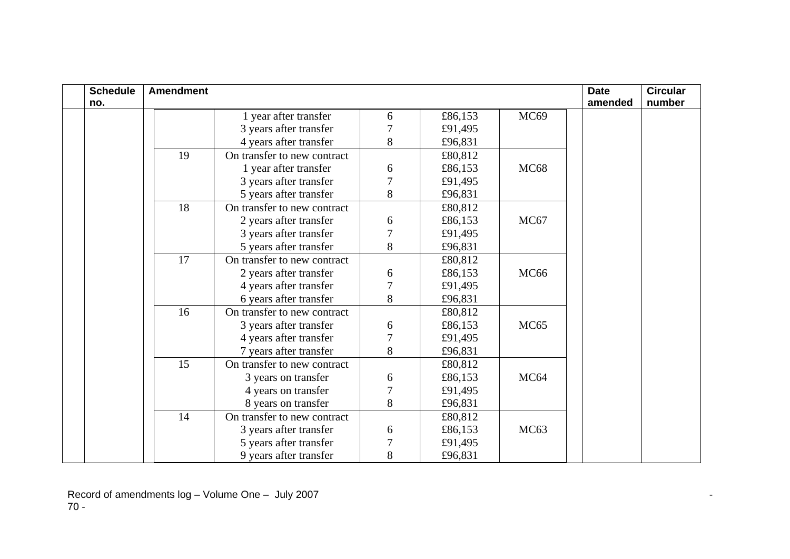| <b>Schedule</b> | <b>Amendment</b> |                             |                |         |                  | <b>Date</b> | <b>Circular</b> |
|-----------------|------------------|-----------------------------|----------------|---------|------------------|-------------|-----------------|
| no.             |                  |                             |                |         |                  | amended     | number          |
|                 |                  | 1 year after transfer       | 6              | £86,153 | MC <sub>69</sub> |             |                 |
|                 |                  | 3 years after transfer      |                | £91,495 |                  |             |                 |
|                 |                  | 4 years after transfer      | 8              | £96,831 |                  |             |                 |
|                 | 19               | On transfer to new contract |                | £80,812 |                  |             |                 |
|                 |                  | 1 year after transfer       | 6              | £86,153 | <b>MC68</b>      |             |                 |
|                 |                  | 3 years after transfer      |                | £91,495 |                  |             |                 |
|                 |                  | 5 years after transfer      | 8              | £96,831 |                  |             |                 |
|                 | 18               | On transfer to new contract |                | £80,812 |                  |             |                 |
|                 |                  | 2 years after transfer      | 6              | £86,153 | MC67             |             |                 |
|                 |                  | 3 years after transfer      |                | £91,495 |                  |             |                 |
|                 |                  | 5 years after transfer      | 8              | £96,831 |                  |             |                 |
|                 | 17               | On transfer to new contract |                | £80,812 |                  |             |                 |
|                 |                  | 2 years after transfer      | 6              | £86,153 | <b>MC66</b>      |             |                 |
|                 |                  | 4 years after transfer      | 7              | £91,495 |                  |             |                 |
|                 |                  | 6 years after transfer      | 8              | £96,831 |                  |             |                 |
|                 | 16               | On transfer to new contract |                | £80,812 |                  |             |                 |
|                 |                  | 3 years after transfer      | 6              | £86,153 | MC <sub>65</sub> |             |                 |
|                 |                  | 4 years after transfer      |                | £91,495 |                  |             |                 |
|                 |                  | 7 years after transfer      | 8              | £96,831 |                  |             |                 |
|                 | 15               | On transfer to new contract |                | £80,812 |                  |             |                 |
|                 |                  | 3 years on transfer         | 6              | £86,153 | MC <sub>64</sub> |             |                 |
|                 |                  | 4 years on transfer         | $\overline{7}$ | £91,495 |                  |             |                 |
|                 |                  | 8 years on transfer         | 8              | £96,831 |                  |             |                 |
|                 | 14               | On transfer to new contract |                | £80,812 |                  |             |                 |
|                 |                  | 3 years after transfer      | 6              | £86,153 | MC63             |             |                 |
|                 |                  | 5 years after transfer      |                | £91,495 |                  |             |                 |
|                 |                  | 9 years after transfer      | 8              | £96,831 |                  |             |                 |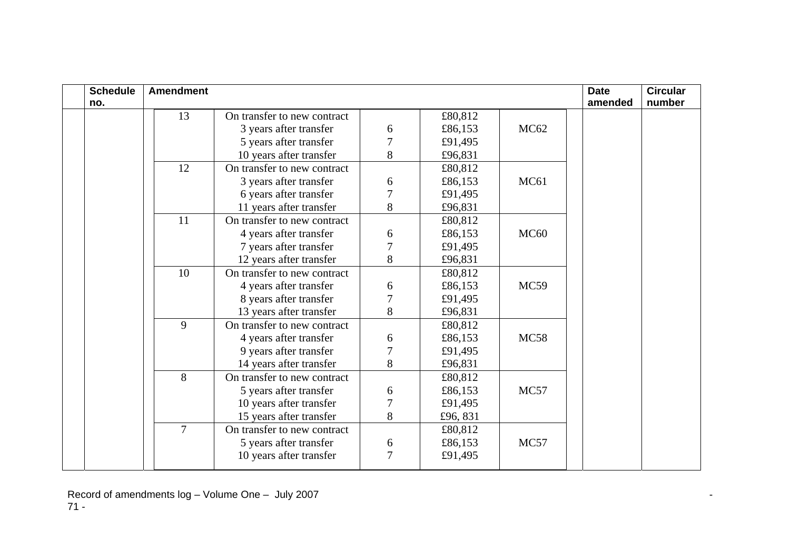| <b>Schedule</b> | <b>Amendment</b> |                             |                |         |                  | <b>Date</b> | <b>Circular</b> |
|-----------------|------------------|-----------------------------|----------------|---------|------------------|-------------|-----------------|
| no.             |                  |                             |                |         |                  | amended     | number          |
|                 | 13               | On transfer to new contract |                | £80,812 |                  |             |                 |
|                 |                  | 3 years after transfer      | 6              | £86,153 | MC <sub>62</sub> |             |                 |
|                 |                  | 5 years after transfer      |                | £91,495 |                  |             |                 |
|                 |                  | 10 years after transfer     | 8              | £96,831 |                  |             |                 |
|                 | 12               | On transfer to new contract |                | £80,812 |                  |             |                 |
|                 |                  | 3 years after transfer      | 6              | £86,153 | MC61             |             |                 |
|                 |                  | 6 years after transfer      |                | £91,495 |                  |             |                 |
|                 |                  | 11 years after transfer     | 8              | £96,831 |                  |             |                 |
|                 | 11               | On transfer to new contract |                | £80,812 |                  |             |                 |
|                 |                  | 4 years after transfer      | 6              | £86,153 | <b>MC60</b>      |             |                 |
|                 |                  | 7 years after transfer      |                | £91,495 |                  |             |                 |
|                 |                  | 12 years after transfer     | 8              | £96,831 |                  |             |                 |
|                 | 10               | On transfer to new contract |                | £80,812 |                  |             |                 |
|                 |                  | 4 years after transfer      | 6              | £86,153 | MC59             |             |                 |
|                 |                  | 8 years after transfer      | 7              | £91,495 |                  |             |                 |
|                 |                  | 13 years after transfer     | 8              | £96,831 |                  |             |                 |
|                 | 9                | On transfer to new contract |                | £80,812 |                  |             |                 |
|                 |                  | 4 years after transfer      | 6              | £86,153 | <b>MC58</b>      |             |                 |
|                 |                  | 9 years after transfer      | $\overline{7}$ | £91,495 |                  |             |                 |
|                 |                  | 14 years after transfer     | 8              | £96,831 |                  |             |                 |
|                 | 8                | On transfer to new contract |                | £80,812 |                  |             |                 |
|                 |                  | 5 years after transfer      | 6              | £86,153 | MC57             |             |                 |
|                 |                  | 10 years after transfer     |                | £91,495 |                  |             |                 |
|                 |                  | 15 years after transfer     | 8              | £96,831 |                  |             |                 |
|                 | $\overline{7}$   | On transfer to new contract |                | £80,812 |                  |             |                 |
|                 |                  | 5 years after transfer      | 6              | £86,153 | <b>MC57</b>      |             |                 |
|                 |                  | 10 years after transfer     | 7              | £91,495 |                  |             |                 |
|                 |                  |                             |                |         |                  |             |                 |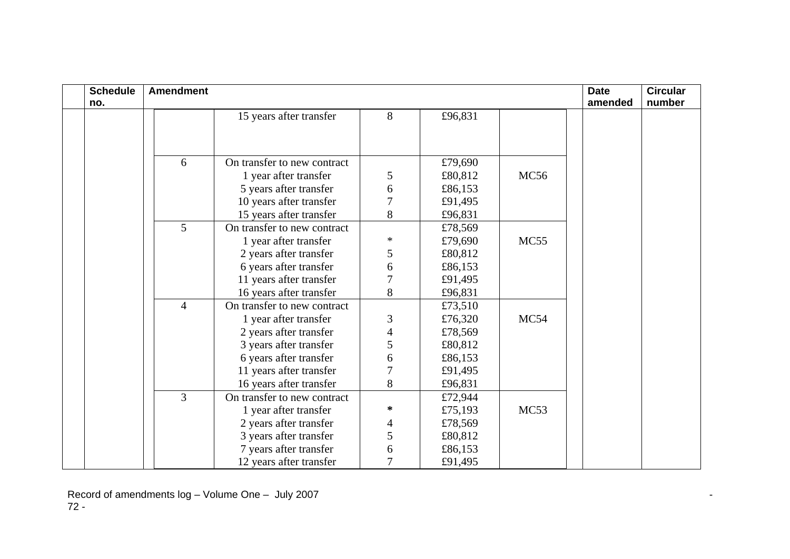| <b>Schedule</b><br>no. | <b>Amendment</b> |                             |                |         |             | <b>Date</b><br>amended | <b>Circular</b><br>number |
|------------------------|------------------|-----------------------------|----------------|---------|-------------|------------------------|---------------------------|
|                        |                  | 15 years after transfer     | 8              | £96,831 |             |                        |                           |
|                        |                  |                             |                |         |             |                        |                           |
|                        | 6                | On transfer to new contract |                | £79,690 |             |                        |                           |
|                        |                  | 1 year after transfer       | 5              | £80,812 | <b>MC56</b> |                        |                           |
|                        |                  | 5 years after transfer      | 6              | £86,153 |             |                        |                           |
|                        |                  | 10 years after transfer     |                | £91,495 |             |                        |                           |
|                        |                  | 15 years after transfer     | 8              | £96,831 |             |                        |                           |
|                        | 5                | On transfer to new contract |                | £78,569 |             |                        |                           |
|                        |                  | 1 year after transfer       | $\ast$         | £79,690 | <b>MC55</b> |                        |                           |
|                        |                  | 2 years after transfer      | 5              | £80,812 |             |                        |                           |
|                        |                  | 6 years after transfer      | 6              | £86,153 |             |                        |                           |
|                        |                  | 11 years after transfer     | 7              | £91,495 |             |                        |                           |
|                        |                  | 16 years after transfer     | 8              | £96,831 |             |                        |                           |
|                        | 4                | On transfer to new contract |                | £73,510 |             |                        |                           |
|                        |                  | 1 year after transfer       | 3              | £76,320 | MC54        |                        |                           |
|                        |                  | 2 years after transfer      | 4              | £78,569 |             |                        |                           |
|                        |                  | 3 years after transfer      | 5              | £80,812 |             |                        |                           |
|                        |                  | 6 years after transfer      | 6              | £86,153 |             |                        |                           |
|                        |                  | 11 years after transfer     | $\overline{7}$ | £91,495 |             |                        |                           |
|                        |                  | 16 years after transfer     | 8              | £96,831 |             |                        |                           |
|                        | 3                | On transfer to new contract |                | £72,944 |             |                        |                           |
|                        |                  | 1 year after transfer       | ∗              | £75,193 | MC53        |                        |                           |
|                        |                  | 2 years after transfer      | 4              | £78,569 |             |                        |                           |
|                        |                  | 3 years after transfer      | 5              | £80,812 |             |                        |                           |
|                        |                  | 7 years after transfer      | 6              | £86,153 |             |                        |                           |
|                        |                  | 12 years after transfer     | 7              | £91,495 |             |                        |                           |

Record of amendments log – Volume One – July 2007 - 72 -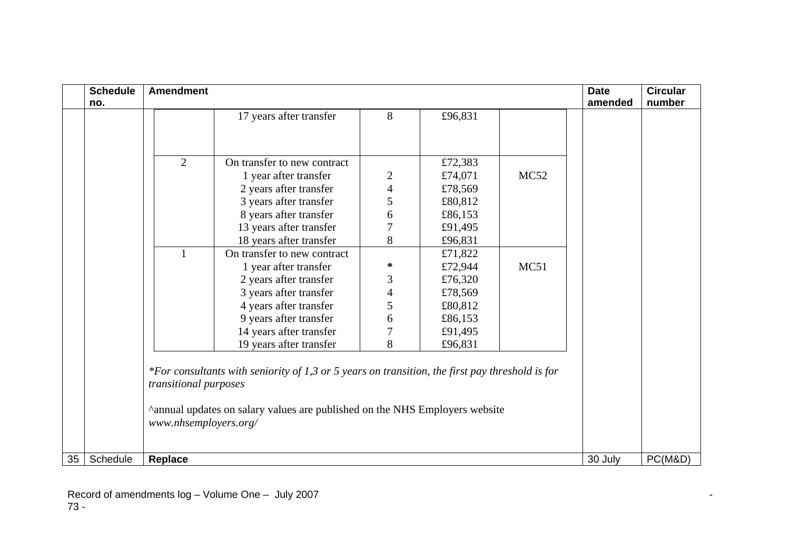|    | <b>Schedule</b> | <b>Amendment</b>                               |                                                                                                                                                                                |                |         |             | <b>Date</b> | <b>Circular</b> |
|----|-----------------|------------------------------------------------|--------------------------------------------------------------------------------------------------------------------------------------------------------------------------------|----------------|---------|-------------|-------------|-----------------|
|    | no.             |                                                |                                                                                                                                                                                |                |         |             | amended     | number          |
|    |                 |                                                | 17 years after transfer                                                                                                                                                        | 8              | £96,831 |             |             |                 |
|    |                 |                                                |                                                                                                                                                                                |                |         |             |             |                 |
|    |                 |                                                |                                                                                                                                                                                |                |         |             |             |                 |
|    |                 | $\overline{2}$                                 | On transfer to new contract                                                                                                                                                    |                | £72,383 |             |             |                 |
|    |                 |                                                | 1 year after transfer                                                                                                                                                          | $\overline{c}$ | £74,071 | <b>MC52</b> |             |                 |
|    |                 |                                                | 2 years after transfer                                                                                                                                                         | 4              | £78,569 |             |             |                 |
|    |                 |                                                | 3 years after transfer                                                                                                                                                         | 5              | £80,812 |             |             |                 |
|    |                 |                                                | 8 years after transfer                                                                                                                                                         | 6              | £86,153 |             |             |                 |
|    |                 |                                                | 13 years after transfer                                                                                                                                                        | $\overline{7}$ | £91,495 |             |             |                 |
|    |                 |                                                | 18 years after transfer                                                                                                                                                        | 8              | £96,831 |             |             |                 |
|    |                 |                                                | On transfer to new contract                                                                                                                                                    |                | £71,822 |             |             |                 |
|    |                 |                                                | 1 year after transfer                                                                                                                                                          | $\ast$         | £72,944 | MC51        |             |                 |
|    |                 |                                                | 2 years after transfer                                                                                                                                                         | 3              | £76,320 |             |             |                 |
|    |                 |                                                | 3 years after transfer                                                                                                                                                         | $\overline{4}$ | £78,569 |             |             |                 |
|    |                 |                                                | 4 years after transfer                                                                                                                                                         | 5              | £80,812 |             |             |                 |
|    |                 |                                                | 9 years after transfer                                                                                                                                                         | 6              | £86,153 |             |             |                 |
|    |                 |                                                | 14 years after transfer                                                                                                                                                        | 7              | £91,495 |             |             |                 |
|    |                 |                                                | 19 years after transfer                                                                                                                                                        | 8              | £96,831 |             |             |                 |
|    |                 | transitional purposes<br>www.nhsemployers.org/ | *For consultants with seniority of 1,3 or 5 years on transition, the first pay threshold is for<br>^annual updates on salary values are published on the NHS Employers website |                |         |             |             |                 |
| 35 | Schedule        | Replace                                        |                                                                                                                                                                                |                |         |             | 30 July     | PC(M&D)         |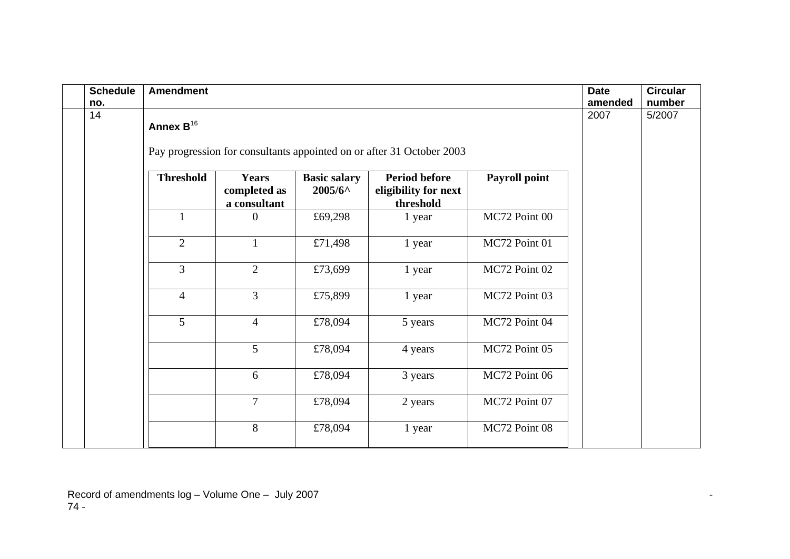| <b>Schedule</b><br>no. | <b>Amendment</b> |                                              |                                         |                                                                       |                      | <b>Date</b><br>amended | <b>Circular</b><br>number |
|------------------------|------------------|----------------------------------------------|-----------------------------------------|-----------------------------------------------------------------------|----------------------|------------------------|---------------------------|
| 14                     | Annex $B^{16}$   |                                              |                                         |                                                                       |                      | 2007                   | 5/2007                    |
|                        |                  |                                              |                                         | Pay progression for consultants appointed on or after 31 October 2003 |                      |                        |                           |
|                        | <b>Threshold</b> | <b>Years</b><br>completed as<br>a consultant | <b>Basic salary</b><br>$2005/6^{\circ}$ | <b>Period before</b><br>eligibility for next<br>threshold             | <b>Payroll point</b> |                        |                           |
|                        |                  | $\boldsymbol{0}$                             | £69,298                                 | 1 year                                                                | MC72 Point 00        |                        |                           |
|                        | 2                | $\mathbf{1}$                                 | £71,498                                 | 1 year                                                                | MC72 Point 01        |                        |                           |
|                        | $\overline{3}$   | $\overline{2}$                               | £73,699                                 | 1 year                                                                | MC72 Point 02        |                        |                           |
|                        | $\overline{4}$   | 3                                            | £75,899                                 | 1 year                                                                | MC72 Point 03        |                        |                           |
|                        | $\overline{5}$   | $\overline{4}$                               | £78,094                                 | 5 years                                                               | MC72 Point 04        |                        |                           |
|                        |                  | 5                                            | £78,094                                 | 4 years                                                               | MC72 Point 05        |                        |                           |
|                        |                  | 6                                            | £78,094                                 | 3 years                                                               | MC72 Point 06        |                        |                           |
|                        |                  | $\overline{7}$                               | £78,094                                 | 2 years                                                               | MC72 Point 07        |                        |                           |
|                        |                  | 8                                            | £78,094                                 | 1 year                                                                | MC72 Point 08        |                        |                           |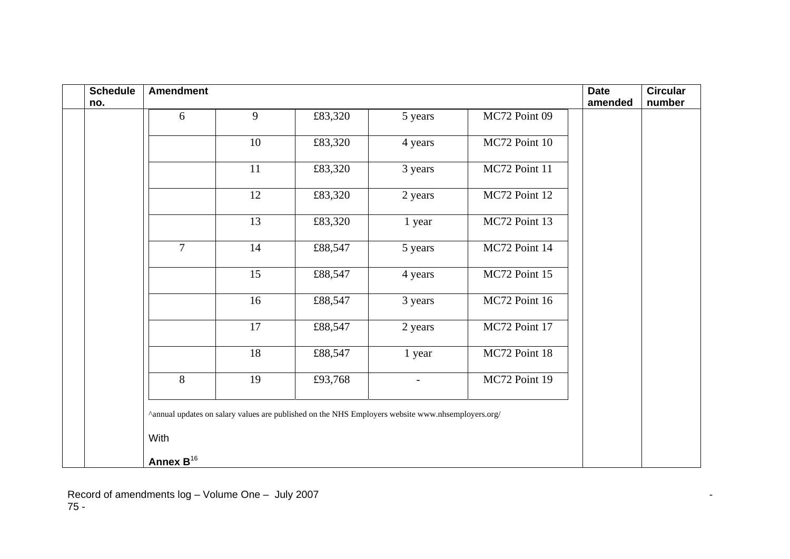| <b>Schedule</b> | <b>Amendment</b> |    |                                                                                                   |                          |                 | <b>Date</b> | <b>Circular</b> |
|-----------------|------------------|----|---------------------------------------------------------------------------------------------------|--------------------------|-----------------|-------------|-----------------|
| no.             |                  |    |                                                                                                   |                          |                 | amended     | number          |
|                 | 6                | 9  | £83,320                                                                                           | 5 years                  | MC72 Point 09   |             |                 |
|                 |                  | 10 | £83,320                                                                                           | 4 years                  | MC72 Point 10   |             |                 |
|                 |                  | 11 | £83,320                                                                                           | 3 years                  | MC72 Point 11   |             |                 |
|                 |                  | 12 | £83,320                                                                                           | 2 years                  | MC72 Point 12   |             |                 |
|                 |                  | 13 | £83,320                                                                                           | 1 year                   | MC72 Point 13   |             |                 |
|                 | $\overline{7}$   | 14 | £88,547                                                                                           | 5 years                  | MC72 Point 14   |             |                 |
|                 |                  | 15 | £88,547                                                                                           | 4 years                  | MC72 Point $15$ |             |                 |
|                 |                  | 16 | £88,547                                                                                           | 3 years                  | MC72 Point 16   |             |                 |
|                 |                  | 17 | £88,547                                                                                           | 2 years                  | MC72 Point 17   |             |                 |
|                 |                  | 18 | £88,547                                                                                           | 1 year                   | MC72 Point 18   |             |                 |
|                 | 8                | 19 | £93,768                                                                                           | $\overline{\phantom{0}}$ | MC72 Point 19   |             |                 |
|                 |                  |    | ^annual updates on salary values are published on the NHS Employers website www.nhsemployers.org/ |                          |                 |             |                 |
|                 | With             |    |                                                                                                   |                          |                 |             |                 |
|                 | Annex $B^{16}$   |    |                                                                                                   |                          |                 |             |                 |

Record of amendments log – Volume One – July 2007 - 75 -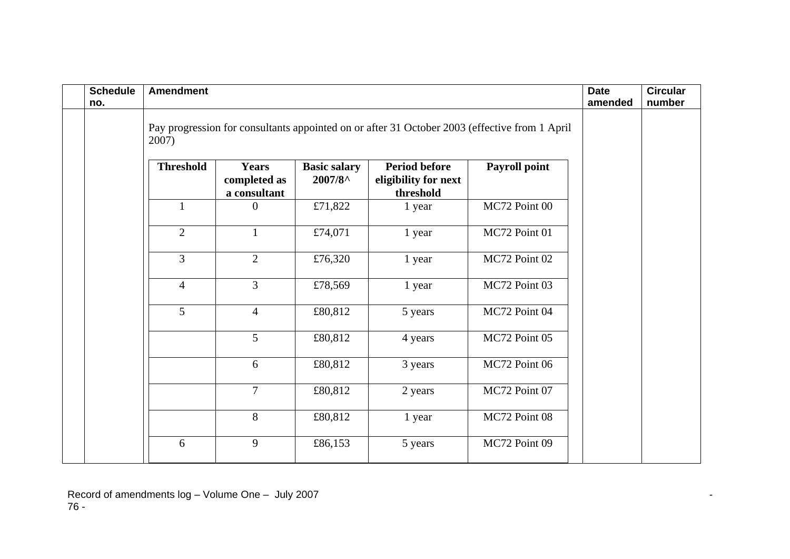| <b>Schedule</b><br>no. | <b>Amendment</b> |                                              |                                |                                                           |                                                                                               | <b>Date</b><br>amended | <b>Circular</b><br>number |
|------------------------|------------------|----------------------------------------------|--------------------------------|-----------------------------------------------------------|-----------------------------------------------------------------------------------------------|------------------------|---------------------------|
|                        | 2007)            |                                              |                                |                                                           | Pay progression for consultants appointed on or after 31 October 2003 (effective from 1 April |                        |                           |
|                        | <b>Threshold</b> | <b>Years</b><br>completed as<br>a consultant | <b>Basic salary</b><br>2007/8^ | <b>Period before</b><br>eligibility for next<br>threshold | Payroll point                                                                                 |                        |                           |
|                        |                  | $\overline{0}$                               | £71,822                        | 1 year                                                    | MC72 Point 00                                                                                 |                        |                           |
|                        | $\overline{2}$   | $\mathbf{1}$                                 | £74,071                        | 1 year                                                    | MC72 Point 01                                                                                 |                        |                           |
|                        | $\overline{3}$   | $\overline{2}$                               | £76,320                        | 1 year                                                    | MC72 Point 02                                                                                 |                        |                           |
|                        | $\overline{4}$   | 3                                            | £78,569                        | 1 year                                                    | MC72 Point 03                                                                                 |                        |                           |
|                        | 5                | $\overline{4}$                               | £80,812                        | 5 years                                                   | MC72 Point $\overline{04}$                                                                    |                        |                           |
|                        |                  | 5                                            | £80,812                        | 4 years                                                   | MC72 Point 05                                                                                 |                        |                           |
|                        |                  | 6                                            | £80,812                        | 3 years                                                   | MC72 Point 06                                                                                 |                        |                           |
|                        |                  | $\overline{7}$                               | £80,812                        | 2 years                                                   | MC72 Point 07                                                                                 |                        |                           |
|                        |                  | 8                                            | £80,812                        | 1 year                                                    | MC72 Point 08                                                                                 |                        |                           |
|                        | 6                | 9                                            | £86,153                        | 5 years                                                   | MC72 Point 09                                                                                 |                        |                           |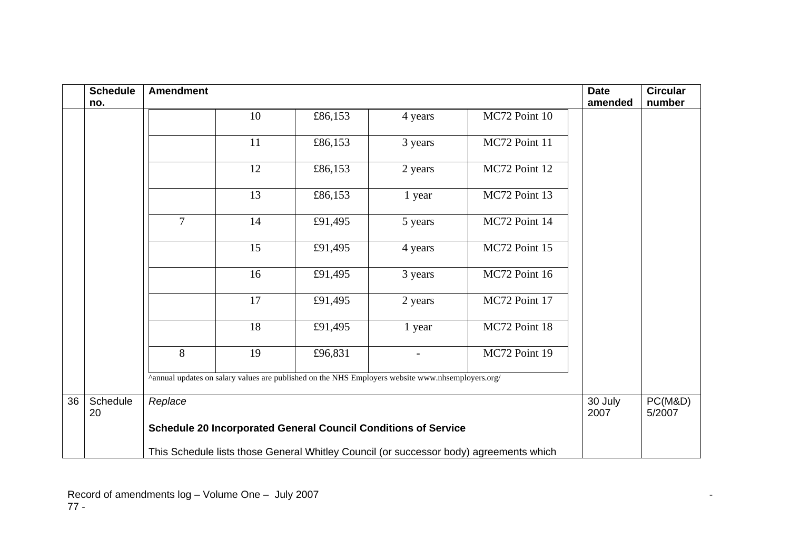|    | <b>Schedule</b> | <b>Amendment</b>                                                      |    |                                                                                                                      |         |                                                                                        | <b>Date</b>     | <b>Circular</b>   |
|----|-----------------|-----------------------------------------------------------------------|----|----------------------------------------------------------------------------------------------------------------------|---------|----------------------------------------------------------------------------------------|-----------------|-------------------|
|    | no.             |                                                                       |    |                                                                                                                      |         |                                                                                        | amended         | number            |
|    |                 |                                                                       | 10 | £86,153                                                                                                              | 4 years | MC72 Point 10                                                                          |                 |                   |
|    |                 |                                                                       | 11 | £86,153                                                                                                              | 3 years | MC72 Point 11                                                                          |                 |                   |
|    |                 |                                                                       | 12 | £86,153                                                                                                              | 2 years | MC72 Point 12                                                                          |                 |                   |
|    |                 |                                                                       | 13 | £86,153                                                                                                              | 1 year  | MC72 Point 13                                                                          |                 |                   |
|    |                 | $\overline{7}$                                                        | 14 | £91,495                                                                                                              | 5 years | MC72 Point 14                                                                          |                 |                   |
|    |                 |                                                                       | 15 | £91,495                                                                                                              | 4 years | MC72 Point 15                                                                          |                 |                   |
|    |                 |                                                                       | 16 | £91,495                                                                                                              | 3 years | MC72 Point 16                                                                          |                 |                   |
|    |                 |                                                                       | 17 | £91,495                                                                                                              | 2 years | MC72 Point 17                                                                          |                 |                   |
|    |                 |                                                                       | 18 | £91,495                                                                                                              | 1 year  | MC72 Point 18                                                                          |                 |                   |
|    |                 | 8                                                                     | 19 | £96,831                                                                                                              |         | MC72 Point 19                                                                          |                 |                   |
|    |                 |                                                                       |    | $\lambda$ $\lambda$ annual updates on salary values are published on the NHS Employers website www.nhsemployers.org/ |         |                                                                                        |                 |                   |
| 36 | Schedule<br>20  | Replace                                                               |    |                                                                                                                      |         |                                                                                        | 30 July<br>2007 | PC(M&D)<br>5/2007 |
|    |                 | <b>Schedule 20 Incorporated General Council Conditions of Service</b> |    |                                                                                                                      |         |                                                                                        |                 |                   |
|    |                 |                                                                       |    |                                                                                                                      |         | This Schedule lists those General Whitley Council (or successor body) agreements which |                 |                   |

Record of amendments log – Volume One – July 2007 - 77 -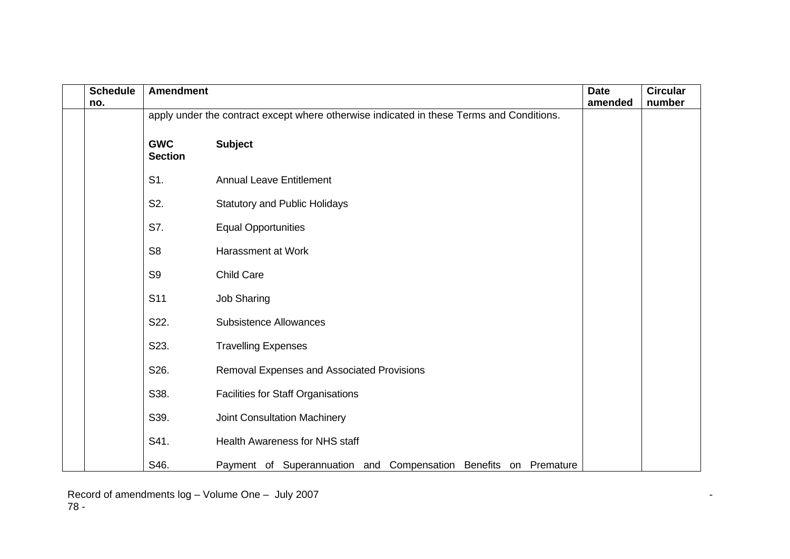| <b>Schedule</b> | <b>Amendment</b>             |                                                                                          | <b>Date</b> | <b>Circular</b> |
|-----------------|------------------------------|------------------------------------------------------------------------------------------|-------------|-----------------|
| no.             |                              | apply under the contract except where otherwise indicated in these Terms and Conditions. | amended     | number          |
|                 | <b>GWC</b><br><b>Section</b> | <b>Subject</b>                                                                           |             |                 |
|                 | S1.                          | <b>Annual Leave Entitlement</b>                                                          |             |                 |
|                 | S2.                          | <b>Statutory and Public Holidays</b>                                                     |             |                 |
|                 | S7.                          | <b>Equal Opportunities</b>                                                               |             |                 |
|                 | S <sub>8</sub>               | Harassment at Work                                                                       |             |                 |
|                 | S <sub>9</sub>               | <b>Child Care</b>                                                                        |             |                 |
|                 | S <sub>11</sub>              | <b>Job Sharing</b>                                                                       |             |                 |
|                 | S22.                         | <b>Subsistence Allowances</b>                                                            |             |                 |
|                 | S23.                         | <b>Travelling Expenses</b>                                                               |             |                 |
|                 | S26.                         | Removal Expenses and Associated Provisions                                               |             |                 |
|                 | S38.                         | <b>Facilities for Staff Organisations</b>                                                |             |                 |
|                 | S39.                         | Joint Consultation Machinery                                                             |             |                 |
|                 | S41.                         | Health Awareness for NHS staff                                                           |             |                 |
|                 | S46.                         | Payment of Superannuation and Compensation Benefits on Premature                         |             |                 |

Record of amendments log – Volume One – July 2007 - 78 -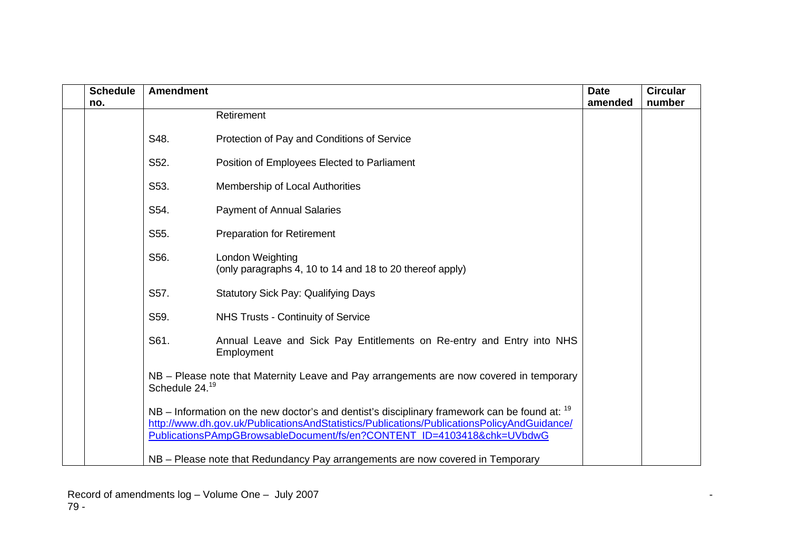| <b>Schedule</b> | <b>Amendment</b>           |                                                                                                                                                                                                                                                                         | <b>Date</b> | <b>Circular</b> |
|-----------------|----------------------------|-------------------------------------------------------------------------------------------------------------------------------------------------------------------------------------------------------------------------------------------------------------------------|-------------|-----------------|
| no.             |                            |                                                                                                                                                                                                                                                                         | amended     | number          |
|                 |                            | Retirement                                                                                                                                                                                                                                                              |             |                 |
|                 | S48.                       | Protection of Pay and Conditions of Service                                                                                                                                                                                                                             |             |                 |
|                 | S52.                       | Position of Employees Elected to Parliament                                                                                                                                                                                                                             |             |                 |
|                 | S53.                       | Membership of Local Authorities                                                                                                                                                                                                                                         |             |                 |
|                 | S54.                       | <b>Payment of Annual Salaries</b>                                                                                                                                                                                                                                       |             |                 |
|                 | S55.                       | <b>Preparation for Retirement</b>                                                                                                                                                                                                                                       |             |                 |
|                 | S56.                       | London Weighting<br>(only paragraphs 4, 10 to 14 and 18 to 20 thereof apply)                                                                                                                                                                                            |             |                 |
|                 | S57.                       | <b>Statutory Sick Pay: Qualifying Days</b>                                                                                                                                                                                                                              |             |                 |
|                 | S59.                       | NHS Trusts - Continuity of Service                                                                                                                                                                                                                                      |             |                 |
|                 | S61.                       | Annual Leave and Sick Pay Entitlements on Re-entry and Entry into NHS<br>Employment                                                                                                                                                                                     |             |                 |
|                 | Schedule 24. <sup>19</sup> | NB – Please note that Maternity Leave and Pay arrangements are now covered in temporary                                                                                                                                                                                 |             |                 |
|                 |                            | NB – Information on the new doctor's and dentist's disciplinary framework can be found at: $19$<br>http://www.dh.gov.uk/PublicationsAndStatistics/Publications/PublicationsPolicyAndGuidance/<br>PublicationsPAmpGBrowsableDocument/fs/en?CONTENT ID=4103418&chk=UVbdwG |             |                 |
|                 |                            | NB - Please note that Redundancy Pay arrangements are now covered in Temporary                                                                                                                                                                                          |             |                 |

Record of amendments log – Volume One – July 2007 - 79 -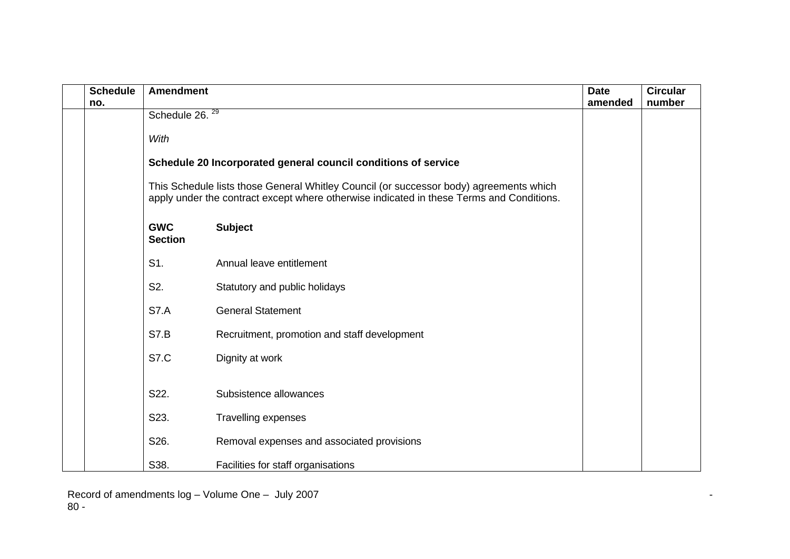| <b>Schedule</b> | <b>Amendment</b>             |                                                                                                                                                                                    | <b>Date</b> | <b>Circular</b> |  |
|-----------------|------------------------------|------------------------------------------------------------------------------------------------------------------------------------------------------------------------------------|-------------|-----------------|--|
| no.             |                              |                                                                                                                                                                                    | amended     | number          |  |
|                 | Schedule 26. <sup>29</sup>   |                                                                                                                                                                                    |             |                 |  |
|                 | With                         |                                                                                                                                                                                    |             |                 |  |
|                 |                              | Schedule 20 Incorporated general council conditions of service                                                                                                                     |             |                 |  |
|                 |                              | This Schedule lists those General Whitley Council (or successor body) agreements which<br>apply under the contract except where otherwise indicated in these Terms and Conditions. |             |                 |  |
|                 | <b>GWC</b><br><b>Section</b> | <b>Subject</b>                                                                                                                                                                     |             |                 |  |
|                 | S1.                          | Annual leave entitlement                                                                                                                                                           |             |                 |  |
|                 | S2.                          | Statutory and public holidays                                                                                                                                                      |             |                 |  |
|                 | <b>S7.A</b>                  | <b>General Statement</b>                                                                                                                                                           |             |                 |  |
|                 | <b>S7.B</b>                  | Recruitment, promotion and staff development                                                                                                                                       |             |                 |  |
|                 | <b>S7.C</b>                  | Dignity at work                                                                                                                                                                    |             |                 |  |
|                 | S22.                         | Subsistence allowances                                                                                                                                                             |             |                 |  |
|                 | S23.                         | <b>Travelling expenses</b>                                                                                                                                                         |             |                 |  |
|                 | S26.                         | Removal expenses and associated provisions                                                                                                                                         |             |                 |  |
|                 | S38.                         | Facilities for staff organisations                                                                                                                                                 |             |                 |  |

Record of amendments log – Volume One – July 2007 - 80 -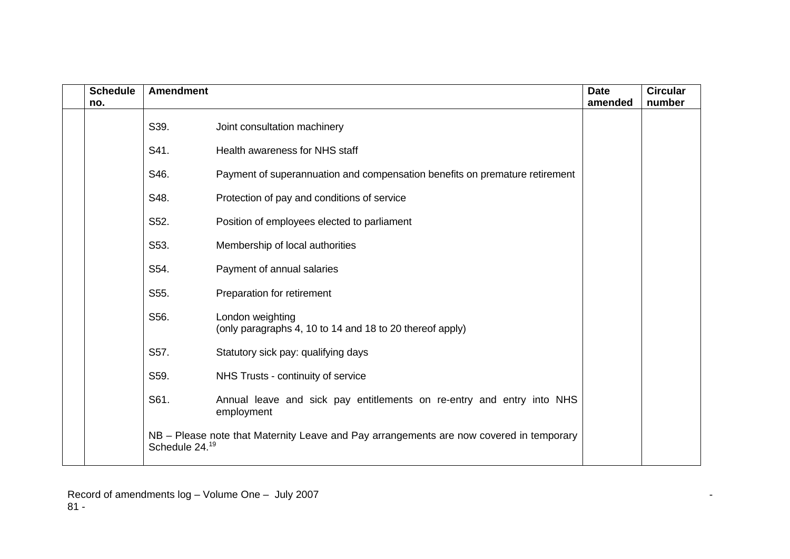| <b>Schedule</b> | <b>Amendment</b>                                                                                          |                                                                                     | <b>Date</b> | <b>Circular</b> |
|-----------------|-----------------------------------------------------------------------------------------------------------|-------------------------------------------------------------------------------------|-------------|-----------------|
| no.             |                                                                                                           |                                                                                     | amended     | number          |
|                 | S39.                                                                                                      | Joint consultation machinery                                                        |             |                 |
|                 | S41.                                                                                                      | Health awareness for NHS staff                                                      |             |                 |
|                 | S46.                                                                                                      | Payment of superannuation and compensation benefits on premature retirement         |             |                 |
|                 | S48.                                                                                                      | Protection of pay and conditions of service                                         |             |                 |
|                 | S52.                                                                                                      | Position of employees elected to parliament                                         |             |                 |
|                 | S53.                                                                                                      | Membership of local authorities                                                     |             |                 |
|                 | S54.                                                                                                      | Payment of annual salaries                                                          |             |                 |
|                 | S55.                                                                                                      | Preparation for retirement                                                          |             |                 |
|                 | S56.                                                                                                      | London weighting<br>(only paragraphs 4, 10 to 14 and 18 to 20 thereof apply)        |             |                 |
|                 | S57.                                                                                                      | Statutory sick pay: qualifying days                                                 |             |                 |
|                 | S59.                                                                                                      | NHS Trusts - continuity of service                                                  |             |                 |
|                 | S61.                                                                                                      | Annual leave and sick pay entitlements on re-entry and entry into NHS<br>employment |             |                 |
|                 | NB - Please note that Maternity Leave and Pay arrangements are now covered in temporary<br>Schedule 24.19 |                                                                                     |             |                 |

Record of amendments log – Volume One – July 2007 - 81 -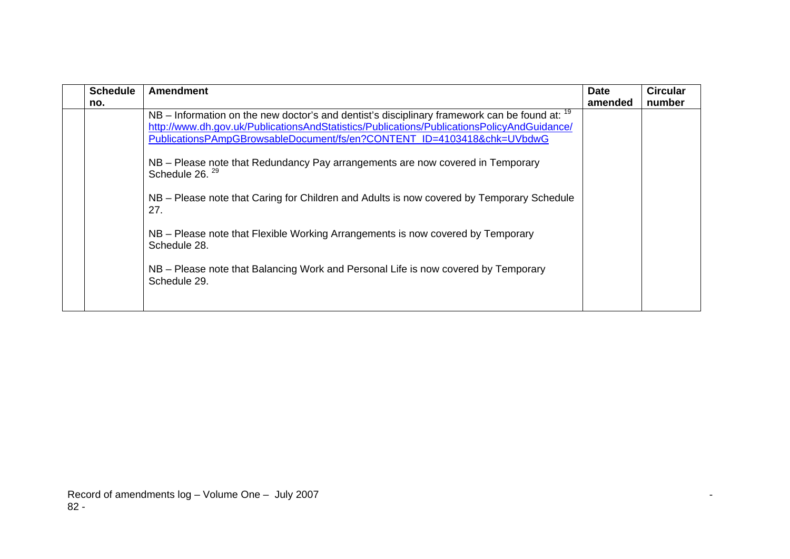| <b>Schedule</b> | <b>Amendment</b>                                                                                                                                                                                                                                                                                                                                                                                                                                                                                                                                                                                                                                                                                     | <b>Date</b> | <b>Circular</b> |
|-----------------|------------------------------------------------------------------------------------------------------------------------------------------------------------------------------------------------------------------------------------------------------------------------------------------------------------------------------------------------------------------------------------------------------------------------------------------------------------------------------------------------------------------------------------------------------------------------------------------------------------------------------------------------------------------------------------------------------|-------------|-----------------|
| no.             | NB – Information on the new doctor's and dentist's disciplinary framework can be found at: $19$<br>http://www.dh.gov.uk/PublicationsAndStatistics/Publications/PublicationsPolicyAndGuidance/<br>PublicationsPAmpGBrowsableDocument/fs/en?CONTENT ID=4103418&chk=UVbdwG<br>NB – Please note that Redundancy Pay arrangements are now covered in Temporary<br>Schedule 26. <sup>29</sup><br>NB – Please note that Caring for Children and Adults is now covered by Temporary Schedule<br>27.<br>NB - Please note that Flexible Working Arrangements is now covered by Temporary<br>Schedule 28.<br>NB – Please note that Balancing Work and Personal Life is now covered by Temporary<br>Schedule 29. | amended     | number          |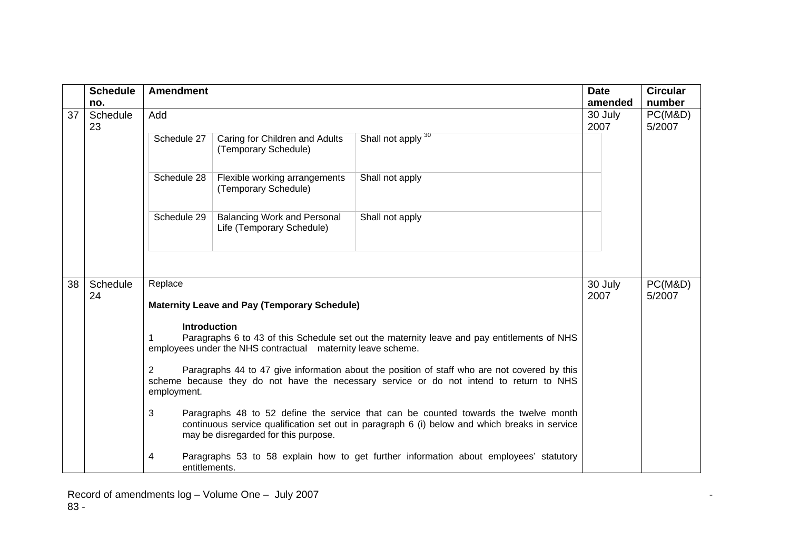|    | <b>Schedule</b> | <b>Amendment</b>           |                                                                                                                                                                                                                                                                                                                                                                                                                                                                                                                                                                                                                                                                                                                                                              |                    | <b>Date</b>     | <b>Circular</b>   |
|----|-----------------|----------------------------|--------------------------------------------------------------------------------------------------------------------------------------------------------------------------------------------------------------------------------------------------------------------------------------------------------------------------------------------------------------------------------------------------------------------------------------------------------------------------------------------------------------------------------------------------------------------------------------------------------------------------------------------------------------------------------------------------------------------------------------------------------------|--------------------|-----------------|-------------------|
|    | no.             |                            |                                                                                                                                                                                                                                                                                                                                                                                                                                                                                                                                                                                                                                                                                                                                                              |                    | amended         | number            |
| 37 | Schedule<br>23  | Add                        |                                                                                                                                                                                                                                                                                                                                                                                                                                                                                                                                                                                                                                                                                                                                                              |                    | 30 July<br>2007 | PC(M&D)<br>5/2007 |
|    |                 | Schedule 27                | Caring for Children and Adults<br>(Temporary Schedule)                                                                                                                                                                                                                                                                                                                                                                                                                                                                                                                                                                                                                                                                                                       | Shall not apply 30 |                 |                   |
|    |                 | Schedule 28                | Flexible working arrangements<br>(Temporary Schedule)                                                                                                                                                                                                                                                                                                                                                                                                                                                                                                                                                                                                                                                                                                        | Shall not apply    |                 |                   |
|    |                 | Schedule 29                | <b>Balancing Work and Personal</b><br>Life (Temporary Schedule)                                                                                                                                                                                                                                                                                                                                                                                                                                                                                                                                                                                                                                                                                              | Shall not apply    |                 |                   |
| 38 | Schedule<br>24  | Replace                    |                                                                                                                                                                                                                                                                                                                                                                                                                                                                                                                                                                                                                                                                                                                                                              |                    |                 | PC(M&D)<br>5/2007 |
|    |                 | 2<br>employment.<br>3<br>4 | <b>Maternity Leave and Pay (Temporary Schedule)</b><br><b>Introduction</b><br>Paragraphs 6 to 43 of this Schedule set out the maternity leave and pay entitlements of NHS<br>employees under the NHS contractual maternity leave scheme.<br>Paragraphs 44 to 47 give information about the position of staff who are not covered by this<br>scheme because they do not have the necessary service or do not intend to return to NHS<br>Paragraphs 48 to 52 define the service that can be counted towards the twelve month<br>continuous service qualification set out in paragraph 6 (i) below and which breaks in service<br>may be disregarded for this purpose.<br>Paragraphs 53 to 58 explain how to get further information about employees' statutory |                    |                 |                   |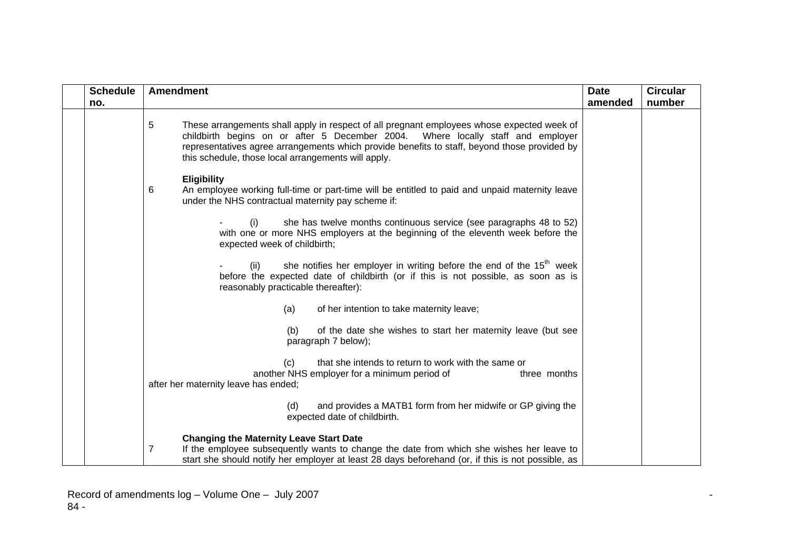| <b>Schedule</b> | <b>Amendment</b>                                                                                                                                                                                                                                                                                                                          | <b>Date</b> | <b>Circular</b> |
|-----------------|-------------------------------------------------------------------------------------------------------------------------------------------------------------------------------------------------------------------------------------------------------------------------------------------------------------------------------------------|-------------|-----------------|
| no.             |                                                                                                                                                                                                                                                                                                                                           | amended     | number          |
|                 | 5<br>These arrangements shall apply in respect of all pregnant employees whose expected week of<br>childbirth begins on or after 5 December 2004. Where locally staff and employer<br>representatives agree arrangements which provide benefits to staff, beyond those provided by<br>this schedule, those local arrangements will apply. |             |                 |
|                 | <b>Eligibility</b><br>An employee working full-time or part-time will be entitled to paid and unpaid maternity leave<br>6<br>under the NHS contractual maternity pay scheme if:                                                                                                                                                           |             |                 |
|                 | she has twelve months continuous service (see paragraphs 48 to 52)<br>(i)<br>with one or more NHS employers at the beginning of the eleventh week before the<br>expected week of childbirth;                                                                                                                                              |             |                 |
|                 | she notifies her employer in writing before the end of the 15 <sup>th</sup> week<br>(ii)<br>before the expected date of childbirth (or if this is not possible, as soon as is<br>reasonably practicable thereafter):                                                                                                                      |             |                 |
|                 | (a)<br>of her intention to take maternity leave;                                                                                                                                                                                                                                                                                          |             |                 |
|                 | of the date she wishes to start her maternity leave (but see<br>(b)<br>paragraph 7 below);                                                                                                                                                                                                                                                |             |                 |
|                 | that she intends to return to work with the same or<br>(c)<br>another NHS employer for a minimum period of<br>three months<br>after her maternity leave has ended;                                                                                                                                                                        |             |                 |
|                 | and provides a MATB1 form from her midwife or GP giving the<br>(d)<br>expected date of childbirth.                                                                                                                                                                                                                                        |             |                 |
|                 | <b>Changing the Maternity Leave Start Date</b><br>$\overline{7}$<br>If the employee subsequently wants to change the date from which she wishes her leave to<br>start she should notify her employer at least 28 days beforehand (or, if this is not possible, as                                                                         |             |                 |

Record of amendments log – Volume One – July 2007 - 84 -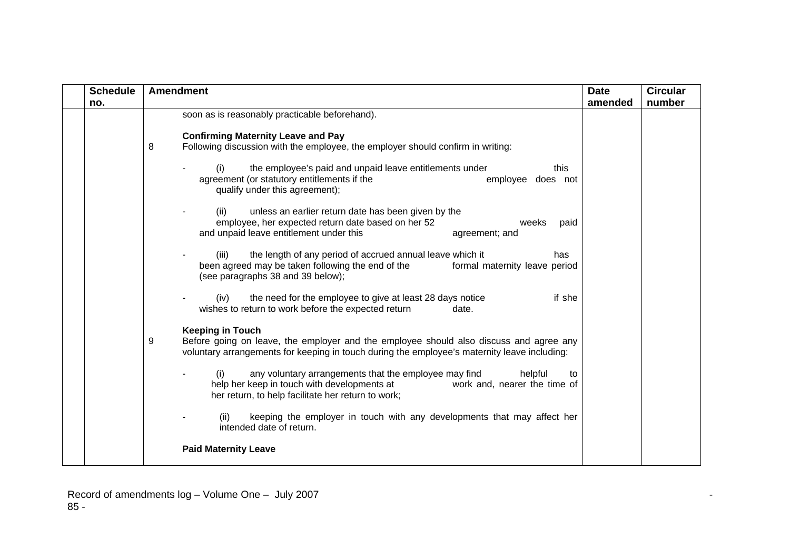| <b>Schedule</b><br>no. | <b>Amendment</b>                                                                                                                                                                                                                                                                                                                                                                                                                                                                                                                                                                                                                                                                                                                                                                                                                                              | <b>Date</b><br>amended | <b>Circular</b><br>number |
|------------------------|---------------------------------------------------------------------------------------------------------------------------------------------------------------------------------------------------------------------------------------------------------------------------------------------------------------------------------------------------------------------------------------------------------------------------------------------------------------------------------------------------------------------------------------------------------------------------------------------------------------------------------------------------------------------------------------------------------------------------------------------------------------------------------------------------------------------------------------------------------------|------------------------|---------------------------|
|                        | soon as is reasonably practicable beforehand).<br><b>Confirming Maternity Leave and Pay</b><br>Following discussion with the employee, the employer should confirm in writing:<br>8<br>the employee's paid and unpaid leave entitlements under<br>(i)<br>this<br>agreement (or statutory entitlements if the<br>employee does not<br>qualify under this agreement);<br>unless an earlier return date has been given by the<br>(ii)<br>employee, her expected return date based on her 52<br>weeks<br>paid<br>and unpaid leave entitlement under this<br>agreement; and<br>the length of any period of accrued annual leave which it<br>has<br>(iii)<br>been agreed may be taken following the end of the<br>formal maternity leave period<br>(see paragraphs 38 and 39 below);<br>the need for the employee to give at least 28 days notice<br>if she<br>(iv) |                        |                           |
|                        | wishes to return to work before the expected return<br>date.<br><b>Keeping in Touch</b><br>Before going on leave, the employer and the employee should also discuss and agree any<br>9<br>voluntary arrangements for keeping in touch during the employee's maternity leave including:<br>any voluntary arrangements that the employee may find<br>helpful<br>(i)<br>to<br>help her keep in touch with developments at<br>work and, nearer the time of<br>her return, to help facilitate her return to work;<br>keeping the employer in touch with any developments that may affect her<br>(ii)<br>intended date of return.<br><b>Paid Maternity Leave</b>                                                                                                                                                                                                    |                        |                           |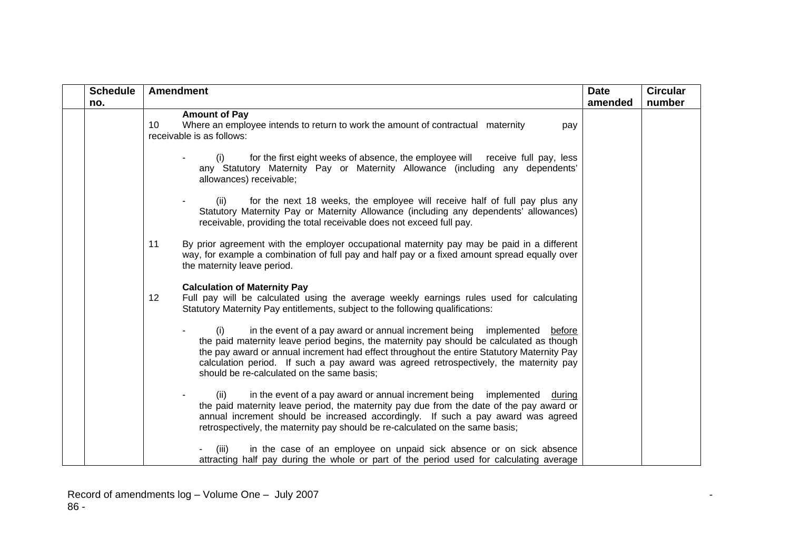| <b>Schedule</b> | <b>Amendment</b>                                                                                                                                                                                                                                                                                                                                                                                                 | <b>Date</b> | <b>Circular</b> |
|-----------------|------------------------------------------------------------------------------------------------------------------------------------------------------------------------------------------------------------------------------------------------------------------------------------------------------------------------------------------------------------------------------------------------------------------|-------------|-----------------|
| no.             |                                                                                                                                                                                                                                                                                                                                                                                                                  | amended     | number          |
|                 | <b>Amount of Pay</b><br>10<br>Where an employee intends to return to work the amount of contractual maternity<br>pay<br>receivable is as follows:                                                                                                                                                                                                                                                                |             |                 |
|                 | for the first eight weeks of absence, the employee will receive full pay, less<br>(i)<br>any Statutory Maternity Pay or Maternity Allowance (including any dependents'<br>allowances) receivable;                                                                                                                                                                                                                |             |                 |
|                 | for the next 18 weeks, the employee will receive half of full pay plus any<br>(ii)<br>Statutory Maternity Pay or Maternity Allowance (including any dependents' allowances)<br>receivable, providing the total receivable does not exceed full pay.                                                                                                                                                              |             |                 |
|                 | By prior agreement with the employer occupational maternity pay may be paid in a different<br>11<br>way, for example a combination of full pay and half pay or a fixed amount spread equally over<br>the maternity leave period.                                                                                                                                                                                 |             |                 |
|                 | <b>Calculation of Maternity Pay</b><br>12<br>Full pay will be calculated using the average weekly earnings rules used for calculating<br>Statutory Maternity Pay entitlements, subject to the following qualifications:                                                                                                                                                                                          |             |                 |
|                 | in the event of a pay award or annual increment being implemented before<br>(i)<br>the paid maternity leave period begins, the maternity pay should be calculated as though<br>the pay award or annual increment had effect throughout the entire Statutory Maternity Pay<br>calculation period. If such a pay award was agreed retrospectively, the maternity pay<br>should be re-calculated on the same basis; |             |                 |
|                 | (ii)<br>in the event of a pay award or annual increment being implemented during<br>the paid maternity leave period, the maternity pay due from the date of the pay award or<br>annual increment should be increased accordingly. If such a pay award was agreed<br>retrospectively, the maternity pay should be re-calculated on the same basis;                                                                |             |                 |
|                 | in the case of an employee on unpaid sick absence or on sick absence<br>(iii)<br>attracting half pay during the whole or part of the period used for calculating average                                                                                                                                                                                                                                         |             |                 |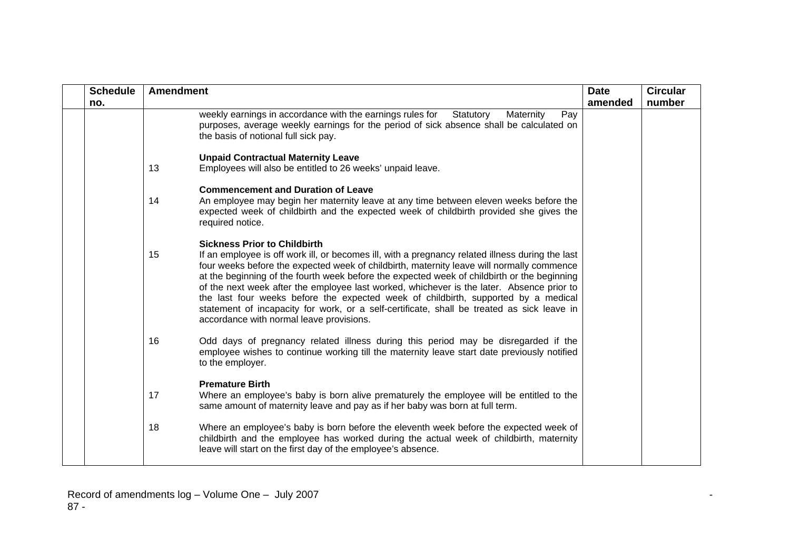| <b>Schedule</b><br>no. | <b>Amendment</b> |                                                                                                                                                                                                                                                                                                                                                                                                                                                                                                                                                                                                                                                                  | <b>Date</b><br>amended | <b>Circular</b><br>number |
|------------------------|------------------|------------------------------------------------------------------------------------------------------------------------------------------------------------------------------------------------------------------------------------------------------------------------------------------------------------------------------------------------------------------------------------------------------------------------------------------------------------------------------------------------------------------------------------------------------------------------------------------------------------------------------------------------------------------|------------------------|---------------------------|
|                        |                  | weekly earnings in accordance with the earnings rules for Statutory<br>Maternity<br>Pay<br>purposes, average weekly earnings for the period of sick absence shall be calculated on<br>the basis of notional full sick pay.                                                                                                                                                                                                                                                                                                                                                                                                                                       |                        |                           |
|                        | 13               | <b>Unpaid Contractual Maternity Leave</b><br>Employees will also be entitled to 26 weeks' unpaid leave.                                                                                                                                                                                                                                                                                                                                                                                                                                                                                                                                                          |                        |                           |
|                        | 14               | <b>Commencement and Duration of Leave</b><br>An employee may begin her maternity leave at any time between eleven weeks before the<br>expected week of childbirth and the expected week of childbirth provided she gives the<br>required notice.                                                                                                                                                                                                                                                                                                                                                                                                                 |                        |                           |
|                        | 15               | <b>Sickness Prior to Childbirth</b><br>If an employee is off work ill, or becomes ill, with a pregnancy related illness during the last<br>four weeks before the expected week of childbirth, maternity leave will normally commence<br>at the beginning of the fourth week before the expected week of childbirth or the beginning<br>of the next week after the employee last worked, whichever is the later. Absence prior to<br>the last four weeks before the expected week of childbirth, supported by a medical<br>statement of incapacity for work, or a self-certificate, shall be treated as sick leave in<br>accordance with normal leave provisions. |                        |                           |
|                        | 16               | Odd days of pregnancy related illness during this period may be disregarded if the<br>employee wishes to continue working till the maternity leave start date previously notified<br>to the employer.                                                                                                                                                                                                                                                                                                                                                                                                                                                            |                        |                           |
|                        | 17               | <b>Premature Birth</b><br>Where an employee's baby is born alive prematurely the employee will be entitled to the<br>same amount of maternity leave and pay as if her baby was born at full term.                                                                                                                                                                                                                                                                                                                                                                                                                                                                |                        |                           |
|                        | 18               | Where an employee's baby is born before the eleventh week before the expected week of<br>childbirth and the employee has worked during the actual week of childbirth, maternity<br>leave will start on the first day of the employee's absence.                                                                                                                                                                                                                                                                                                                                                                                                                  |                        |                           |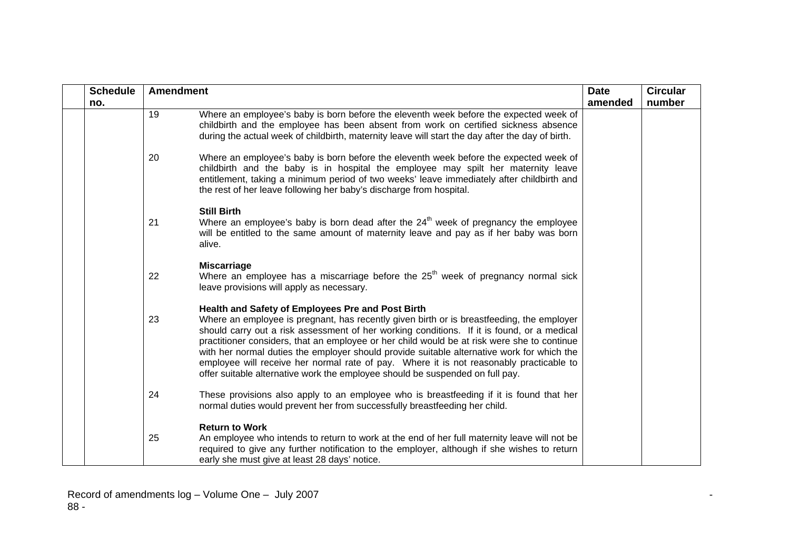| <b>Schedule</b> | Amendment |                                                                                                                                                                                                                                                                                                                                                                                                                                                                                                                                                                                                                       | <b>Date</b> | <b>Circular</b> |
|-----------------|-----------|-----------------------------------------------------------------------------------------------------------------------------------------------------------------------------------------------------------------------------------------------------------------------------------------------------------------------------------------------------------------------------------------------------------------------------------------------------------------------------------------------------------------------------------------------------------------------------------------------------------------------|-------------|-----------------|
| no.             |           |                                                                                                                                                                                                                                                                                                                                                                                                                                                                                                                                                                                                                       | amended     | number          |
|                 | 19        | Where an employee's baby is born before the eleventh week before the expected week of<br>childbirth and the employee has been absent from work on certified sickness absence<br>during the actual week of childbirth, maternity leave will start the day after the day of birth.                                                                                                                                                                                                                                                                                                                                      |             |                 |
|                 | 20        | Where an employee's baby is born before the eleventh week before the expected week of<br>childbirth and the baby is in hospital the employee may spilt her maternity leave<br>entitlement, taking a minimum period of two weeks' leave immediately after childbirth and<br>the rest of her leave following her baby's discharge from hospital.                                                                                                                                                                                                                                                                        |             |                 |
|                 | 21        | <b>Still Birth</b><br>Where an employee's baby is born dead after the $24th$ week of pregnancy the employee<br>will be entitled to the same amount of maternity leave and pay as if her baby was born<br>alive.                                                                                                                                                                                                                                                                                                                                                                                                       |             |                 |
|                 | 22        | <b>Miscarriage</b><br>Where an employee has a miscarriage before the $25th$ week of pregnancy normal sick<br>leave provisions will apply as necessary.                                                                                                                                                                                                                                                                                                                                                                                                                                                                |             |                 |
|                 | 23        | Health and Safety of Employees Pre and Post Birth<br>Where an employee is pregnant, has recently given birth or is breastfeeding, the employer<br>should carry out a risk assessment of her working conditions. If it is found, or a medical<br>practitioner considers, that an employee or her child would be at risk were she to continue<br>with her normal duties the employer should provide suitable alternative work for which the<br>employee will receive her normal rate of pay. Where it is not reasonably practicable to<br>offer suitable alternative work the employee should be suspended on full pay. |             |                 |
|                 | 24        | These provisions also apply to an employee who is breastfeeding if it is found that her<br>normal duties would prevent her from successfully breastfeeding her child.                                                                                                                                                                                                                                                                                                                                                                                                                                                 |             |                 |
|                 | 25        | <b>Return to Work</b><br>An employee who intends to return to work at the end of her full maternity leave will not be<br>required to give any further notification to the employer, although if she wishes to return                                                                                                                                                                                                                                                                                                                                                                                                  |             |                 |
|                 |           | early she must give at least 28 days' notice.                                                                                                                                                                                                                                                                                                                                                                                                                                                                                                                                                                         |             |                 |

Record of amendments log – Volume One – July 2007 - 88 -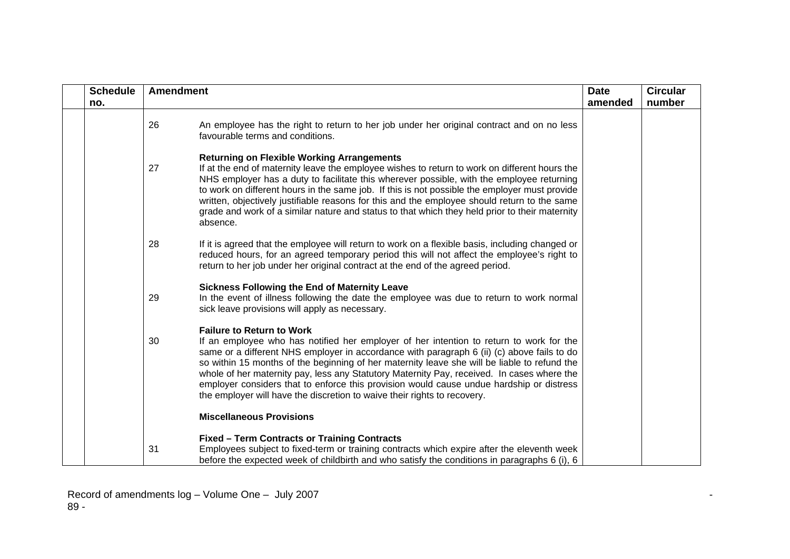| <b>Schedule</b> | <b>Amendment</b>                                                                                                                                                                                                                                                                                                                                                                                                                                                                                                                                                                                      | <b>Date</b> | <b>Circular</b> |
|-----------------|-------------------------------------------------------------------------------------------------------------------------------------------------------------------------------------------------------------------------------------------------------------------------------------------------------------------------------------------------------------------------------------------------------------------------------------------------------------------------------------------------------------------------------------------------------------------------------------------------------|-------------|-----------------|
| no.             |                                                                                                                                                                                                                                                                                                                                                                                                                                                                                                                                                                                                       | amended     | number          |
|                 | 26<br>An employee has the right to return to her job under her original contract and on no less<br>favourable terms and conditions.                                                                                                                                                                                                                                                                                                                                                                                                                                                                   |             |                 |
|                 | <b>Returning on Flexible Working Arrangements</b><br>27<br>If at the end of maternity leave the employee wishes to return to work on different hours the<br>NHS employer has a duty to facilitate this wherever possible, with the employee returning<br>to work on different hours in the same job. If this is not possible the employer must provide<br>written, objectively justifiable reasons for this and the employee should return to the same<br>grade and work of a similar nature and status to that which they held prior to their maternity<br>absence.                                  |             |                 |
|                 | 28<br>If it is agreed that the employee will return to work on a flexible basis, including changed or<br>reduced hours, for an agreed temporary period this will not affect the employee's right to<br>return to her job under her original contract at the end of the agreed period.                                                                                                                                                                                                                                                                                                                 |             |                 |
|                 | <b>Sickness Following the End of Maternity Leave</b><br>29<br>In the event of illness following the date the employee was due to return to work normal<br>sick leave provisions will apply as necessary.                                                                                                                                                                                                                                                                                                                                                                                              |             |                 |
|                 | <b>Failure to Return to Work</b><br>If an employee who has notified her employer of her intention to return to work for the<br>30<br>same or a different NHS employer in accordance with paragraph 6 (ii) (c) above fails to do<br>so within 15 months of the beginning of her maternity leave she will be liable to refund the<br>whole of her maternity pay, less any Statutory Maternity Pay, received. In cases where the<br>employer considers that to enforce this provision would cause undue hardship or distress<br>the employer will have the discretion to waive their rights to recovery. |             |                 |
|                 | <b>Miscellaneous Provisions</b>                                                                                                                                                                                                                                                                                                                                                                                                                                                                                                                                                                       |             |                 |
|                 | <b>Fixed - Term Contracts or Training Contracts</b><br>Employees subject to fixed-term or training contracts which expire after the eleventh week<br>31<br>before the expected week of childbirth and who satisfy the conditions in paragraphs 6 (i), 6                                                                                                                                                                                                                                                                                                                                               |             |                 |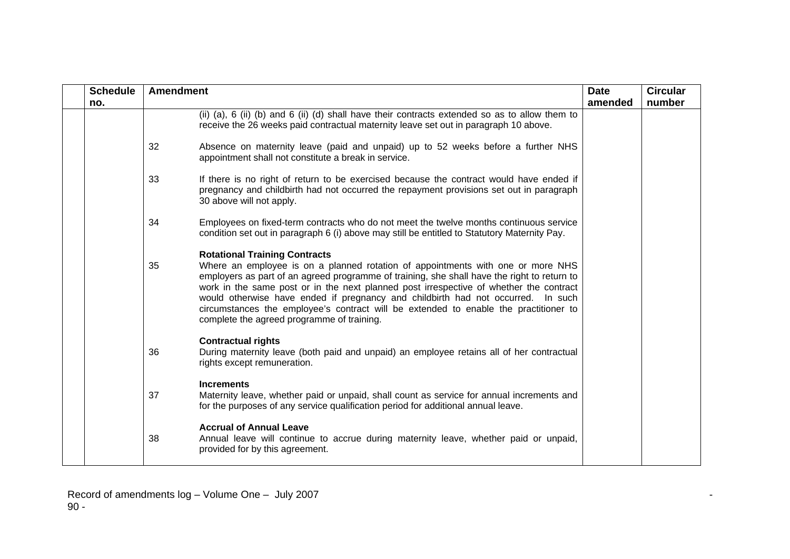| <b>Schedule</b> |    | <b>Amendment</b><br><b>Date</b>                                                                                                                                                                                                                                                                                                                                                                                                                                                                                                            |         | <b>Circular</b> |
|-----------------|----|--------------------------------------------------------------------------------------------------------------------------------------------------------------------------------------------------------------------------------------------------------------------------------------------------------------------------------------------------------------------------------------------------------------------------------------------------------------------------------------------------------------------------------------------|---------|-----------------|
| no.             |    | (ii) (a), 6 (ii) (b) and 6 (ii) (d) shall have their contracts extended so as to allow them to<br>receive the 26 weeks paid contractual maternity leave set out in paragraph 10 above.                                                                                                                                                                                                                                                                                                                                                     | amended | number          |
|                 | 32 | Absence on maternity leave (paid and unpaid) up to 52 weeks before a further NHS<br>appointment shall not constitute a break in service.                                                                                                                                                                                                                                                                                                                                                                                                   |         |                 |
|                 | 33 | If there is no right of return to be exercised because the contract would have ended if<br>pregnancy and childbirth had not occurred the repayment provisions set out in paragraph<br>30 above will not apply.                                                                                                                                                                                                                                                                                                                             |         |                 |
|                 | 34 | Employees on fixed-term contracts who do not meet the twelve months continuous service<br>condition set out in paragraph 6 (i) above may still be entitled to Statutory Maternity Pay.                                                                                                                                                                                                                                                                                                                                                     |         |                 |
|                 | 35 | <b>Rotational Training Contracts</b><br>Where an employee is on a planned rotation of appointments with one or more NHS<br>employers as part of an agreed programme of training, she shall have the right to return to<br>work in the same post or in the next planned post irrespective of whether the contract<br>would otherwise have ended if pregnancy and childbirth had not occurred. In such<br>circumstances the employee's contract will be extended to enable the practitioner to<br>complete the agreed programme of training. |         |                 |
|                 | 36 | <b>Contractual rights</b><br>During maternity leave (both paid and unpaid) an employee retains all of her contractual<br>rights except remuneration.                                                                                                                                                                                                                                                                                                                                                                                       |         |                 |
|                 | 37 | <b>Increments</b><br>Maternity leave, whether paid or unpaid, shall count as service for annual increments and<br>for the purposes of any service qualification period for additional annual leave.                                                                                                                                                                                                                                                                                                                                        |         |                 |
|                 | 38 | <b>Accrual of Annual Leave</b><br>Annual leave will continue to accrue during maternity leave, whether paid or unpaid,<br>provided for by this agreement.                                                                                                                                                                                                                                                                                                                                                                                  |         |                 |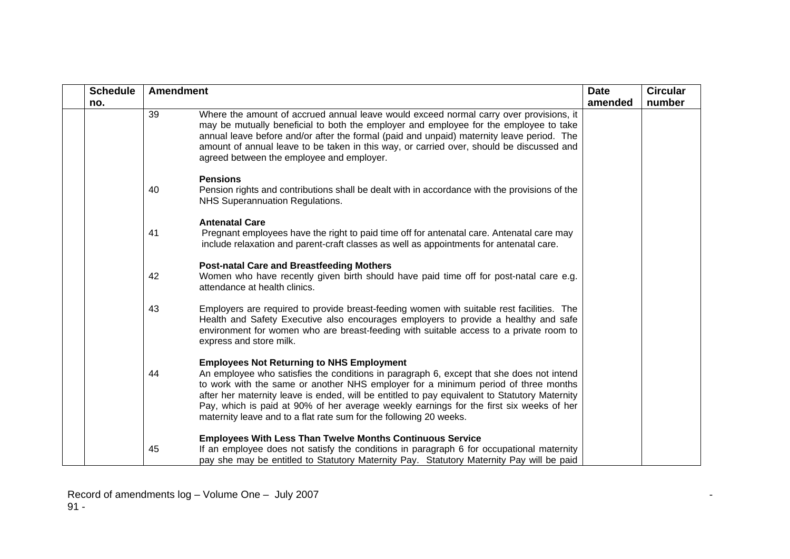| <b>Schedule</b> | <b>Amendment</b> |                                                                                                                                                                                                                                                                                                                                                                                                                                                                                                      | <b>Date</b> | <b>Circular</b> |
|-----------------|------------------|------------------------------------------------------------------------------------------------------------------------------------------------------------------------------------------------------------------------------------------------------------------------------------------------------------------------------------------------------------------------------------------------------------------------------------------------------------------------------------------------------|-------------|-----------------|
| no.             |                  |                                                                                                                                                                                                                                                                                                                                                                                                                                                                                                      | amended     | number          |
|                 | 39               | Where the amount of accrued annual leave would exceed normal carry over provisions, it<br>may be mutually beneficial to both the employer and employee for the employee to take<br>annual leave before and/or after the formal (paid and unpaid) maternity leave period. The<br>amount of annual leave to be taken in this way, or carried over, should be discussed and<br>agreed between the employee and employer.                                                                                |             |                 |
|                 |                  | <b>Pensions</b>                                                                                                                                                                                                                                                                                                                                                                                                                                                                                      |             |                 |
|                 | 40               | Pension rights and contributions shall be dealt with in accordance with the provisions of the<br><b>NHS Superannuation Regulations.</b>                                                                                                                                                                                                                                                                                                                                                              |             |                 |
|                 |                  | <b>Antenatal Care</b>                                                                                                                                                                                                                                                                                                                                                                                                                                                                                |             |                 |
|                 | 41               | Pregnant employees have the right to paid time off for antenatal care. Antenatal care may<br>include relaxation and parent-craft classes as well as appointments for antenatal care.                                                                                                                                                                                                                                                                                                                 |             |                 |
|                 | 42               | <b>Post-natal Care and Breastfeeding Mothers</b><br>Women who have recently given birth should have paid time off for post-natal care e.g.<br>attendance at health clinics.                                                                                                                                                                                                                                                                                                                          |             |                 |
|                 | 43               | Employers are required to provide breast-feeding women with suitable rest facilities. The<br>Health and Safety Executive also encourages employers to provide a healthy and safe<br>environment for women who are breast-feeding with suitable access to a private room to<br>express and store milk.                                                                                                                                                                                                |             |                 |
|                 | 44               | <b>Employees Not Returning to NHS Employment</b><br>An employee who satisfies the conditions in paragraph 6, except that she does not intend<br>to work with the same or another NHS employer for a minimum period of three months<br>after her maternity leave is ended, will be entitled to pay equivalent to Statutory Maternity<br>Pay, which is paid at 90% of her average weekly earnings for the first six weeks of her<br>maternity leave and to a flat rate sum for the following 20 weeks. |             |                 |
|                 |                  | <b>Employees With Less Than Twelve Months Continuous Service</b>                                                                                                                                                                                                                                                                                                                                                                                                                                     |             |                 |
|                 | 45               | If an employee does not satisfy the conditions in paragraph 6 for occupational maternity<br>pay she may be entitled to Statutory Maternity Pay. Statutory Maternity Pay will be paid                                                                                                                                                                                                                                                                                                                 |             |                 |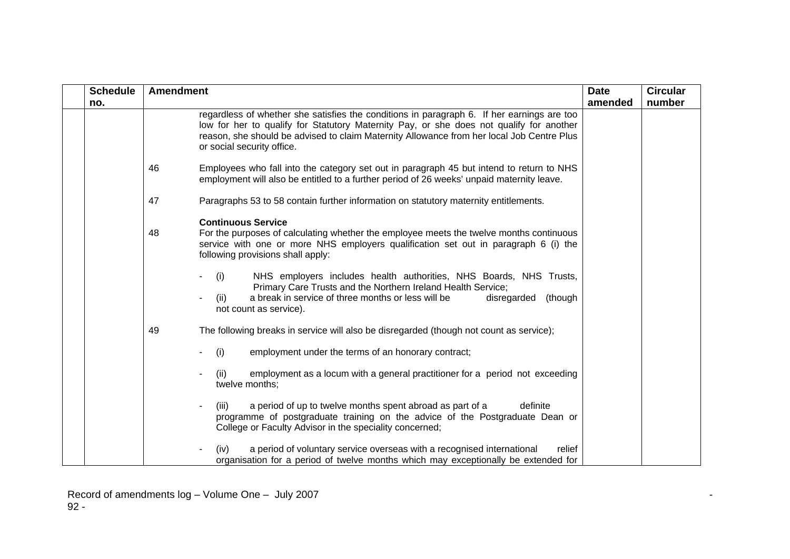| <b>Schedule</b><br>no. | <b>Amendment</b>                                                                                                                                                                                                                                                                                                 | <b>Date</b><br>amended | <b>Circular</b><br>number |
|------------------------|------------------------------------------------------------------------------------------------------------------------------------------------------------------------------------------------------------------------------------------------------------------------------------------------------------------|------------------------|---------------------------|
|                        | regardless of whether she satisfies the conditions in paragraph 6. If her earnings are too<br>low for her to qualify for Statutory Maternity Pay, or she does not qualify for another<br>reason, she should be advised to claim Maternity Allowance from her local Job Centre Plus<br>or social security office. |                        |                           |
|                        | Employees who fall into the category set out in paragraph 45 but intend to return to NHS<br>46<br>employment will also be entitled to a further period of 26 weeks' unpaid maternity leave.                                                                                                                      |                        |                           |
|                        | Paragraphs 53 to 58 contain further information on statutory maternity entitlements.<br>47                                                                                                                                                                                                                       |                        |                           |
|                        | <b>Continuous Service</b><br>48<br>For the purposes of calculating whether the employee meets the twelve months continuous<br>service with one or more NHS employers qualification set out in paragraph 6 (i) the<br>following provisions shall apply:                                                           |                        |                           |
|                        | NHS employers includes health authorities, NHS Boards, NHS Trusts,<br>(i)<br>Primary Care Trusts and the Northern Ireland Health Service;<br>a break in service of three months or less will be<br>disregarded<br>(though<br>(ii)<br>not count as service).                                                      |                        |                           |
|                        | The following breaks in service will also be disregarded (though not count as service);<br>49                                                                                                                                                                                                                    |                        |                           |
|                        | employment under the terms of an honorary contract;<br>(i)                                                                                                                                                                                                                                                       |                        |                           |
|                        | employment as a locum with a general practitioner for a period not exceeding<br>(ii)<br>twelve months;                                                                                                                                                                                                           |                        |                           |
|                        | a period of up to twelve months spent abroad as part of a<br>definite<br>(iii)<br>programme of postgraduate training on the advice of the Postgraduate Dean or<br>College or Faculty Advisor in the speciality concerned;                                                                                        |                        |                           |
|                        | a period of voluntary service overseas with a recognised international<br>relief<br>(iv)<br>organisation for a period of twelve months which may exceptionally be extended for                                                                                                                                   |                        |                           |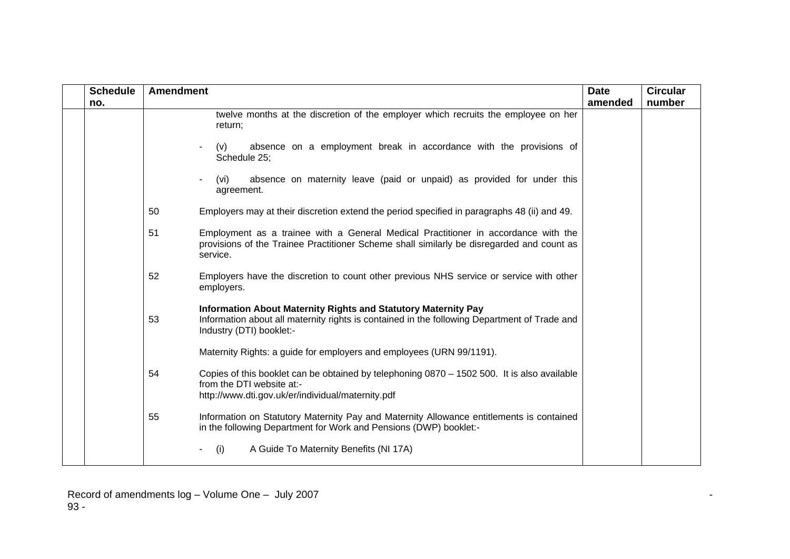| <b>Schedule</b> | <b>Amendment</b> |                                                                                                                                                                                             | <b>Date</b> | <b>Circular</b> |
|-----------------|------------------|---------------------------------------------------------------------------------------------------------------------------------------------------------------------------------------------|-------------|-----------------|
| no.             |                  | twelve months at the discretion of the employer which recruits the employee on her<br>return;                                                                                               | amended     | number          |
|                 |                  | absence on a employment break in accordance with the provisions of<br>(v)<br>Schedule 25;                                                                                                   |             |                 |
|                 |                  | absence on maternity leave (paid or unpaid) as provided for under this<br>(vi)<br>agreement.                                                                                                |             |                 |
|                 | 50               | Employers may at their discretion extend the period specified in paragraphs 48 (ii) and 49.                                                                                                 |             |                 |
|                 | 51               | Employment as a trainee with a General Medical Practitioner in accordance with the<br>provisions of the Trainee Practitioner Scheme shall similarly be disregarded and count as<br>service. |             |                 |
|                 | 52               | Employers have the discretion to count other previous NHS service or service with other<br>employers.                                                                                       |             |                 |
|                 | 53               | Information About Maternity Rights and Statutory Maternity Pay<br>Information about all maternity rights is contained in the following Department of Trade and<br>Industry (DTI) booklet:-  |             |                 |
|                 |                  | Maternity Rights: a guide for employers and employees (URN 99/1191).                                                                                                                        |             |                 |
|                 | 54               | Copies of this booklet can be obtained by telephoning $0870 - 1502500$ . It is also available<br>from the DTI website at:-<br>http://www.dti.gov.uk/er/individual/maternity.pdf             |             |                 |
|                 | 55               | Information on Statutory Maternity Pay and Maternity Allowance entitlements is contained<br>in the following Department for Work and Pensions (DWP) booklet:-                               |             |                 |
|                 |                  | A Guide To Maternity Benefits (NI 17A)<br>(i)                                                                                                                                               |             |                 |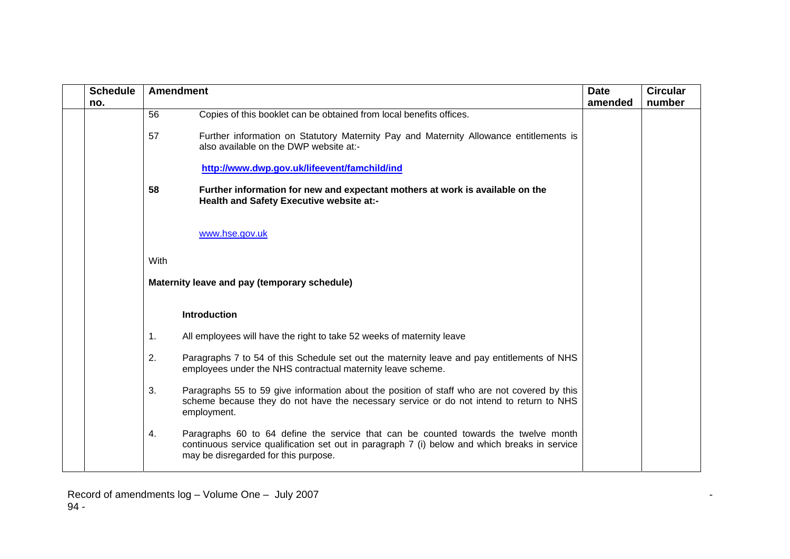| <b>Schedule</b> |                | <b>Amendment</b>                                                                                                                                                                                                             | <b>Date</b> | <b>Circular</b> |
|-----------------|----------------|------------------------------------------------------------------------------------------------------------------------------------------------------------------------------------------------------------------------------|-------------|-----------------|
| no.             | 56             | Copies of this booklet can be obtained from local benefits offices.                                                                                                                                                          | amended     | number          |
|                 | 57             | Further information on Statutory Maternity Pay and Maternity Allowance entitlements is<br>also available on the DWP website at:-                                                                                             |             |                 |
|                 |                | http://www.dwp.gov.uk/lifeevent/famchild/ind                                                                                                                                                                                 |             |                 |
|                 | 58             | Further information for new and expectant mothers at work is available on the<br>Health and Safety Executive website at:-                                                                                                    |             |                 |
|                 |                | www.hse.gov.uk                                                                                                                                                                                                               |             |                 |
|                 | With           |                                                                                                                                                                                                                              |             |                 |
|                 |                | Maternity leave and pay (temporary schedule)                                                                                                                                                                                 |             |                 |
|                 |                | <b>Introduction</b>                                                                                                                                                                                                          |             |                 |
|                 | $\mathbf{1}$ . | All employees will have the right to take 52 weeks of maternity leave                                                                                                                                                        |             |                 |
|                 | 2.             | Paragraphs 7 to 54 of this Schedule set out the maternity leave and pay entitlements of NHS<br>employees under the NHS contractual maternity leave scheme.                                                                   |             |                 |
|                 | 3.             | Paragraphs 55 to 59 give information about the position of staff who are not covered by this<br>scheme because they do not have the necessary service or do not intend to return to NHS<br>employment.                       |             |                 |
|                 | 4.             | Paragraphs 60 to 64 define the service that can be counted towards the twelve month<br>continuous service qualification set out in paragraph 7 (i) below and which breaks in service<br>may be disregarded for this purpose. |             |                 |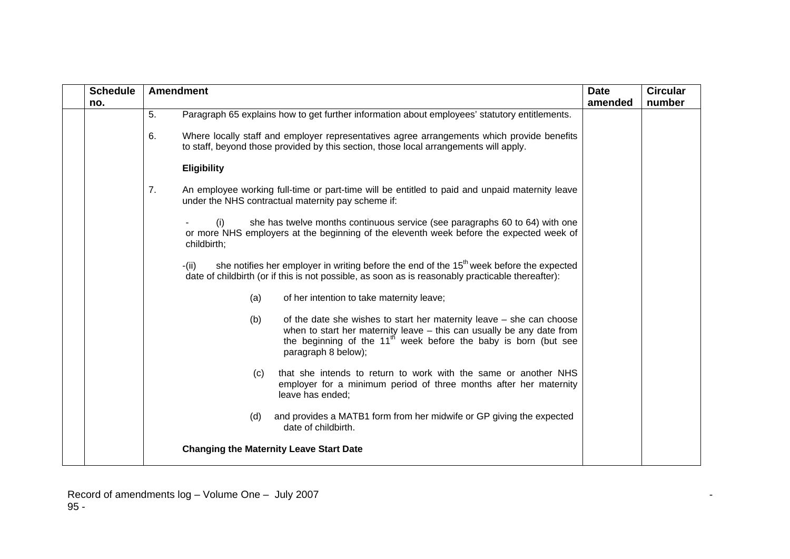| <b>Schedule</b> | <b>Amendment</b>                                                                                                                                                                                                                                               | <b>Date</b> | <b>Circular</b> |
|-----------------|----------------------------------------------------------------------------------------------------------------------------------------------------------------------------------------------------------------------------------------------------------------|-------------|-----------------|
| no.             |                                                                                                                                                                                                                                                                | amended     | number          |
|                 | 5.<br>Paragraph 65 explains how to get further information about employees' statutory entitlements.<br>6.<br>Where locally staff and employer representatives agree arrangements which provide benefits                                                        |             |                 |
|                 | to staff, beyond those provided by this section, those local arrangements will apply.                                                                                                                                                                          |             |                 |
|                 | Eligibility                                                                                                                                                                                                                                                    |             |                 |
|                 | 7.<br>An employee working full-time or part-time will be entitled to paid and unpaid maternity leave<br>under the NHS contractual maternity pay scheme if:                                                                                                     |             |                 |
|                 | (i)<br>she has twelve months continuous service (see paragraphs 60 to 64) with one<br>or more NHS employers at the beginning of the eleventh week before the expected week of<br>childbirth;                                                                   |             |                 |
|                 | she notifies her employer in writing before the end of the 15 <sup>th</sup> week before the expected<br>$-i$ ii)<br>date of childbirth (or if this is not possible, as soon as is reasonably practicable thereafter):                                          |             |                 |
|                 | of her intention to take maternity leave;<br>(a)                                                                                                                                                                                                               |             |                 |
|                 | of the date she wishes to start her maternity leave $-$ she can choose<br>(b)<br>when to start her maternity leave $-$ this can usually be any date from<br>the beginning of the 11 <sup>th</sup> week before the baby is born (but see<br>paragraph 8 below); |             |                 |
|                 | that she intends to return to work with the same or another NHS<br>(c)<br>employer for a minimum period of three months after her maternity<br>leave has ended;                                                                                                |             |                 |
|                 | and provides a MATB1 form from her midwife or GP giving the expected<br>(d)<br>date of childbirth.                                                                                                                                                             |             |                 |
|                 | <b>Changing the Maternity Leave Start Date</b>                                                                                                                                                                                                                 |             |                 |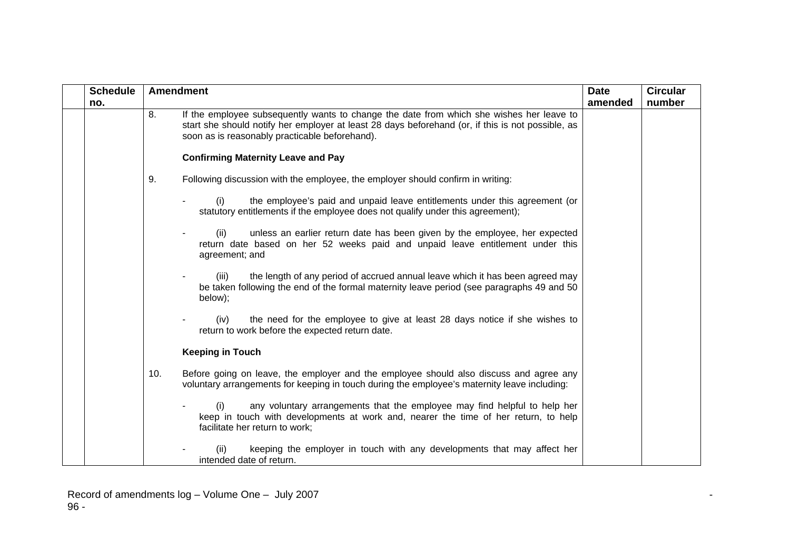| <b>Schedule</b> | <b>Amendment</b>                                                                                                                                                                                                                                      | <b>Date</b> | <b>Circular</b> |
|-----------------|-------------------------------------------------------------------------------------------------------------------------------------------------------------------------------------------------------------------------------------------------------|-------------|-----------------|
| no.             |                                                                                                                                                                                                                                                       | amended     | number          |
|                 | 8.<br>If the employee subsequently wants to change the date from which she wishes her leave to<br>start she should notify her employer at least 28 days beforehand (or, if this is not possible, as<br>soon as is reasonably practicable beforehand). |             |                 |
|                 | <b>Confirming Maternity Leave and Pay</b>                                                                                                                                                                                                             |             |                 |
|                 | 9.<br>Following discussion with the employee, the employer should confirm in writing:                                                                                                                                                                 |             |                 |
|                 | the employee's paid and unpaid leave entitlements under this agreement (or<br>(i)<br>statutory entitlements if the employee does not qualify under this agreement);                                                                                   |             |                 |
|                 | (ii)<br>unless an earlier return date has been given by the employee, her expected<br>return date based on her 52 weeks paid and unpaid leave entitlement under this<br>agreement; and                                                                |             |                 |
|                 | the length of any period of accrued annual leave which it has been agreed may<br>(iii)<br>be taken following the end of the formal maternity leave period (see paragraphs 49 and 50<br>below);                                                        |             |                 |
|                 | the need for the employee to give at least 28 days notice if she wishes to<br>(iv)<br>return to work before the expected return date.                                                                                                                 |             |                 |
|                 | <b>Keeping in Touch</b>                                                                                                                                                                                                                               |             |                 |
|                 | Before going on leave, the employer and the employee should also discuss and agree any<br>10.<br>voluntary arrangements for keeping in touch during the employee's maternity leave including:                                                         |             |                 |
|                 | any voluntary arrangements that the employee may find helpful to help her<br>(i)<br>keep in touch with developments at work and, nearer the time of her return, to help<br>facilitate her return to work;                                             |             |                 |
|                 | keeping the employer in touch with any developments that may affect her<br>(ii)<br>intended date of return.                                                                                                                                           |             |                 |

Record of amendments log – Volume One – July 2007 - 96 -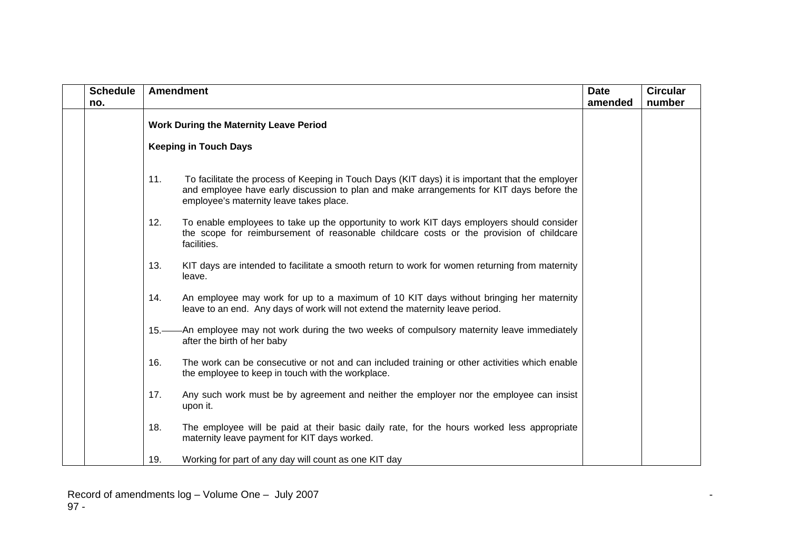| <b>Schedule</b><br>no. | <b>Amendment</b>                                                                                                                                                                                                                              | <b>Date</b><br>amended | <b>Circular</b><br>number |
|------------------------|-----------------------------------------------------------------------------------------------------------------------------------------------------------------------------------------------------------------------------------------------|------------------------|---------------------------|
|                        | <b>Work During the Maternity Leave Period</b>                                                                                                                                                                                                 |                        |                           |
|                        | <b>Keeping in Touch Days</b>                                                                                                                                                                                                                  |                        |                           |
|                        | 11.<br>To facilitate the process of Keeping in Touch Days (KIT days) it is important that the employer<br>and employee have early discussion to plan and make arrangements for KIT days before the<br>employee's maternity leave takes place. |                        |                           |
|                        | 12.<br>To enable employees to take up the opportunity to work KIT days employers should consider<br>the scope for reimbursement of reasonable childcare costs or the provision of childcare<br>facilities.                                    |                        |                           |
|                        | KIT days are intended to facilitate a smooth return to work for women returning from maternity<br>13.<br>leave.                                                                                                                               |                        |                           |
|                        | An employee may work for up to a maximum of 10 KIT days without bringing her maternity<br>14.<br>leave to an end. Any days of work will not extend the maternity leave period.                                                                |                        |                           |
|                        | 15.——An employee may not work during the two weeks of compulsory maternity leave immediately<br>after the birth of her baby                                                                                                                   |                        |                           |
|                        | 16.<br>The work can be consecutive or not and can included training or other activities which enable<br>the employee to keep in touch with the workplace.                                                                                     |                        |                           |
|                        | 17.<br>Any such work must be by agreement and neither the employer nor the employee can insist<br>upon it.                                                                                                                                    |                        |                           |
|                        | 18.<br>The employee will be paid at their basic daily rate, for the hours worked less appropriate<br>maternity leave payment for KIT days worked.                                                                                             |                        |                           |
|                        | 19.<br>Working for part of any day will count as one KIT day                                                                                                                                                                                  |                        |                           |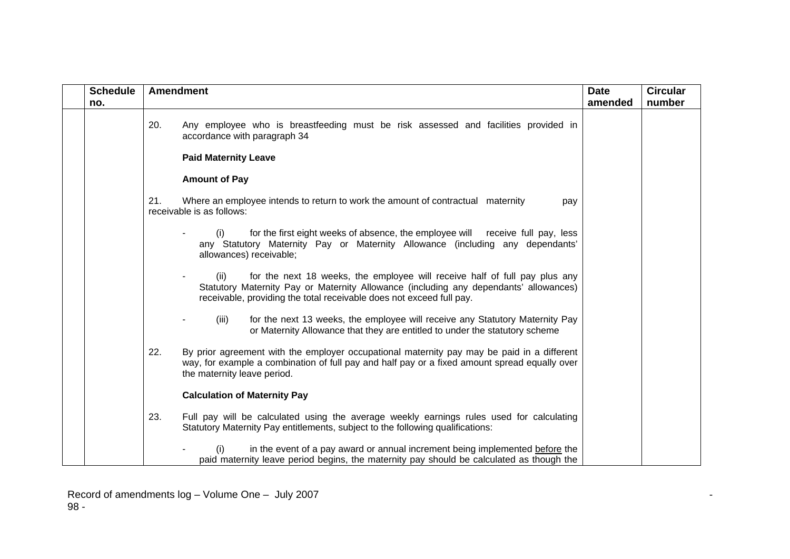| <b>Schedule</b> | <b>Amendment</b>                                                                                                                                                                                                                                    | <b>Date</b> | <b>Circular</b> |
|-----------------|-----------------------------------------------------------------------------------------------------------------------------------------------------------------------------------------------------------------------------------------------------|-------------|-----------------|
| no.             |                                                                                                                                                                                                                                                     | amended     | number          |
|                 | 20.<br>Any employee who is breastfeeding must be risk assessed and facilities provided in<br>accordance with paragraph 34                                                                                                                           |             |                 |
|                 | <b>Paid Maternity Leave</b>                                                                                                                                                                                                                         |             |                 |
|                 | <b>Amount of Pay</b>                                                                                                                                                                                                                                |             |                 |
|                 | 21.<br>Where an employee intends to return to work the amount of contractual maternity<br>pay<br>receivable is as follows:                                                                                                                          |             |                 |
|                 | for the first eight weeks of absence, the employee will receive full pay, less<br>(i)<br>any Statutory Maternity Pay or Maternity Allowance (including any dependants'<br>allowances) receivable;                                                   |             |                 |
|                 | for the next 18 weeks, the employee will receive half of full pay plus any<br>(ii)<br>Statutory Maternity Pay or Maternity Allowance (including any dependants' allowances)<br>receivable, providing the total receivable does not exceed full pay. |             |                 |
|                 | for the next 13 weeks, the employee will receive any Statutory Maternity Pay<br>(iii)<br>or Maternity Allowance that they are entitled to under the statutory scheme                                                                                |             |                 |
|                 | 22.<br>By prior agreement with the employer occupational maternity pay may be paid in a different<br>way, for example a combination of full pay and half pay or a fixed amount spread equally over<br>the maternity leave period.                   |             |                 |
|                 | <b>Calculation of Maternity Pay</b>                                                                                                                                                                                                                 |             |                 |
|                 | 23.<br>Full pay will be calculated using the average weekly earnings rules used for calculating<br>Statutory Maternity Pay entitlements, subject to the following qualifications:                                                                   |             |                 |
|                 | in the event of a pay award or annual increment being implemented before the<br>paid maternity leave period begins, the maternity pay should be calculated as though the                                                                            |             |                 |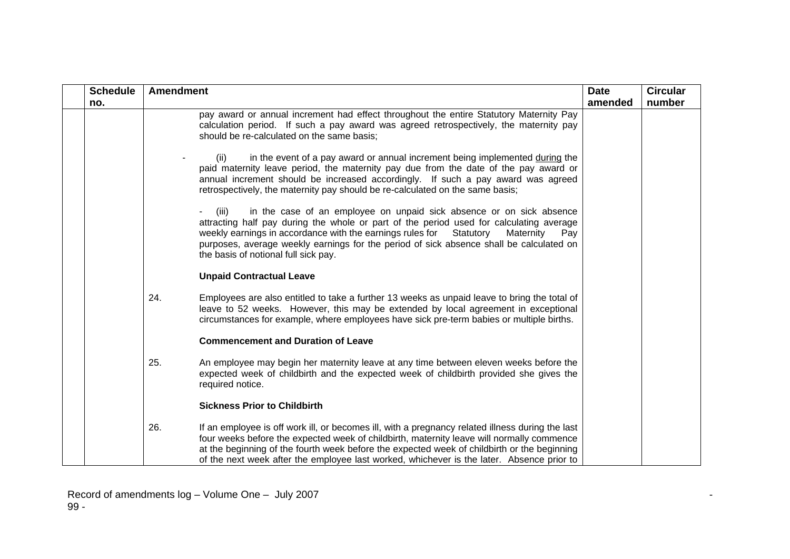| <b>Schedule</b> | <b>Amendment</b>                                                                                                                                                                                                                                                                                                                                                                                       | <b>Date</b> | <b>Circular</b> |
|-----------------|--------------------------------------------------------------------------------------------------------------------------------------------------------------------------------------------------------------------------------------------------------------------------------------------------------------------------------------------------------------------------------------------------------|-------------|-----------------|
| no.             |                                                                                                                                                                                                                                                                                                                                                                                                        | amended     | number          |
|                 | pay award or annual increment had effect throughout the entire Statutory Maternity Pay<br>calculation period. If such a pay award was agreed retrospectively, the maternity pay<br>should be re-calculated on the same basis;                                                                                                                                                                          |             |                 |
|                 | in the event of a pay award or annual increment being implemented during the<br>(ii)<br>paid maternity leave period, the maternity pay due from the date of the pay award or<br>annual increment should be increased accordingly. If such a pay award was agreed<br>retrospectively, the maternity pay should be re-calculated on the same basis;                                                      |             |                 |
|                 | in the case of an employee on unpaid sick absence or on sick absence<br>(iii)<br>attracting half pay during the whole or part of the period used for calculating average<br>weekly earnings in accordance with the earnings rules for Statutory<br>Maternity<br>Pay<br>purposes, average weekly earnings for the period of sick absence shall be calculated on<br>the basis of notional full sick pay. |             |                 |
|                 | <b>Unpaid Contractual Leave</b>                                                                                                                                                                                                                                                                                                                                                                        |             |                 |
|                 | 24.<br>Employees are also entitled to take a further 13 weeks as unpaid leave to bring the total of<br>leave to 52 weeks. However, this may be extended by local agreement in exceptional<br>circumstances for example, where employees have sick pre-term babies or multiple births.                                                                                                                  |             |                 |
|                 | <b>Commencement and Duration of Leave</b>                                                                                                                                                                                                                                                                                                                                                              |             |                 |
|                 | 25.<br>An employee may begin her maternity leave at any time between eleven weeks before the<br>expected week of childbirth and the expected week of childbirth provided she gives the<br>required notice.                                                                                                                                                                                             |             |                 |
|                 | <b>Sickness Prior to Childbirth</b>                                                                                                                                                                                                                                                                                                                                                                    |             |                 |
|                 | 26.<br>If an employee is off work ill, or becomes ill, with a pregnancy related illness during the last<br>four weeks before the expected week of childbirth, maternity leave will normally commence<br>at the beginning of the fourth week before the expected week of childbirth or the beginning<br>of the next week after the employee last worked, whichever is the later. Absence prior to       |             |                 |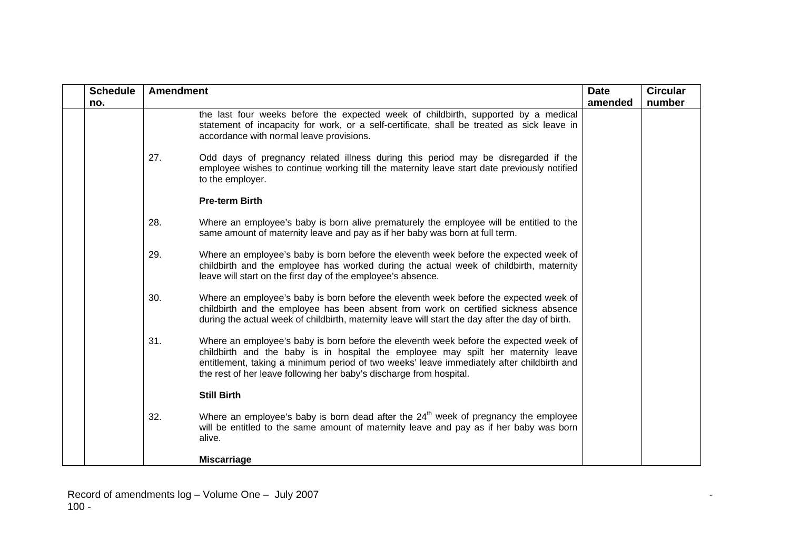| <b>Schedule</b><br>no. | <b>Amendment</b> |                                                                                                                                                                                                                                                                                                                                                | <b>Date</b><br>amended | <b>Circular</b><br>number |
|------------------------|------------------|------------------------------------------------------------------------------------------------------------------------------------------------------------------------------------------------------------------------------------------------------------------------------------------------------------------------------------------------|------------------------|---------------------------|
|                        |                  | the last four weeks before the expected week of childbirth, supported by a medical<br>statement of incapacity for work, or a self-certificate, shall be treated as sick leave in<br>accordance with normal leave provisions.                                                                                                                   |                        |                           |
|                        | 27.              | Odd days of pregnancy related illness during this period may be disregarded if the<br>employee wishes to continue working till the maternity leave start date previously notified<br>to the employer.                                                                                                                                          |                        |                           |
|                        |                  | <b>Pre-term Birth</b>                                                                                                                                                                                                                                                                                                                          |                        |                           |
|                        | 28.              | Where an employee's baby is born alive prematurely the employee will be entitled to the<br>same amount of maternity leave and pay as if her baby was born at full term.                                                                                                                                                                        |                        |                           |
|                        | 29.              | Where an employee's baby is born before the eleventh week before the expected week of<br>childbirth and the employee has worked during the actual week of childbirth, maternity<br>leave will start on the first day of the employee's absence.                                                                                                |                        |                           |
|                        | 30.              | Where an employee's baby is born before the eleventh week before the expected week of<br>childbirth and the employee has been absent from work on certified sickness absence<br>during the actual week of childbirth, maternity leave will start the day after the day of birth.                                                               |                        |                           |
|                        | 31.              | Where an employee's baby is born before the eleventh week before the expected week of<br>childbirth and the baby is in hospital the employee may spilt her maternity leave<br>entitlement, taking a minimum period of two weeks' leave immediately after childbirth and<br>the rest of her leave following her baby's discharge from hospital. |                        |                           |
|                        |                  | <b>Still Birth</b>                                                                                                                                                                                                                                                                                                                             |                        |                           |
|                        | 32.              | Where an employee's baby is born dead after the $24th$ week of pregnancy the employee<br>will be entitled to the same amount of maternity leave and pay as if her baby was born<br>alive.                                                                                                                                                      |                        |                           |
|                        |                  | <b>Miscarriage</b>                                                                                                                                                                                                                                                                                                                             |                        |                           |

Record of amendments log – Volume One – July 2007 - 100 -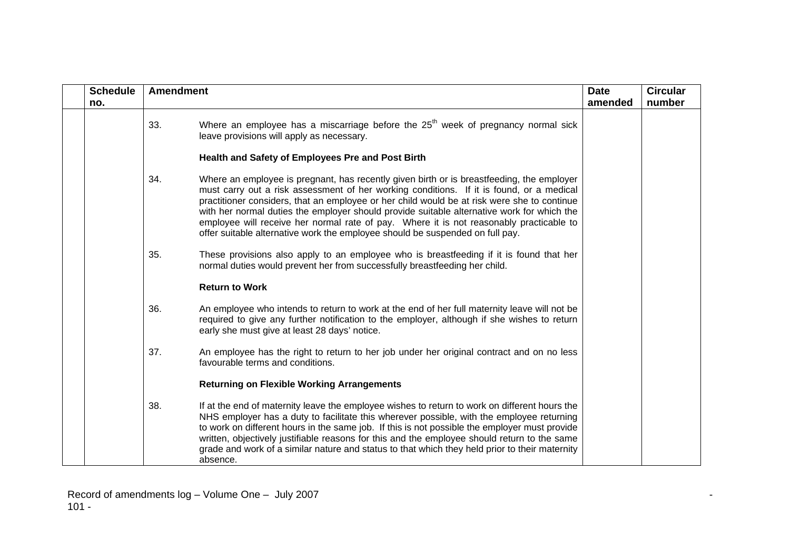| <b>Schedule</b><br>no. | <b>Amendment</b> |                                                                                                                                                                                                                                                                                                                                                                                                                                                                                                                                                                | <b>Date</b><br>amended | <b>Circular</b><br>number |
|------------------------|------------------|----------------------------------------------------------------------------------------------------------------------------------------------------------------------------------------------------------------------------------------------------------------------------------------------------------------------------------------------------------------------------------------------------------------------------------------------------------------------------------------------------------------------------------------------------------------|------------------------|---------------------------|
|                        | 33.              | Where an employee has a miscarriage before the 25 <sup>th</sup> week of pregnancy normal sick<br>leave provisions will apply as necessary.<br>Health and Safety of Employees Pre and Post Birth                                                                                                                                                                                                                                                                                                                                                                |                        |                           |
|                        | 34.              | Where an employee is pregnant, has recently given birth or is breastfeeding, the employer<br>must carry out a risk assessment of her working conditions. If it is found, or a medical<br>practitioner considers, that an employee or her child would be at risk were she to continue<br>with her normal duties the employer should provide suitable alternative work for which the<br>employee will receive her normal rate of pay. Where it is not reasonably practicable to<br>offer suitable alternative work the employee should be suspended on full pay. |                        |                           |
|                        | 35.              | These provisions also apply to an employee who is breastfeeding if it is found that her<br>normal duties would prevent her from successfully breastfeeding her child.<br><b>Return to Work</b>                                                                                                                                                                                                                                                                                                                                                                 |                        |                           |
|                        | 36.              | An employee who intends to return to work at the end of her full maternity leave will not be<br>required to give any further notification to the employer, although if she wishes to return<br>early she must give at least 28 days' notice.                                                                                                                                                                                                                                                                                                                   |                        |                           |
|                        | 37.              | An employee has the right to return to her job under her original contract and on no less<br>favourable terms and conditions.                                                                                                                                                                                                                                                                                                                                                                                                                                  |                        |                           |
|                        | 38.              | <b>Returning on Flexible Working Arrangements</b><br>If at the end of maternity leave the employee wishes to return to work on different hours the<br>NHS employer has a duty to facilitate this wherever possible, with the employee returning<br>to work on different hours in the same job. If this is not possible the employer must provide<br>written, objectively justifiable reasons for this and the employee should return to the same<br>grade and work of a similar nature and status to that which they held prior to their maternity<br>absence. |                        |                           |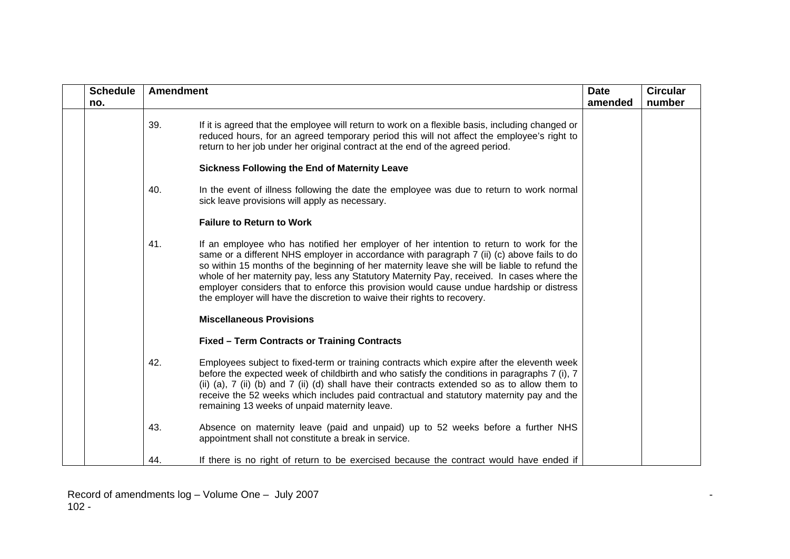| <b>Schedule</b> |     | <b>Amendment</b>                                                                                                                                                                                                                                                                                                                                                                                                                                                                                                                                            |         | <b>Circular</b> |
|-----------------|-----|-------------------------------------------------------------------------------------------------------------------------------------------------------------------------------------------------------------------------------------------------------------------------------------------------------------------------------------------------------------------------------------------------------------------------------------------------------------------------------------------------------------------------------------------------------------|---------|-----------------|
| no.             |     |                                                                                                                                                                                                                                                                                                                                                                                                                                                                                                                                                             | amended | number          |
|                 | 39. | If it is agreed that the employee will return to work on a flexible basis, including changed or<br>reduced hours, for an agreed temporary period this will not affect the employee's right to<br>return to her job under her original contract at the end of the agreed period.                                                                                                                                                                                                                                                                             |         |                 |
|                 |     | <b>Sickness Following the End of Maternity Leave</b>                                                                                                                                                                                                                                                                                                                                                                                                                                                                                                        |         |                 |
|                 | 40. | In the event of illness following the date the employee was due to return to work normal<br>sick leave provisions will apply as necessary.                                                                                                                                                                                                                                                                                                                                                                                                                  |         |                 |
|                 |     | <b>Failure to Return to Work</b>                                                                                                                                                                                                                                                                                                                                                                                                                                                                                                                            |         |                 |
|                 | 41. | If an employee who has notified her employer of her intention to return to work for the<br>same or a different NHS employer in accordance with paragraph 7 (ii) (c) above fails to do<br>so within 15 months of the beginning of her maternity leave she will be liable to refund the<br>whole of her maternity pay, less any Statutory Maternity Pay, received. In cases where the<br>employer considers that to enforce this provision would cause undue hardship or distress<br>the employer will have the discretion to waive their rights to recovery. |         |                 |
|                 |     | <b>Miscellaneous Provisions</b>                                                                                                                                                                                                                                                                                                                                                                                                                                                                                                                             |         |                 |
|                 |     | <b>Fixed - Term Contracts or Training Contracts</b>                                                                                                                                                                                                                                                                                                                                                                                                                                                                                                         |         |                 |
|                 | 42. | Employees subject to fixed-term or training contracts which expire after the eleventh week<br>before the expected week of childbirth and who satisfy the conditions in paragraphs 7 (i), 7<br>(ii) (a), 7 (ii) (b) and 7 (ii) (d) shall have their contracts extended so as to allow them to<br>receive the 52 weeks which includes paid contractual and statutory maternity pay and the<br>remaining 13 weeks of unpaid maternity leave.                                                                                                                   |         |                 |
|                 | 43. | Absence on maternity leave (paid and unpaid) up to 52 weeks before a further NHS<br>appointment shall not constitute a break in service.                                                                                                                                                                                                                                                                                                                                                                                                                    |         |                 |
|                 | 44. | If there is no right of return to be exercised because the contract would have ended if                                                                                                                                                                                                                                                                                                                                                                                                                                                                     |         |                 |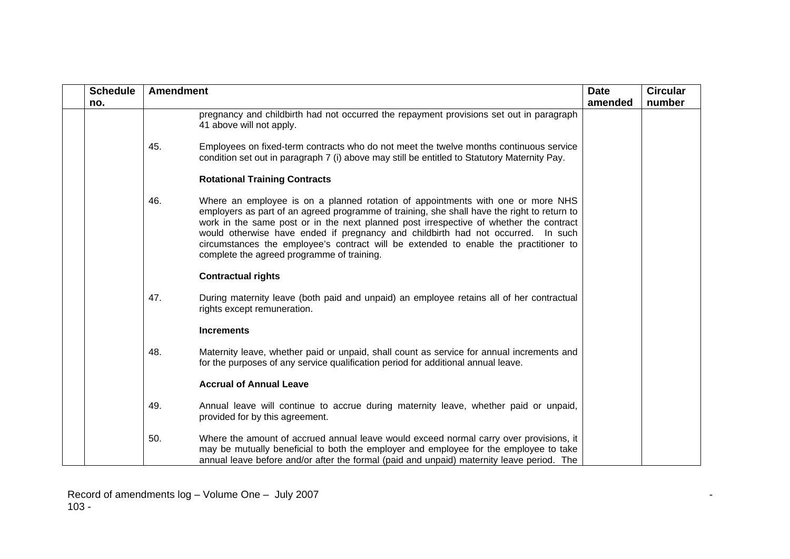| <b>Schedule</b> | <b>Amendment</b> |                                                                                                                                                                                                                                                                                                                                                                                                                                                                                                       | <b>Date</b> | <b>Circular</b> |
|-----------------|------------------|-------------------------------------------------------------------------------------------------------------------------------------------------------------------------------------------------------------------------------------------------------------------------------------------------------------------------------------------------------------------------------------------------------------------------------------------------------------------------------------------------------|-------------|-----------------|
| no.             |                  |                                                                                                                                                                                                                                                                                                                                                                                                                                                                                                       | amended     | number          |
|                 |                  | pregnancy and childbirth had not occurred the repayment provisions set out in paragraph<br>41 above will not apply.                                                                                                                                                                                                                                                                                                                                                                                   |             |                 |
|                 | 45.              | Employees on fixed-term contracts who do not meet the twelve months continuous service<br>condition set out in paragraph 7 (i) above may still be entitled to Statutory Maternity Pay.                                                                                                                                                                                                                                                                                                                |             |                 |
|                 |                  | <b>Rotational Training Contracts</b>                                                                                                                                                                                                                                                                                                                                                                                                                                                                  |             |                 |
|                 | 46.              | Where an employee is on a planned rotation of appointments with one or more NHS<br>employers as part of an agreed programme of training, she shall have the right to return to<br>work in the same post or in the next planned post irrespective of whether the contract<br>would otherwise have ended if pregnancy and childbirth had not occurred.<br>In such<br>circumstances the employee's contract will be extended to enable the practitioner to<br>complete the agreed programme of training. |             |                 |
|                 |                  | <b>Contractual rights</b>                                                                                                                                                                                                                                                                                                                                                                                                                                                                             |             |                 |
|                 | 47.              | During maternity leave (both paid and unpaid) an employee retains all of her contractual<br>rights except remuneration.                                                                                                                                                                                                                                                                                                                                                                               |             |                 |
|                 |                  | <b>Increments</b>                                                                                                                                                                                                                                                                                                                                                                                                                                                                                     |             |                 |
|                 | 48.              | Maternity leave, whether paid or unpaid, shall count as service for annual increments and<br>for the purposes of any service qualification period for additional annual leave.                                                                                                                                                                                                                                                                                                                        |             |                 |
|                 |                  | <b>Accrual of Annual Leave</b>                                                                                                                                                                                                                                                                                                                                                                                                                                                                        |             |                 |
|                 | 49.              | Annual leave will continue to accrue during maternity leave, whether paid or unpaid,<br>provided for by this agreement.                                                                                                                                                                                                                                                                                                                                                                               |             |                 |
|                 | 50.              | Where the amount of accrued annual leave would exceed normal carry over provisions, it<br>may be mutually beneficial to both the employer and employee for the employee to take<br>annual leave before and/or after the formal (paid and unpaid) maternity leave period. The                                                                                                                                                                                                                          |             |                 |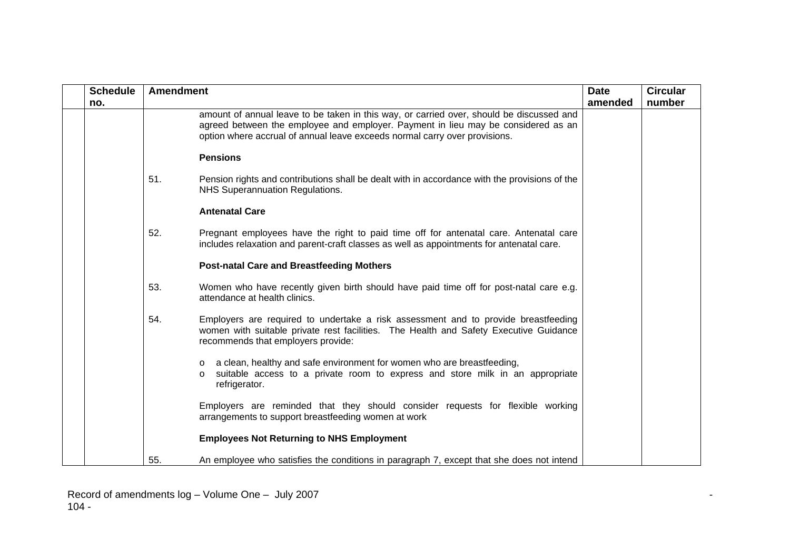| <b>Schedule</b><br>no. | <b>Amendment</b> |                                                                                                                                                                                                                                                             | <b>Date</b><br>amended | <b>Circular</b><br>number |
|------------------------|------------------|-------------------------------------------------------------------------------------------------------------------------------------------------------------------------------------------------------------------------------------------------------------|------------------------|---------------------------|
|                        |                  | amount of annual leave to be taken in this way, or carried over, should be discussed and<br>agreed between the employee and employer. Payment in lieu may be considered as an<br>option where accrual of annual leave exceeds normal carry over provisions. |                        |                           |
|                        |                  | <b>Pensions</b>                                                                                                                                                                                                                                             |                        |                           |
|                        | 51.              | Pension rights and contributions shall be dealt with in accordance with the provisions of the<br><b>NHS Superannuation Regulations.</b>                                                                                                                     |                        |                           |
|                        |                  | <b>Antenatal Care</b>                                                                                                                                                                                                                                       |                        |                           |
|                        | 52.              | Pregnant employees have the right to paid time off for antenatal care. Antenatal care<br>includes relaxation and parent-craft classes as well as appointments for antenatal care.                                                                           |                        |                           |
|                        |                  | <b>Post-natal Care and Breastfeeding Mothers</b>                                                                                                                                                                                                            |                        |                           |
|                        | 53.              | Women who have recently given birth should have paid time off for post-natal care e.g.<br>attendance at health clinics.                                                                                                                                     |                        |                           |
|                        | 54.              | Employers are required to undertake a risk assessment and to provide breastfeeding<br>women with suitable private rest facilities. The Health and Safety Executive Guidance<br>recommends that employers provide:                                           |                        |                           |
|                        |                  | a clean, healthy and safe environment for women who are breastfeeding,<br>suitable access to a private room to express and store milk in an appropriate<br>$\circ$<br>refrigerator.                                                                         |                        |                           |
|                        |                  | Employers are reminded that they should consider requests for flexible working<br>arrangements to support breastfeeding women at work                                                                                                                       |                        |                           |
|                        |                  | <b>Employees Not Returning to NHS Employment</b>                                                                                                                                                                                                            |                        |                           |
|                        | 55.              | An employee who satisfies the conditions in paragraph 7, except that she does not intend                                                                                                                                                                    |                        |                           |

Record of amendments log – Volume One – July 2007 - 104 -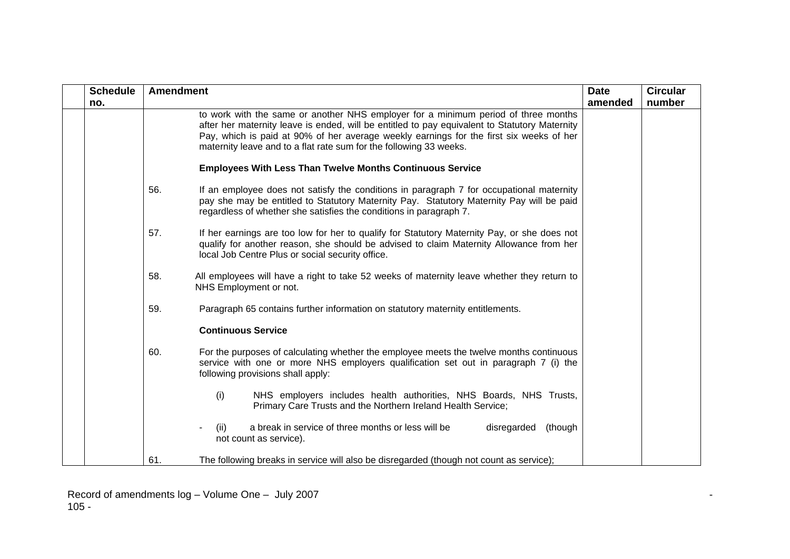| <b>Schedule</b> | <b>Amendment</b>                                                                                                                                                                                                                                                                                                                                     | <b>Date</b> | <b>Circular</b> |
|-----------------|------------------------------------------------------------------------------------------------------------------------------------------------------------------------------------------------------------------------------------------------------------------------------------------------------------------------------------------------------|-------------|-----------------|
| no.             |                                                                                                                                                                                                                                                                                                                                                      | amended     | number          |
|                 | to work with the same or another NHS employer for a minimum period of three months<br>after her maternity leave is ended, will be entitled to pay equivalent to Statutory Maternity<br>Pay, which is paid at 90% of her average weekly earnings for the first six weeks of her<br>maternity leave and to a flat rate sum for the following 33 weeks. |             |                 |
|                 | <b>Employees With Less Than Twelve Months Continuous Service</b>                                                                                                                                                                                                                                                                                     |             |                 |
|                 | 56.<br>If an employee does not satisfy the conditions in paragraph 7 for occupational maternity<br>pay she may be entitled to Statutory Maternity Pay. Statutory Maternity Pay will be paid<br>regardless of whether she satisfies the conditions in paragraph 7.                                                                                    |             |                 |
|                 | 57.<br>If her earnings are too low for her to qualify for Statutory Maternity Pay, or she does not<br>qualify for another reason, she should be advised to claim Maternity Allowance from her<br>local Job Centre Plus or social security office.                                                                                                    |             |                 |
|                 | 58.<br>All employees will have a right to take 52 weeks of maternity leave whether they return to<br>NHS Employment or not.                                                                                                                                                                                                                          |             |                 |
|                 | 59.<br>Paragraph 65 contains further information on statutory maternity entitlements.                                                                                                                                                                                                                                                                |             |                 |
|                 | <b>Continuous Service</b>                                                                                                                                                                                                                                                                                                                            |             |                 |
|                 | 60.<br>For the purposes of calculating whether the employee meets the twelve months continuous<br>service with one or more NHS employers qualification set out in paragraph 7 (i) the<br>following provisions shall apply:                                                                                                                           |             |                 |
|                 | (i)<br>NHS employers includes health authorities, NHS Boards, NHS Trusts,<br>Primary Care Trusts and the Northern Ireland Health Service;                                                                                                                                                                                                            |             |                 |
|                 | a break in service of three months or less will be<br>disregarded<br>(though<br>(ii)<br>not count as service).                                                                                                                                                                                                                                       |             |                 |
|                 | 61.<br>The following breaks in service will also be disregarded (though not count as service);                                                                                                                                                                                                                                                       |             |                 |

Record of amendments log – Volume One – July 2007 - 105 -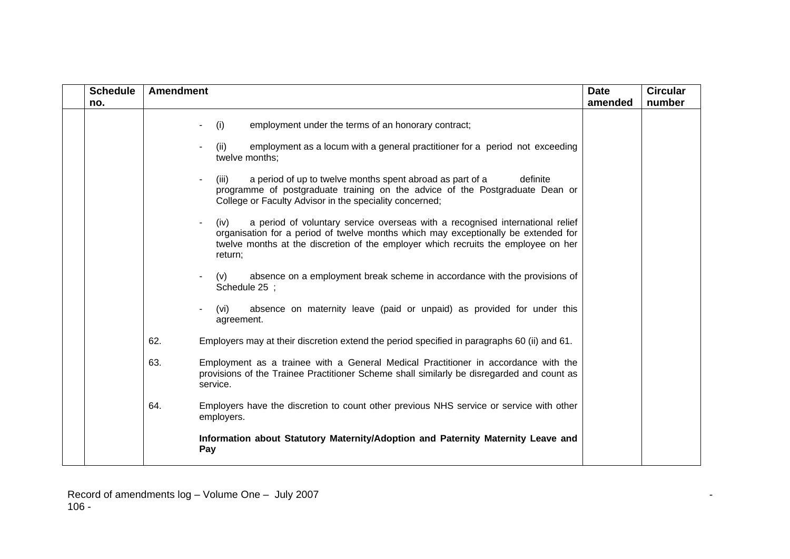| <b>Schedule</b><br>no. | <b>Amendment</b> |                                                                                                                                                                                                                                                                              | <b>Date</b><br>amended | <b>Circular</b><br>number |
|------------------------|------------------|------------------------------------------------------------------------------------------------------------------------------------------------------------------------------------------------------------------------------------------------------------------------------|------------------------|---------------------------|
|                        |                  | employment under the terms of an honorary contract;<br>(i)                                                                                                                                                                                                                   |                        |                           |
|                        |                  | employment as a locum with a general practitioner for a period not exceeding<br>(ii)<br>twelve months;                                                                                                                                                                       |                        |                           |
|                        |                  | definite<br>a period of up to twelve months spent abroad as part of a<br>(iii)<br>programme of postgraduate training on the advice of the Postgraduate Dean or<br>College or Faculty Advisor in the speciality concerned;                                                    |                        |                           |
|                        |                  | (iv)<br>a period of voluntary service overseas with a recognised international relief<br>organisation for a period of twelve months which may exceptionally be extended for<br>twelve months at the discretion of the employer which recruits the employee on her<br>return; |                        |                           |
|                        |                  | absence on a employment break scheme in accordance with the provisions of<br>(v)<br>Schedule 25 ;                                                                                                                                                                            |                        |                           |
|                        |                  | absence on maternity leave (paid or unpaid) as provided for under this<br>(vi)<br>agreement.                                                                                                                                                                                 |                        |                           |
|                        | 62.              | Employers may at their discretion extend the period specified in paragraphs 60 (ii) and 61.                                                                                                                                                                                  |                        |                           |
|                        | 63.              | Employment as a trainee with a General Medical Practitioner in accordance with the<br>provisions of the Trainee Practitioner Scheme shall similarly be disregarded and count as<br>service.                                                                                  |                        |                           |
|                        | 64.              | Employers have the discretion to count other previous NHS service or service with other<br>employers.                                                                                                                                                                        |                        |                           |
|                        |                  | Information about Statutory Maternity/Adoption and Paternity Maternity Leave and<br>Pay                                                                                                                                                                                      |                        |                           |

Record of amendments log – Volume One – July 2007 - 106 -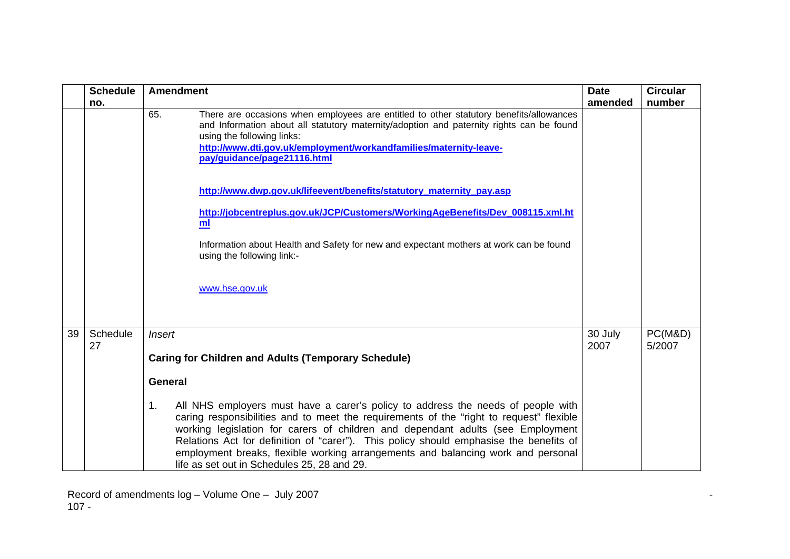|    | <b>Schedule</b> | <b>Amendment</b><br><b>Date</b>                                                                                                                                                                                                                                                                                                                                                                                                                                                                   |                 | <b>Circular</b>   |
|----|-----------------|---------------------------------------------------------------------------------------------------------------------------------------------------------------------------------------------------------------------------------------------------------------------------------------------------------------------------------------------------------------------------------------------------------------------------------------------------------------------------------------------------|-----------------|-------------------|
|    | no.             |                                                                                                                                                                                                                                                                                                                                                                                                                                                                                                   | amended         | number            |
|    |                 | There are occasions when employees are entitled to other statutory benefits/allowances<br>65.<br>and Information about all statutory maternity/adoption and paternity rights can be found<br>using the following links:<br>http://www.dti.gov.uk/employment/workandfamilies/maternity-leave-<br>pay/guidance/page21116.html                                                                                                                                                                       |                 |                   |
|    |                 | http://www.dwp.gov.uk/lifeevent/benefits/statutory_maternity_pay.asp<br>http://jobcentreplus.gov.uk/JCP/Customers/WorkingAgeBenefits/Dev_008115.xml.ht<br>ml                                                                                                                                                                                                                                                                                                                                      |                 |                   |
|    |                 | Information about Health and Safety for new and expectant mothers at work can be found<br>using the following link:-                                                                                                                                                                                                                                                                                                                                                                              |                 |                   |
|    |                 | www.hse.gov.uk                                                                                                                                                                                                                                                                                                                                                                                                                                                                                    |                 |                   |
| 39 | Schedule<br>27  | <b>Insert</b><br><b>Caring for Children and Adults (Temporary Schedule)</b>                                                                                                                                                                                                                                                                                                                                                                                                                       | 30 July<br>2007 | PC(M&D)<br>5/2007 |
|    |                 | <b>General</b>                                                                                                                                                                                                                                                                                                                                                                                                                                                                                    |                 |                   |
|    |                 | All NHS employers must have a carer's policy to address the needs of people with<br>1.<br>caring responsibilities and to meet the requirements of the "right to request" flexible<br>working legislation for carers of children and dependant adults (see Employment<br>Relations Act for definition of "carer"). This policy should emphasise the benefits of<br>employment breaks, flexible working arrangements and balancing work and personal<br>life as set out in Schedules 25, 28 and 29. |                 |                   |

Record of amendments log – Volume One – July 2007 - 107 -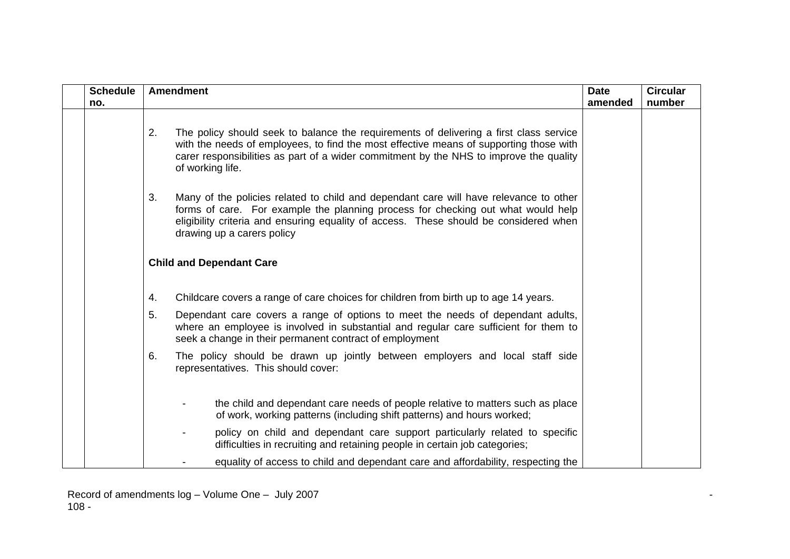| <b>Schedule</b><br>no. | <b>Amendment</b>                                                                                                                                                                                                                                                                                       | <b>Date</b><br>amended | <b>Circular</b><br>number |
|------------------------|--------------------------------------------------------------------------------------------------------------------------------------------------------------------------------------------------------------------------------------------------------------------------------------------------------|------------------------|---------------------------|
|                        | 2.<br>The policy should seek to balance the requirements of delivering a first class service<br>with the needs of employees, to find the most effective means of supporting those with<br>carer responsibilities as part of a wider commitment by the NHS to improve the quality<br>of working life.   |                        |                           |
|                        | 3.<br>Many of the policies related to child and dependant care will have relevance to other<br>forms of care. For example the planning process for checking out what would help<br>eligibility criteria and ensuring equality of access. These should be considered when<br>drawing up a carers policy |                        |                           |
|                        | <b>Child and Dependant Care</b>                                                                                                                                                                                                                                                                        |                        |                           |
|                        | 4.<br>Childcare covers a range of care choices for children from birth up to age 14 years.                                                                                                                                                                                                             |                        |                           |
|                        | 5.<br>Dependant care covers a range of options to meet the needs of dependant adults,<br>where an employee is involved in substantial and regular care sufficient for them to<br>seek a change in their permanent contract of employment                                                               |                        |                           |
|                        | The policy should be drawn up jointly between employers and local staff side<br>6.<br>representatives. This should cover:                                                                                                                                                                              |                        |                           |
|                        | the child and dependant care needs of people relative to matters such as place<br>of work, working patterns (including shift patterns) and hours worked;                                                                                                                                               |                        |                           |
|                        | policy on child and dependant care support particularly related to specific<br>difficulties in recruiting and retaining people in certain job categories;                                                                                                                                              |                        |                           |
|                        | equality of access to child and dependant care and affordability, respecting the                                                                                                                                                                                                                       |                        |                           |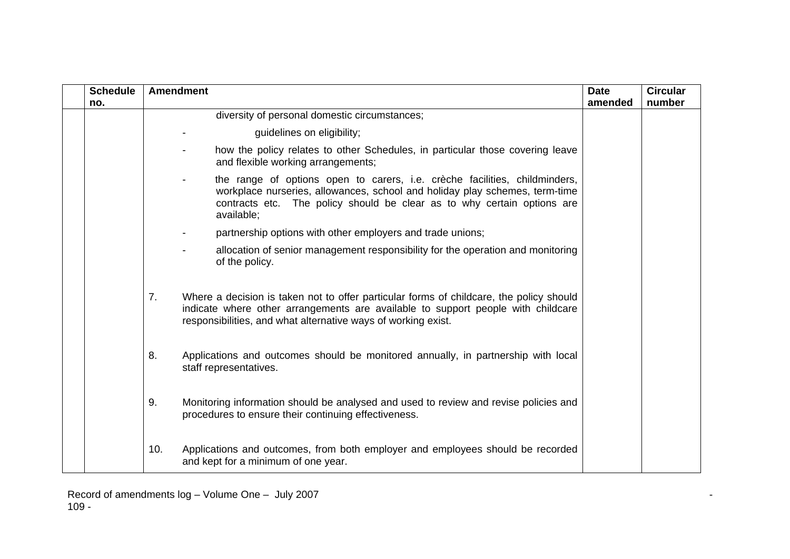| <b>Schedule</b> | <b>Amendment</b>                                                                                                                                                                                                                                   | <b>Date</b> | <b>Circular</b> |
|-----------------|----------------------------------------------------------------------------------------------------------------------------------------------------------------------------------------------------------------------------------------------------|-------------|-----------------|
| no.             |                                                                                                                                                                                                                                                    | amended     | number          |
|                 | diversity of personal domestic circumstances;                                                                                                                                                                                                      |             |                 |
|                 | guidelines on eligibility;                                                                                                                                                                                                                         |             |                 |
|                 | how the policy relates to other Schedules, in particular those covering leave<br>and flexible working arrangements;                                                                                                                                |             |                 |
|                 | the range of options open to carers, i.e. crèche facilities, childminders,<br>workplace nurseries, allowances, school and holiday play schemes, term-time<br>contracts etc. The policy should be clear as to why certain options are<br>available; |             |                 |
|                 | partnership options with other employers and trade unions;                                                                                                                                                                                         |             |                 |
|                 | allocation of senior management responsibility for the operation and monitoring<br>of the policy.                                                                                                                                                  |             |                 |
|                 | 7.<br>Where a decision is taken not to offer particular forms of childcare, the policy should<br>indicate where other arrangements are available to support people with childcare<br>responsibilities, and what alternative ways of working exist. |             |                 |
|                 | 8.<br>Applications and outcomes should be monitored annually, in partnership with local<br>staff representatives.                                                                                                                                  |             |                 |
|                 | 9.<br>Monitoring information should be analysed and used to review and revise policies and<br>procedures to ensure their continuing effectiveness.                                                                                                 |             |                 |
|                 | Applications and outcomes, from both employer and employees should be recorded<br>10.<br>and kept for a minimum of one year.                                                                                                                       |             |                 |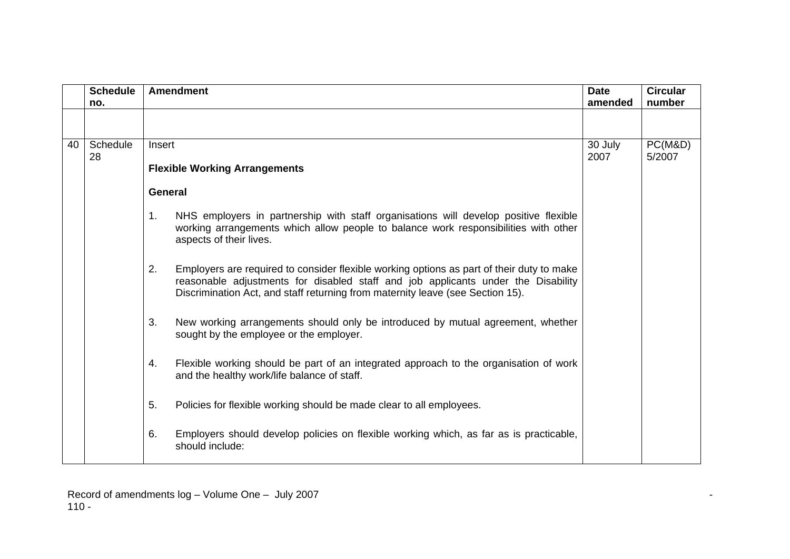|    | <b>Schedule</b> |                                      | <b>Amendment</b>                                                                                                                                                                                                                                                 | <b>Date</b>     | <b>Circular</b>   |
|----|-----------------|--------------------------------------|------------------------------------------------------------------------------------------------------------------------------------------------------------------------------------------------------------------------------------------------------------------|-----------------|-------------------|
|    | no.             |                                      |                                                                                                                                                                                                                                                                  | amended         | number            |
|    |                 |                                      |                                                                                                                                                                                                                                                                  |                 |                   |
| 40 | Schedule<br>28  | Insert                               |                                                                                                                                                                                                                                                                  | 30 July<br>2007 | PC(M&D)<br>5/2007 |
|    |                 | <b>Flexible Working Arrangements</b> |                                                                                                                                                                                                                                                                  |                 |                   |
|    |                 | <b>General</b>                       |                                                                                                                                                                                                                                                                  |                 |                   |
|    |                 | 1.                                   | NHS employers in partnership with staff organisations will develop positive flexible<br>working arrangements which allow people to balance work responsibilities with other<br>aspects of their lives.                                                           |                 |                   |
|    |                 | 2.                                   | Employers are required to consider flexible working options as part of their duty to make<br>reasonable adjustments for disabled staff and job applicants under the Disability<br>Discrimination Act, and staff returning from maternity leave (see Section 15). |                 |                   |
|    |                 | 3.                                   | New working arrangements should only be introduced by mutual agreement, whether<br>sought by the employee or the employer.                                                                                                                                       |                 |                   |
|    |                 | 4.                                   | Flexible working should be part of an integrated approach to the organisation of work<br>and the healthy work/life balance of staff.                                                                                                                             |                 |                   |
|    |                 | 5.                                   | Policies for flexible working should be made clear to all employees.                                                                                                                                                                                             |                 |                   |
|    |                 | 6.                                   | Employers should develop policies on flexible working which, as far as is practicable,<br>should include:                                                                                                                                                        |                 |                   |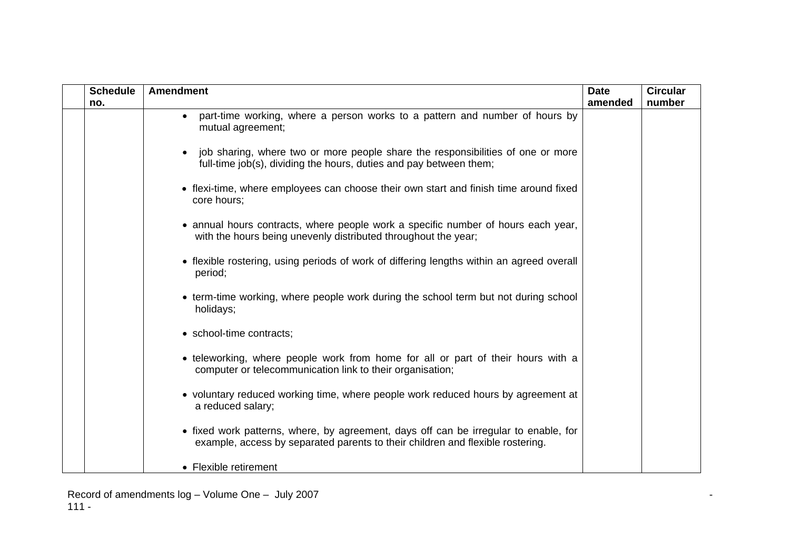| <b>Schedule</b> | <b>Amendment</b>                                                                                                                                                       | <b>Date</b> | <b>Circular</b> |
|-----------------|------------------------------------------------------------------------------------------------------------------------------------------------------------------------|-------------|-----------------|
| no.             |                                                                                                                                                                        | amended     | number          |
|                 | part-time working, where a person works to a pattern and number of hours by<br>$\bullet$<br>mutual agreement;                                                          |             |                 |
|                 | job sharing, where two or more people share the responsibilities of one or more<br>full-time job(s), dividing the hours, duties and pay between them;                  |             |                 |
|                 | • flexi-time, where employees can choose their own start and finish time around fixed<br>core hours;                                                                   |             |                 |
|                 | • annual hours contracts, where people work a specific number of hours each year,<br>with the hours being unevenly distributed throughout the year;                    |             |                 |
|                 | • flexible rostering, using periods of work of differing lengths within an agreed overall<br>period;                                                                   |             |                 |
|                 | • term-time working, where people work during the school term but not during school<br>holidays;                                                                       |             |                 |
|                 | • school-time contracts;                                                                                                                                               |             |                 |
|                 | • teleworking, where people work from home for all or part of their hours with a<br>computer or telecommunication link to their organisation;                          |             |                 |
|                 | • voluntary reduced working time, where people work reduced hours by agreement at<br>a reduced salary;                                                                 |             |                 |
|                 | • fixed work patterns, where, by agreement, days off can be irregular to enable, for<br>example, access by separated parents to their children and flexible rostering. |             |                 |
|                 | • Flexible retirement                                                                                                                                                  |             |                 |

Record of amendments log – Volume One – July 2007 - 111 -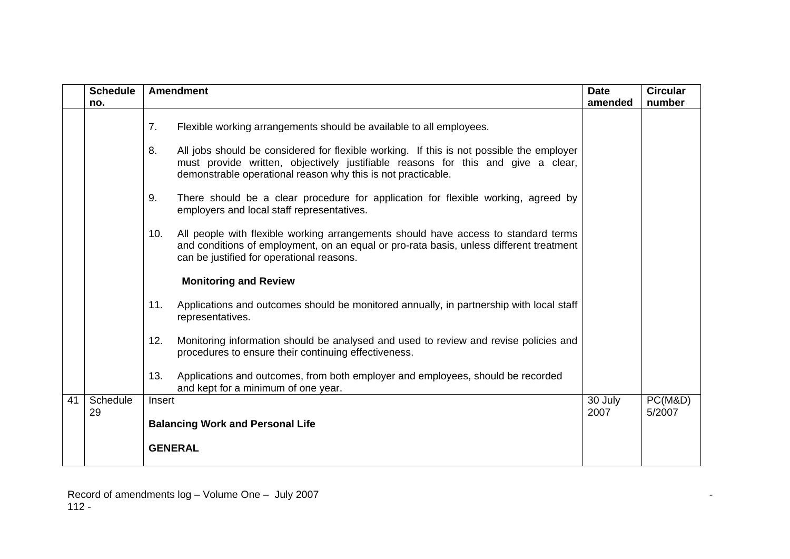|    | <b>Schedule</b> | <b>Amendment</b>                                                                                                                                                                                                                                   | <b>Date</b>     | <b>Circular</b>   |
|----|-----------------|----------------------------------------------------------------------------------------------------------------------------------------------------------------------------------------------------------------------------------------------------|-----------------|-------------------|
|    | no.             |                                                                                                                                                                                                                                                    | amended         | number            |
|    |                 | 7.<br>Flexible working arrangements should be available to all employees.                                                                                                                                                                          |                 |                   |
|    |                 | All jobs should be considered for flexible working. If this is not possible the employer<br>8.<br>must provide written, objectively justifiable reasons for this and give a clear,<br>demonstrable operational reason why this is not practicable. |                 |                   |
|    |                 | There should be a clear procedure for application for flexible working, agreed by<br>9.<br>employers and local staff representatives.                                                                                                              |                 |                   |
|    |                 | All people with flexible working arrangements should have access to standard terms<br>10.<br>and conditions of employment, on an equal or pro-rata basis, unless different treatment<br>can be justified for operational reasons.                  |                 |                   |
|    |                 | <b>Monitoring and Review</b>                                                                                                                                                                                                                       |                 |                   |
|    |                 | Applications and outcomes should be monitored annually, in partnership with local staff<br>11.<br>representatives.                                                                                                                                 |                 |                   |
|    |                 | 12.<br>Monitoring information should be analysed and used to review and revise policies and<br>procedures to ensure their continuing effectiveness.                                                                                                |                 |                   |
|    |                 | Applications and outcomes, from both employer and employees, should be recorded<br>13.<br>and kept for a minimum of one year.                                                                                                                      |                 |                   |
| 41 | Schedule<br>29  | Insert                                                                                                                                                                                                                                             | 30 July<br>2007 | PC(M&D)<br>5/2007 |
|    |                 | <b>Balancing Work and Personal Life</b>                                                                                                                                                                                                            |                 |                   |
|    |                 | <b>GENERAL</b>                                                                                                                                                                                                                                     |                 |                   |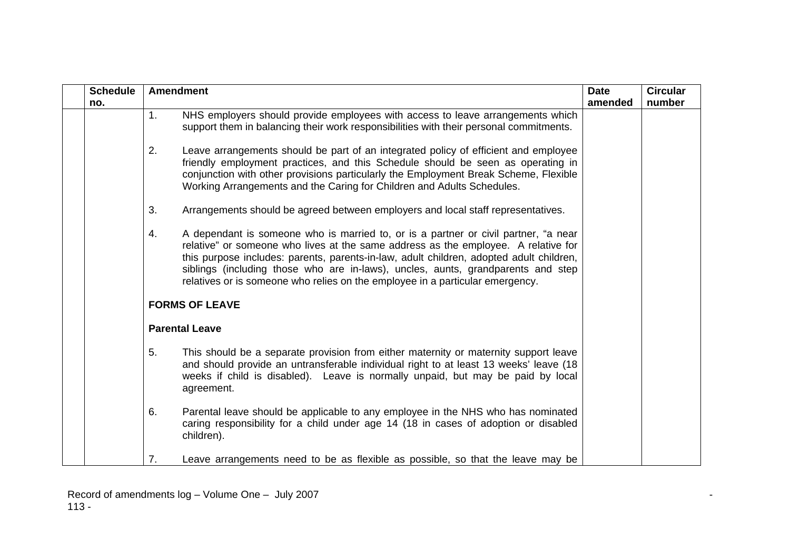| <b>Schedule</b> | <b>Amendment</b>                                                                                                                                                                                                                                                                                                                                                                                                                                | <b>Date</b> | <b>Circular</b> |
|-----------------|-------------------------------------------------------------------------------------------------------------------------------------------------------------------------------------------------------------------------------------------------------------------------------------------------------------------------------------------------------------------------------------------------------------------------------------------------|-------------|-----------------|
| no.             |                                                                                                                                                                                                                                                                                                                                                                                                                                                 | amended     | number          |
|                 | NHS employers should provide employees with access to leave arrangements which<br>$\mathbf 1$ .<br>support them in balancing their work responsibilities with their personal commitments.                                                                                                                                                                                                                                                       |             |                 |
|                 | 2.<br>Leave arrangements should be part of an integrated policy of efficient and employee<br>friendly employment practices, and this Schedule should be seen as operating in<br>conjunction with other provisions particularly the Employment Break Scheme, Flexible<br>Working Arrangements and the Caring for Children and Adults Schedules.                                                                                                  |             |                 |
|                 | Arrangements should be agreed between employers and local staff representatives.<br>3.                                                                                                                                                                                                                                                                                                                                                          |             |                 |
|                 | A dependant is someone who is married to, or is a partner or civil partner, "a near<br>4.<br>relative" or someone who lives at the same address as the employee. A relative for<br>this purpose includes: parents, parents-in-law, adult children, adopted adult children,<br>siblings (including those who are in-laws), uncles, aunts, grandparents and step<br>relatives or is someone who relies on the employee in a particular emergency. |             |                 |
|                 | <b>FORMS OF LEAVE</b>                                                                                                                                                                                                                                                                                                                                                                                                                           |             |                 |
|                 | <b>Parental Leave</b>                                                                                                                                                                                                                                                                                                                                                                                                                           |             |                 |
|                 | 5.<br>This should be a separate provision from either maternity or maternity support leave<br>and should provide an untransferable individual right to at least 13 weeks' leave (18<br>weeks if child is disabled). Leave is normally unpaid, but may be paid by local<br>agreement.                                                                                                                                                            |             |                 |
|                 | Parental leave should be applicable to any employee in the NHS who has nominated<br>6.<br>caring responsibility for a child under age 14 (18 in cases of adoption or disabled<br>children).                                                                                                                                                                                                                                                     |             |                 |
|                 | Leave arrangements need to be as flexible as possible, so that the leave may be<br>7.                                                                                                                                                                                                                                                                                                                                                           |             |                 |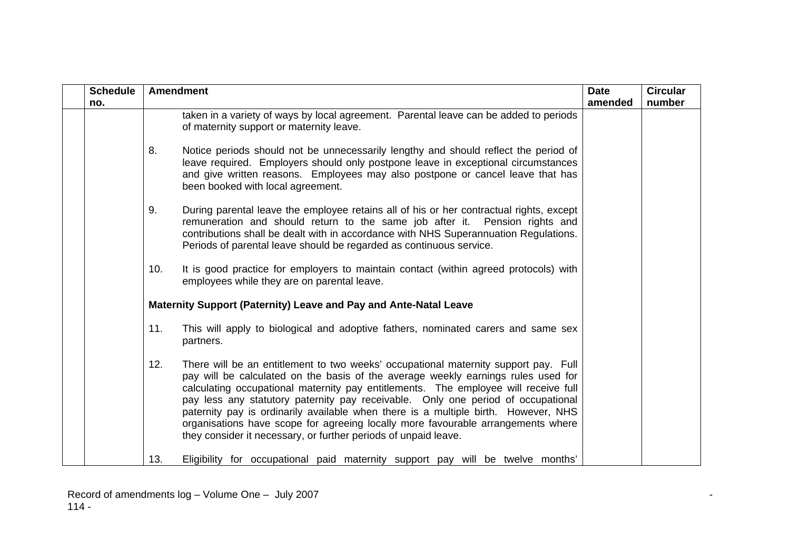| <b>Schedule</b> | <b>Amendment</b>                                                                                                                                                                                                                                                                                                                                                                                                                                                                                                                                                                                        | <b>Date</b> | <b>Circular</b> |
|-----------------|---------------------------------------------------------------------------------------------------------------------------------------------------------------------------------------------------------------------------------------------------------------------------------------------------------------------------------------------------------------------------------------------------------------------------------------------------------------------------------------------------------------------------------------------------------------------------------------------------------|-------------|-----------------|
| no.             |                                                                                                                                                                                                                                                                                                                                                                                                                                                                                                                                                                                                         | amended     | number          |
|                 | taken in a variety of ways by local agreement. Parental leave can be added to periods<br>of maternity support or maternity leave.                                                                                                                                                                                                                                                                                                                                                                                                                                                                       |             |                 |
|                 | 8.<br>Notice periods should not be unnecessarily lengthy and should reflect the period of<br>leave required. Employers should only postpone leave in exceptional circumstances<br>and give written reasons. Employees may also postpone or cancel leave that has<br>been booked with local agreement.                                                                                                                                                                                                                                                                                                   |             |                 |
|                 | 9.<br>During parental leave the employee retains all of his or her contractual rights, except<br>remuneration and should return to the same job after it. Pension rights and<br>contributions shall be dealt with in accordance with NHS Superannuation Regulations.<br>Periods of parental leave should be regarded as continuous service.                                                                                                                                                                                                                                                             |             |                 |
|                 | It is good practice for employers to maintain contact (within agreed protocols) with<br>10.<br>employees while they are on parental leave.                                                                                                                                                                                                                                                                                                                                                                                                                                                              |             |                 |
|                 | Maternity Support (Paternity) Leave and Pay and Ante-Natal Leave                                                                                                                                                                                                                                                                                                                                                                                                                                                                                                                                        |             |                 |
|                 | 11.<br>This will apply to biological and adoptive fathers, nominated carers and same sex<br>partners.                                                                                                                                                                                                                                                                                                                                                                                                                                                                                                   |             |                 |
|                 | There will be an entitlement to two weeks' occupational maternity support pay. Full<br>12.<br>pay will be calculated on the basis of the average weekly earnings rules used for<br>calculating occupational maternity pay entitlements. The employee will receive full<br>pay less any statutory paternity pay receivable. Only one period of occupational<br>paternity pay is ordinarily available when there is a multiple birth. However, NHS<br>organisations have scope for agreeing locally more favourable arrangements where<br>they consider it necessary, or further periods of unpaid leave. |             |                 |
|                 | Eligibility for occupational paid maternity support pay will be twelve months'<br>13.                                                                                                                                                                                                                                                                                                                                                                                                                                                                                                                   |             |                 |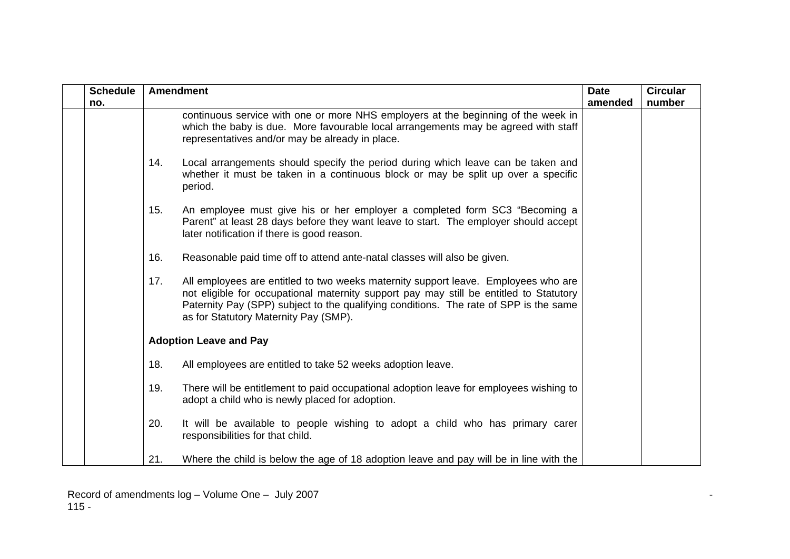| <b>Schedule</b><br>no. |     | <b>Amendment</b>                                                                                                                                                                                                                                                                                               | <b>Date</b><br>amended | <b>Circular</b><br>number |
|------------------------|-----|----------------------------------------------------------------------------------------------------------------------------------------------------------------------------------------------------------------------------------------------------------------------------------------------------------------|------------------------|---------------------------|
|                        |     | continuous service with one or more NHS employers at the beginning of the week in<br>which the baby is due. More favourable local arrangements may be agreed with staff<br>representatives and/or may be already in place.                                                                                     |                        |                           |
|                        | 14. | Local arrangements should specify the period during which leave can be taken and<br>whether it must be taken in a continuous block or may be split up over a specific<br>period.                                                                                                                               |                        |                           |
|                        | 15. | An employee must give his or her employer a completed form SC3 "Becoming a<br>Parent" at least 28 days before they want leave to start. The employer should accept<br>later notification if there is good reason.                                                                                              |                        |                           |
|                        | 16. | Reasonable paid time off to attend ante-natal classes will also be given.                                                                                                                                                                                                                                      |                        |                           |
|                        | 17. | All employees are entitled to two weeks maternity support leave. Employees who are<br>not eligible for occupational maternity support pay may still be entitled to Statutory<br>Paternity Pay (SPP) subject to the qualifying conditions. The rate of SPP is the same<br>as for Statutory Maternity Pay (SMP). |                        |                           |
|                        |     | <b>Adoption Leave and Pay</b>                                                                                                                                                                                                                                                                                  |                        |                           |
|                        | 18. | All employees are entitled to take 52 weeks adoption leave.                                                                                                                                                                                                                                                    |                        |                           |
|                        | 19. | There will be entitlement to paid occupational adoption leave for employees wishing to<br>adopt a child who is newly placed for adoption.                                                                                                                                                                      |                        |                           |
|                        | 20. | It will be available to people wishing to adopt a child who has primary carer<br>responsibilities for that child.                                                                                                                                                                                              |                        |                           |
|                        | 21. | Where the child is below the age of 18 adoption leave and pay will be in line with the                                                                                                                                                                                                                         |                        |                           |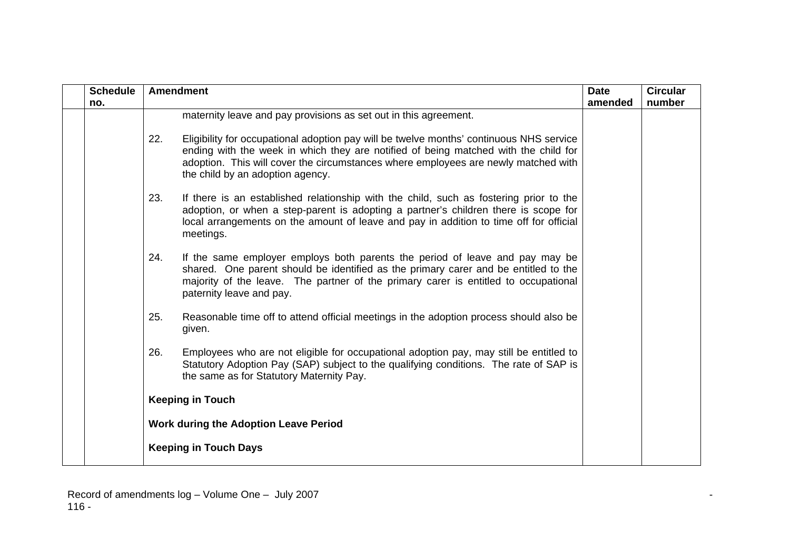| <b>Schedule</b> | <b>Amendment</b>                                                                                                                                                                                                                                                                                                | <b>Date</b> | <b>Circular</b> |
|-----------------|-----------------------------------------------------------------------------------------------------------------------------------------------------------------------------------------------------------------------------------------------------------------------------------------------------------------|-------------|-----------------|
| no.             | maternity leave and pay provisions as set out in this agreement.                                                                                                                                                                                                                                                | amended     | number          |
|                 | 22.<br>Eligibility for occupational adoption pay will be twelve months' continuous NHS service<br>ending with the week in which they are notified of being matched with the child for<br>adoption. This will cover the circumstances where employees are newly matched with<br>the child by an adoption agency. |             |                 |
|                 | 23.<br>If there is an established relationship with the child, such as fostering prior to the<br>adoption, or when a step-parent is adopting a partner's children there is scope for<br>local arrangements on the amount of leave and pay in addition to time off for official<br>meetings.                     |             |                 |
|                 | If the same employer employs both parents the period of leave and pay may be<br>24.<br>shared. One parent should be identified as the primary carer and be entitled to the<br>majority of the leave. The partner of the primary carer is entitled to occupational<br>paternity leave and pay.                   |             |                 |
|                 | 25.<br>Reasonable time off to attend official meetings in the adoption process should also be<br>given.                                                                                                                                                                                                         |             |                 |
|                 | Employees who are not eligible for occupational adoption pay, may still be entitled to<br>26.<br>Statutory Adoption Pay (SAP) subject to the qualifying conditions. The rate of SAP is<br>the same as for Statutory Maternity Pay.                                                                              |             |                 |
|                 | <b>Keeping in Touch</b>                                                                                                                                                                                                                                                                                         |             |                 |
|                 | <b>Work during the Adoption Leave Period</b>                                                                                                                                                                                                                                                                    |             |                 |
|                 | <b>Keeping in Touch Days</b>                                                                                                                                                                                                                                                                                    |             |                 |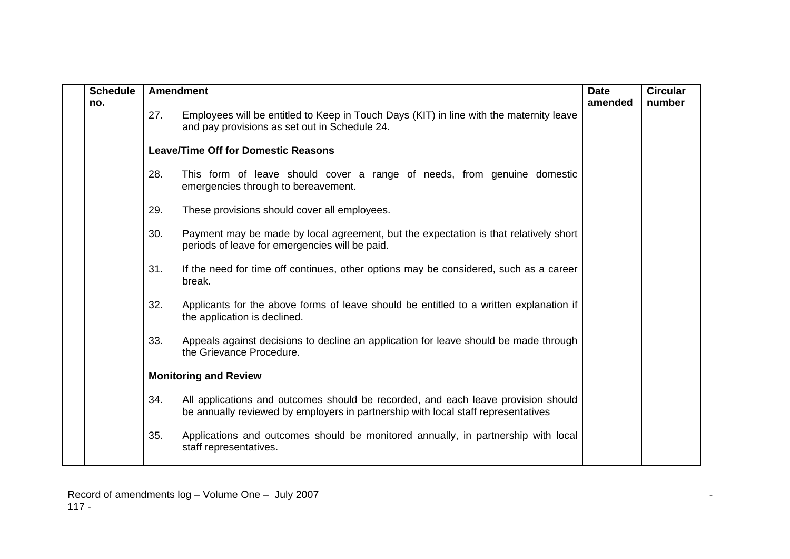| <b>Schedule</b> | <b>Amendment</b>                                                                                                                                                              | <b>Date</b> | <b>Circular</b> |
|-----------------|-------------------------------------------------------------------------------------------------------------------------------------------------------------------------------|-------------|-----------------|
| no.             |                                                                                                                                                                               | amended     | number          |
|                 | Employees will be entitled to Keep in Touch Days (KIT) in line with the maternity leave<br>27.<br>and pay provisions as set out in Schedule 24.                               |             |                 |
|                 | <b>Leave/Time Off for Domestic Reasons</b>                                                                                                                                    |             |                 |
|                 | 28.<br>This form of leave should cover a range of needs, from genuine domestic<br>emergencies through to bereavement.                                                         |             |                 |
|                 | These provisions should cover all employees.<br>29.                                                                                                                           |             |                 |
|                 | Payment may be made by local agreement, but the expectation is that relatively short<br>30.<br>periods of leave for emergencies will be paid.                                 |             |                 |
|                 | 31.<br>If the need for time off continues, other options may be considered, such as a career<br>break.                                                                        |             |                 |
|                 | 32.<br>Applicants for the above forms of leave should be entitled to a written explanation if<br>the application is declined.                                                 |             |                 |
|                 | Appeals against decisions to decline an application for leave should be made through<br>33.<br>the Grievance Procedure.                                                       |             |                 |
|                 | <b>Monitoring and Review</b>                                                                                                                                                  |             |                 |
|                 | All applications and outcomes should be recorded, and each leave provision should<br>34.<br>be annually reviewed by employers in partnership with local staff representatives |             |                 |
|                 | Applications and outcomes should be monitored annually, in partnership with local<br>35.<br>staff representatives.                                                            |             |                 |